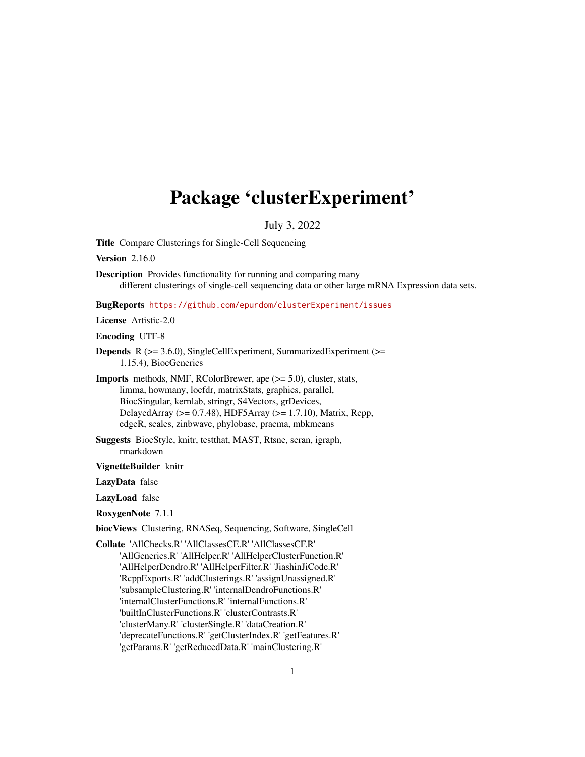# <span id="page-0-0"></span>Package 'clusterExperiment'

# July 3, 2022

Title Compare Clusterings for Single-Cell Sequencing

Version 2.16.0

Description Provides functionality for running and comparing many different clusterings of single-cell sequencing data or other large mRNA Expression data sets.

BugReports <https://github.com/epurdom/clusterExperiment/issues>

License Artistic-2.0

Encoding UTF-8

- Depends R (>= 3.6.0), SingleCellExperiment, SummarizedExperiment (>= 1.15.4), BiocGenerics
- Imports methods, NMF, RColorBrewer, ape (>= 5.0), cluster, stats, limma, howmany, locfdr, matrixStats, graphics, parallel, BiocSingular, kernlab, stringr, S4Vectors, grDevices, DelayedArray (>= 0.7.48), HDF5Array (>= 1.7.10), Matrix, Rcpp, edgeR, scales, zinbwave, phylobase, pracma, mbkmeans
- Suggests BiocStyle, knitr, testthat, MAST, Rtsne, scran, igraph, rmarkdown

VignetteBuilder knitr

LazyData false

LazyLoad false

RoxygenNote 7.1.1

biocViews Clustering, RNASeq, Sequencing, Software, SingleCell

Collate 'AllChecks.R' 'AllClassesCE.R' 'AllClassesCF.R' 'AllGenerics.R' 'AllHelper.R' 'AllHelperClusterFunction.R' 'AllHelperDendro.R' 'AllHelperFilter.R' 'JiashinJiCode.R' 'RcppExports.R' 'addClusterings.R' 'assignUnassigned.R' 'subsampleClustering.R' 'internalDendroFunctions.R' 'internalClusterFunctions.R' 'internalFunctions.R' 'builtInClusterFunctions.R' 'clusterContrasts.R' 'clusterMany.R' 'clusterSingle.R' 'dataCreation.R' 'deprecateFunctions.R' 'getClusterIndex.R' 'getFeatures.R' 'getParams.R' 'getReducedData.R' 'mainClustering.R'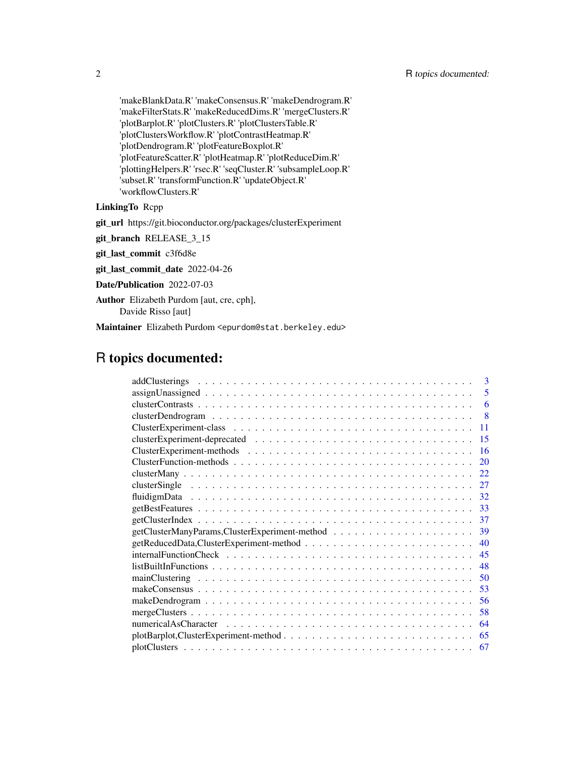'makeBlankData.R' 'makeConsensus.R' 'makeDendrogram.R' 'makeFilterStats.R' 'makeReducedDims.R' 'mergeClusters.R' 'plotBarplot.R' 'plotClusters.R' 'plotClustersTable.R' 'plotClustersWorkflow.R' 'plotContrastHeatmap.R' 'plotDendrogram.R' 'plotFeatureBoxplot.R' 'plotFeatureScatter.R' 'plotHeatmap.R' 'plotReduceDim.R' 'plottingHelpers.R' 'rsec.R' 'seqCluster.R' 'subsampleLoop.R' 'subset.R' 'transformFunction.R' 'updateObject.R' 'workflowClusters.R'

# LinkingTo Rcpp

git\_url https://git.bioconductor.org/packages/clusterExperiment

git\_branch RELEASE\_3\_15

git\_last\_commit c3f6d8e

git\_last\_commit\_date 2022-04-26

Date/Publication 2022-07-03

Author Elizabeth Purdom [aut, cre, cph], Davide Risso [aut]

Maintainer Elizabeth Purdom <epurdom@stat.berkeley.edu>

# R topics documented:

| $\mathbf{3}$ |
|--------------|
| 5            |
| 6            |
| 8            |
| 11           |
| 15           |
| -16          |
| 20           |
| 22           |
| 27           |
| 32           |
| -33          |
| 37           |
| 39           |
| 40           |
| 45           |
| 48           |
| 50           |
| 53           |
| 56           |
| 58           |
| 64           |
| 65           |
| 67           |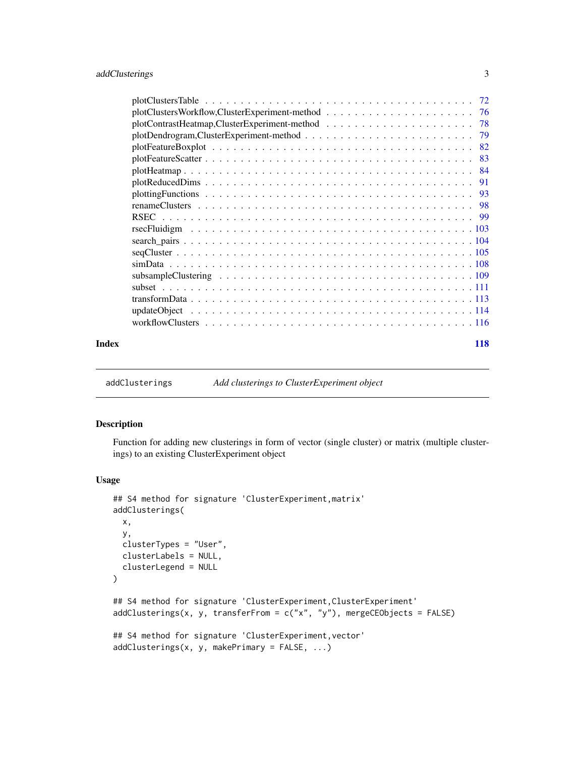<span id="page-2-0"></span>

| $plotClusterSTable \dots \dots \dots \dots \dots \dots \dots \dots \dots \dots \dots \dots \dots \dots \dots$<br>72 |
|---------------------------------------------------------------------------------------------------------------------|
| 76                                                                                                                  |
| 78                                                                                                                  |
|                                                                                                                     |
| 79                                                                                                                  |
| -82                                                                                                                 |
| -83                                                                                                                 |
| -84                                                                                                                 |
| 91                                                                                                                  |
|                                                                                                                     |
|                                                                                                                     |
|                                                                                                                     |
|                                                                                                                     |
|                                                                                                                     |
|                                                                                                                     |
|                                                                                                                     |
|                                                                                                                     |
|                                                                                                                     |
|                                                                                                                     |
|                                                                                                                     |
|                                                                                                                     |
|                                                                                                                     |
|                                                                                                                     |

#### **Index** 2008 **[118](#page-117-0)**

addClusterings *Add clusterings to ClusterExperiment object*

#### Description

Function for adding new clusterings in form of vector (single cluster) or matrix (multiple clusterings) to an existing ClusterExperiment object

# Usage

```
## S4 method for signature 'ClusterExperiment,matrix'
addClusterings(
 x,
 y,
 clusterTypes = "User",
 clusterLabels = NULL,
  clusterLegend = NULL
\mathcal{L}## S4 method for signature 'ClusterExperiment, ClusterExperiment'
addClusterings(x, y, transferFrom = c("x", "y"), mergeCEObjects = FALSE)
## S4 method for signature 'ClusterExperiment,vector'
addClusterings(x, y, makePrimary = FALSE, ...)
```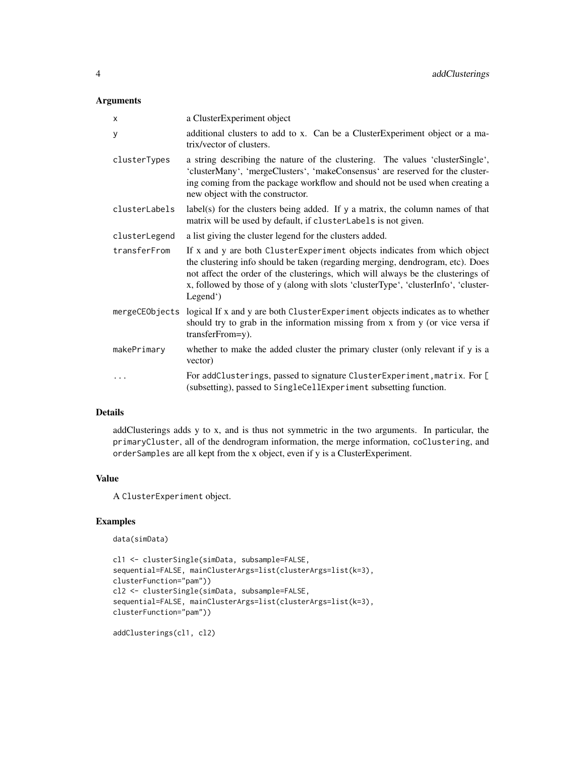# Arguments

| X              | a ClusterExperiment object                                                                                                                                                                                                                                                                                                                         |
|----------------|----------------------------------------------------------------------------------------------------------------------------------------------------------------------------------------------------------------------------------------------------------------------------------------------------------------------------------------------------|
| y              | additional clusters to add to x. Can be a Cluster Experiment object or a ma-<br>trix/vector of clusters.                                                                                                                                                                                                                                           |
| clusterTypes   | a string describing the nature of the clustering. The values 'clusterSingle',<br>'clusterMany', 'mergeClusters', 'makeConsensus' are reserved for the cluster-<br>ing coming from the package workflow and should not be used when creating a<br>new object with the constructor.                                                                  |
| clusterLabels  | $label(s)$ for the clusters being added. If y a matrix, the column names of that<br>matrix will be used by default, if clusterLabels is not given.                                                                                                                                                                                                 |
| clusterLegend  | a list giving the cluster legend for the clusters added.                                                                                                                                                                                                                                                                                           |
| transferFrom   | If x and y are both ClusterExperiment objects indicates from which object<br>the clustering info should be taken (regarding merging, dendrogram, etc). Does<br>not affect the order of the clusterings, which will always be the clusterings of<br>x, followed by those of y (along with slots 'clusterType', 'clusterInfo', 'cluster-<br>Legend') |
| mergeCEObjects | logical If x and y are both ClusterExperiment objects indicates as to whether<br>should try to grab in the information missing from x from y (or vice versa if<br>transferFrom=y).                                                                                                                                                                 |
| makePrimary    | whether to make the added cluster the primary cluster (only relevant if y is a<br>vector)                                                                                                                                                                                                                                                          |
| .              | For addClusterings, passed to signature ClusterExperiment, matrix. For [<br>(subsetting), passed to SingleCellExperiment subsetting function.                                                                                                                                                                                                      |

# Details

addClusterings adds y to x, and is thus not symmetric in the two arguments. In particular, the primaryCluster, all of the dendrogram information, the merge information, coClustering, and orderSamples are all kept from the x object, even if y is a ClusterExperiment.

# Value

A ClusterExperiment object.

# Examples

```
data(simData)
```

```
cl1 <- clusterSingle(simData, subsample=FALSE,
sequential=FALSE, mainClusterArgs=list(clusterArgs=list(k=3),
clusterFunction="pam"))
cl2 <- clusterSingle(simData, subsample=FALSE,
sequential=FALSE, mainClusterArgs=list(clusterArgs=list(k=3),
clusterFunction="pam"))
```
addClusterings(cl1, cl2)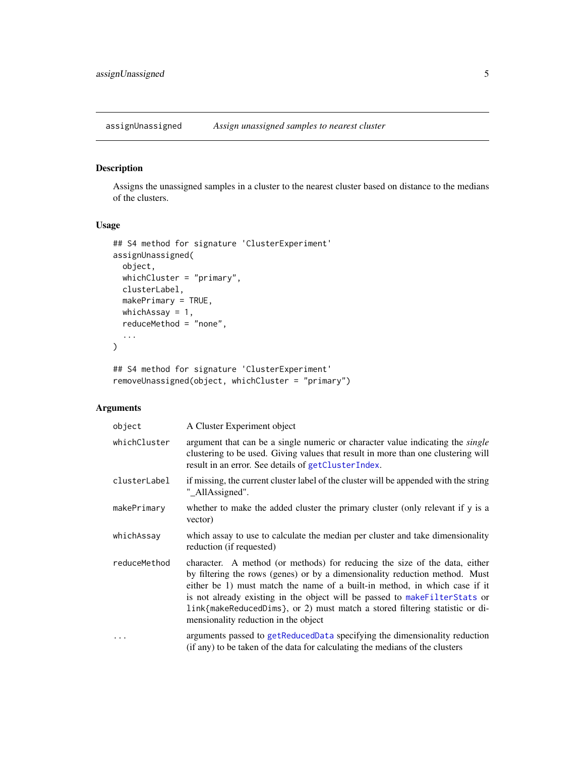<span id="page-4-0"></span>assignUnassigned *Assign unassigned samples to nearest cluster*

# <span id="page-4-1"></span>Description

Assigns the unassigned samples in a cluster to the nearest cluster based on distance to the medians of the clusters.

# Usage

```
## S4 method for signature 'ClusterExperiment'
assignUnassigned(
  object,
 whichCluster = "primary",
 clusterLabel,
 makePrimary = TRUE,
 whichAssay = 1,
  reduceMethod = "none",
  ...
\mathcal{L}
```
## S4 method for signature 'ClusterExperiment' removeUnassigned(object, whichCluster = "primary")

# Arguments

| object       | A Cluster Experiment object                                                                                                                                                                                                                                                                                                                                                                                                                    |
|--------------|------------------------------------------------------------------------------------------------------------------------------------------------------------------------------------------------------------------------------------------------------------------------------------------------------------------------------------------------------------------------------------------------------------------------------------------------|
| whichCluster | argument that can be a single numeric or character value indicating the <i>single</i><br>clustering to be used. Giving values that result in more than one clustering will<br>result in an error. See details of getClusterIndex.                                                                                                                                                                                                              |
| clusterLabel | if missing, the current cluster label of the cluster will be appended with the string<br>"_AllAssigned".                                                                                                                                                                                                                                                                                                                                       |
| makePrimary  | whether to make the added cluster the primary cluster (only relevant if y is a<br>vector)                                                                                                                                                                                                                                                                                                                                                      |
| whichAssay   | which assay to use to calculate the median per cluster and take dimensionality<br>reduction (if requested)                                                                                                                                                                                                                                                                                                                                     |
| reduceMethod | character. A method (or methods) for reducing the size of the data, either<br>by filtering the rows (genes) or by a dimensionality reduction method. Must<br>either be 1) must match the name of a built-in method, in which case if it<br>is not already existing in the object will be passed to make Filter Stats or<br>link{makeReducedDims}, or 2) must match a stored filtering statistic or di-<br>mensionality reduction in the object |
|              | arguments passed to getReducedData specifying the dimensionality reduction<br>(if any) to be taken of the data for calculating the medians of the clusters                                                                                                                                                                                                                                                                                     |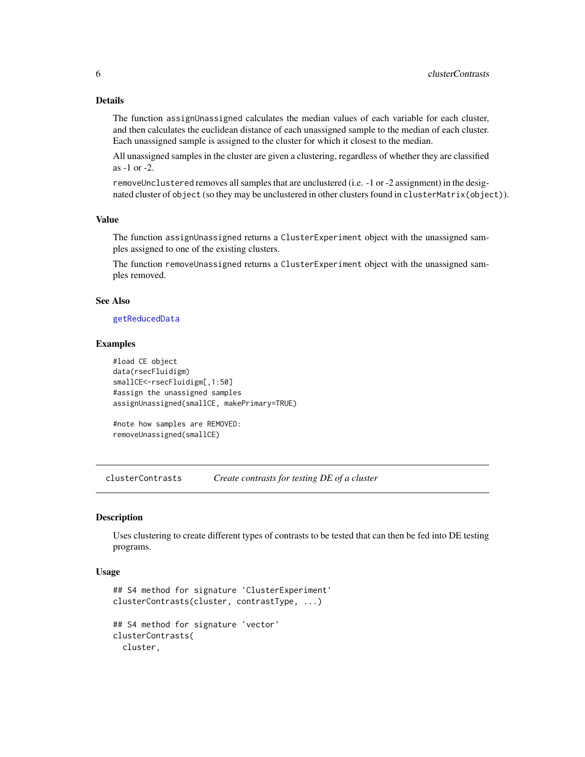# Details

The function assignUnassigned calculates the median values of each variable for each cluster, and then calculates the euclidean distance of each unassigned sample to the median of each cluster. Each unassigned sample is assigned to the cluster for which it closest to the median.

All unassigned samples in the cluster are given a clustering, regardless of whether they are classified as -1 or -2.

removeUnclustered removes all samples that are unclustered (i.e. -1 or -2 assignment) in the designated cluster of object (so they may be unclustered in other clusters found in clusterMatrix(object)).

# Value

The function assignUnassigned returns a ClusterExperiment object with the unassigned samples assigned to one of the existing clusters.

The function removeUnassigned returns a ClusterExperiment object with the unassigned samples removed.

# See Also

#### [getReducedData](#page-39-1)

#### Examples

```
#load CE object
data(rsecFluidigm)
smallCE<-rsecFluidigm[,1:50]
#assign the unassigned samples
assignUnassigned(smallCE, makePrimary=TRUE)
```

```
#note how samples are REMOVED:
removeUnassigned(smallCE)
```
<span id="page-5-1"></span>clusterContrasts *Create contrasts for testing DE of a cluster*

#### **Description**

Uses clustering to create different types of contrasts to be tested that can then be fed into DE testing programs.

#### Usage

```
## S4 method for signature 'ClusterExperiment'
clusterContrasts(cluster, contrastType, ...)
## S4 method for signature 'vector'
clusterContrasts(
 cluster,
```
<span id="page-5-0"></span>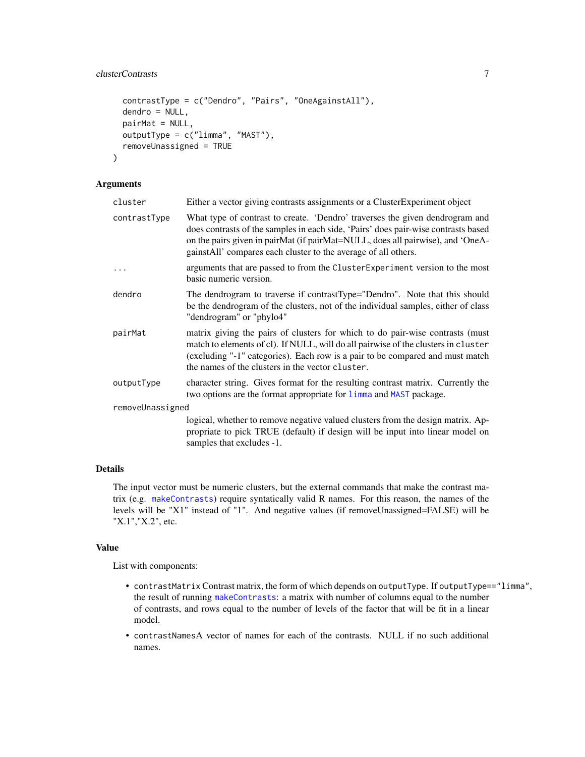# clusterContrasts 7

```
contrastType = c("Dendro", "Pairs", "OneAgainstAll"),
  dendro = NULL,
 pairMat = NULL,
 outputType = c("limma", "MAST"),
  removeUnassigned = TRUE
)
```
# Arguments

| cluster          | Either a vector giving contrasts assignments or a Cluster Experiment object                                                                                                                                                                                                                                            |  |
|------------------|------------------------------------------------------------------------------------------------------------------------------------------------------------------------------------------------------------------------------------------------------------------------------------------------------------------------|--|
| contrastType     | What type of contrast to create. 'Dendro' traverses the given dendrogram and<br>does contrasts of the samples in each side, 'Pairs' does pair-wise contrasts based<br>on the pairs given in pairMat (if pairMat=NULL, does all pairwise), and 'OneA-<br>gainstAll' compares each cluster to the average of all others. |  |
|                  | arguments that are passed to from the Cluster Experiment version to the most<br>basic numeric version.                                                                                                                                                                                                                 |  |
| dendro           | The dendrogram to traverse if contrastType="Dendro". Note that this should<br>be the dendrogram of the clusters, not of the individual samples, either of class<br>"dendrogram" or "phylo4"                                                                                                                            |  |
| pairMat          | matrix giving the pairs of clusters for which to do pair-wise contrasts (must<br>match to elements of cl). If NULL, will do all pairwise of the clusters in cluster<br>(excluding "-1" categories). Each row is a pair to be compared and must match<br>the names of the clusters in the vector cluster.               |  |
| outputType       | character string. Gives format for the resulting contrast matrix. Currently the<br>two options are the format appropriate for limma and MAST package.                                                                                                                                                                  |  |
| removeUnassigned |                                                                                                                                                                                                                                                                                                                        |  |
|                  | logical, whether to remove negative valued clusters from the design matrix. Ap-<br>propriate to pick TRUE (default) if design will be input into linear model on<br>samples that excludes -1.                                                                                                                          |  |

# Details

The input vector must be numeric clusters, but the external commands that make the contrast matrix (e.g. [makeContrasts](#page-0-0)) require syntatically valid R names. For this reason, the names of the levels will be "X1" instead of "1". And negative values (if removeUnassigned=FALSE) will be "X.1","X.2", etc.

# Value

List with components:

- contrastMatrix Contrast matrix, the form of which depends on outputType. If outputType=="limma", the result of running [makeContrasts](#page-0-0): a matrix with number of columns equal to the number of contrasts, and rows equal to the number of levels of the factor that will be fit in a linear model.
- contrastNamesA vector of names for each of the contrasts. NULL if no such additional names.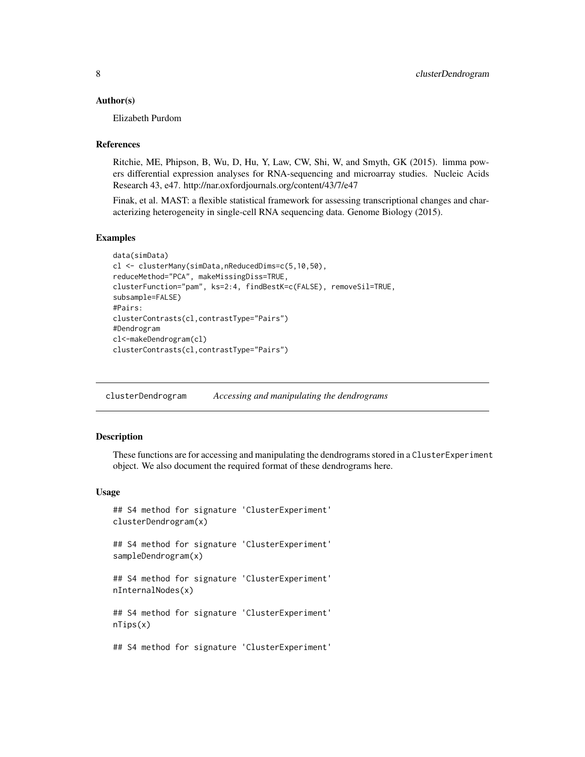#### <span id="page-7-0"></span>Author(s)

Elizabeth Purdom

#### References

Ritchie, ME, Phipson, B, Wu, D, Hu, Y, Law, CW, Shi, W, and Smyth, GK (2015). limma powers differential expression analyses for RNA-sequencing and microarray studies. Nucleic Acids Research 43, e47. http://nar.oxfordjournals.org/content/43/7/e47

Finak, et al. MAST: a flexible statistical framework for assessing transcriptional changes and characterizing heterogeneity in single-cell RNA sequencing data. Genome Biology (2015).

#### Examples

```
data(simData)
cl <- clusterMany(simData,nReducedDims=c(5,10,50),
reduceMethod="PCA", makeMissingDiss=TRUE,
clusterFunction="pam", ks=2:4, findBestK=c(FALSE), removeSil=TRUE,
subsample=FALSE)
#Pairs:
clusterContrasts(cl,contrastType="Pairs")
#Dendrogram
cl<-makeDendrogram(cl)
clusterContrasts(cl,contrastType="Pairs")
```
<span id="page-7-1"></span>clusterDendrogram *Accessing and manipulating the dendrograms*

#### <span id="page-7-2"></span>Description

These functions are for accessing and manipulating the dendrograms stored in a ClusterExperiment object. We also document the required format of these dendrograms here.

#### Usage

```
## S4 method for signature 'ClusterExperiment'
clusterDendrogram(x)
```
## S4 method for signature 'ClusterExperiment' sampleDendrogram(x)

## S4 method for signature 'ClusterExperiment' nInternalNodes(x)

## S4 method for signature 'ClusterExperiment' nTips(x)

## S4 method for signature 'ClusterExperiment'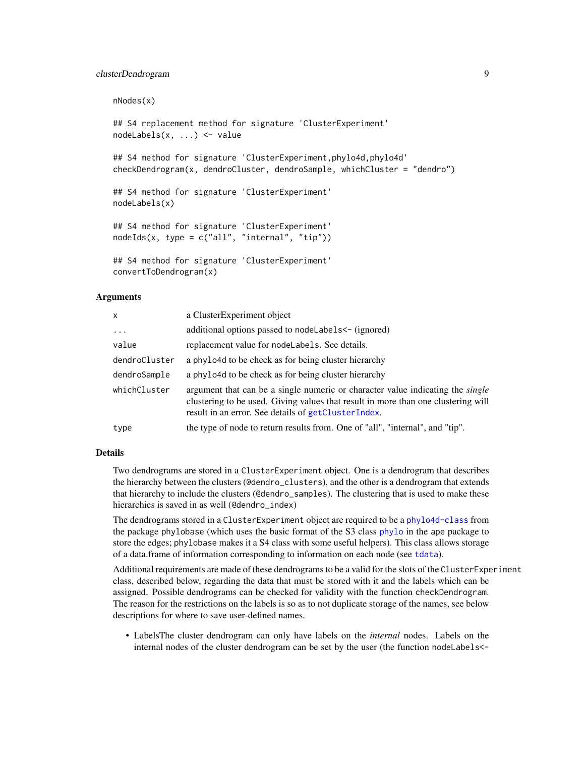# clusterDendrogram 9

nNodes(x) ## S4 replacement method for signature 'ClusterExperiment' nodeLabels(x, ...) <- value ## S4 method for signature 'ClusterExperiment, phylo4d, phylo4d' checkDendrogram(x, dendroCluster, dendroSample, whichCluster = "dendro") ## S4 method for signature 'ClusterExperiment' nodeLabels(x) ## S4 method for signature 'ClusterExperiment' nodeIds(x, type = c("all", "internal", "tip")) ## S4 method for signature 'ClusterExperiment'

#### Arguments

convertToDendrogram(x)

| $\mathsf{x}$  | a ClusterExperiment object                                                                                                                                                                                                        |
|---------------|-----------------------------------------------------------------------------------------------------------------------------------------------------------------------------------------------------------------------------------|
| $\ddots$      | additional options passed to nodeLabels <- (ignored)                                                                                                                                                                              |
| value         | replacement value for nodel abels. See details.                                                                                                                                                                                   |
| dendroCluster | a phylo4d to be check as for being cluster hierarchy                                                                                                                                                                              |
| dendroSample  | a phylo4d to be check as for being cluster hierarchy                                                                                                                                                                              |
| whichCluster  | argument that can be a single numeric or character value indicating the <i>single</i><br>clustering to be used. Giving values that result in more than one clustering will<br>result in an error. See details of getClusterIndex. |
| type          | the type of node to return results from. One of "all", "internal", and "tip".                                                                                                                                                     |

# Details

Two dendrograms are stored in a ClusterExperiment object. One is a dendrogram that describes the hierarchy between the clusters (@dendro\_clusters), and the other is a dendrogram that extends that hierarchy to include the clusters (@dendro\_samples). The clustering that is used to make these hierarchies is saved in as well (@dendro\_index)

The dendrograms stored in a ClusterExperiment object are required to be a [phylo4d-class](#page-0-0) from the package phylobase (which uses the basic format of the S3 class [phylo](#page-0-0) in the ape package to store the edges; phylobase makes it a S4 class with some useful helpers). This class allows storage of a data.frame of information corresponding to information on each node (see [tdata](#page-0-0)).

Additional requirements are made of these dendrograms to be a valid for the slots of the ClusterExperiment class, described below, regarding the data that must be stored with it and the labels which can be assigned. Possible dendrograms can be checked for validity with the function checkDendrogram. The reason for the restrictions on the labels is so as to not duplicate storage of the names, see below descriptions for where to save user-defined names.

• LabelsThe cluster dendrogram can only have labels on the *internal* nodes. Labels on the internal nodes of the cluster dendrogram can be set by the user (the function nodeLabels<-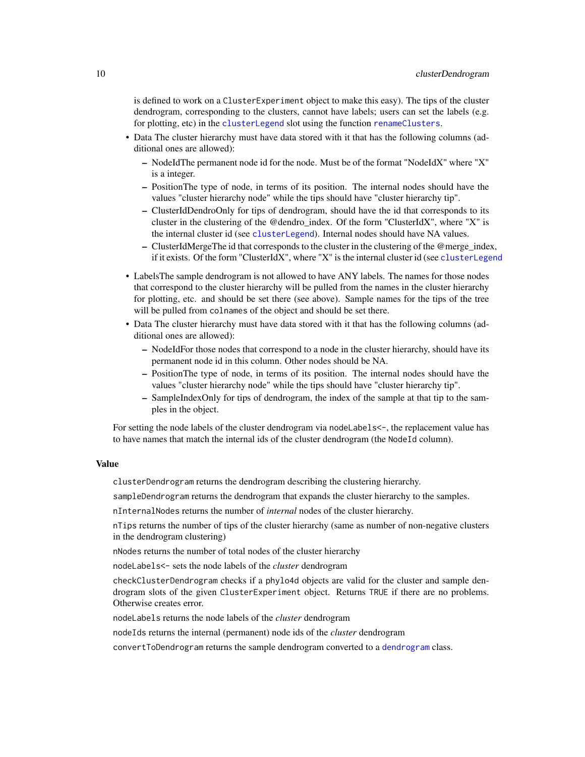is defined to work on a ClusterExperiment object to make this easy). The tips of the cluster dendrogram, corresponding to the clusters, cannot have labels; users can set the labels (e.g. for plotting, etc) in the [clusterLegend](#page-15-1) slot using the function [renameClusters](#page-97-1).

- Data The cluster hierarchy must have data stored with it that has the following columns (additional ones are allowed):
	- NodeIdThe permanent node id for the node. Must be of the format "NodeIdX" where "X" is a integer.
	- PositionThe type of node, in terms of its position. The internal nodes should have the values "cluster hierarchy node" while the tips should have "cluster hierarchy tip".
	- ClusterIdDendroOnly for tips of dendrogram, should have the id that corresponds to its cluster in the clustering of the @dendro\_index. Of the form "ClusterIdX", where "X" is the internal cluster id (see [clusterLegend](#page-15-1)). Internal nodes should have NA values.
	- ClusterIdMergeThe id that corresponds to the cluster in the clustering of the @merge\_index, if it exists. Of the form "ClusterIdX", where "X" is the internal cluster id (see [clusterLegend](#page-15-1)
- LabelsThe sample dendrogram is not allowed to have ANY labels. The names for those nodes that correspond to the cluster hierarchy will be pulled from the names in the cluster hierarchy for plotting, etc. and should be set there (see above). Sample names for the tips of the tree will be pulled from colnames of the object and should be set there.
- Data The cluster hierarchy must have data stored with it that has the following columns (additional ones are allowed):
	- NodeIdFor those nodes that correspond to a node in the cluster hierarchy, should have its permanent node id in this column. Other nodes should be NA.
	- PositionThe type of node, in terms of its position. The internal nodes should have the values "cluster hierarchy node" while the tips should have "cluster hierarchy tip".
	- SampleIndexOnly for tips of dendrogram, the index of the sample at that tip to the samples in the object.

For setting the node labels of the cluster dendrogram via nodeLabels <-, the replacement value has to have names that match the internal ids of the cluster dendrogram (the NodeId column).

#### Value

clusterDendrogram returns the dendrogram describing the clustering hierarchy.

sampleDendrogram returns the dendrogram that expands the cluster hierarchy to the samples.

nInternalNodes returns the number of *internal* nodes of the cluster hierarchy.

nTips returns the number of tips of the cluster hierarchy (same as number of non-negative clusters in the dendrogram clustering)

nNodes returns the number of total nodes of the cluster hierarchy

nodeLabels<- sets the node labels of the *cluster* dendrogram

checkClusterDendrogram checks if a phylo4d objects are valid for the cluster and sample dendrogram slots of the given ClusterExperiment object. Returns TRUE if there are no problems. Otherwise creates error.

nodeLabels returns the node labels of the *cluster* dendrogram

nodeIds returns the internal (permanent) node ids of the *cluster* dendrogram

convertToDendrogram returns the sample dendrogram converted to a [dendrogram](#page-0-0) class.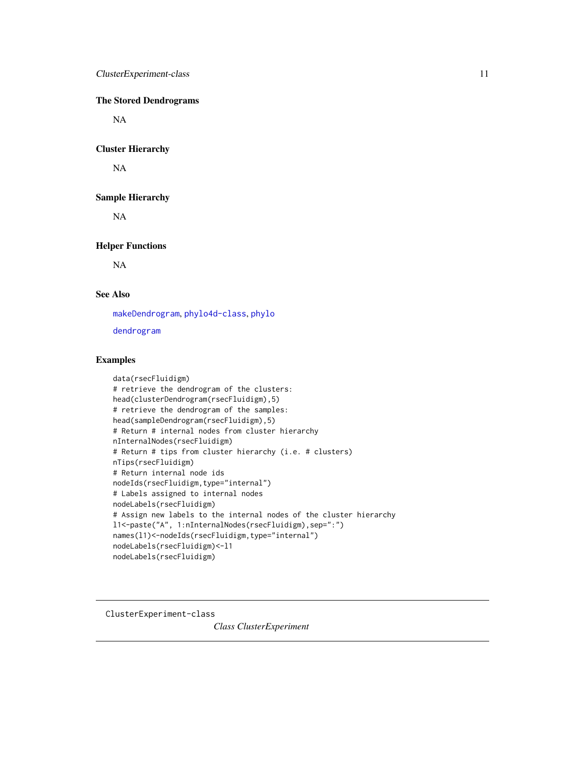# <span id="page-10-0"></span>The Stored Dendrograms

NA

#### Cluster Hierarchy

NA

# Sample Hierarchy

NA

# Helper Functions

NA

# See Also

[makeDendrogram](#page-55-1), [phylo4d-class](#page-0-0), [phylo](#page-0-0)

[dendrogram](#page-0-0)

# Examples

```
data(rsecFluidigm)
# retrieve the dendrogram of the clusters:
head(clusterDendrogram(rsecFluidigm),5)
# retrieve the dendrogram of the samples:
head(sampleDendrogram(rsecFluidigm),5)
# Return # internal nodes from cluster hierarchy
nInternalNodes(rsecFluidigm)
# Return # tips from cluster hierarchy (i.e. # clusters)
nTips(rsecFluidigm)
# Return internal node ids
nodeIds(rsecFluidigm,type="internal")
# Labels assigned to internal nodes
nodeLabels(rsecFluidigm)
# Assign new labels to the internal nodes of the cluster hierarchy
l1<-paste("A", 1:nInternalNodes(rsecFluidigm),sep=":")
names(l1)<-nodeIds(rsecFluidigm,type="internal")
nodeLabels(rsecFluidigm)<-l1
nodeLabels(rsecFluidigm)
```
<span id="page-10-1"></span>ClusterExperiment-class

*Class ClusterExperiment*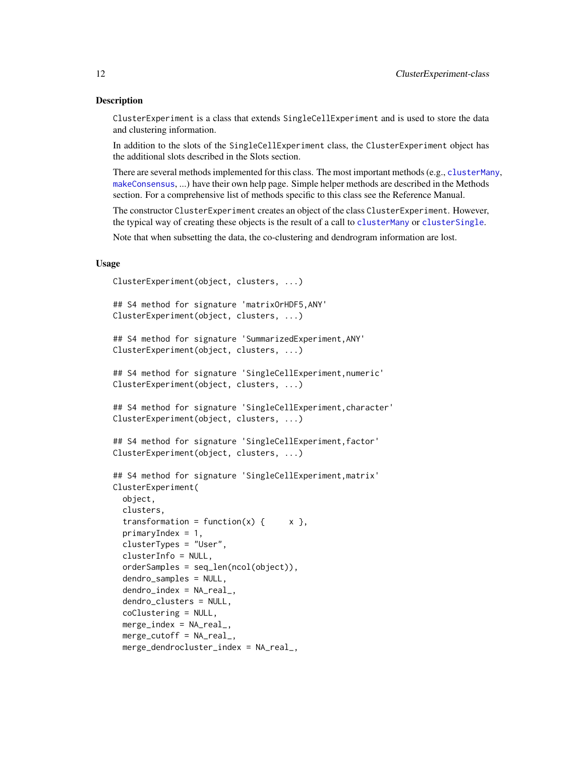#### Description

ClusterExperiment is a class that extends SingleCellExperiment and is used to store the data and clustering information.

In addition to the slots of the SingleCellExperiment class, the ClusterExperiment object has the additional slots described in the Slots section.

There are several methods implemented for this class. The most important methods (e.g., [clusterMany](#page-21-1), [makeConsensus](#page-52-1), ...) have their own help page. Simple helper methods are described in the Methods section. For a comprehensive list of methods specific to this class see the Reference Manual.

The constructor ClusterExperiment creates an object of the class ClusterExperiment. However, the typical way of creating these objects is the result of a call to [clusterMany](#page-21-1) or [clusterSingle](#page-26-1).

Note that when subsetting the data, the co-clustering and dendrogram information are lost.

#### Usage

```
ClusterExperiment(object, clusters, ...)
```

```
## S4 method for signature 'matrixOrHDF5,ANY'
ClusterExperiment(object, clusters, ...)
```

```
## S4 method for signature 'SummarizedExperiment,ANY'
ClusterExperiment(object, clusters, ...)
```

```
## S4 method for signature 'SingleCellExperiment,numeric'
ClusterExperiment(object, clusters, ...)
```

```
## S4 method for signature 'SingleCellExperiment, character'
ClusterExperiment(object, clusters, ...)
```

```
## S4 method for signature 'SingleCellExperiment,factor'
ClusterExperiment(object, clusters, ...)
```

```
## S4 method for signature 'SingleCellExperiment,matrix'
ClusterExperiment(
 object,
 clusters,
 transformation = function(x) { x },
 primaryIndex = 1,
 clusterTypes = "User",
 clusterInfo = NULL,
 orderSamples = seq_len(ncol(object)),
 dendro_samples = NULL,
 dendro_index = NA_real_dendro_clusters = NULL,
 coClustering = NULL,
 merge_index = NA_real_,
 merge\_cutoff = NA\_real_merge_dendrocluster_index = NA_real_,
```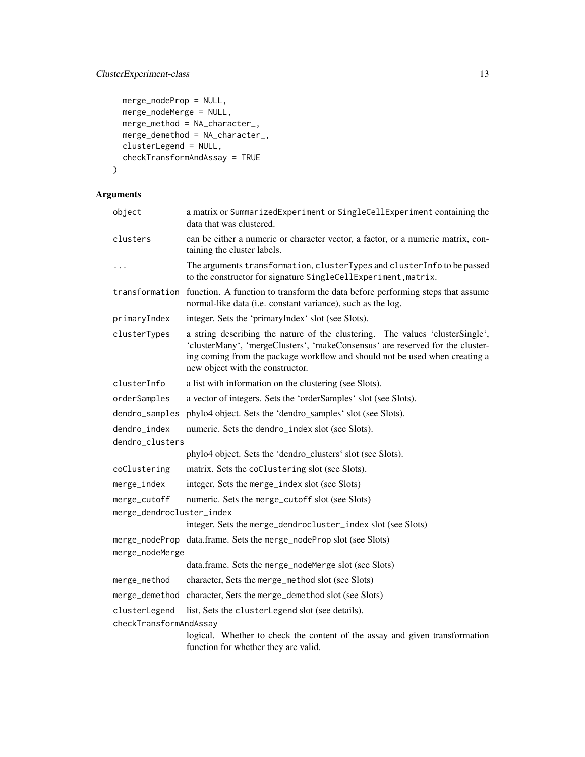# ClusterExperiment-class 13

```
merge_nodeProp = NULL,
merge_nodeMerge = NULL,
merge\_method = NA\_character_merge_demethod = NA_character_,
clusterLegend = NULL,
checkTransformAndAssay = TRUE
```
# Arguments

 $\mathcal{L}$ 

| object                          | a matrix or SummarizedExperiment or SingleCellExperiment containing the<br>data that was clustered.                                                                                                                                                                               |
|---------------------------------|-----------------------------------------------------------------------------------------------------------------------------------------------------------------------------------------------------------------------------------------------------------------------------------|
| clusters                        | can be either a numeric or character vector, a factor, or a numeric matrix, con-<br>taining the cluster labels.                                                                                                                                                                   |
| .                               | The arguments transformation, clusterTypes and clusterInfo to be passed<br>to the constructor for signature SingleCellExperiment, matrix.                                                                                                                                         |
|                                 | transformation function. A function to transform the data before performing steps that assume<br>normal-like data (i.e. constant variance), such as the log.                                                                                                                      |
| primaryIndex                    | integer. Sets the 'primaryIndex' slot (see Slots).                                                                                                                                                                                                                                |
| clusterTypes                    | a string describing the nature of the clustering. The values 'clusterSingle',<br>'clusterMany', 'mergeClusters', 'makeConsensus' are reserved for the cluster-<br>ing coming from the package workflow and should not be used when creating a<br>new object with the constructor. |
| clusterInfo                     | a list with information on the clustering (see Slots).                                                                                                                                                                                                                            |
| orderSamples                    | a vector of integers. Sets the 'orderSamples' slot (see Slots).                                                                                                                                                                                                                   |
| dendro_samples                  | phylo4 object. Sets the 'dendro_samples' slot (see Slots).                                                                                                                                                                                                                        |
| dendro_index<br>dendro_clusters | numeric. Sets the dendro_index slot (see Slots).                                                                                                                                                                                                                                  |
|                                 | phylo4 object. Sets the 'dendro_clusters' slot (see Slots).                                                                                                                                                                                                                       |
| coClustering                    | matrix. Sets the coClustering slot (see Slots).                                                                                                                                                                                                                                   |
| merge_index                     | integer. Sets the merge_index slot (see Slots)                                                                                                                                                                                                                                    |
| merge_cutoff                    | numeric. Sets the merge_cutoff slot (see Slots)                                                                                                                                                                                                                                   |
| merge_dendrocluster_index       |                                                                                                                                                                                                                                                                                   |
|                                 | integer. Sets the merge_dendrocluster_index slot (see Slots)                                                                                                                                                                                                                      |
| merge_nodeMerge                 | merge_nodeProp data.frame. Sets the merge_nodeProp slot (see Slots)                                                                                                                                                                                                               |
|                                 | data.frame. Sets the merge_nodeMerge slot (see Slots)                                                                                                                                                                                                                             |
| merge_method                    | character, Sets the merge_method slot (see Slots)                                                                                                                                                                                                                                 |
|                                 | merge_demethod character, Sets the merge_demethod slot (see Slots)                                                                                                                                                                                                                |
| clusterLegend                   | list, Sets the clusterLegend slot (see details).                                                                                                                                                                                                                                  |
| checkTransformAndAssay          |                                                                                                                                                                                                                                                                                   |
|                                 | logical. Whether to check the content of the assay and given transformation<br>function for whether they are valid.                                                                                                                                                               |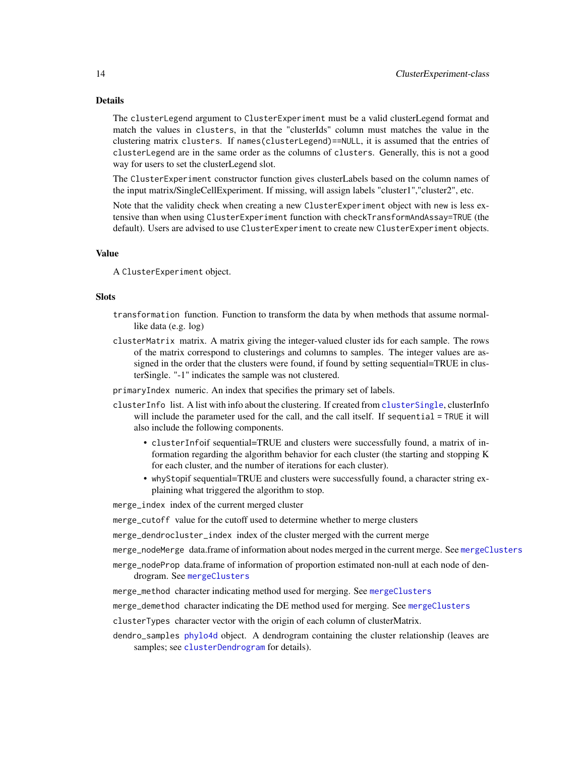# Details

The clusterLegend argument to ClusterExperiment must be a valid clusterLegend format and match the values in clusters, in that the "clusterIds" column must matches the value in the clustering matrix clusters. If names(clusterLegend)==NULL, it is assumed that the entries of clusterLegend are in the same order as the columns of clusters. Generally, this is not a good way for users to set the clusterLegend slot.

The ClusterExperiment constructor function gives clusterLabels based on the column names of the input matrix/SingleCellExperiment. If missing, will assign labels "cluster1","cluster2", etc.

Note that the validity check when creating a new ClusterExperiment object with new is less extensive than when using ClusterExperiment function with checkTransformAndAssay=TRUE (the default). Users are advised to use ClusterExperiment to create new ClusterExperiment objects.

# Value

A ClusterExperiment object.

#### **Slots**

- transformation function. Function to transform the data by when methods that assume normallike data (e.g. log)
- clusterMatrix matrix. A matrix giving the integer-valued cluster ids for each sample. The rows of the matrix correspond to clusterings and columns to samples. The integer values are assigned in the order that the clusters were found, if found by setting sequential=TRUE in clusterSingle. "-1" indicates the sample was not clustered.

primaryIndex numeric. An index that specifies the primary set of labels.

- clusterInfo list. A list with info about the clustering. If created from [clusterSingle](#page-26-1), clusterInfo will include the parameter used for the call, and the call itself. If sequential = TRUE it will also include the following components.
	- clusterInfoif sequential=TRUE and clusters were successfully found, a matrix of information regarding the algorithm behavior for each cluster (the starting and stopping K for each cluster, and the number of iterations for each cluster).
	- whyStopif sequential=TRUE and clusters were successfully found, a character string explaining what triggered the algorithm to stop.

merge\_index index of the current merged cluster

merge\_cutoff value for the cutoff used to determine whether to merge clusters

merge\_dendrocluster\_index index of the cluster merged with the current merge

merge\_nodeMerge data.frame of information about nodes merged in the current merge. See [mergeClusters](#page-57-1)

merge\_nodeProp data.frame of information of proportion estimated non-null at each node of dendrogram. See [mergeClusters](#page-57-1)

merge\_method character indicating method used for merging. See [mergeClusters](#page-57-1)

merge\_demethod character indicating the DE method used for merging. See [mergeClusters](#page-57-1)

clusterTypes character vector with the origin of each column of clusterMatrix.

dendro\_samples [phylo4d](#page-0-0) object. A dendrogram containing the cluster relationship (leaves are samples; see [clusterDendrogram](#page-7-1) for details).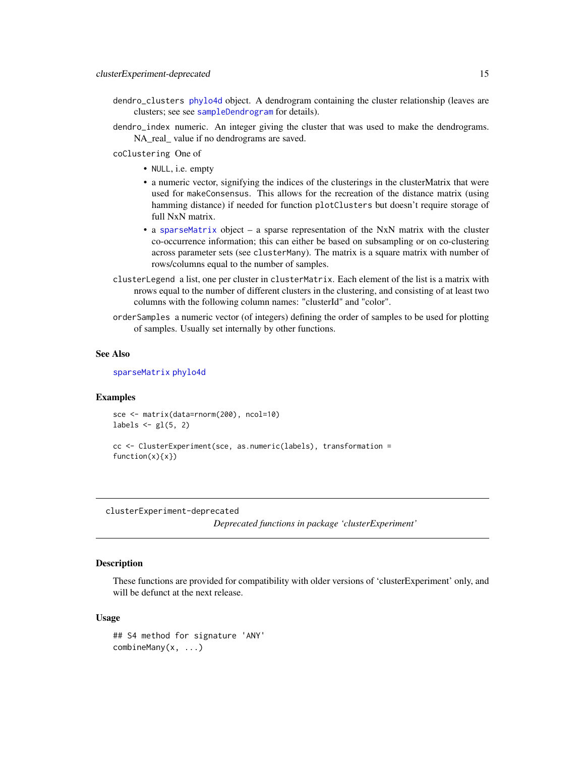- <span id="page-14-0"></span>dendro\_clusters [phylo4d](#page-0-0) object. A dendrogram containing the cluster relationship (leaves are clusters; see see [sampleDendrogram](#page-7-2) for details).
- dendro\_index numeric. An integer giving the cluster that was used to make the dendrograms. NA\_real\_ value if no dendrograms are saved.

coClustering One of

- NULL, i.e. empty
- a numeric vector, signifying the indices of the clusterings in the clusterMatrix that were used for makeConsensus. This allows for the recreation of the distance matrix (using hamming distance) if needed for function plotClusters but doesn't require storage of full NxN matrix.
- a [sparseMatrix](#page-0-0) object a sparse representation of the NxN matrix with the cluster co-occurrence information; this can either be based on subsampling or on co-clustering across parameter sets (see clusterMany). The matrix is a square matrix with number of rows/columns equal to the number of samples.
- clusterLegend a list, one per cluster in clusterMatrix. Each element of the list is a matrix with nrows equal to the number of different clusters in the clustering, and consisting of at least two columns with the following column names: "clusterId" and "color".
- orderSamples a numeric vector (of integers) defining the order of samples to be used for plotting of samples. Usually set internally by other functions.

#### See Also

[sparseMatrix](#page-0-0) [phylo4d](#page-0-0)

#### Examples

```
sce <- matrix(data=rnorm(200), ncol=10)
labels \leftarrow gl(5, 2)
```

```
cc <- ClusterExperiment(sce, as.numeric(labels), transformation =
function(x){x})
```
clusterExperiment-deprecated

*Deprecated functions in package 'clusterExperiment'*

#### Description

These functions are provided for compatibility with older versions of 'clusterExperiment' only, and will be defunct at the next release.

#### Usage

```
## S4 method for signature 'ANY'
combineMany(x, ...)
```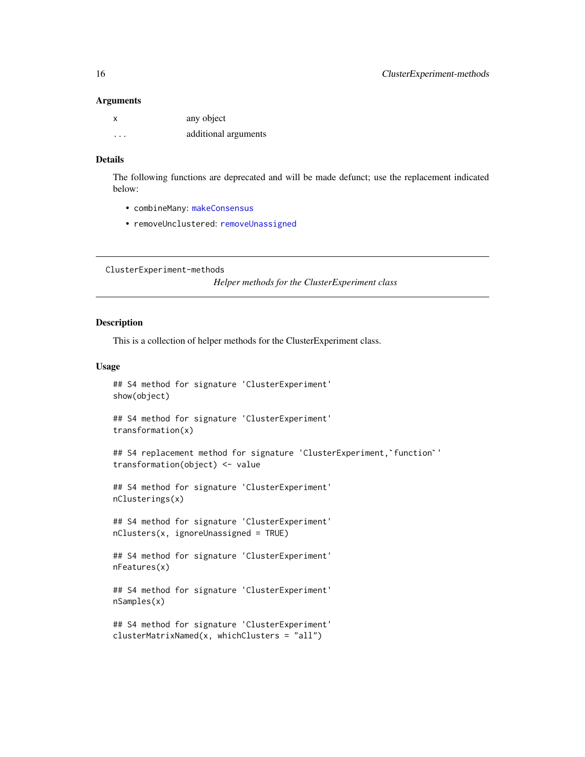#### **Arguments**

| X        | any object           |
|----------|----------------------|
| $\cdots$ | additional arguments |

# Details

The following functions are deprecated and will be made defunct; use the replacement indicated below:

- combineMany: [makeConsensus](#page-52-1)
- removeUnclustered: [removeUnassigned](#page-4-1)

ClusterExperiment-methods

*Helper methods for the ClusterExperiment class*

#### <span id="page-15-1"></span>Description

This is a collection of helper methods for the ClusterExperiment class.

### Usage

```
## S4 method for signature 'ClusterExperiment'
show(object)
```
## S4 method for signature 'ClusterExperiment' transformation(x)

## S4 replacement method for signature 'ClusterExperiment,'function'' transformation(object) <- value

## S4 method for signature 'ClusterExperiment' nClusterings(x)

## S4 method for signature 'ClusterExperiment' nClusters(x, ignoreUnassigned = TRUE)

## S4 method for signature 'ClusterExperiment' nFeatures(x)

## S4 method for signature 'ClusterExperiment' nSamples(x)

```
## S4 method for signature 'ClusterExperiment'
clusterMatrixNamed(x, whichClusters = "all")
```
<span id="page-15-0"></span>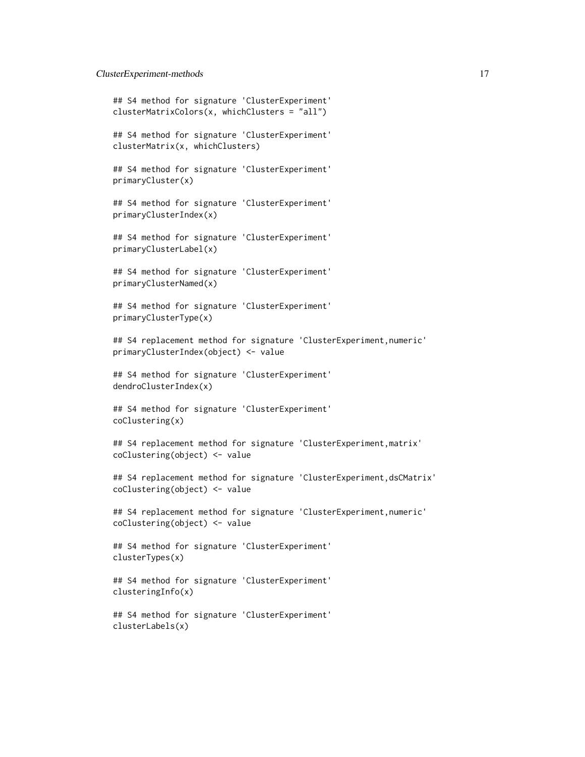```
## S4 method for signature 'ClusterExperiment'
clusterMatrixColors(x, whichClusters = "all")
## S4 method for signature 'ClusterExperiment'
clusterMatrix(x, whichClusters)
## S4 method for signature 'ClusterExperiment'
primaryCluster(x)
## S4 method for signature 'ClusterExperiment'
primaryClusterIndex(x)
## S4 method for signature 'ClusterExperiment'
primaryClusterLabel(x)
## S4 method for signature 'ClusterExperiment'
primaryClusterNamed(x)
## S4 method for signature 'ClusterExperiment'
primaryClusterType(x)
## S4 replacement method for signature 'ClusterExperiment,numeric'
primaryClusterIndex(object) <- value
## S4 method for signature 'ClusterExperiment'
dendroClusterIndex(x)
## S4 method for signature 'ClusterExperiment'
coClustering(x)
## S4 replacement method for signature 'ClusterExperiment,matrix'
coClustering(object) <- value
## S4 replacement method for signature 'ClusterExperiment,dsCMatrix'
coClustering(object) <- value
## S4 replacement method for signature 'ClusterExperiment,numeric'
coClustering(object) <- value
## S4 method for signature 'ClusterExperiment'
clusterTypes(x)
## S4 method for signature 'ClusterExperiment'
clusteringInfo(x)
## S4 method for signature 'ClusterExperiment'
clusterLabels(x)
```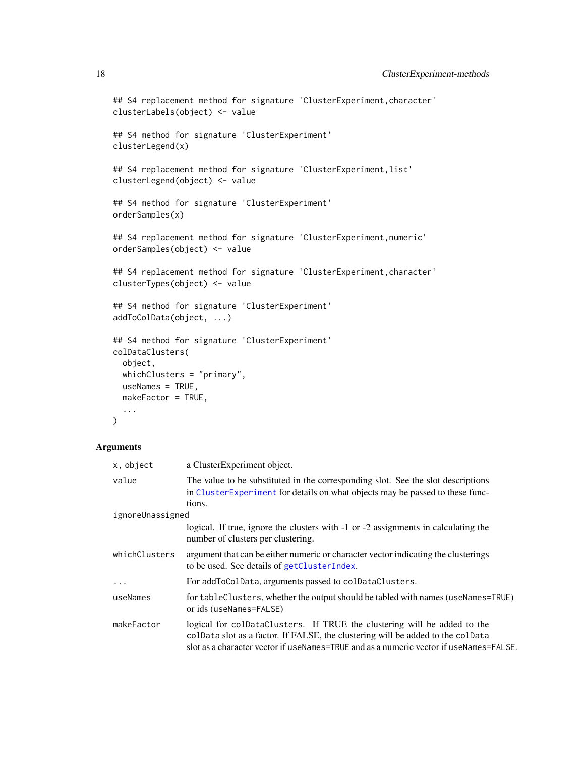```
## S4 replacement method for signature 'ClusterExperiment, character'
clusterLabels(object) <- value
```

```
## S4 method for signature 'ClusterExperiment'
clusterLegend(x)
```

```
## S4 replacement method for signature 'ClusterExperiment,list'
clusterLegend(object) <- value
```

```
## S4 method for signature 'ClusterExperiment'
orderSamples(x)
```

```
## S4 replacement method for signature 'ClusterExperiment, numeric'
orderSamples(object) <- value
```

```
## S4 replacement method for signature 'ClusterExperiment,character'
clusterTypes(object) <- value
```

```
## S4 method for signature 'ClusterExperiment'
addToColData(object, ...)
```

```
## S4 method for signature 'ClusterExperiment'
colDataClusters(
 object,
 whichClusters = "primary",
 useNames = TRUE,makeFactor = TRUE,
  ...
```

```
\mathcal{L}
```
# Arguments

| x, object        | a ClusterExperiment object.                                                                                                                                                                                                                           |
|------------------|-------------------------------------------------------------------------------------------------------------------------------------------------------------------------------------------------------------------------------------------------------|
| value            | The value to be substituted in the corresponding slot. See the slot descriptions<br>in ClusterExperiment for details on what objects may be passed to these func-<br>tions.                                                                           |
| ignoreUnassigned |                                                                                                                                                                                                                                                       |
|                  | logical. If true, ignore the clusters with -1 or -2 assignments in calculating the<br>number of clusters per clustering.                                                                                                                              |
| whichClusters    | argument that can be either numeric or character vector indicating the clusterings<br>to be used. See details of getClusterIndex.                                                                                                                     |
| $\cdot$          | For addToColData, arguments passed to colDataClusters.                                                                                                                                                                                                |
| useNames         | for tableClusters, whether the output should be tabled with names (useNames=TRUE)<br>or ids (useNames=FALSE)                                                                                                                                          |
| makeFactor       | logical for colDataClusters. If TRUE the clustering will be added to the<br>colData slot as a factor. If FALSE, the clustering will be added to the colData<br>slot as a character vector if useNames=TRUE and as a numeric vector if useNames=FALSE. |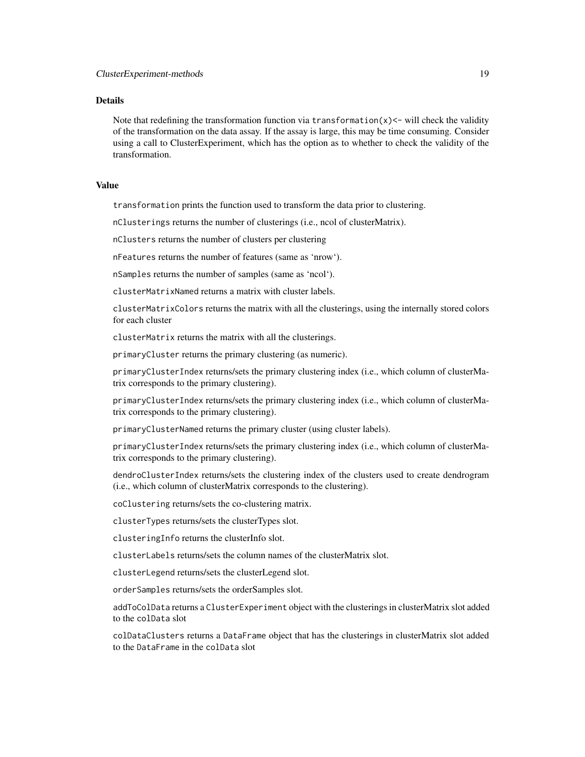#### Details

Note that redefining the transformation function via transformation $(x)$  < will check the validity of the transformation on the data assay. If the assay is large, this may be time consuming. Consider using a call to ClusterExperiment, which has the option as to whether to check the validity of the transformation.

# Value

transformation prints the function used to transform the data prior to clustering.

nClusterings returns the number of clusterings (i.e., ncol of clusterMatrix).

nClusters returns the number of clusters per clustering

nFeatures returns the number of features (same as 'nrow').

nSamples returns the number of samples (same as 'ncol').

clusterMatrixNamed returns a matrix with cluster labels.

clusterMatrixColors returns the matrix with all the clusterings, using the internally stored colors for each cluster

clusterMatrix returns the matrix with all the clusterings.

primaryCluster returns the primary clustering (as numeric).

primaryClusterIndex returns/sets the primary clustering index (i.e., which column of clusterMatrix corresponds to the primary clustering).

primaryClusterIndex returns/sets the primary clustering index (i.e., which column of clusterMatrix corresponds to the primary clustering).

primaryClusterNamed returns the primary cluster (using cluster labels).

primaryClusterIndex returns/sets the primary clustering index (i.e., which column of clusterMatrix corresponds to the primary clustering).

dendroClusterIndex returns/sets the clustering index of the clusters used to create dendrogram (i.e., which column of clusterMatrix corresponds to the clustering).

coClustering returns/sets the co-clustering matrix.

clusterTypes returns/sets the clusterTypes slot.

clusteringInfo returns the clusterInfo slot.

clusterLabels returns/sets the column names of the clusterMatrix slot.

clusterLegend returns/sets the clusterLegend slot.

orderSamples returns/sets the orderSamples slot.

addToColData returns a ClusterExperiment object with the clusterings in clusterMatrix slot added to the colData slot

colDataClusters returns a DataFrame object that has the clusterings in clusterMatrix slot added to the DataFrame in the colData slot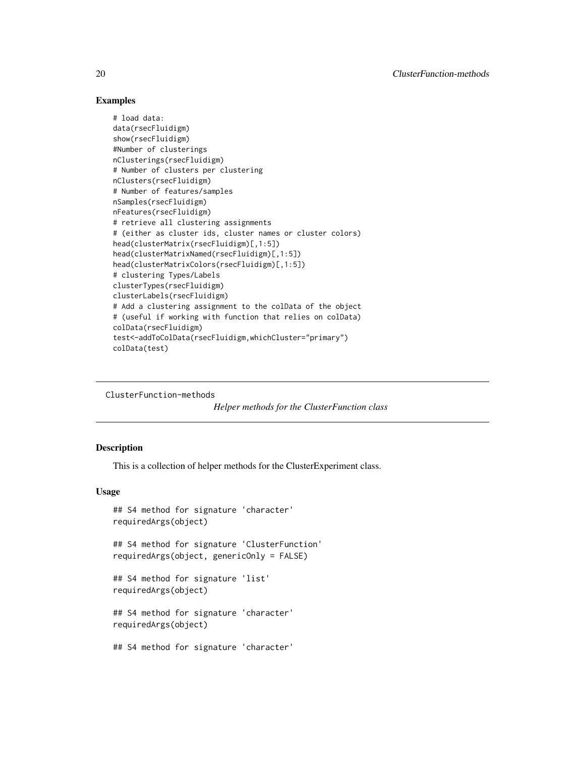# <span id="page-19-0"></span>Examples

```
# load data:
data(rsecFluidigm)
show(rsecFluidigm)
#Number of clusterings
nClusterings(rsecFluidigm)
# Number of clusters per clustering
nClusters(rsecFluidigm)
# Number of features/samples
nSamples(rsecFluidigm)
nFeatures(rsecFluidigm)
# retrieve all clustering assignments
# (either as cluster ids, cluster names or cluster colors)
head(clusterMatrix(rsecFluidigm)[,1:5])
head(clusterMatrixNamed(rsecFluidigm)[,1:5])
head(clusterMatrixColors(rsecFluidigm)[,1:5])
# clustering Types/Labels
clusterTypes(rsecFluidigm)
clusterLabels(rsecFluidigm)
# Add a clustering assignment to the colData of the object
# (useful if working with function that relies on colData)
colData(rsecFluidigm)
test<-addToColData(rsecFluidigm,whichCluster="primary")
colData(test)
```
ClusterFunction-methods

*Helper methods for the ClusterFunction class*

# <span id="page-19-1"></span>Description

This is a collection of helper methods for the ClusterExperiment class.

#### Usage

```
## S4 method for signature 'character'
requiredArgs(object)
```
## S4 method for signature 'ClusterFunction' requiredArgs(object, genericOnly = FALSE)

## S4 method for signature 'list' requiredArgs(object)

## S4 method for signature 'character' requiredArgs(object)

## S4 method for signature 'character'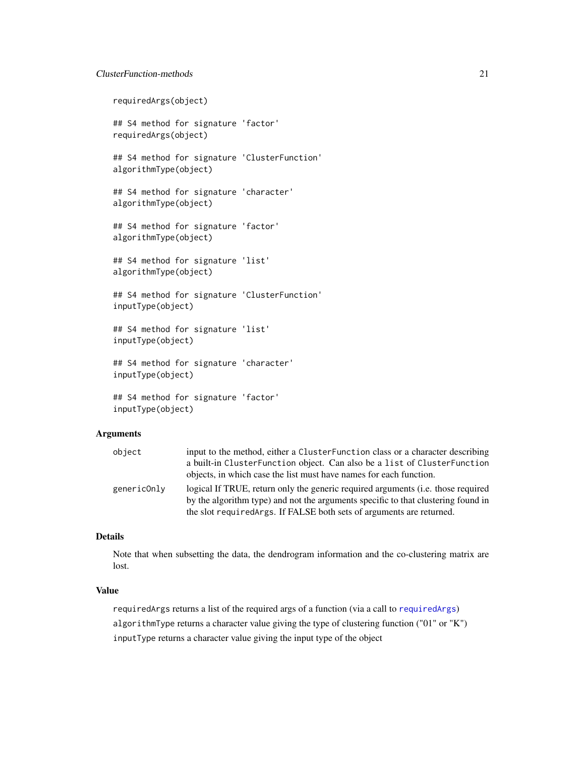# ClusterFunction-methods 21

requiredArgs(object)

## S4 method for signature 'factor' requiredArgs(object)

## S4 method for signature 'ClusterFunction' algorithmType(object)

## S4 method for signature 'character' algorithmType(object)

## S4 method for signature 'factor' algorithmType(object)

## S4 method for signature 'list' algorithmType(object)

## S4 method for signature 'ClusterFunction' inputType(object)

## S4 method for signature 'list' inputType(object)

## S4 method for signature 'character' inputType(object)

```
## S4 method for signature 'factor'
inputType(object)
```
#### Arguments

| object      | input to the method, either a ClusterFunction class or a character describing     |
|-------------|-----------------------------------------------------------------------------------|
|             | a built-in ClusterFunction object. Can also be a list of ClusterFunction          |
|             | objects, in which case the list must have names for each function.                |
| genericOnly | logical If TRUE, return only the generic required arguments (i.e. those required  |
|             | by the algorithm type) and not the arguments specific to that clustering found in |
|             | the slot required args. If FALSE both sets of arguments are returned.             |

# Details

Note that when subsetting the data, the dendrogram information and the co-clustering matrix are lost.

# Value

requiredArgs returns a list of the required args of a function (via a call to [requiredArgs](#page-19-1)) algorithmType returns a character value giving the type of clustering function ("01" or "K") inputType returns a character value giving the input type of the object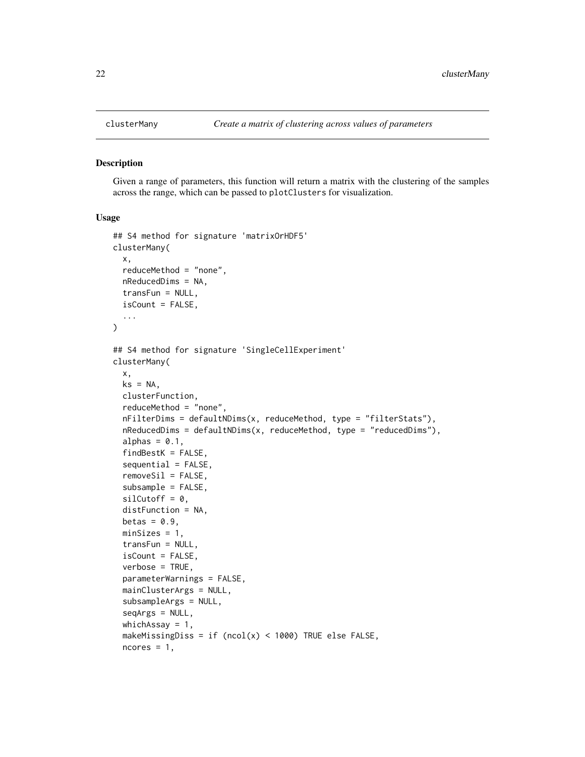<span id="page-21-1"></span><span id="page-21-0"></span>

#### Description

Given a range of parameters, this function will return a matrix with the clustering of the samples across the range, which can be passed to plotClusters for visualization.

#### Usage

```
## S4 method for signature 'matrixOrHDF5'
clusterMany(
  x,
  reduceMethod = "none",
 nReducedDims = NA,
  transFun = NULL,
  isCount = FALSE,...
\lambda## S4 method for signature 'SingleCellExperiment'
clusterMany(
  x,
 ks = NA,
 clusterFunction,
  reduceMethod = "none",
  nFilterDims = defaultNDims(x, reduceMethod, type = "filterStats"),
  nReducedDims = defaultNDims(x, reduceMethod, type = "reducedDims"),
  alphas = 0.1,
  findBestK = FALSE,
  sequential = FALSE,
  removeSi1 = FALSE,subsample = FALSE,
  silCutoff = 0,distFunction = NA,
 betas = 0.9,
 minSizes = 1,
  transFun = NULL,
  isCount = FALSE,verbose = TRUE,
  parameterWarnings = FALSE,
  mainClusterArgs = NULL,
  subsampleArgs = NULL,
  seqArgs = NULL,whichAssay = 1,
  makeMissingDiss = if (ncol(x) < 1000) TRUE else FALSE,
  ncores = 1,
```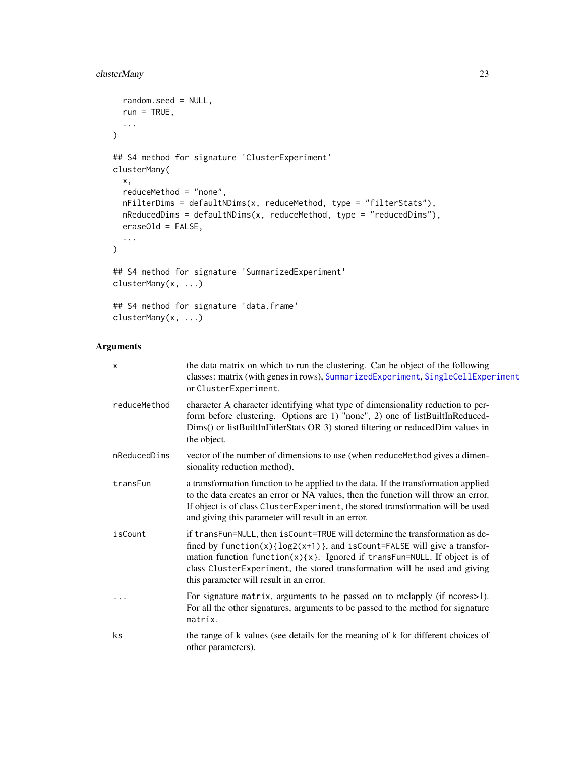# clusterMany 23

```
random.seed = NULL,
 run = TRUE,...
)
## S4 method for signature 'ClusterExperiment'
clusterMany(
 x,
 reduceMethod = "none",
 nFilterDims = defaultNDims(x, reduceMethod, type = "filterStats"),
 nReducedDims = defaultNDims(x, reduceMethod, type = "reducedDims"),
 eraseOld = FALSE,
  ...
\mathcal{L}## S4 method for signature 'SummarizedExperiment'
clusterMany(x, ...)
## S4 method for signature 'data.frame'
clusterMany(x, ...)
```
# Arguments

| X            | the data matrix on which to run the clustering. Can be object of the following<br>classes: matrix (with genes in rows), SummarizedExperiment, SingleCellExperiment<br>or ClusterExperiment.                                                                                                                                                                                 |
|--------------|-----------------------------------------------------------------------------------------------------------------------------------------------------------------------------------------------------------------------------------------------------------------------------------------------------------------------------------------------------------------------------|
| reduceMethod | character A character identifying what type of dimensionality reduction to per-<br>form before clustering. Options are 1) "none", 2) one of listBuiltInReduced-<br>Dims() or listBuiltInFitlerStats OR 3) stored filtering or reducedDim values in<br>the object.                                                                                                           |
| nReducedDims | vector of the number of dimensions to use (when reduce Method gives a dimen-<br>sionality reduction method).                                                                                                                                                                                                                                                                |
| transFun     | a transformation function to be applied to the data. If the transformation applied<br>to the data creates an error or NA values, then the function will throw an error.<br>If object is of class ClusterExperiment, the stored transformation will be used<br>and giving this parameter will result in an error.                                                            |
| isCount      | if transFun=NULL, then isCount=TRUE will determine the transformation as de-<br>fined by function(x) $\{log2(x+1)\}$ , and isCount=FALSE will give a transfor-<br>mation function $f$ unction $(x)$ {x}. Ignored if transFun=NULL. If object is of<br>class ClusterExperiment, the stored transformation will be used and giving<br>this parameter will result in an error. |
| $\ddotsc$    | For signature matrix, arguments to be passed on to mclapply (if ncores>1).<br>For all the other signatures, arguments to be passed to the method for signature<br>matrix.                                                                                                                                                                                                   |
| ks           | the range of k values (see details for the meaning of k for different choices of<br>other parameters).                                                                                                                                                                                                                                                                      |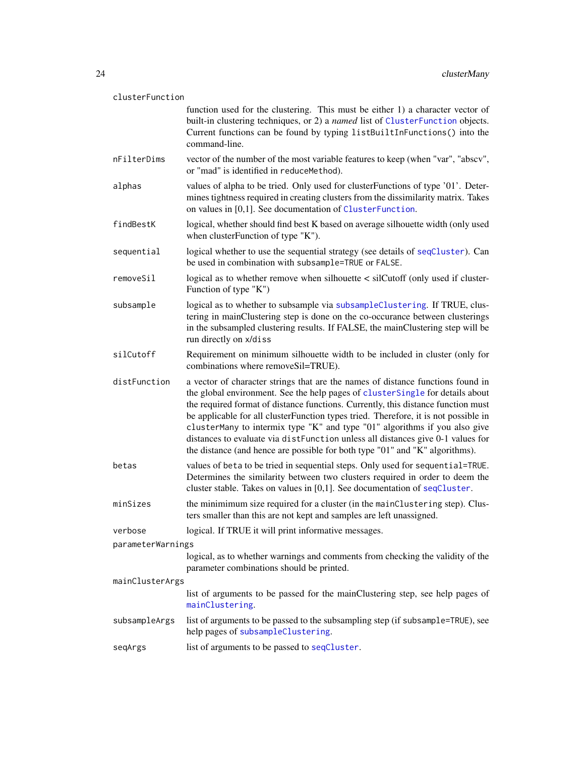| clusterFunction   |                                                                                                                                                                                                                                                                                                                                                                                                                                                                                                                                                                                               |  |
|-------------------|-----------------------------------------------------------------------------------------------------------------------------------------------------------------------------------------------------------------------------------------------------------------------------------------------------------------------------------------------------------------------------------------------------------------------------------------------------------------------------------------------------------------------------------------------------------------------------------------------|--|
|                   | function used for the clustering. This must be either 1) a character vector of<br>built-in clustering techniques, or 2) a named list of ClusterFunction objects.<br>Current functions can be found by typing listBuiltInFunctions() into the<br>command-line.                                                                                                                                                                                                                                                                                                                                 |  |
| nFilterDims       | vector of the number of the most variable features to keep (when "var", "abscv",<br>or "mad" is identified in reduceMethod).                                                                                                                                                                                                                                                                                                                                                                                                                                                                  |  |
| alphas            | values of alpha to be tried. Only used for clusterFunctions of type '01'. Deter-<br>mines tightness required in creating clusters from the dissimilarity matrix. Takes<br>on values in [0,1]. See documentation of ClusterFunction.                                                                                                                                                                                                                                                                                                                                                           |  |
| findBestK         | logical, whether should find best K based on average silhouette width (only used<br>when cluster Function of type "K").                                                                                                                                                                                                                                                                                                                                                                                                                                                                       |  |
| sequential        | logical whether to use the sequential strategy (see details of seqCluster). Can<br>be used in combination with subsample=TRUE or FALSE.                                                                                                                                                                                                                                                                                                                                                                                                                                                       |  |
| removeSil         | logical as to whether remove when silhouette < silCutoff (only used if cluster-<br>Function of type "K")                                                                                                                                                                                                                                                                                                                                                                                                                                                                                      |  |
| subsample         | logical as to whether to subsample via subsampleClustering. If TRUE, clus-<br>tering in mainClustering step is done on the co-occurance between clusterings<br>in the subsampled clustering results. If FALSE, the mainClustering step will be<br>run directly on x/diss                                                                                                                                                                                                                                                                                                                      |  |
| silCutoff         | Requirement on minimum silhouette width to be included in cluster (only for<br>combinations where removeSil=TRUE).                                                                                                                                                                                                                                                                                                                                                                                                                                                                            |  |
| distFunction      | a vector of character strings that are the names of distance functions found in<br>the global environment. See the help pages of clusterSingle for details about<br>the required format of distance functions. Currently, this distance function must<br>be applicable for all clusterFunction types tried. Therefore, it is not possible in<br>clusterMany to intermix type "K" and type "01" algorithms if you also give<br>distances to evaluate via distFunction unless all distances give 0-1 values for<br>the distance (and hence are possible for both type "01" and "K" algorithms). |  |
| betas             | values of beta to be tried in sequential steps. Only used for sequential=TRUE.<br>Determines the similarity between two clusters required in order to deem the<br>cluster stable. Takes on values in $[0,1]$ . See documentation of seqCluster.                                                                                                                                                                                                                                                                                                                                               |  |
| minSizes          | the minimimum size required for a cluster (in the mainClustering step). Clus-<br>ters smaller than this are not kept and samples are left unassigned.                                                                                                                                                                                                                                                                                                                                                                                                                                         |  |
| verbose           | logical. If TRUE it will print informative messages.                                                                                                                                                                                                                                                                                                                                                                                                                                                                                                                                          |  |
| parameterWarnings |                                                                                                                                                                                                                                                                                                                                                                                                                                                                                                                                                                                               |  |
|                   | logical, as to whether warnings and comments from checking the validity of the<br>parameter combinations should be printed.                                                                                                                                                                                                                                                                                                                                                                                                                                                                   |  |
| mainClusterArgs   |                                                                                                                                                                                                                                                                                                                                                                                                                                                                                                                                                                                               |  |
|                   | list of arguments to be passed for the mainClustering step, see help pages of<br>mainClustering.                                                                                                                                                                                                                                                                                                                                                                                                                                                                                              |  |
| subsampleArgs     | list of arguments to be passed to the subsampling step (if subsample=TRUE), see<br>help pages of subsampleClustering.                                                                                                                                                                                                                                                                                                                                                                                                                                                                         |  |
| seqArgs           | list of arguments to be passed to seqCluster.                                                                                                                                                                                                                                                                                                                                                                                                                                                                                                                                                 |  |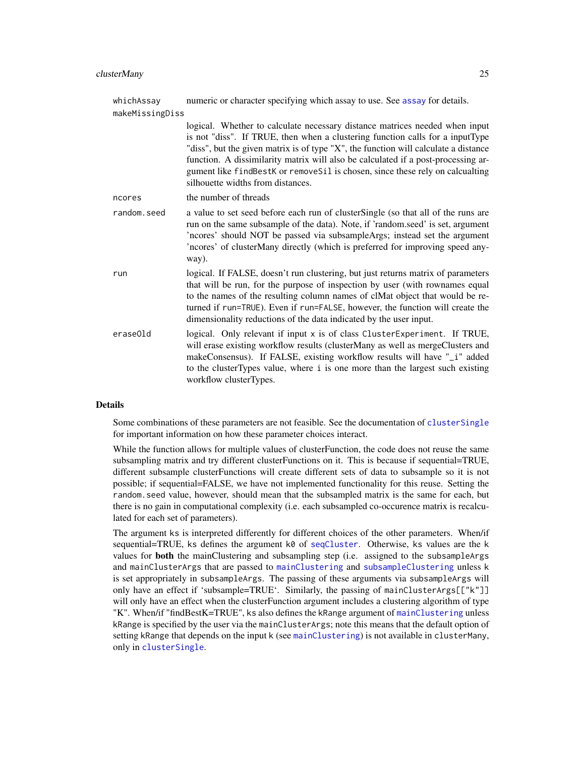| whichAssay      | numeric or character specifying which assay to use. See assay for details.                                                                                                                                                                                                                                                                                                                                                                                     |  |
|-----------------|----------------------------------------------------------------------------------------------------------------------------------------------------------------------------------------------------------------------------------------------------------------------------------------------------------------------------------------------------------------------------------------------------------------------------------------------------------------|--|
| makeMissingDiss |                                                                                                                                                                                                                                                                                                                                                                                                                                                                |  |
|                 | logical. Whether to calculate necessary distance matrices needed when input<br>is not "diss". If TRUE, then when a clustering function calls for a inputType<br>"diss", but the given matrix is of type "X", the function will calculate a distance<br>function. A dissimilarity matrix will also be calculated if a post-processing ar-<br>gument like findBestK or removeSil is chosen, since these rely on calcualting<br>silhouette widths from distances. |  |
| ncores          | the number of threads                                                                                                                                                                                                                                                                                                                                                                                                                                          |  |
| random.seed     | a value to set seed before each run of clusterSingle (so that all of the runs are<br>run on the same subsample of the data). Note, if 'random.seed' is set, argument<br>'ncores' should NOT be passed via subsampleArgs; instead set the argument<br>'ncores' of clusterMany directly (which is preferred for improving speed any-<br>way).                                                                                                                    |  |
| run             | logical. If FALSE, doesn't run clustering, but just returns matrix of parameters<br>that will be run, for the purpose of inspection by user (with rownames equal<br>to the names of the resulting column names of clMat object that would be re-<br>turned if run=TRUE). Even if run=FALSE, however, the function will create the<br>dimensionality reductions of the data indicated by the user input.                                                        |  |
| eraseOld        | logical. Only relevant if input x is of class ClusterExperiment. If TRUE,<br>will erase existing workflow results (clusterMany as well as mergeClusters and<br>makeConsensus). If FALSE, existing workflow results will have "_i" added<br>to the clusterTypes value, where i is one more than the largest such existing<br>workflow clusterTypes.                                                                                                             |  |

# Details

Some combinations of these parameters are not feasible. See the documentation of [clusterSingle](#page-26-1) for important information on how these parameter choices interact.

While the function allows for multiple values of clusterFunction, the code does not reuse the same subsampling matrix and try different clusterFunctions on it. This is because if sequential=TRUE, different subsample clusterFunctions will create different sets of data to subsample so it is not possible; if sequential=FALSE, we have not implemented functionality for this reuse. Setting the random.seed value, however, should mean that the subsampled matrix is the same for each, but there is no gain in computational complexity (i.e. each subsampled co-occurence matrix is recalculated for each set of parameters).

The argument ks is interpreted differently for different choices of the other parameters. When/if sequential=TRUE, ks defines the argument  $k\theta$  of [seqCluster](#page-104-1). Otherwise, ks values are the k values for **both** the mainClustering and subsampling step (i.e. assigned to the subsampleArgs and mainClusterArgs that are passed to [mainClustering](#page-49-1) and [subsampleClustering](#page-108-1) unless k is set appropriately in subsampleArgs. The passing of these arguments via subsampleArgs will only have an effect if 'subsample=TRUE'. Similarly, the passing of mainClusterArgs[["k"]] will only have an effect when the clusterFunction argument includes a clustering algorithm of type "K". When/if "findBestK=TRUE", ks also defines the kRange argument of [mainClustering](#page-49-1) unless kRange is specified by the user via the mainClusterArgs; note this means that the default option of setting kRange that depends on the input k (see [mainClustering](#page-49-1)) is not available in clusterMany, only in [clusterSingle](#page-26-1).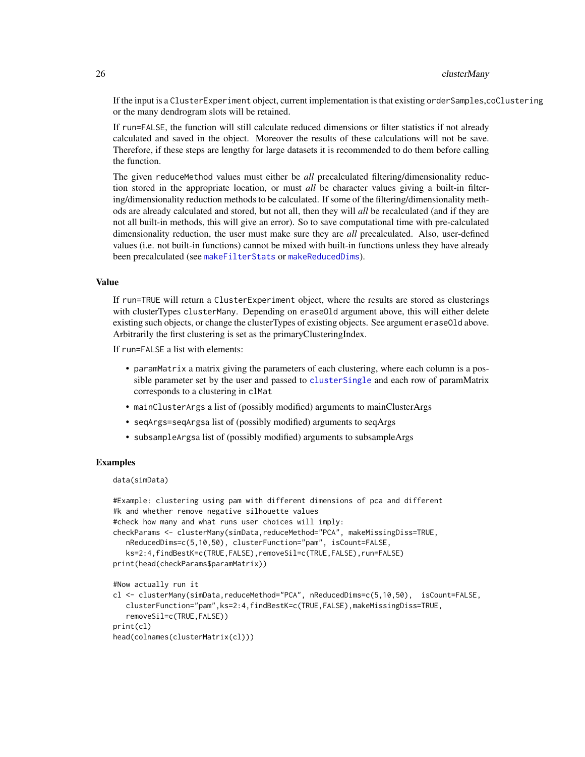If the input is a ClusterExperiment object, current implementation is that existing orderSamples,coClustering or the many dendrogram slots will be retained.

If run=FALSE, the function will still calculate reduced dimensions or filter statistics if not already calculated and saved in the object. Moreover the results of these calculations will not be save. Therefore, if these steps are lengthy for large datasets it is recommended to do them before calling the function.

The given reduceMethod values must either be *all* precalculated filtering/dimensionality reduction stored in the appropriate location, or must *all* be character values giving a built-in filtering/dimensionality reduction methods to be calculated. If some of the filtering/dimensionality methods are already calculated and stored, but not all, then they will *all* be recalculated (and if they are not all built-in methods, this will give an error). So to save computational time with pre-calculated dimensionality reduction, the user must make sure they are *all* precalculated. Also, user-defined values (i.e. not built-in functions) cannot be mixed with built-in functions unless they have already been precalculated (see [makeFilterStats](#page-39-1) or [makeReducedDims](#page-39-1)).

#### Value

If run=TRUE will return a ClusterExperiment object, where the results are stored as clusterings with clusterTypes clusterMany. Depending on eraseOld argument above, this will either delete existing such objects, or change the clusterTypes of existing objects. See argument eraseOld above. Arbitrarily the first clustering is set as the primaryClusteringIndex.

If run=FALSE a list with elements:

- paramMatrix a matrix giving the parameters of each clustering, where each column is a possible parameter set by the user and passed to [clusterSingle](#page-26-1) and each row of paramMatrix corresponds to a clustering in clMat
- mainClusterArgs a list of (possibly modified) arguments to mainClusterArgs
- seqArgs=seqArgsa list of (possibly modified) arguments to seqArgs
- subsampleArgsa list of (possibly modified) arguments to subsampleArgs

#### Examples

#### data(simData)

```
#Example: clustering using pam with different dimensions of pca and different
#k and whether remove negative silhouette values
#check how many and what runs user choices will imply:
checkParams <- clusterMany(simData,reduceMethod="PCA", makeMissingDiss=TRUE,
  nReducedDims=c(5,10,50), clusterFunction="pam", isCount=FALSE,
  ks=2:4,findBestK=c(TRUE,FALSE),removeSil=c(TRUE,FALSE),run=FALSE)
print(head(checkParams$paramMatrix))
#Now actually run it
cl <- clusterMany(simData,reduceMethod="PCA", nReducedDims=c(5,10,50), isCount=FALSE,
  clusterFunction="pam",ks=2:4,findBestK=c(TRUE,FALSE),makeMissingDiss=TRUE,
  removeSil=c(TRUE,FALSE))
print(cl)
head(colnames(clusterMatrix(cl)))
```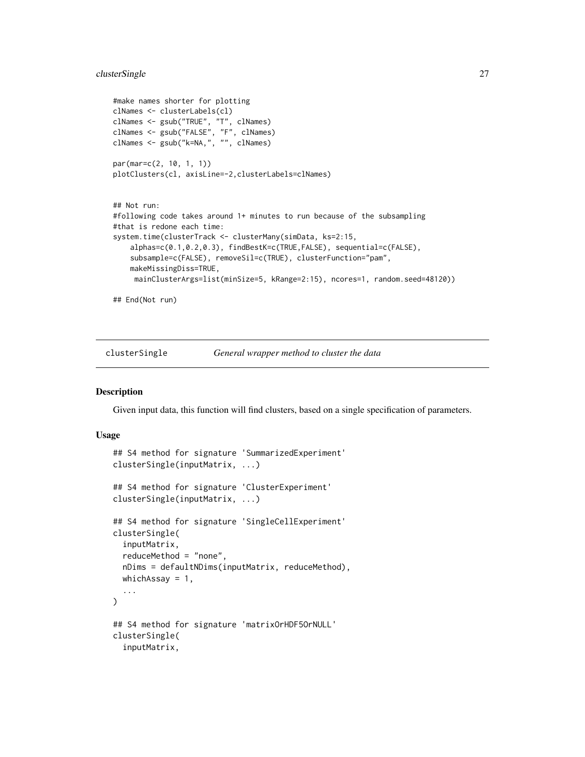# <span id="page-26-0"></span>clusterSingle 27

```
#make names shorter for plotting
clNames <- clusterLabels(cl)
clNames <- gsub("TRUE", "T", clNames)
clNames <- gsub("FALSE", "F", clNames)
clNames <- gsub("k=NA,", "", clNames)
par(mar=c(2, 10, 1, 1))
plotClusters(cl, axisLine=-2,clusterLabels=clNames)
## Not run:
#following code takes around 1+ minutes to run because of the subsampling
#that is redone each time:
system.time(clusterTrack <- clusterMany(simData, ks=2:15,
    alphas=c(0.1,0.2,0.3), findBestK=c(TRUE,FALSE), sequential=c(FALSE),
    subsample=c(FALSE), removeSil=c(TRUE), clusterFunction="pam",
    makeMissingDiss=TRUE,
    mainClusterArgs=list(minSize=5, kRange=2:15), ncores=1, random.seed=48120))
## End(Not run)
```
<span id="page-26-1"></span>

clusterSingle *General wrapper method to cluster the data*

#### Description

Given input data, this function will find clusters, based on a single specification of parameters.

#### Usage

```
## S4 method for signature 'SummarizedExperiment'
clusterSingle(inputMatrix, ...)
## S4 method for signature 'ClusterExperiment'
clusterSingle(inputMatrix, ...)
## S4 method for signature 'SingleCellExperiment'
clusterSingle(
  inputMatrix,
  reduceMethod = "none",
  nDims = defaultNDims(inputMatrix, reduceMethod),
  whichAssay = 1,
  ...
)
## S4 method for signature 'matrixOrHDF5OrNULL'
clusterSingle(
  inputMatrix,
```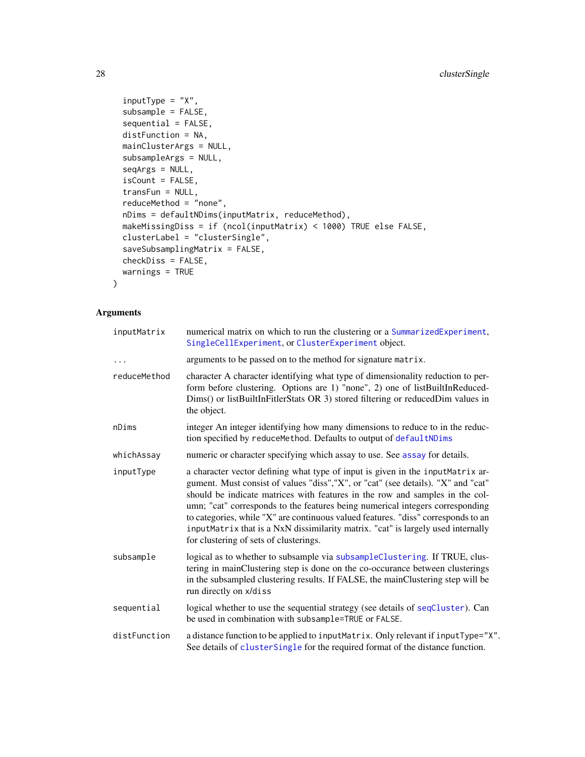```
inputType = "X",subsample = FALSE,
  sequential = FALSE,distFunction = NA,
 mainClusterArgs = NULL,
  subsampleArgs = NULL,
  seqArgs = NULL,
  isCount = FALSE,
  transFun = NULL,
  reduceMethod = "none",
 nDims = defaultNDims(inputMatrix, reduceMethod),
 makeMissingDiss = if (ncol(inputMatrix) < 1000) TRUE else FALSE,
 clusterLabel = "clusterSingle",
  saveSubsamplingMatrix = FALSE,
 checkDiss = FALSE,
 warnings = TRUE
\mathcal{L}
```
# Arguments

| inputMatrix  | numerical matrix on which to run the clustering or a SummarizedExperiment,<br>SingleCellExperiment, or ClusterExperiment object.                                                                                                                                                                                                                                                                                                                                                                                                                        |
|--------------|---------------------------------------------------------------------------------------------------------------------------------------------------------------------------------------------------------------------------------------------------------------------------------------------------------------------------------------------------------------------------------------------------------------------------------------------------------------------------------------------------------------------------------------------------------|
| $\cdots$     | arguments to be passed on to the method for signature matrix.                                                                                                                                                                                                                                                                                                                                                                                                                                                                                           |
| reduceMethod | character A character identifying what type of dimensionality reduction to per-<br>form before clustering. Options are 1) "none", 2) one of listBuiltInReduced-<br>Dims() or listBuiltInFitlerStats OR 3) stored filtering or reducedDim values in<br>the object.                                                                                                                                                                                                                                                                                       |
| nDims        | integer An integer identifying how many dimensions to reduce to in the reduc-<br>tion specified by reduceMethod. Defaults to output of defaultNDims                                                                                                                                                                                                                                                                                                                                                                                                     |
| whichAssay   | numeric or character specifying which assay to use. See assay for details.                                                                                                                                                                                                                                                                                                                                                                                                                                                                              |
| inputType    | a character vector defining what type of input is given in the inputMatrix ar-<br>gument. Must consist of values "diss", "X", or "cat" (see details). "X" and "cat"<br>should be indicate matrices with features in the row and samples in the col-<br>umn; "cat" corresponds to the features being numerical integers corresponding<br>to categories, while "X" are continuous valued features. "diss" corresponds to an<br>inputMatrix that is a NxN dissimilarity matrix. "cat" is largely used internally<br>for clustering of sets of clusterings. |
| subsample    | logical as to whether to subsample via subsampleClustering. If TRUE, clus-<br>tering in mainClustering step is done on the co-occurance between clusterings<br>in the subsampled clustering results. If FALSE, the mainClustering step will be<br>run directly on x/diss                                                                                                                                                                                                                                                                                |
| sequential   | logical whether to use the sequential strategy (see details of seqCluster). Can<br>be used in combination with subsample=TRUE or FALSE.                                                                                                                                                                                                                                                                                                                                                                                                                 |
| distFunction | a distance function to be applied to inputMatrix. Only relevant if inputType="X".<br>See details of clusterSingle for the required format of the distance function.                                                                                                                                                                                                                                                                                                                                                                                     |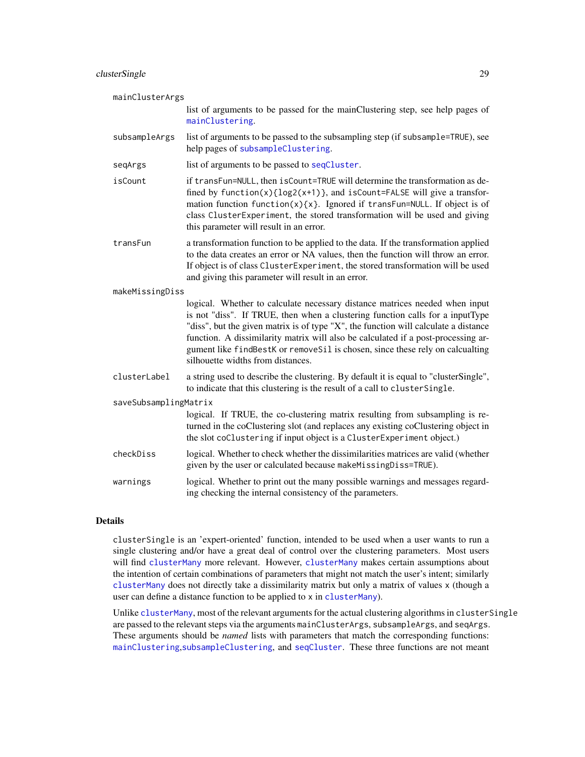# clusterSingle 29

| mainClusterArgs       |                                                                                                                                                                                                                                                                                                                                                                                                                                                                |
|-----------------------|----------------------------------------------------------------------------------------------------------------------------------------------------------------------------------------------------------------------------------------------------------------------------------------------------------------------------------------------------------------------------------------------------------------------------------------------------------------|
|                       | list of arguments to be passed for the mainClustering step, see help pages of<br>mainClustering.                                                                                                                                                                                                                                                                                                                                                               |
| subsampleArgs         | list of arguments to be passed to the subsampling step (if subsample=TRUE), see<br>help pages of subsampleClustering.                                                                                                                                                                                                                                                                                                                                          |
| seqArgs               | list of arguments to be passed to seqCluster.                                                                                                                                                                                                                                                                                                                                                                                                                  |
| isCount               | if transFun=NULL, then isCount=TRUE will determine the transformation as de-<br>fined by $function(x)\{log2(x+1)\}$ , and $isCount=False$ will give a transfor-<br>mation function function(x){x}. Ignored if transFun=NULL. If object is of<br>class ClusterExperiment, the stored transformation will be used and giving<br>this parameter will result in an error.                                                                                          |
| transFun              | a transformation function to be applied to the data. If the transformation applied<br>to the data creates an error or NA values, then the function will throw an error.<br>If object is of class ClusterExperiment, the stored transformation will be used<br>and giving this parameter will result in an error.                                                                                                                                               |
| makeMissingDiss       |                                                                                                                                                                                                                                                                                                                                                                                                                                                                |
|                       | logical. Whether to calculate necessary distance matrices needed when input<br>is not "diss". If TRUE, then when a clustering function calls for a inputType<br>"diss", but the given matrix is of type "X", the function will calculate a distance<br>function. A dissimilarity matrix will also be calculated if a post-processing ar-<br>gument like findBestK or removeSil is chosen, since these rely on calcualting<br>silhouette widths from distances. |
| clusterLabel          | a string used to describe the clustering. By default it is equal to "clusterSingle",<br>to indicate that this clustering is the result of a call to clusterSingle.                                                                                                                                                                                                                                                                                             |
| saveSubsamplingMatrix |                                                                                                                                                                                                                                                                                                                                                                                                                                                                |
|                       | logical. If TRUE, the co-clustering matrix resulting from subsampling is re-<br>turned in the coClustering slot (and replaces any existing coClustering object in<br>the slot coClustering if input object is a ClusterExperiment object.)                                                                                                                                                                                                                     |
| checkDiss             | logical. Whether to check whether the dissimilarities matrices are valid (whether<br>given by the user or calculated because makeMissingDiss=TRUE).                                                                                                                                                                                                                                                                                                            |
| warnings              | logical. Whether to print out the many possible warnings and messages regard-<br>ing checking the internal consistency of the parameters.                                                                                                                                                                                                                                                                                                                      |
|                       |                                                                                                                                                                                                                                                                                                                                                                                                                                                                |

# Details

clusterSingle is an 'expert-oriented' function, intended to be used when a user wants to run a single clustering and/or have a great deal of control over the clustering parameters. Most users will find [clusterMany](#page-21-1) more relevant. However, [clusterMany](#page-21-1) makes certain assumptions about the intention of certain combinations of parameters that might not match the user's intent; similarly [clusterMany](#page-21-1) does not directly take a dissimilarity matrix but only a matrix of values x (though a user can define a distance function to be applied to x in [clusterMany](#page-21-1)).

Unlike [clusterMany](#page-21-1), most of the relevant arguments for the actual clustering algorithms in clusterSingle are passed to the relevant steps via the arguments mainClusterArgs, subsampleArgs, and seqArgs. These arguments should be *named* lists with parameters that match the corresponding functions: [mainClustering](#page-49-1),[subsampleClustering](#page-108-1), and [seqCluster](#page-104-1). These three functions are not meant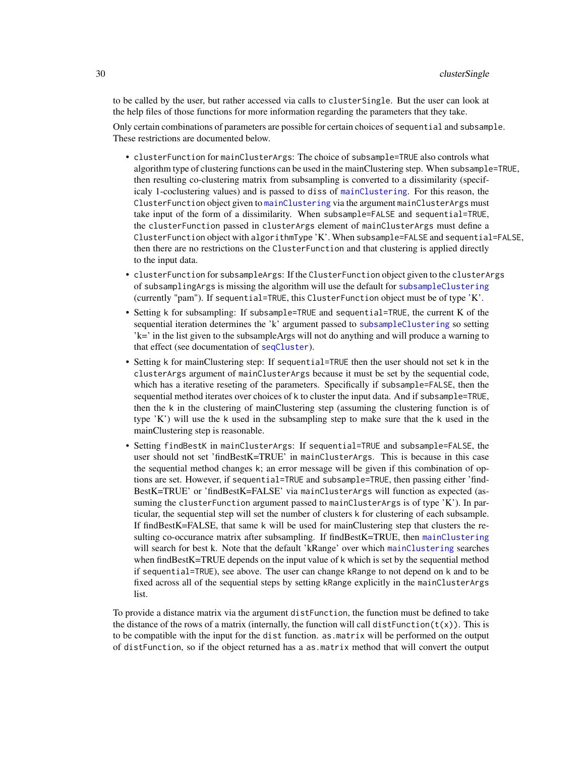to be called by the user, but rather accessed via calls to clusterSingle. But the user can look at the help files of those functions for more information regarding the parameters that they take.

Only certain combinations of parameters are possible for certain choices of sequential and subsample. These restrictions are documented below.

- clusterFunction for mainClusterArgs: The choice of subsample=TRUE also controls what algorithm type of clustering functions can be used in the mainClustering step. When subsample=TRUE, then resulting co-clustering matrix from subsampling is converted to a dissimilarity (specificaly 1-coclustering values) and is passed to diss of [mainClustering](#page-49-1). For this reason, the ClusterFunction object given to [mainClustering](#page-49-1) via the argument mainClusterArgs must take input of the form of a dissimilarity. When subsample=FALSE and sequential=TRUE, the clusterFunction passed in clusterArgs element of mainClusterArgs must define a ClusterFunction object with algorithmType 'K'. When subsample=FALSE and sequential=FALSE, then there are no restrictions on the ClusterFunction and that clustering is applied directly to the input data.
- clusterFunction for subsampleArgs: If the ClusterFunction object given to the clusterArgs of subsamplingArgs is missing the algorithm will use the default for [subsampleClustering](#page-108-1) (currently "pam"). If sequential=TRUE, this ClusterFunction object must be of type 'K'.
- Setting k for subsampling: If subsample=TRUE and sequential=TRUE, the current K of the sequential iteration determines the 'k' argument passed to [subsampleClustering](#page-108-1) so setting 'k=' in the list given to the subsampleArgs will not do anything and will produce a warning to that effect (see documentation of [seqCluster](#page-104-1)).
- Setting k for mainClustering step: If sequential=TRUE then the user should not set k in the clusterArgs argument of mainClusterArgs because it must be set by the sequential code, which has a iterative reseting of the parameters. Specifically if subsample=FALSE, then the sequential method iterates over choices of k to cluster the input data. And if subsample=TRUE, then the k in the clustering of mainClustering step (assuming the clustering function is of type 'K') will use the k used in the subsampling step to make sure that the k used in the mainClustering step is reasonable.
- Setting findBestK in mainClusterArgs: If sequential=TRUE and subsample=FALSE, the user should not set 'findBestK=TRUE' in mainClusterArgs. This is because in this case the sequential method changes k; an error message will be given if this combination of options are set. However, if sequential=TRUE and subsample=TRUE, then passing either 'find-BestK=TRUE' or 'findBestK=FALSE' via mainClusterArgs will function as expected (assuming the clusterFunction argument passed to mainClusterArgs is of type 'K'). In particular, the sequential step will set the number of clusters k for clustering of each subsample. If findBestK=FALSE, that same k will be used for mainClustering step that clusters the resulting co-occurance matrix after subsampling. If findBestK=TRUE, then [mainClustering](#page-49-1) will search for best k. Note that the default 'kRange' over which [mainClustering](#page-49-1) searches when findBestK=TRUE depends on the input value of k which is set by the sequential method if sequential=TRUE), see above. The user can change kRange to not depend on k and to be fixed across all of the sequential steps by setting kRange explicitly in the mainClusterArgs list.

To provide a distance matrix via the argument distFunction, the function must be defined to take the distance of the rows of a matrix (internally, the function will call dist Function $(t(x))$ . This is to be compatible with the input for the dist function. as.matrix will be performed on the output of distFunction, so if the object returned has a as.matrix method that will convert the output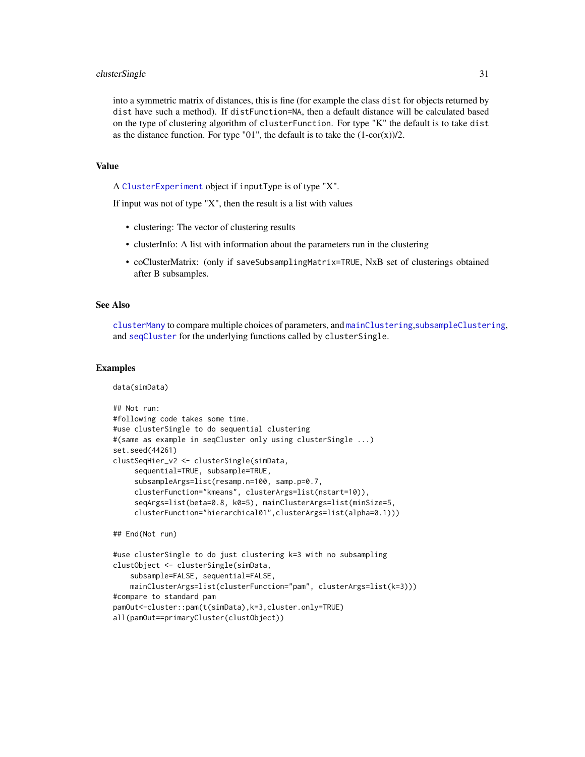#### clusterSingle 31

into a symmetric matrix of distances, this is fine (for example the class dist for objects returned by dist have such a method). If distFunction=NA, then a default distance will be calculated based on the type of clustering algorithm of clusterFunction. For type "K" the default is to take dist as the distance function. For type "01", the default is to take the  $(1-cor(x))/2$ .

#### Value

A [ClusterExperiment](#page-10-1) object if inputType is of type "X".

If input was not of type  $X''$ , then the result is a list with values

- clustering: The vector of clustering results
- clusterInfo: A list with information about the parameters run in the clustering
- coClusterMatrix: (only if saveSubsamplingMatrix=TRUE, NxB set of clusterings obtained after B subsamples.

#### See Also

[clusterMany](#page-21-1) to compare multiple choices of parameters, and [mainClustering](#page-49-1),[subsampleClustering](#page-108-1), and [seqCluster](#page-104-1) for the underlying functions called by clusterSingle.

#### Examples

data(simData)

```
## Not run:
#following code takes some time.
#use clusterSingle to do sequential clustering
#(same as example in seqCluster only using clusterSingle ...)
set.seed(44261)
clustSeqHier_v2 <- clusterSingle(simData,
     sequential=TRUE, subsample=TRUE,
     subsampleArgs=list(resamp.n=100, samp.p=0.7,
     clusterFunction="kmeans", clusterArgs=list(nstart=10)),
     seqArgs=list(beta=0.8, k0=5), mainClusterArgs=list(minSize=5,
     clusterFunction="hierarchical01",clusterArgs=list(alpha=0.1)))
## End(Not run)
#use clusterSingle to do just clustering k=3 with no subsampling
clustObject <- clusterSingle(simData,
    subsample=FALSE, sequential=FALSE,
    mainClusterArgs=list(clusterFunction="pam", clusterArgs=list(k=3)))
#compare to standard pam
pamOut<-cluster::pam(t(simData),k=3,cluster.only=TRUE)
```

```
all(pamOut==primaryCluster(clustObject))
```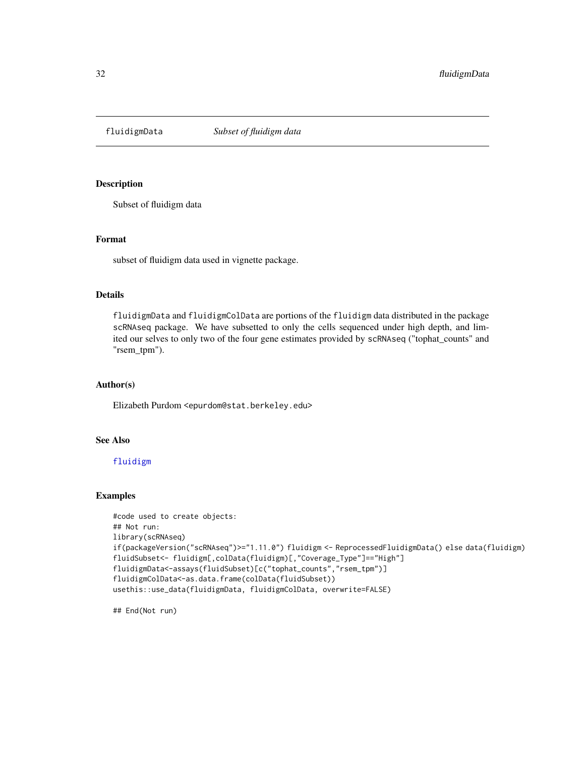<span id="page-31-0"></span>

# Description

Subset of fluidigm data

#### Format

subset of fluidigm data used in vignette package.

# Details

fluidigmData and fluidigmColData are portions of the fluidigm data distributed in the package scRNAseq package. We have subsetted to only the cells sequenced under high depth, and limited our selves to only two of the four gene estimates provided by scRNAseq ("tophat\_counts" and "rsem\_tpm").

# Author(s)

Elizabeth Purdom <epurdom@stat.berkeley.edu>

# See Also

#### [fluidigm](#page-0-0)

#### Examples

```
#code used to create objects:
## Not run:
library(scRNAseq)
if(packageVersion("scRNAseq")>="1.11.0") fluidigm <- ReprocessedFluidigmData() else data(fluidigm)
fluidSubset<- fluidigm[,colData(fluidigm)[,"Coverage_Type"]=="High"]
fluidigmData<-assays(fluidSubset)[c("tophat_counts","rsem_tpm")]
fluidigmColData<-as.data.frame(colData(fluidSubset))
usethis::use_data(fluidigmData, fluidigmColData, overwrite=FALSE)
```
## End(Not run)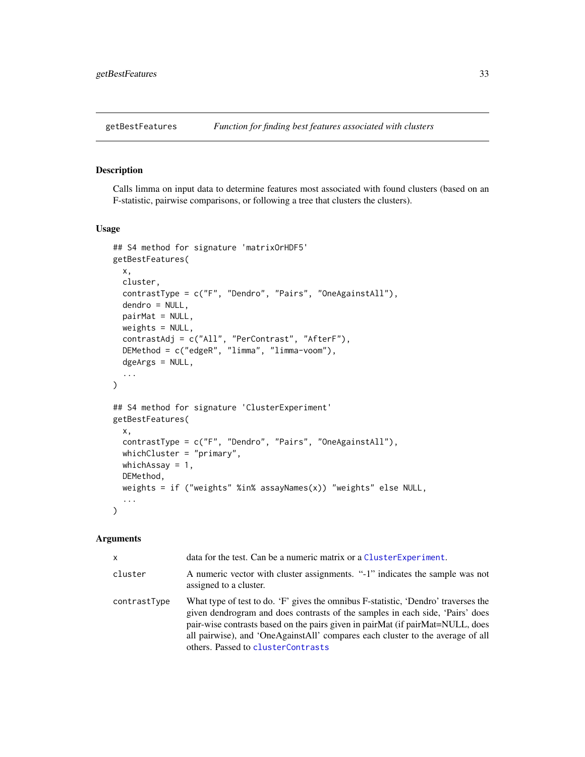# <span id="page-32-0"></span>Description

Calls limma on input data to determine features most associated with found clusters (based on an F-statistic, pairwise comparisons, or following a tree that clusters the clusters).

#### Usage

```
## S4 method for signature 'matrixOrHDF5'
getBestFeatures(
 x,
  cluster,
  contrastType = c("F", "Dendro", "Pairs", "OneAgainstAll"),
  dendro = NULL,
 pairMat = NULL,
 weights = NULL,contrastAdj = c("All", "PerContrast", "AfterF"),
  DEMethod = c("edgeR", "limma", "limma-voom"),
  dgeArgs = NULL,
  ...
)
## S4 method for signature 'ClusterExperiment'
getBestFeatures(
  x,
  contrastType = c("F", "Dendro", "Pairs", "OneAgainstAll"),
 whichCluster = "primary",
 whichAssay = 1,
 DEMethod,
 weights = if ("weights" %in% assayNames(x)) "weights" else NULL,
  ...
)
```
#### Arguments

| X            | data for the test. Can be a numeric matrix or a Cluster Experiment.                                                                                                                                                                                                                                                                                                           |
|--------------|-------------------------------------------------------------------------------------------------------------------------------------------------------------------------------------------------------------------------------------------------------------------------------------------------------------------------------------------------------------------------------|
| cluster      | A numeric vector with cluster assignments. "-1" indicates the sample was not<br>assigned to a cluster.                                                                                                                                                                                                                                                                        |
| contrastType | What type of test to do. 'F' gives the omnibus F-statistic, 'Dendro' traverses the<br>given dendrogram and does contrasts of the samples in each side, 'Pairs' does<br>pair-wise contrasts based on the pairs given in pairMat (if pairMat=NULL, does<br>all pairwise), and 'OneAgainstAll' compares each cluster to the average of all<br>others. Passed to clusterContrasts |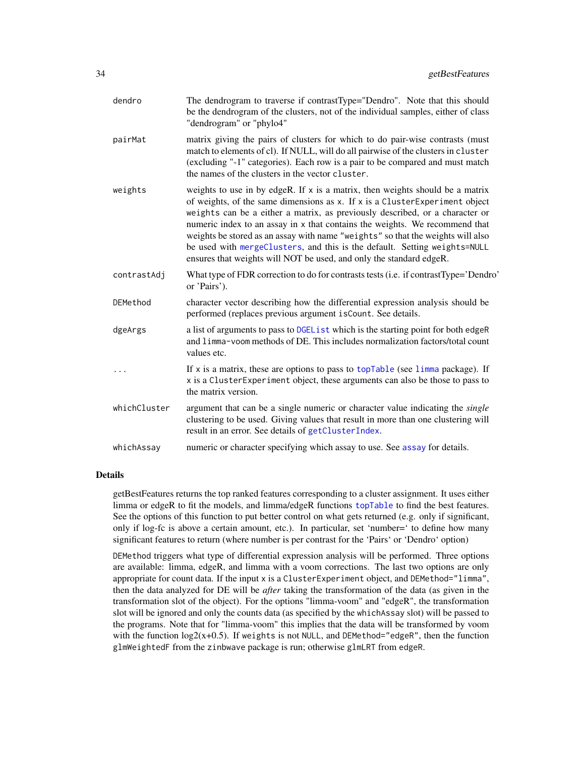| dendro       | The dendrogram to traverse if contrastType="Dendro". Note that this should<br>be the dendrogram of the clusters, not of the individual samples, either of class<br>"dendrogram" or "phylo4"                                                                                                                                                                                                                                                                                                                                                                          |
|--------------|----------------------------------------------------------------------------------------------------------------------------------------------------------------------------------------------------------------------------------------------------------------------------------------------------------------------------------------------------------------------------------------------------------------------------------------------------------------------------------------------------------------------------------------------------------------------|
| pairMat      | matrix giving the pairs of clusters for which to do pair-wise contrasts (must<br>match to elements of cl). If NULL, will do all pairwise of the clusters in cluster<br>(excluding "-1" categories). Each row is a pair to be compared and must match<br>the names of the clusters in the vector cluster.                                                                                                                                                                                                                                                             |
| weights      | weights to use in by edgeR. If $x$ is a matrix, then weights should be a matrix<br>of weights, of the same dimensions as x. If x is a ClusterExperiment object<br>weights can be a either a matrix, as previously described, or a character or<br>numeric index to an assay in x that contains the weights. We recommend that<br>weights be stored as an assay with name "weights" so that the weights will also<br>be used with mergeClusters, and this is the default. Setting weights=NULL<br>ensures that weights will NOT be used, and only the standard edgeR. |
| contrastAdj  | What type of FDR correction to do for contrasts tests (i.e. if contrastType='Dendro'<br>or 'Pairs').                                                                                                                                                                                                                                                                                                                                                                                                                                                                 |
| DEMethod     | character vector describing how the differential expression analysis should be<br>performed (replaces previous argument isCount. See details.                                                                                                                                                                                                                                                                                                                                                                                                                        |
| dgeArgs      | a list of arguments to pass to DGEL is t which is the starting point for both edgeR<br>and limma-voom methods of DE. This includes normalization factors/total count<br>values etc.                                                                                                                                                                                                                                                                                                                                                                                  |
| .            | If x is a matrix, these are options to pass to topTable (see limma package). If<br>x is a ClusterExperiment object, these arguments can also be those to pass to<br>the matrix version.                                                                                                                                                                                                                                                                                                                                                                              |
| whichCluster | argument that can be a single numeric or character value indicating the <i>single</i><br>clustering to be used. Giving values that result in more than one clustering will<br>result in an error. See details of getClusterIndex.                                                                                                                                                                                                                                                                                                                                    |
| whichAssay   | numeric or character specifying which assay to use. See assay for details.                                                                                                                                                                                                                                                                                                                                                                                                                                                                                           |

# Details

getBestFeatures returns the top ranked features corresponding to a cluster assignment. It uses either limma or edgeR to fit the models, and limma/edgeR functions [topTable](#page-0-0) to find the best features. See the options of this function to put better control on what gets returned (e.g. only if significant, only if log-fc is above a certain amount, etc.). In particular, set 'number=' to define how many significant features to return (where number is per contrast for the 'Pairs' or 'Dendro' option)

DEMethod triggers what type of differential expression analysis will be performed. Three options are available: limma, edgeR, and limma with a voom corrections. The last two options are only appropriate for count data. If the input x is a ClusterExperiment object, and DEMethod="limma", then the data analyzed for DE will be *after* taking the transformation of the data (as given in the transformation slot of the object). For the options "limma-voom" and "edgeR", the transformation slot will be ignored and only the counts data (as specified by the whichAssay slot) will be passed to the programs. Note that for "limma-voom" this implies that the data will be transformed by voom with the function  $log2(x+0.5)$ . If weights is not NULL, and DEMethod="edgeR", then the function glmWeightedF from the zinbwave package is run; otherwise glmLRT from edgeR.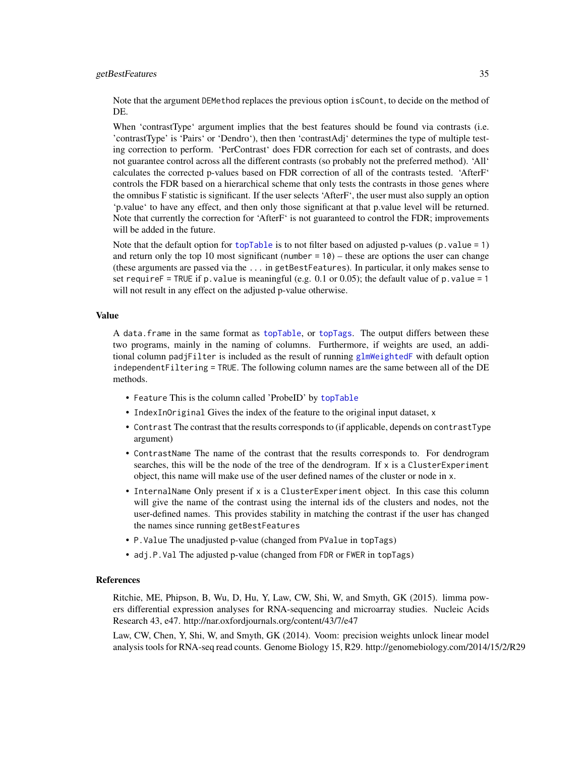#### getBestFeatures 35

Note that the argument DEMethod replaces the previous option isCount, to decide on the method of DE.

When 'contrastType' argument implies that the best features should be found via contrasts (i.e. 'contrastType' is 'Pairs' or 'Dendro'), then then 'contrastAdj' determines the type of multiple testing correction to perform. 'PerContrast' does FDR correction for each set of contrasts, and does not guarantee control across all the different contrasts (so probably not the preferred method). 'All' calculates the corrected p-values based on FDR correction of all of the contrasts tested. 'AfterF' controls the FDR based on a hierarchical scheme that only tests the contrasts in those genes where the omnibus F statistic is significant. If the user selects 'AfterF', the user must also supply an option 'p.value' to have any effect, and then only those significant at that p.value level will be returned. Note that currently the correction for 'AfterF' is not guaranteed to control the FDR; improvements will be added in the future.

Note that the default option for [topTable](#page-0-0) is to not filter based on adjusted p-values (p. value =  $1$ ) and return only the top 10 most significant (number  $= 10$ ) – these are options the user can change (these arguments are passed via the ... in getBestFeatures). In particular, it only makes sense to set requireF = TRUE if p. value is meaningful (e.g. 0.1 or 0.05); the default value of p. value = 1 will not result in any effect on the adjusted p-value otherwise.

#### Value

A data.frame in the same format as [topTable](#page-0-0), or [topTags](#page-0-0). The output differs between these two programs, mainly in the naming of columns. Furthermore, if weights are used, an additional column padjFilter is included as the result of running [glmWeightedF](#page-0-0) with default option independentFiltering = TRUE. The following column names are the same between all of the DE methods.

- Feature This is the column called 'ProbeID' by [topTable](#page-0-0)
- IndexInOriginal Gives the index of the feature to the original input dataset, x
- Contrast The contrast that the results corresponds to (if applicable, depends on contrastType argument)
- ContrastName The name of the contrast that the results corresponds to. For dendrogram searches, this will be the node of the tree of the dendrogram. If  $x$  is a Cluster Experiment object, this name will make use of the user defined names of the cluster or node in x.
- InternalName Only present if x is a ClusterExperiment object. In this case this column will give the name of the contrast using the internal ids of the clusters and nodes, not the user-defined names. This provides stability in matching the contrast if the user has changed the names since running getBestFeatures
- P.Value The unadjusted p-value (changed from PValue in topTags)
- adj.P.Val The adjusted p-value (changed from FDR or FWER in topTags)

#### References

Ritchie, ME, Phipson, B, Wu, D, Hu, Y, Law, CW, Shi, W, and Smyth, GK (2015). limma powers differential expression analyses for RNA-sequencing and microarray studies. Nucleic Acids Research 43, e47. http://nar.oxfordjournals.org/content/43/7/e47

Law, CW, Chen, Y, Shi, W, and Smyth, GK (2014). Voom: precision weights unlock linear model analysis tools for RNA-seq read counts. Genome Biology 15, R29. http://genomebiology.com/2014/15/2/R29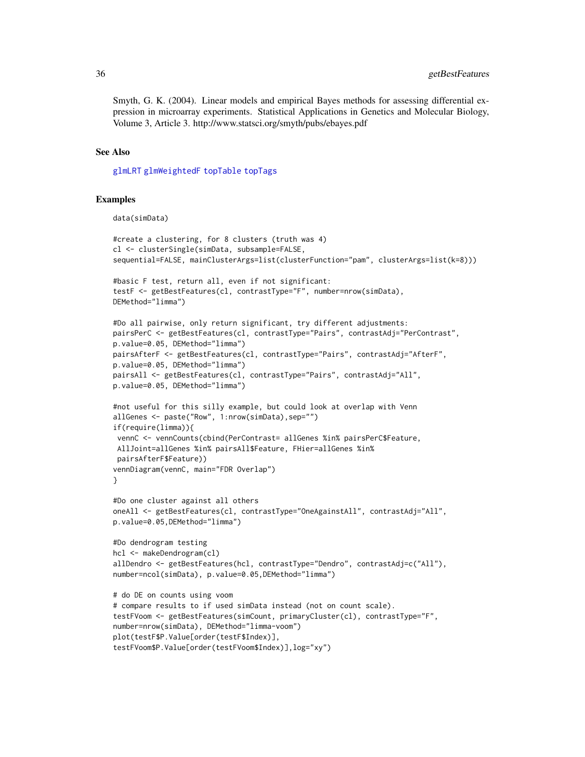Smyth, G. K. (2004). Linear models and empirical Bayes methods for assessing differential expression in microarray experiments. Statistical Applications in Genetics and Molecular Biology, Volume 3, Article 3. http://www.statsci.org/smyth/pubs/ebayes.pdf

# See Also

[glmLRT](#page-0-0) [glmWeightedF](#page-0-0) [topTable](#page-0-0) [topTags](#page-0-0)

#### Examples

data(simData)

```
#create a clustering, for 8 clusters (truth was 4)
cl <- clusterSingle(simData, subsample=FALSE,
sequential=FALSE, mainClusterArgs=list(clusterFunction="pam", clusterArgs=list(k=8)))
#basic F test, return all, even if not significant:
testF <- getBestFeatures(cl, contrastType="F", number=nrow(simData),
DEMethod="limma")
#Do all pairwise, only return significant, try different adjustments:
pairsPerC <- getBestFeatures(cl, contrastType="Pairs", contrastAdj="PerContrast",
p.value=0.05, DEMethod="limma")
pairsAfterF <- getBestFeatures(cl, contrastType="Pairs", contrastAdj="AfterF",
p.value=0.05, DEMethod="limma")
pairsAll <- getBestFeatures(cl, contrastType="Pairs", contrastAdj="All",
p.value=0.05, DEMethod="limma")
#not useful for this silly example, but could look at overlap with Venn
allGenes <- paste("Row", 1:nrow(simData),sep="")
if(require(limma)){
vennC <- vennCounts(cbind(PerContrast= allGenes %in% pairsPerC$Feature,
AllJoint=allGenes %in% pairsAll$Feature, FHier=allGenes %in%
pairsAfterF$Feature))
vennDiagram(vennC, main="FDR Overlap")
}
#Do one cluster against all others
oneAll <- getBestFeatures(cl, contrastType="OneAgainstAll", contrastAdj="All",
p.value=0.05,DEMethod="limma")
#Do dendrogram testing
hcl <- makeDendrogram(cl)
allDendro <- getBestFeatures(hcl, contrastType="Dendro", contrastAdj=c("All"),
number=ncol(simData), p.value=0.05,DEMethod="limma")
# do DE on counts using voom
# compare results to if used simData instead (not on count scale).
testFVoom <- getBestFeatures(simCount, primaryCluster(cl), contrastType="F",
number=nrow(simData), DEMethod="limma-voom")
plot(testF$P.Value[order(testF$Index)],
testFVoom$P.Value[order(testFVoom$Index)],log="xy")
```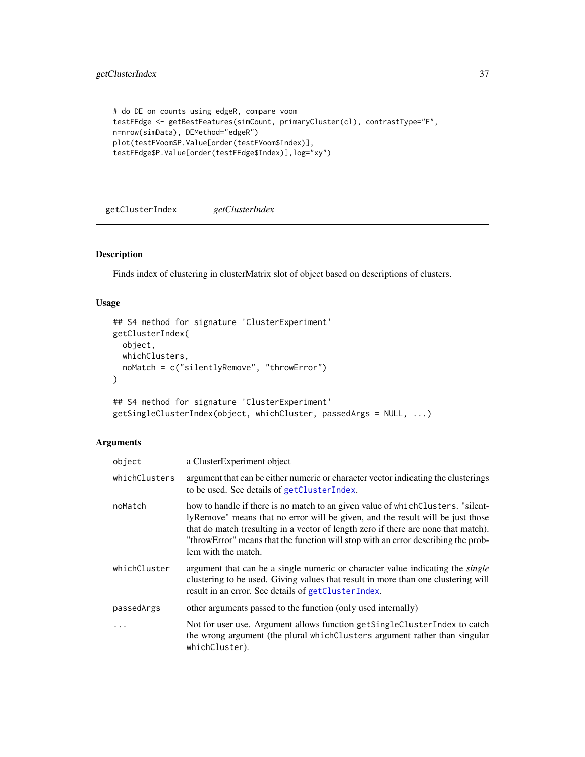```
# do DE on counts using edgeR, compare voom
testFEdge <- getBestFeatures(simCount, primaryCluster(cl), contrastType="F",
n=nrow(simData), DEMethod="edgeR")
plot(testFVoom$P.Value[order(testFVoom$Index)],
testFEdge$P.Value[order(testFEdge$Index)],log="xy")
```
<span id="page-36-0"></span>getClusterIndex *getClusterIndex*

#### Description

Finds index of clustering in clusterMatrix slot of object based on descriptions of clusters.

# Usage

```
## S4 method for signature 'ClusterExperiment'
getClusterIndex(
 object,
 whichClusters,
  noMatch = c("silentlyRemove", "throwError")
\mathcal{E}## S4 method for signature 'ClusterExperiment'
getSingleClusterIndex(object, whichCluster, passedArgs = NULL, ...)
```
# Arguments

| object        | a ClusterExperiment object                                                                                                                                                                                                                                                                                                                                          |
|---------------|---------------------------------------------------------------------------------------------------------------------------------------------------------------------------------------------------------------------------------------------------------------------------------------------------------------------------------------------------------------------|
| whichClusters | argument that can be either numeric or character vector indicating the clusterings<br>to be used. See details of getClusterIndex.                                                                                                                                                                                                                                   |
| noMatch       | how to handle if there is no match to an given value of whichClusters. "silent-<br>lyRemove" means that no error will be given, and the result will be just those<br>that do match (resulting in a vector of length zero if there are none that match).<br>"throwError" means that the function will stop with an error describing the prob-<br>lem with the match. |
| whichCluster  | argument that can be a single numeric or character value indicating the <i>single</i><br>clustering to be used. Giving values that result in more than one clustering will<br>result in an error. See details of getClusterIndex.                                                                                                                                   |
| passedArgs    | other arguments passed to the function (only used internally)                                                                                                                                                                                                                                                                                                       |
| .             | Not for user use. Argument allows function get Single Cluster Index to catch<br>the wrong argument (the plural which Clusters argument rather than singular<br>whichCluster).                                                                                                                                                                                       |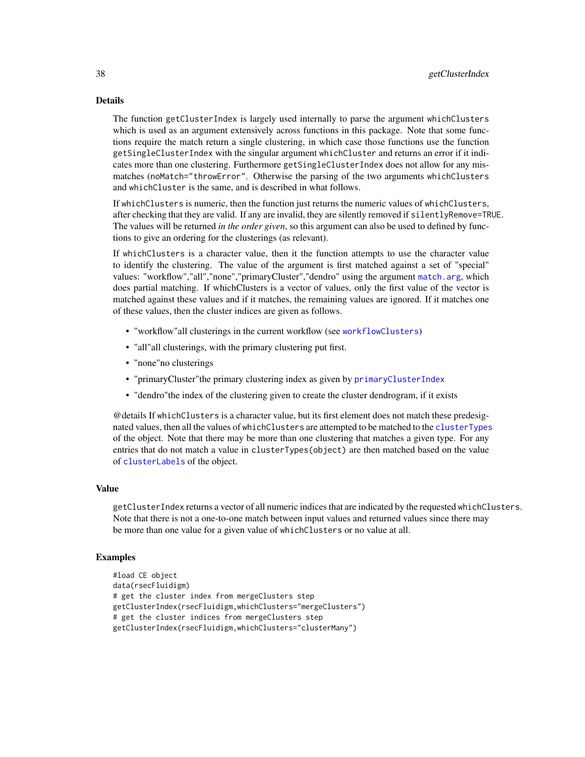The function getClusterIndex is largely used internally to parse the argument whichClusters which is used as an argument extensively across functions in this package. Note that some functions require the match return a single clustering, in which case those functions use the function getSingleClusterIndex with the singular argument whichCluster and returns an error if it indicates more than one clustering. Furthermore getSingleClusterIndex does not allow for any mismatches (noMatch="throwError". Otherwise the parsing of the two arguments whichClusters and whichCluster is the same, and is described in what follows.

If whichClusters is numeric, then the function just returns the numeric values of whichClusters, after checking that they are valid. If any are invalid, they are silently removed if silentlyRemove=TRUE. The values will be returned *in the order given*, so this argument can also be used to defined by functions to give an ordering for the clusterings (as relevant).

If whichClusters is a character value, then it the function attempts to use the character value to identify the clustering. The value of the argument is first matched against a set of "special" values: "workflow","all","none","primaryCluster","dendro" using the argument [match.arg](#page-0-0), which does partial matching. If whichClusters is a vector of values, only the first value of the vector is matched against these values and if it matches, the remaining values are ignored. If it matches one of these values, then the cluster indices are given as follows.

- "workflow"all clusterings in the current workflow (see [workflowClusters](#page-115-0))
- "all"all clusterings, with the primary clustering put first.
- "none"no clusterings
- "primaryCluster"the primary clustering index as given by [primaryClusterIndex](#page-15-0)
- "dendro"the index of the clustering given to create the cluster dendrogram, if it exists

@details If whichClusters is a character value, but its first element does not match these predesignated values, then all the values of whichClusters are attempted to be matched to the [clusterTypes](#page-15-0) of the object. Note that there may be more than one clustering that matches a given type. For any entries that do not match a value in clusterTypes(object) are then matched based on the value of [clusterLabels](#page-15-0) of the object.

# Value

getClusterIndex returns a vector of all numeric indices that are indicated by the requested whichClusters. Note that there is not a one-to-one match between input values and returned values since there may be more than one value for a given value of whichClusters or no value at all.

### Examples

```
#load CE object
data(rsecFluidigm)
# get the cluster index from mergeClusters step
getClusterIndex(rsecFluidigm,whichClusters="mergeClusters")
# get the cluster indices from mergeClusters step
getClusterIndex(rsecFluidigm,whichClusters="clusterMany")
```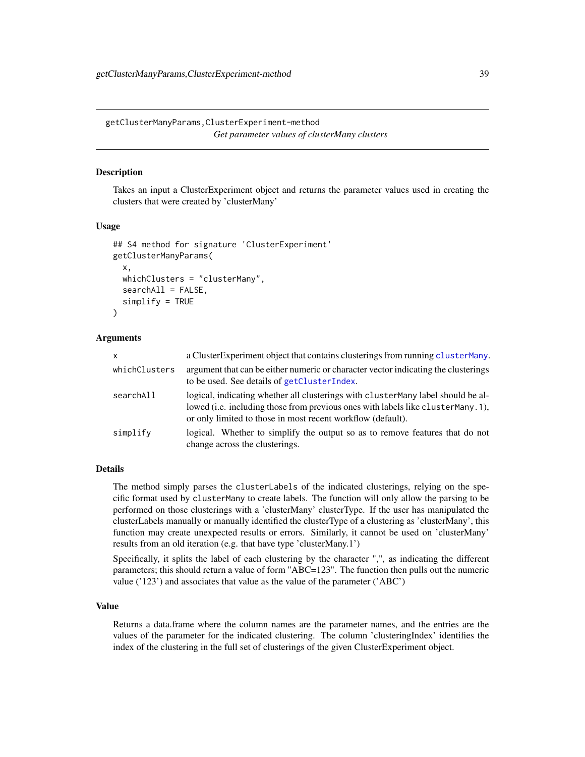getClusterManyParams,ClusterExperiment-method *Get parameter values of clusterMany clusters*

# Description

Takes an input a ClusterExperiment object and returns the parameter values used in creating the clusters that were created by 'clusterMany'

### Usage

```
## S4 method for signature 'ClusterExperiment'
getClusterManyParams(
  x,
 whichClusters = "clusterMany",
  searchAll = FALSE,
  simplify = TRUE
)
```
# Arguments

| $\mathsf{x}$  | a Cluster Experiment object that contains clusterings from running cluster Many.                                                                                                                                                   |
|---------------|------------------------------------------------------------------------------------------------------------------------------------------------------------------------------------------------------------------------------------|
| whichClusters | argument that can be either numeric or character vector indicating the clusterings<br>to be used. See details of getClusterIndex.                                                                                                  |
| searchAll     | logical, indicating whether all clusterings with clusterMany label should be al-<br>lowed (i.e. including those from previous ones with labels like clusterMany.1),<br>or only limited to those in most recent workflow (default). |
| simplify      | logical. Whether to simplify the output so as to remove features that do not<br>change across the clusterings.                                                                                                                     |

# Details

The method simply parses the clusterLabels of the indicated clusterings, relying on the specific format used by clusterMany to create labels. The function will only allow the parsing to be performed on those clusterings with a 'clusterMany' clusterType. If the user has manipulated the clusterLabels manually or manually identified the clusterType of a clustering as 'clusterMany', this function may create unexpected results or errors. Similarly, it cannot be used on 'clusterMany' results from an old iteration (e.g. that have type 'clusterMany.1')

Specifically, it splits the label of each clustering by the character ",", as indicating the different parameters; this should return a value of form "ABC=123". The function then pulls out the numeric value ('123') and associates that value as the value of the parameter ('ABC')

### Value

Returns a data.frame where the column names are the parameter names, and the entries are the values of the parameter for the indicated clustering. The column 'clusteringIndex' identifies the index of the clustering in the full set of clusterings of the given ClusterExperiment object.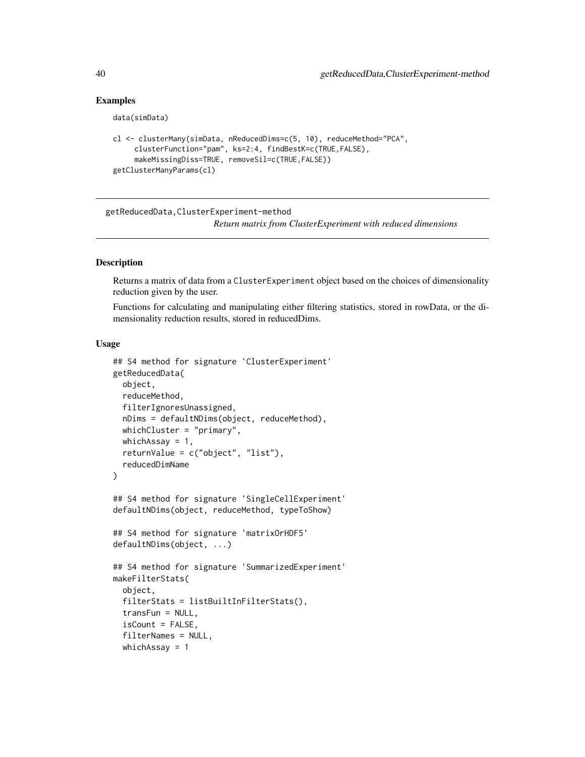# Examples

```
data(simData)
```

```
cl <- clusterMany(simData, nReducedDims=c(5, 10), reduceMethod="PCA",
     clusterFunction="pam", ks=2:4, findBestK=c(TRUE,FALSE),
     makeMissingDiss=TRUE, removeSil=c(TRUE,FALSE))
getClusterManyParams(cl)
```
getReducedData,ClusterExperiment-method

*Return matrix from ClusterExperiment with reduced dimensions*

# <span id="page-39-0"></span>**Description**

Returns a matrix of data from a ClusterExperiment object based on the choices of dimensionality reduction given by the user.

Functions for calculating and manipulating either filtering statistics, stored in rowData, or the dimensionality reduction results, stored in reducedDims.

#### Usage

```
## S4 method for signature 'ClusterExperiment'
getReducedData(
 object,
  reduceMethod,
  filterIgnoresUnassigned,
  nDims = defaultNDims(object, reduceMethod),
 whichCluster = "primary",
 whichAssay = 1,
  returnValue = c("object", "list"),
  reducedDimName
)
## S4 method for signature 'SingleCellExperiment'
defaultNDims(object, reduceMethod, typeToShow)
## S4 method for signature 'matrixOrHDF5'
defaultNDims(object, ...)
## S4 method for signature 'SummarizedExperiment'
makeFilterStats(
  object,
  filterStats = listBuiltInFilterStats(),
  transFun = NULL,
  isCount = FALSE,filterNames = NULL,
 whichAssay = 1
```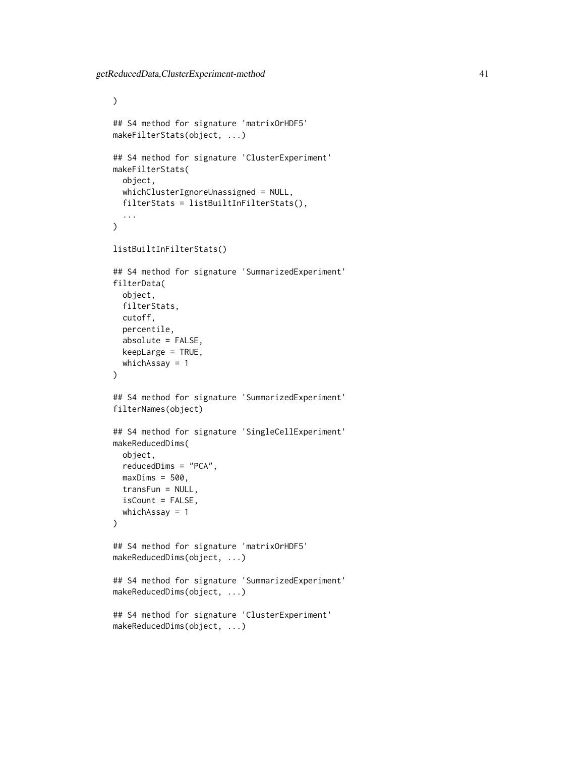```
\mathcal{L}## S4 method for signature 'matrixOrHDF5'
makeFilterStats(object, ...)
## S4 method for signature 'ClusterExperiment'
makeFilterStats(
  object,
 whichClusterIgnoreUnassigned = NULL,
  filterStats = listBuiltInFilterStats(),
  ...
\mathcal{L}listBuiltInFilterStats()
## S4 method for signature 'SummarizedExperiment'
filterData(
  object,
  filterStats,
  cutoff,
  percentile,
  absolute = FALSE,
  keepLarge = TRUE,
  whichAssay = 1
)
## S4 method for signature 'SummarizedExperiment'
filterNames(object)
## S4 method for signature 'SingleCellExperiment'
makeReducedDims(
  object,
  reducedDims = "PCA",
  maxDims = 500,
  transFun = NULL,
  isCount = FALSE,
 whichAssay = 1
\mathcal{L}## S4 method for signature 'matrixOrHDF5'
makeReducedDims(object, ...)
## S4 method for signature 'SummarizedExperiment'
makeReducedDims(object, ...)
## S4 method for signature 'ClusterExperiment'
makeReducedDims(object, ...)
```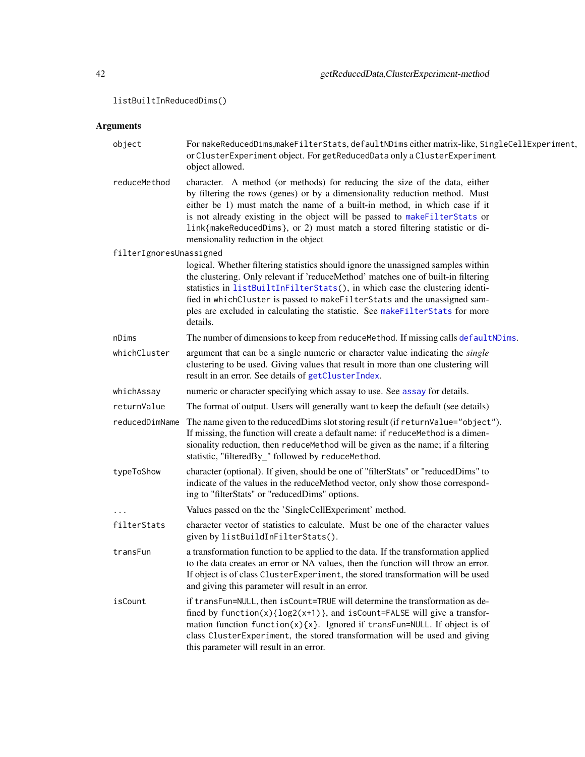listBuiltInReducedDims()

# Arguments

| object                  | FormakeReducedDims, makeFilterStats, defaultNDims either matrix-like, SingleCellExperiment,<br>or ClusterExperiment object. For getReducedData only a ClusterExperiment<br>object allowed.                                                                                                                                                                                                                                                   |
|-------------------------|----------------------------------------------------------------------------------------------------------------------------------------------------------------------------------------------------------------------------------------------------------------------------------------------------------------------------------------------------------------------------------------------------------------------------------------------|
| reduceMethod            | character. A method (or methods) for reducing the size of the data, either<br>by filtering the rows (genes) or by a dimensionality reduction method. Must<br>either be 1) must match the name of a built-in method, in which case if it<br>is not already existing in the object will be passed to makeFilterStats or<br>link{makeReducedDims}, or 2) must match a stored filtering statistic or di-<br>mensionality reduction in the object |
| filterIgnoresUnassigned |                                                                                                                                                                                                                                                                                                                                                                                                                                              |
|                         | logical. Whether filtering statistics should ignore the unassigned samples within<br>the clustering. Only relevant if 'reduceMethod' matches one of built-in filtering<br>statistics in listBuiltInFilterStats(), in which case the clustering identi-<br>fied in whichCluster is passed to makeFilterStats and the unassigned sam-<br>ples are excluded in calculating the statistic. See makeFilterStats for more<br>details.              |
| nDims                   | The number of dimensions to keep from reduce Method. If missing calls default NDims.                                                                                                                                                                                                                                                                                                                                                         |
| whichCluster            | argument that can be a single numeric or character value indicating the <i>single</i><br>clustering to be used. Giving values that result in more than one clustering will<br>result in an error. See details of getClusterIndex.                                                                                                                                                                                                            |
| whichAssay              | numeric or character specifying which assay to use. See assay for details.                                                                                                                                                                                                                                                                                                                                                                   |
| returnValue             | The format of output. Users will generally want to keep the default (see details)                                                                                                                                                                                                                                                                                                                                                            |
| reducedDimName          | The name given to the reduced Dims slot storing result (if return Value="object").<br>If missing, the function will create a default name: if reduce Method is a dimen-<br>sionality reduction, then reduce Method will be given as the name; if a filtering<br>statistic, "filteredBy_" followed by reduceMethod.                                                                                                                           |
| typeToShow              | character (optional). If given, should be one of "filterStats" or "reducedDims" to<br>indicate of the values in the reduceMethod vector, only show those correspond-<br>ing to "filterStats" or "reducedDims" options.                                                                                                                                                                                                                       |
|                         | Values passed on the the 'SingleCellExperiment' method.                                                                                                                                                                                                                                                                                                                                                                                      |
| filterStats             | character vector of statistics to calculate. Must be one of the character values<br>given by listBuildInFilterStats().                                                                                                                                                                                                                                                                                                                       |
| transFun                | a transformation function to be applied to the data. If the transformation applied<br>to the data creates an error or NA values, then the function will throw an error.<br>If object is of class ClusterExperiment, the stored transformation will be used<br>and giving this parameter will result in an error.                                                                                                                             |
| isCount                 | if transFun=NULL, then isCount=TRUE will determine the transformation as de-<br>fined by $function(x)\{log2(x+1)\}$ , and $isCount=False$ will give a transfor-<br>mation function $f$ unction $(x)$ $\{x\}$ . Ignored if transFun=NULL. If object is of<br>class ClusterExperiment, the stored transformation will be used and giving<br>this parameter will result in an error.                                                            |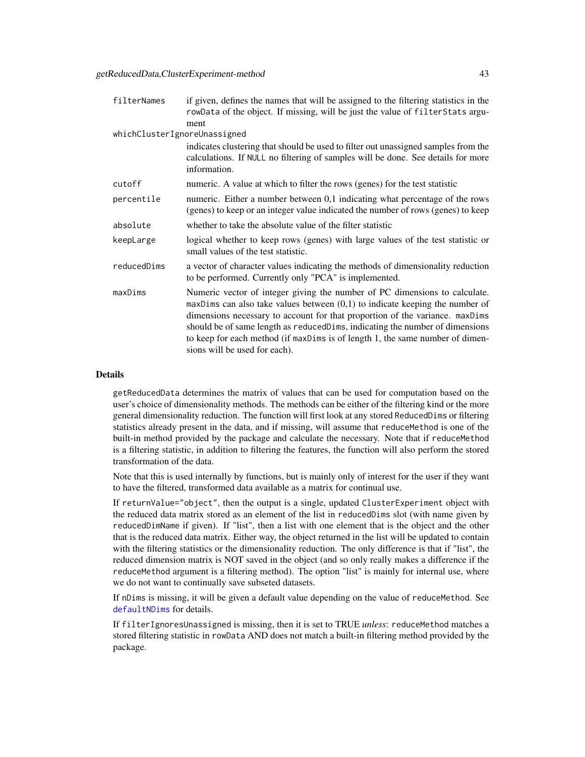| filterNames                  | if given, defines the names that will be assigned to the filtering statistics in the<br>rowData of the object. If missing, will be just the value of filterStats argu-                                                                                                                                                                                                                                                                           |
|------------------------------|--------------------------------------------------------------------------------------------------------------------------------------------------------------------------------------------------------------------------------------------------------------------------------------------------------------------------------------------------------------------------------------------------------------------------------------------------|
|                              | ment                                                                                                                                                                                                                                                                                                                                                                                                                                             |
| whichClusterIgnoreUnassigned |                                                                                                                                                                                                                                                                                                                                                                                                                                                  |
|                              | indicates clustering that should be used to filter out unassigned samples from the<br>calculations. If NULL no filtering of samples will be done. See details for more<br>information.                                                                                                                                                                                                                                                           |
| cutoff                       | numeric. A value at which to filter the rows (genes) for the test statistic                                                                                                                                                                                                                                                                                                                                                                      |
| percentile                   | numeric. Either a number between 0,1 indicating what percentage of the rows<br>(genes) to keep or an integer value indicated the number of rows (genes) to keep                                                                                                                                                                                                                                                                                  |
| absolute                     | whether to take the absolute value of the filter statistic                                                                                                                                                                                                                                                                                                                                                                                       |
| keepLarge                    | logical whether to keep rows (genes) with large values of the test statistic or<br>small values of the test statistic.                                                                                                                                                                                                                                                                                                                           |
| reducedDims                  | a vector of character values indicating the methods of dimensionality reduction<br>to be performed. Currently only "PCA" is implemented.                                                                                                                                                                                                                                                                                                         |
| maxDims                      | Numeric vector of integer giving the number of PC dimensions to calculate.<br>$maxDim$ can also take values between $(0,1)$ to indicate keeping the number of<br>dimensions necessary to account for that proportion of the variance. maxDims<br>should be of same length as reduced Dims, indicating the number of dimensions<br>to keep for each method (if maxDims is of length 1, the same number of dimen-<br>sions will be used for each). |

getReducedData determines the matrix of values that can be used for computation based on the user's choice of dimensionality methods. The methods can be either of the filtering kind or the more general dimensionality reduction. The function will first look at any stored ReducedDims or filtering statistics already present in the data, and if missing, will assume that reduceMethod is one of the built-in method provided by the package and calculate the necessary. Note that if reduceMethod is a filtering statistic, in addition to filtering the features, the function will also perform the stored transformation of the data.

Note that this is used internally by functions, but is mainly only of interest for the user if they want to have the filtered, transformed data available as a matrix for continual use.

If returnValue="object", then the output is a single, updated ClusterExperiment object with the reduced data matrix stored as an element of the list in reducedDims slot (with name given by reducedDimName if given). If "list", then a list with one element that is the object and the other that is the reduced data matrix. Either way, the object returned in the list will be updated to contain with the filtering statistics or the dimensionality reduction. The only difference is that if "list", the reduced dimension matrix is NOT saved in the object (and so only really makes a difference if the reduceMethod argument is a filtering method). The option "list" is mainly for internal use, where we do not want to continually save subseted datasets.

If nDims is missing, it will be given a default value depending on the value of reduceMethod. See [defaultNDims](#page-39-0) for details.

If filterIgnoresUnassigned is missing, then it is set to TRUE *unless*: reduceMethod matches a stored filtering statistic in rowData AND does not match a built-in filtering method provided by the package.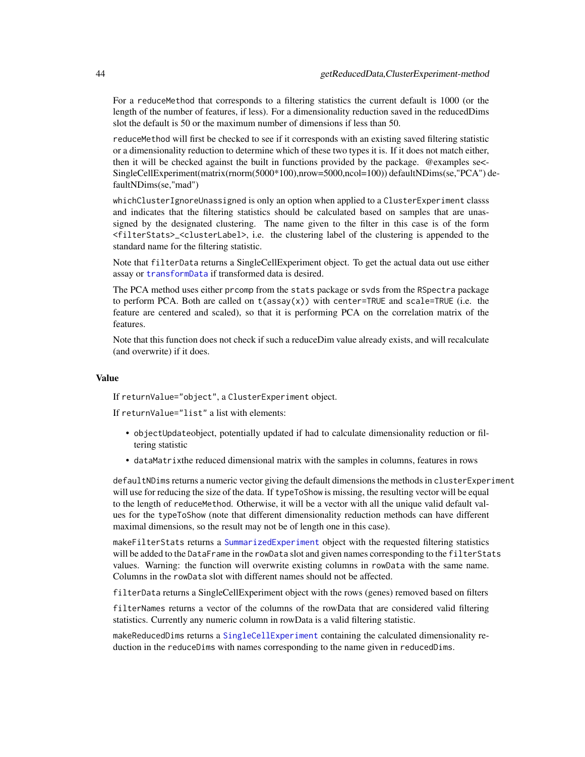For a reduceMethod that corresponds to a filtering statistics the current default is 1000 (or the length of the number of features, if less). For a dimensionality reduction saved in the reducedDims slot the default is 50 or the maximum number of dimensions if less than 50.

reduceMethod will first be checked to see if it corresponds with an existing saved filtering statistic or a dimensionality reduction to determine which of these two types it is. If it does not match either, then it will be checked against the built in functions provided by the package. @examples se<- SingleCellExperiment(matrix(rnorm(5000\*100),nrow=5000,ncol=100)) defaultNDims(se,"PCA") defaultNDims(se,"mad")

whichClusterIgnoreUnassigned is only an option when applied to a ClusterExperiment classs and indicates that the filtering statistics should be calculated based on samples that are unassigned by the designated clustering. The name given to the filter in this case is of the form <filterStats>\_<clusterLabel>, i.e. the clustering label of the clustering is appended to the standard name for the filtering statistic.

Note that filterData returns a SingleCellExperiment object. To get the actual data out use either assay or [transformData](#page-112-0) if transformed data is desired.

The PCA method uses either prcomp from the stats package or svds from the RSpectra package to perform PCA. Both are called on t(assay(x)) with center=TRUE and scale=TRUE (i.e. the feature are centered and scaled), so that it is performing PCA on the correlation matrix of the features.

Note that this function does not check if such a reduceDim value already exists, and will recalculate (and overwrite) if it does.

### Value

If returnValue="object", a ClusterExperiment object.

If returnValue="list" a list with elements:

- objectUpdateobject, potentially updated if had to calculate dimensionality reduction or filtering statistic
- dataMatrixthe reduced dimensional matrix with the samples in columns, features in rows

defaultNDims returns a numeric vector giving the default dimensions the methods in clusterExperiment will use for reducing the size of the data. If typeToShow is missing, the resulting vector will be equal to the length of reduceMethod. Otherwise, it will be a vector with all the unique valid default values for the typeToShow (note that different dimensionality reduction methods can have different maximal dimensions, so the result may not be of length one in this case).

makeFilterStats returns a [SummarizedExperiment](#page-0-0) object with the requested filtering statistics will be added to the DataFrame in the rowData slot and given names corresponding to the filterStats values. Warning: the function will overwrite existing columns in rowData with the same name. Columns in the rowData slot with different names should not be affected.

filterData returns a SingleCellExperiment object with the rows (genes) removed based on filters

filterNames returns a vector of the columns of the rowData that are considered valid filtering statistics. Currently any numeric column in rowData is a valid filtering statistic.

makeReducedDims returns a [SingleCellExperiment](#page-0-0) containing the calculated dimensionality reduction in the reduceDims with names corresponding to the name given in reducedDims.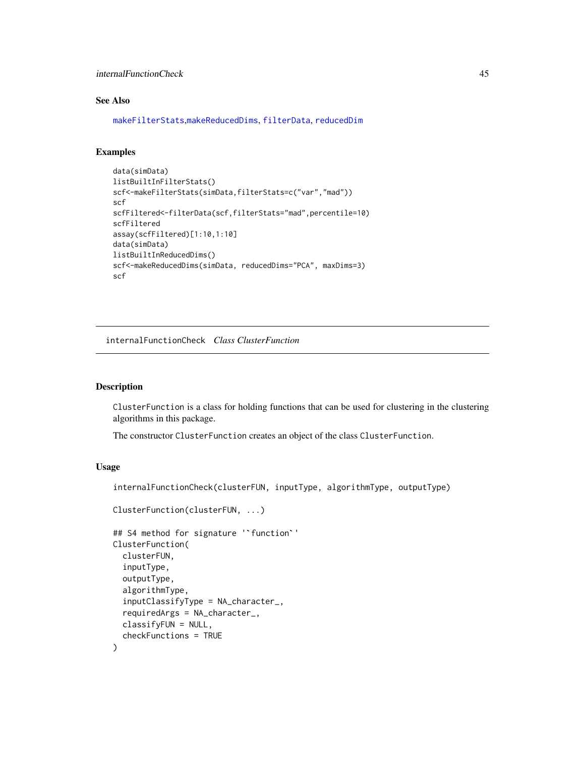internalFunctionCheck 45

# See Also

[makeFilterStats](#page-39-0),[makeReducedDims](#page-39-0), [filterData](#page-39-0), [reducedDim](#page-0-0)

# Examples

```
data(simData)
listBuiltInFilterStats()
scf<-makeFilterStats(simData,filterStats=c("var","mad"))
scf
scfFiltered<-filterData(scf,filterStats="mad",percentile=10)
scfFiltered
assay(scfFiltered)[1:10,1:10]
data(simData)
listBuiltInReducedDims()
scf<-makeReducedDims(simData, reducedDims="PCA", maxDims=3)
scf
```
internalFunctionCheck *Class ClusterFunction*

#### <span id="page-44-0"></span>Description

ClusterFunction is a class for holding functions that can be used for clustering in the clustering algorithms in this package.

The constructor ClusterFunction creates an object of the class ClusterFunction.

# Usage

```
internalFunctionCheck(clusterFUN, inputType, algorithmType, outputType)
```

```
ClusterFunction(clusterFUN, ...)
```

```
## S4 method for signature '`function`'
ClusterFunction(
  clusterFUN,
  inputType,
  outputType,
  algorithmType,
  inputClassifyType = NA_character_,
  requiredArgs = NA_character_,
 classifyFUN = NULL,
  checkFunctions = TRUE
)
```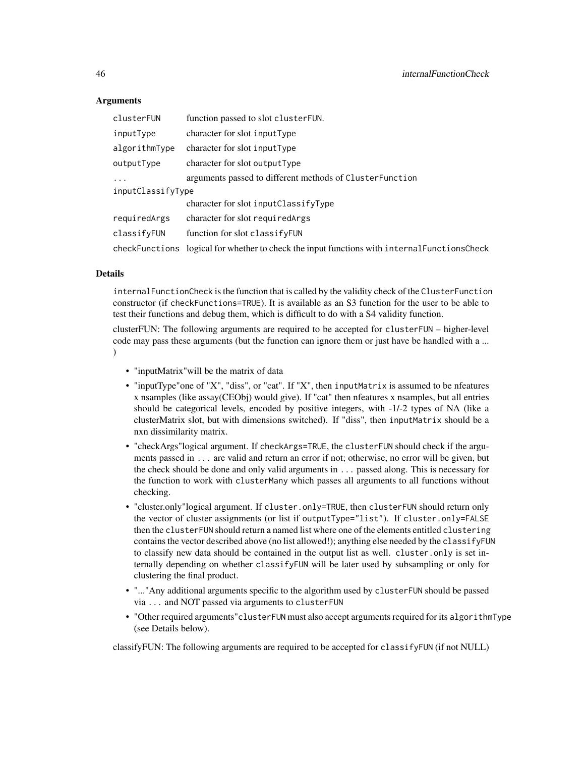# Arguments

| clusterFUN        | function passed to slot cluster FUN.                                           |  |
|-------------------|--------------------------------------------------------------------------------|--|
| inputType         | character for slot input Type                                                  |  |
| algorithmType     | character for slot inputType                                                   |  |
| outputType        | character for slot outputType                                                  |  |
| $\cdot$           | arguments passed to different methods of ClusterFunction                       |  |
| inputClassifyType |                                                                                |  |
|                   | character for slot inputClassifyType                                           |  |
| requiredArgs      | character for slot required Args                                               |  |
| classifyFUN       | function for slot classifyFUN                                                  |  |
| checkFunctions    | logical for whether to check the input functions with internal Functions Check |  |

# Details

internalFunctionCheck is the function that is called by the validity check of the ClusterFunction constructor (if checkFunctions=TRUE). It is available as an S3 function for the user to be able to test their functions and debug them, which is difficult to do with a S4 validity function.

clusterFUN: The following arguments are required to be accepted for clusterFUN – higher-level code may pass these arguments (but the function can ignore them or just have be handled with a ... )

- "inputMatrix"will be the matrix of data
- "inputType"one of "X", "diss", or "cat". If "X", then inputMatrix is assumed to be nfeatures x nsamples (like assay(CEObj) would give). If "cat" then nfeatures x nsamples, but all entries should be categorical levels, encoded by positive integers, with -1/-2 types of NA (like a clusterMatrix slot, but with dimensions switched). If "diss", then inputMatrix should be a nxn dissimilarity matrix.
- "checkArgs"logical argument. If checkArgs=TRUE, the clusterFUN should check if the arguments passed in ... are valid and return an error if not; otherwise, no error will be given, but the check should be done and only valid arguments in ... passed along. This is necessary for the function to work with clusterMany which passes all arguments to all functions without checking.
- "cluster.only"logical argument. If cluster.only=TRUE, then clusterFUN should return only the vector of cluster assignments (or list if outputType="list"). If cluster.only=FALSE then the clusterFUN should return a named list where one of the elements entitled clustering contains the vector described above (no list allowed!); anything else needed by the classifyFUN to classify new data should be contained in the output list as well. cluster.only is set internally depending on whether classifyFUN will be later used by subsampling or only for clustering the final product.
- "..."Any additional arguments specific to the algorithm used by clusterFUN should be passed via ... and NOT passed via arguments to clusterFUN
- "Other required arguments"clusterFUN must also accept arguments required for its algorithmType (see Details below).

classifyFUN: The following arguments are required to be accepted for classifyFUN (if not NULL)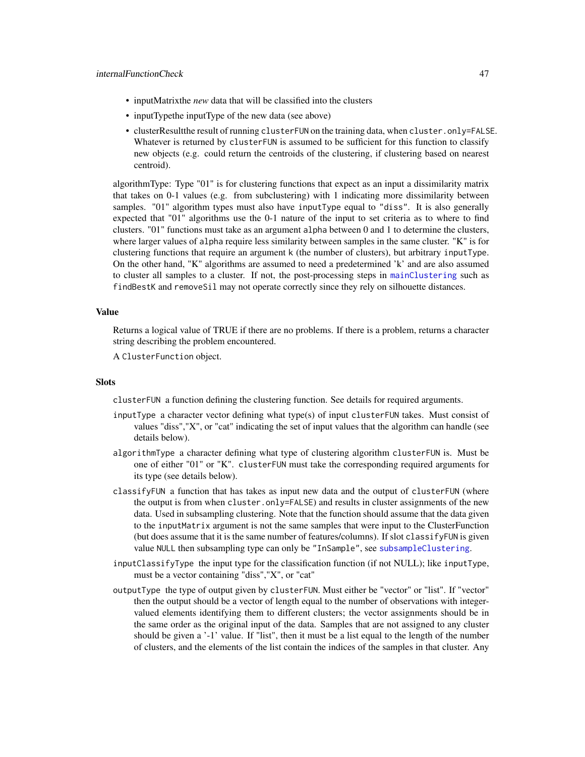- inputMatrixthe *new* data that will be classified into the clusters
- inputTypethe inputType of the new data (see above)
- clusterResultthe result of running clusterFUN on the training data, when cluster.only=FALSE. Whatever is returned by clusterFUN is assumed to be sufficient for this function to classify new objects (e.g. could return the centroids of the clustering, if clustering based on nearest centroid).

algorithmType: Type "01" is for clustering functions that expect as an input a dissimilarity matrix that takes on 0-1 values (e.g. from subclustering) with 1 indicating more dissimilarity between samples. "01" algorithm types must also have inputType equal to "diss". It is also generally expected that "01" algorithms use the 0-1 nature of the input to set criteria as to where to find clusters. "01" functions must take as an argument alpha between 0 and 1 to determine the clusters, where larger values of alpha require less similarity between samples in the same cluster. "K" is for clustering functions that require an argument k (the number of clusters), but arbitrary inputType. On the other hand, "K" algorithms are assumed to need a predetermined 'k' and are also assumed to cluster all samples to a cluster. If not, the post-processing steps in [mainClustering](#page-49-0) such as findBestK and removeSil may not operate correctly since they rely on silhouette distances.

### Value

Returns a logical value of TRUE if there are no problems. If there is a problem, returns a character string describing the problem encountered.

A ClusterFunction object.

#### **Slots**

clusterFUN a function defining the clustering function. See details for required arguments.

- inputType a character vector defining what type(s) of input clusterFUN takes. Must consist of values "diss","X", or "cat" indicating the set of input values that the algorithm can handle (see details below).
- algorithmType a character defining what type of clustering algorithm clusterFUN is. Must be one of either "01" or "K". clusterFUN must take the corresponding required arguments for its type (see details below).
- classifyFUN a function that has takes as input new data and the output of clusterFUN (where the output is from when cluster.only=FALSE) and results in cluster assignments of the new data. Used in subsampling clustering. Note that the function should assume that the data given to the inputMatrix argument is not the same samples that were input to the ClusterFunction (but does assume that it is the same number of features/columns). If slot classifyFUN is given value NULL then subsampling type can only be "InSample", see [subsampleClustering](#page-108-0).
- inputClassifyType the input type for the classification function (if not NULL); like inputType, must be a vector containing "diss","X", or "cat"
- outputType the type of output given by clusterFUN. Must either be "vector" or "list". If "vector" then the output should be a vector of length equal to the number of observations with integervalued elements identifying them to different clusters; the vector assignments should be in the same order as the original input of the data. Samples that are not assigned to any cluster should be given a '-1' value. If "list", then it must be a list equal to the length of the number of clusters, and the elements of the list contain the indices of the samples in that cluster. Any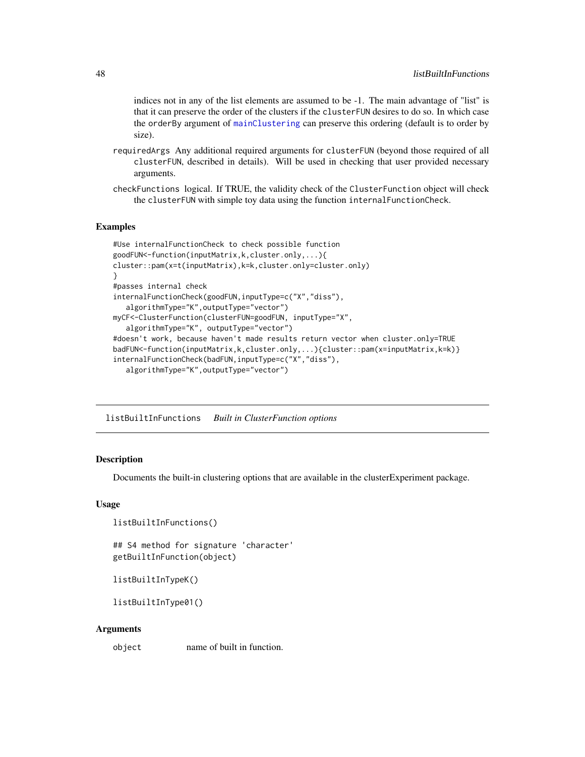indices not in any of the list elements are assumed to be -1. The main advantage of "list" is that it can preserve the order of the clusters if the clusterFUN desires to do so. In which case the orderBy argument of [mainClustering](#page-49-0) can preserve this ordering (default is to order by size).

- requiredArgs Any additional required arguments for clusterFUN (beyond those required of all clusterFUN, described in details). Will be used in checking that user provided necessary arguments.
- checkFunctions logical. If TRUE, the validity check of the ClusterFunction object will check the clusterFUN with simple toy data using the function internalFunctionCheck.

### Examples

```
#Use internalFunctionCheck to check possible function
goodFUN<-function(inputMatrix,k,cluster.only,...){
cluster::pam(x=t(inputMatrix),k=k,cluster.only=cluster.only)
}
#passes internal check
internalFunctionCheck(goodFUN,inputType=c("X","diss"),
   algorithmType="K",outputType="vector")
myCF<-ClusterFunction(clusterFUN=goodFUN, inputType="X",
   algorithmType="K", outputType="vector")
#doesn't work, because haven't made results return vector when cluster.only=TRUE
badFUN<-function(inputMatrix,k,cluster.only,...){cluster::pam(x=inputMatrix,k=k)}
internalFunctionCheck(badFUN,inputType=c("X","diss"),
   algorithmType="K",outputType="vector")
```
<span id="page-47-0"></span>listBuiltInFunctions *Built in ClusterFunction options*

# **Description**

Documents the built-in clustering options that are available in the clusterExperiment package.

# Usage

```
listBuiltInFunctions()
```
## S4 method for signature 'character' getBuiltInFunction(object)

```
listBuiltInTypeK()
```
listBuiltInType01()

#### Arguments

object name of built in function.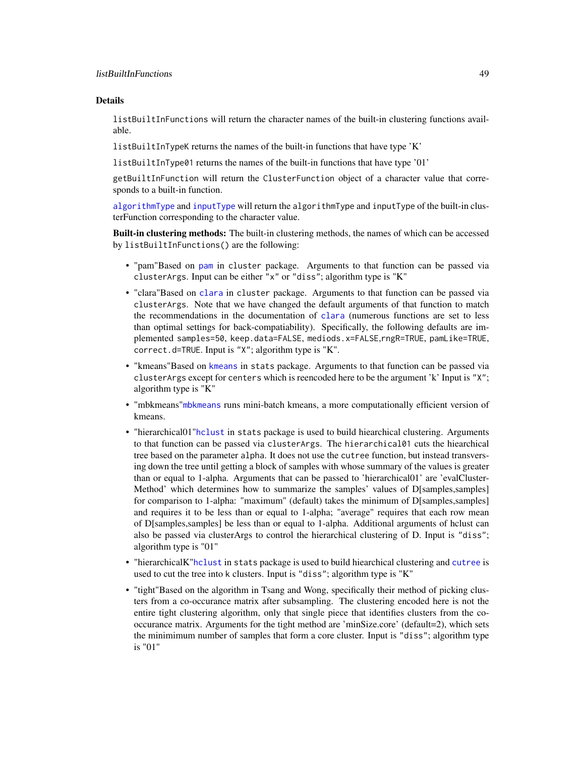listBuiltInFunctions will return the character names of the built-in clustering functions available.

listBuiltInTypeK returns the names of the built-in functions that have type 'K'

listBuiltInType01 returns the names of the built-in functions that have type '01'

getBuiltInFunction will return the ClusterFunction object of a character value that corresponds to a built-in function.

[algorithmType](#page-19-0) and [inputType](#page-19-0) will return the algorithmType and inputType of the built-in clusterFunction corresponding to the character value.

**Built-in clustering methods:** The built-in clustering methods, the names of which can be accessed by listBuiltInFunctions() are the following:

- "pam"Based on [pam](#page-0-0) in cluster package. Arguments to that function can be passed via clusterArgs. Input can be either "x" or "diss"; algorithm type is "K"
- "clara"Based on [clara](#page-0-0) in cluster package. Arguments to that function can be passed via clusterArgs. Note that we have changed the default arguments of that function to match the recommendations in the documentation of [clara](#page-0-0) (numerous functions are set to less than optimal settings for back-compatiability). Specifically, the following defaults are implemented samples=50, keep.data=FALSE, mediods.x=FALSE,rngR=TRUE, pamLike=TRUE, correct.d=TRUE. Input is "X"; algorithm type is "K".
- "kmeans"Based on [kmeans](#page-0-0) in stats package. Arguments to that function can be passed via clusterArgs except for centers which is reencoded here to be the argument 'k' Input is "X"; algorithm type is "K"
- "mbkmeans"[mbkmeans](#page-0-0) runs mini-batch kmeans, a more computationally efficient version of kmeans.
- "hierarchical01"[hclust](#page-0-0) in stats package is used to build hiearchical clustering. Arguments to that function can be passed via clusterArgs. The hierarchical01 cuts the hiearchical tree based on the parameter alpha. It does not use the cutree function, but instead transversing down the tree until getting a block of samples with whose summary of the values is greater than or equal to 1-alpha. Arguments that can be passed to 'hierarchical01' are 'evalCluster-Method' which determines how to summarize the samples' values of D[samples,samples] for comparison to 1-alpha: "maximum" (default) takes the minimum of D[samples,samples] and requires it to be less than or equal to 1-alpha; "average" requires that each row mean of D[samples,samples] be less than or equal to 1-alpha. Additional arguments of hclust can also be passed via clusterArgs to control the hierarchical clustering of D. Input is "diss"; algorithm type is "01"
- "hierarchicalK"[hclust](#page-0-0) in stats package is used to build hiearchical clustering and [cutree](#page-0-0) is used to cut the tree into k clusters. Input is "diss"; algorithm type is "K"
- "tight"Based on the algorithm in Tsang and Wong, specifically their method of picking clusters from a co-occurance matrix after subsampling. The clustering encoded here is not the entire tight clustering algorithm, only that single piece that identifies clusters from the cooccurance matrix. Arguments for the tight method are 'minSize.core' (default=2), which sets the minimimum number of samples that form a core cluster. Input is "diss"; algorithm type is "01"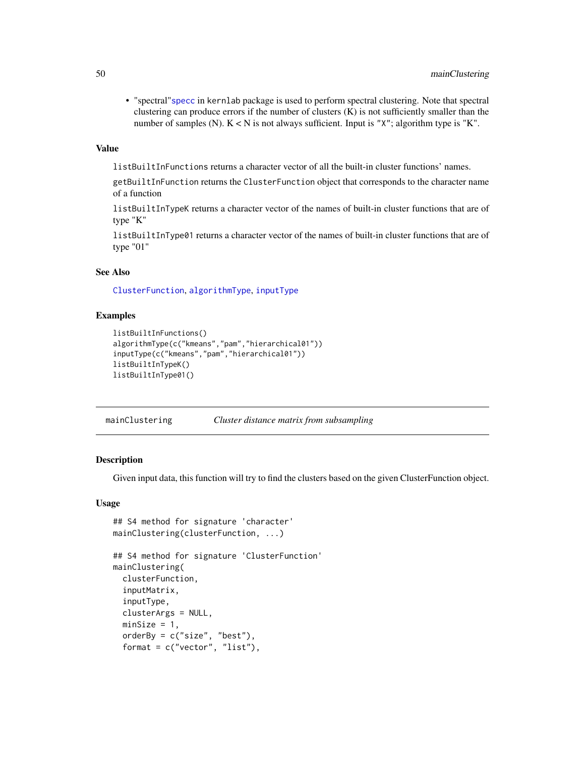• "spectral"[specc](#page-0-0) in kernlab package is used to perform spectral clustering. Note that spectral clustering can produce errors if the number of clusters (K) is not sufficiently smaller than the number of samples (N).  $K < N$  is not always sufficient. Input is "X"; algorithm type is "K".

#### Value

listBuiltInFunctions returns a character vector of all the built-in cluster functions' names.

getBuiltInFunction returns the ClusterFunction object that corresponds to the character name of a function

listBuiltInTypeK returns a character vector of the names of built-in cluster functions that are of type "K"

listBuiltInType01 returns a character vector of the names of built-in cluster functions that are of type "01"

## See Also

[ClusterFunction](#page-44-0), [algorithmType](#page-19-0), [inputType](#page-19-0)

# Examples

```
listBuiltInFunctions()
algorithmType(c("kmeans","pam","hierarchical01"))
inputType(c("kmeans","pam","hierarchical01"))
listBuiltInTypeK()
listBuiltInType01()
```
<span id="page-49-0"></span>mainClustering *Cluster distance matrix from subsampling*

### Description

Given input data, this function will try to find the clusters based on the given ClusterFunction object.

#### Usage

```
## S4 method for signature 'character'
mainClustering(clusterFunction, ...)
```

```
## S4 method for signature 'ClusterFunction'
mainClustering(
  clusterFunction,
  inputMatrix,
  inputType,
  clusterArgs = NULL,
  minSize = 1,
  orderBy = c("size", "best"),
  format = c("vector", "list"),
```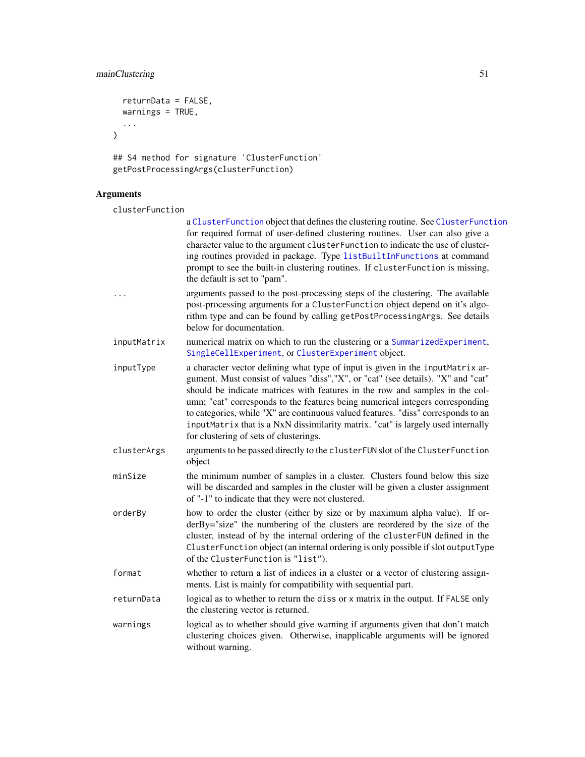# mainClustering 51

```
returnData = FALSE,
  warnings = TRUE,
  ...
\mathcal{L}
```

```
## S4 method for signature 'ClusterFunction'
getPostProcessingArgs(clusterFunction)
```
# Arguments

clusterFunction

|             | a ClusterFunction object that defines the clustering routine. See ClusterFunction<br>for required format of user-defined clustering routines. User can also give a<br>character value to the argument clusterFunction to indicate the use of cluster-<br>ing routines provided in package. Type listBuiltInFunctions at command<br>prompt to see the built-in clustering routines. If clusterFunction is missing,<br>the default is set to "pam".                                                                                                       |
|-------------|---------------------------------------------------------------------------------------------------------------------------------------------------------------------------------------------------------------------------------------------------------------------------------------------------------------------------------------------------------------------------------------------------------------------------------------------------------------------------------------------------------------------------------------------------------|
| .           | arguments passed to the post-processing steps of the clustering. The available<br>post-processing arguments for a ClusterFunction object depend on it's algo-<br>rithm type and can be found by calling getPostProcessingArgs. See details<br>below for documentation.                                                                                                                                                                                                                                                                                  |
| inputMatrix | numerical matrix on which to run the clustering or a SummarizedExperiment,<br>SingleCellExperiment, or ClusterExperiment object.                                                                                                                                                                                                                                                                                                                                                                                                                        |
| inputType   | a character vector defining what type of input is given in the inputMatrix ar-<br>gument. Must consist of values "diss", "X", or "cat" (see details). "X" and "cat"<br>should be indicate matrices with features in the row and samples in the col-<br>umn; "cat" corresponds to the features being numerical integers corresponding<br>to categories, while "X" are continuous valued features. "diss" corresponds to an<br>inputMatrix that is a NxN dissimilarity matrix. "cat" is largely used internally<br>for clustering of sets of clusterings. |
| clusterArgs | arguments to be passed directly to the clusterFUN slot of the ClusterFunction<br>object                                                                                                                                                                                                                                                                                                                                                                                                                                                                 |
| minSize     | the minimum number of samples in a cluster. Clusters found below this size<br>will be discarded and samples in the cluster will be given a cluster assignment<br>of "-1" to indicate that they were not clustered.                                                                                                                                                                                                                                                                                                                                      |
| orderBy     | how to order the cluster (either by size or by maximum alpha value). If or-<br>derBy="size" the numbering of the clusters are reordered by the size of the<br>cluster, instead of by the internal ordering of the clusterFUN defined in the<br>ClusterFunction object (an internal ordering is only possible if slot outputType<br>of the ClusterFunction is "list").                                                                                                                                                                                   |
| format      | whether to return a list of indices in a cluster or a vector of clustering assign-<br>ments. List is mainly for compatibility with sequential part.                                                                                                                                                                                                                                                                                                                                                                                                     |
| returnData  | logical as to whether to return the diss or x matrix in the output. If FALSE only<br>the clustering vector is returned.                                                                                                                                                                                                                                                                                                                                                                                                                                 |
| warnings    | logical as to whether should give warning if arguments given that don't match<br>clustering choices given. Otherwise, inapplicable arguments will be ignored<br>without warning.                                                                                                                                                                                                                                                                                                                                                                        |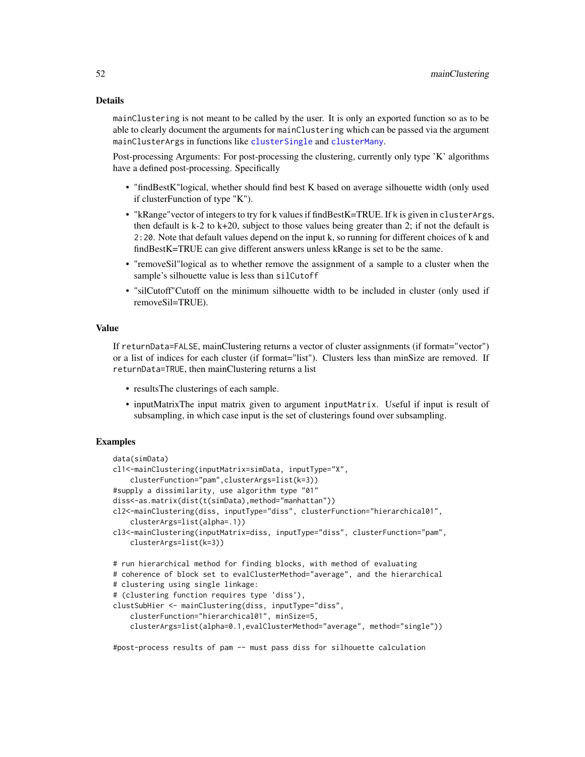mainClustering is not meant to be called by the user. It is only an exported function so as to be able to clearly document the arguments for mainClustering which can be passed via the argument mainClusterArgs in functions like [clusterSingle](#page-26-0) and [clusterMany](#page-21-0).

Post-processing Arguments: For post-processing the clustering, currently only type 'K' algorithms have a defined post-processing. Specifically

- "findBestK"logical, whether should find best K based on average silhouette width (only used if clusterFunction of type "K").
- "kRange"vector of integers to try for k values if findBestK=TRUE. If k is given in clusterArgs, then default is  $k-2$  to  $k+20$ , subject to those values being greater than 2; if not the default is 2:20. Note that default values depend on the input k, so running for different choices of k and findBestK=TRUE can give different answers unless kRange is set to be the same.
- "removeSil"logical as to whether remove the assignment of a sample to a cluster when the sample's silhouette value is less than silCutoff
- "silCutoff"Cutoff on the minimum silhouette width to be included in cluster (only used if removeSil=TRUE).

#### Value

If returnData=FALSE, mainClustering returns a vector of cluster assignments (if format="vector") or a list of indices for each cluster (if format="list"). Clusters less than minSize are removed. If returnData=TRUE, then mainClustering returns a list

- resultsThe clusterings of each sample.
- inputMatrixThe input matrix given to argument inputMatrix. Useful if input is result of subsampling, in which case input is the set of clusterings found over subsampling.

### Examples

```
data(simData)
cl1<-mainClustering(inputMatrix=simData, inputType="X",
    clusterFunction="pam",clusterArgs=list(k=3))
#supply a dissimilarity, use algorithm type "01"
diss<-as.matrix(dist(t(simData),method="manhattan"))
cl2<-mainClustering(diss, inputType="diss", clusterFunction="hierarchical01",
    clusterArgs=list(alpha=.1))
cl3<-mainClustering(inputMatrix=diss, inputType="diss", clusterFunction="pam",
    clusterArgs=list(k=3))
# run hierarchical method for finding blocks, with method of evaluating
# coherence of block set to evalClusterMethod="average", and the hierarchical
# clustering using single linkage:
# (clustering function requires type 'diss'),
clustSubHier <- mainClustering(diss, inputType="diss",
    clusterFunction="hierarchical01", minSize=5,
    clusterArgs=list(alpha=0.1,evalClusterMethod="average", method="single"))
```
#post-process results of pam -- must pass diss for silhouette calculation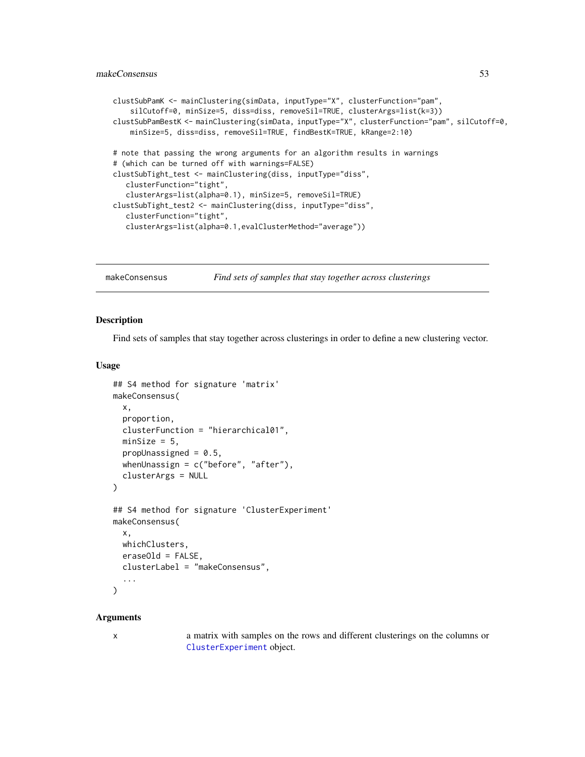# makeConsensus 53

```
clustSubPamK <- mainClustering(simData, inputType="X", clusterFunction="pam",
    silCutoff=0, minSize=5, diss=diss, removeSil=TRUE, clusterArgs=list(k=3))
clustSubPamBestK <- mainClustering(simData, inputType="X", clusterFunction="pam", silCutoff=0,
   minSize=5, diss=diss, removeSil=TRUE, findBestK=TRUE, kRange=2:10)
# note that passing the wrong arguments for an algorithm results in warnings
# (which can be turned off with warnings=FALSE)
clustSubTight_test <- mainClustering(diss, inputType="diss",
  clusterFunction="tight",
  clusterArgs=list(alpha=0.1), minSize=5, removeSil=TRUE)
clustSubTight_test2 <- mainClustering(diss, inputType="diss",
  clusterFunction="tight",
  clusterArgs=list(alpha=0.1,evalClusterMethod="average"))
```
makeConsensus *Find sets of samples that stay together across clusterings*

#### Description

Find sets of samples that stay together across clusterings in order to define a new clustering vector.

# Usage

```
## S4 method for signature 'matrix'
makeConsensus(
 x,
 proportion,
  clusterFunction = "hierarchical01",
 minSize = 5,
 propUnassigned = 0.5,
 whenUnassign = c("before", "after"),
  clusterArgs = NULL
\lambda## S4 method for signature 'ClusterExperiment'
makeConsensus(
 x,
 whichClusters,
 eraseOld = FALSE,
 clusterLabel = "makeConsensus",
  ...
)
```
#### Arguments

x a matrix with samples on the rows and different clusterings on the columns or [ClusterExperiment](#page-10-0) object.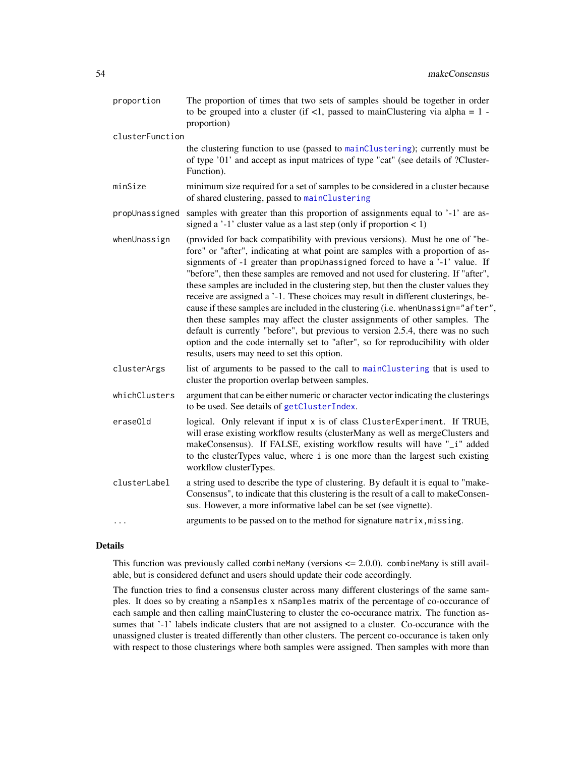| proportion      | The proportion of times that two sets of samples should be together in order<br>to be grouped into a cluster (if $\langle 1$ , passed to mainClustering via alpha = 1 -<br>proportion)                                                                                                                                                                                                                                                                                                                                                                                                                                                                                                                                                                                                                                                                                                                      |
|-----------------|-------------------------------------------------------------------------------------------------------------------------------------------------------------------------------------------------------------------------------------------------------------------------------------------------------------------------------------------------------------------------------------------------------------------------------------------------------------------------------------------------------------------------------------------------------------------------------------------------------------------------------------------------------------------------------------------------------------------------------------------------------------------------------------------------------------------------------------------------------------------------------------------------------------|
| clusterFunction |                                                                                                                                                                                                                                                                                                                                                                                                                                                                                                                                                                                                                                                                                                                                                                                                                                                                                                             |
|                 | the clustering function to use (passed to mainClustering); currently must be<br>of type '01' and accept as input matrices of type "cat" (see details of ?Cluster-<br>Function).                                                                                                                                                                                                                                                                                                                                                                                                                                                                                                                                                                                                                                                                                                                             |
| minSize         | minimum size required for a set of samples to be considered in a cluster because<br>of shared clustering, passed to mainClustering                                                                                                                                                                                                                                                                                                                                                                                                                                                                                                                                                                                                                                                                                                                                                                          |
| propUnassigned  | samples with greater than this proportion of assignments equal to '-1' are as-<br>signed a '-1' cluster value as a last step (only if proportion $\lt 1$ )                                                                                                                                                                                                                                                                                                                                                                                                                                                                                                                                                                                                                                                                                                                                                  |
| whenUnassign    | (provided for back compatibility with previous versions). Must be one of "be-<br>fore" or "after", indicating at what point are samples with a proportion of as-<br>signments of -1 greater than propUnassigned forced to have a '-1' value. If<br>"before", then these samples are removed and not used for clustering. If "after",<br>these samples are included in the clustering step, but then the cluster values they<br>receive are assigned a '-1. These choices may result in different clusterings, be-<br>cause if these samples are included in the clustering (i.e. whenUnassign="after",<br>then these samples may affect the cluster assignments of other samples. The<br>default is currently "before", but previous to version 2.5.4, there was no such<br>option and the code internally set to "after", so for reproducibility with older<br>results, users may need to set this option. |
| clusterArgs     | list of arguments to be passed to the call to mainClustering that is used to<br>cluster the proportion overlap between samples.                                                                                                                                                                                                                                                                                                                                                                                                                                                                                                                                                                                                                                                                                                                                                                             |
| whichClusters   | argument that can be either numeric or character vector indicating the clusterings<br>to be used. See details of getClusterIndex.                                                                                                                                                                                                                                                                                                                                                                                                                                                                                                                                                                                                                                                                                                                                                                           |
| erase01d        | logical. Only relevant if input x is of class ClusterExperiment. If TRUE,<br>will erase existing workflow results (clusterMany as well as mergeClusters and<br>makeConsensus). If FALSE, existing workflow results will have "_i" added<br>to the clusterTypes value, where i is one more than the largest such existing<br>workflow clusterTypes.                                                                                                                                                                                                                                                                                                                                                                                                                                                                                                                                                          |
| clusterLabel    | a string used to describe the type of clustering. By default it is equal to "make-<br>Consensus", to indicate that this clustering is the result of a call to makeConsen-<br>sus. However, a more informative label can be set (see vignette).                                                                                                                                                                                                                                                                                                                                                                                                                                                                                                                                                                                                                                                              |
|                 | arguments to be passed on to the method for signature matrix, missing.                                                                                                                                                                                                                                                                                                                                                                                                                                                                                                                                                                                                                                                                                                                                                                                                                                      |

This function was previously called combineMany (versions  $\leq$  2.0.0). combineMany is still available, but is considered defunct and users should update their code accordingly.

The function tries to find a consensus cluster across many different clusterings of the same samples. It does so by creating a nSamples x nSamples matrix of the percentage of co-occurance of each sample and then calling mainClustering to cluster the co-occurance matrix. The function assumes that '-1' labels indicate clusters that are not assigned to a cluster. Co-occurance with the unassigned cluster is treated differently than other clusters. The percent co-occurance is taken only with respect to those clusterings where both samples were assigned. Then samples with more than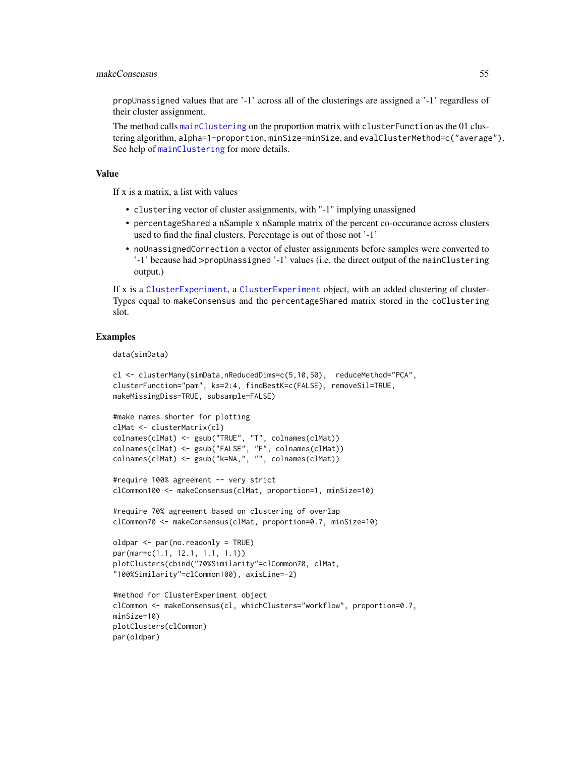### makeConsensus 55

propUnassigned values that are '-1' across all of the clusterings are assigned a '-1' regardless of their cluster assignment.

The method calls [mainClustering](#page-49-0) on the proportion matrix with clusterFunction as the 01 clustering algorithm, alpha=1-proportion, minSize=minSize, and evalClusterMethod=c("average"). See help of [mainClustering](#page-49-0) for more details.

# Value

If x is a matrix, a list with values

- clustering vector of cluster assignments, with "-1" implying unassigned
- percentageShared a nSample x nSample matrix of the percent co-occurance across clusters used to find the final clusters. Percentage is out of those not '-1'
- noUnassignedCorrection a vector of cluster assignments before samples were converted to '-1' because had >propUnassigned '-1' values (i.e. the direct output of the mainClustering output.)

If x is a [ClusterExperiment](#page-10-0), a [ClusterExperiment](#page-10-0) object, with an added clustering of cluster-Types equal to makeConsensus and the percentageShared matrix stored in the coClustering slot.

## Examples

data(simData)

```
cl <- clusterMany(simData,nReducedDims=c(5,10,50), reduceMethod="PCA",
clusterFunction="pam", ks=2:4, findBestK=c(FALSE), removeSil=TRUE,
makeMissingDiss=TRUE, subsample=FALSE)
```

```
#make names shorter for plotting
clMat <- clusterMatrix(cl)
colnames(clMat) <- gsub("TRUE", "T", colnames(clMat))
colnames(clMat) <- gsub("FALSE", "F", colnames(clMat))
colnames(clMat) <- gsub("k=NA,", "", colnames(clMat))
```

```
#require 100% agreement -- very strict
clCommon100 <- makeConsensus(clMat, proportion=1, minSize=10)
```

```
#require 70% agreement based on clustering of overlap
clCommon70 <- makeConsensus(clMat, proportion=0.7, minSize=10)
```

```
oldpar <- par(no.readonly = TRUE)
par(mar=c(1.1, 12.1, 1.1, 1.1))
plotClusters(cbind("70%Similarity"=clCommon70, clMat,
"100%Similarity"=clCommon100), axisLine=-2)
```

```
#method for ClusterExperiment object
clCommon <- makeConsensus(cl, whichClusters="workflow", proportion=0.7,
minSize=10)
plotClusters(clCommon)
par(oldpar)
```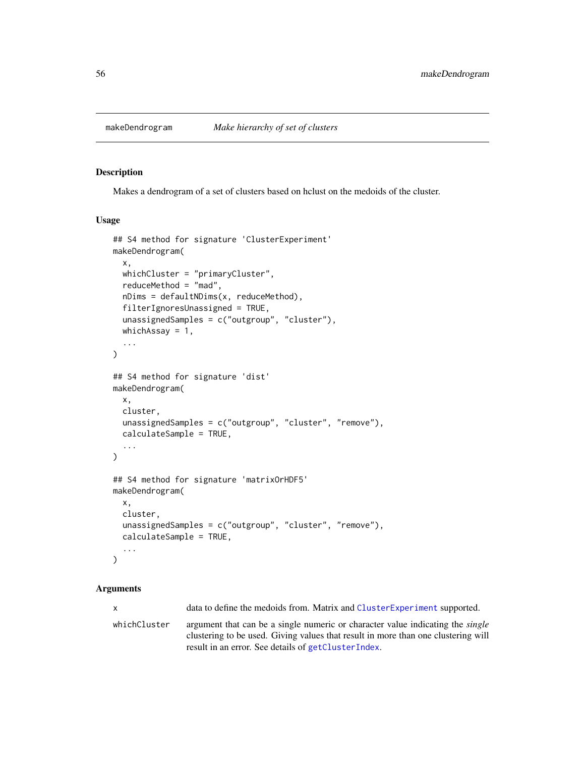#### <span id="page-55-0"></span>Description

Makes a dendrogram of a set of clusters based on hclust on the medoids of the cluster.

# Usage

```
## S4 method for signature 'ClusterExperiment'
makeDendrogram(
  x,
 whichCluster = "primaryCluster",
  reduceMethod = "mad",
  nDims = defaultNDims(x, reduceMethod),
  filterIgnoresUnassigned = TRUE,
  unassignedSamples = c("outgroup", "cluster"),
  whichAssay = 1,
  ...
)
## S4 method for signature 'dist'
makeDendrogram(
 x,
 cluster,
 unassignedSamples = c("outgroup", "cluster", "remove"),
  calculateSample = TRUE,
  ...
\lambda## S4 method for signature 'matrixOrHDF5'
makeDendrogram(
  x,
  cluster,
  unassignedSamples = c("outgroup", "cluster", "remove"),
  calculateSample = TRUE,
  ...
\lambda
```
# Arguments

x data to define the medoids from. Matrix and [ClusterExperiment](#page-10-0) supported.

whichCluster argument that can be a single numeric or character value indicating the *single* clustering to be used. Giving values that result in more than one clustering will result in an error. See details of [getClusterIndex](#page-36-0).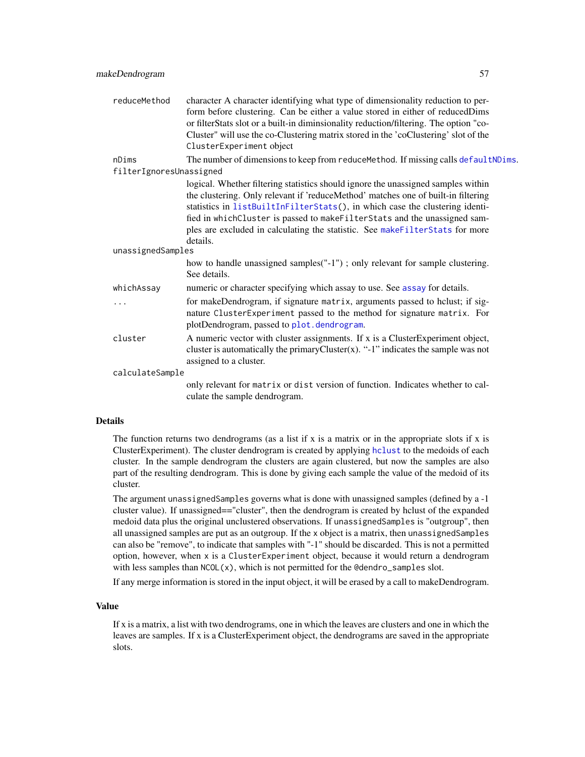| reduceMethod            | character A character identifying what type of dimensionality reduction to per-<br>form before clustering. Can be either a value stored in either of reducedDims<br>or filterStats slot or a built-in diminsionality reduction/filtering. The option "co-                                                                                                                                                                       |  |
|-------------------------|---------------------------------------------------------------------------------------------------------------------------------------------------------------------------------------------------------------------------------------------------------------------------------------------------------------------------------------------------------------------------------------------------------------------------------|--|
|                         | Cluster" will use the co-Clustering matrix stored in the 'coClustering' slot of the<br>ClusterExperiment object                                                                                                                                                                                                                                                                                                                 |  |
| nDims                   | The number of dimensions to keep from reduceMethod. If missing calls defaultNDims.                                                                                                                                                                                                                                                                                                                                              |  |
| filterIgnoresUnassigned |                                                                                                                                                                                                                                                                                                                                                                                                                                 |  |
|                         | logical. Whether filtering statistics should ignore the unassigned samples within<br>the clustering. Only relevant if 'reduceMethod' matches one of built-in filtering<br>statistics in listBuiltInFilterStats(), in which case the clustering identi-<br>fied in whichCluster is passed to makeFilterStats and the unassigned sam-<br>ples are excluded in calculating the statistic. See makeFilterStats for more<br>details. |  |
| unassignedSamples       |                                                                                                                                                                                                                                                                                                                                                                                                                                 |  |
|                         | how to handle unassigned samples("-1"); only relevant for sample clustering.<br>See details.                                                                                                                                                                                                                                                                                                                                    |  |
| whichAssay              | numeric or character specifying which assay to use. See assay for details.                                                                                                                                                                                                                                                                                                                                                      |  |
| .                       | for makeDendrogram, if signature matrix, arguments passed to hclust; if sig-<br>nature ClusterExperiment passed to the method for signature matrix. For<br>plotDendrogram, passed to plot.dendrogram.                                                                                                                                                                                                                           |  |
| cluster                 | A numeric vector with cluster assignments. If x is a ClusterExperiment object,<br>cluster is automatically the primary Cluster $(x)$ . "-1" indicates the sample was not<br>assigned to a cluster.                                                                                                                                                                                                                              |  |
| calculateSample         |                                                                                                                                                                                                                                                                                                                                                                                                                                 |  |
|                         | only relevant for matrix or dist version of function. Indicates whether to cal-<br>culate the sample dendrogram.                                                                                                                                                                                                                                                                                                                |  |

The function returns two dendrograms (as a list if x is a matrix or in the appropriate slots if x is ClusterExperiment). The cluster dendrogram is created by applying [hclust](#page-0-0) to the medoids of each cluster. In the sample dendrogram the clusters are again clustered, but now the samples are also part of the resulting dendrogram. This is done by giving each sample the value of the medoid of its cluster.

The argument unassignedSamples governs what is done with unassigned samples (defined by a -1 cluster value). If unassigned=="cluster", then the dendrogram is created by hclust of the expanded medoid data plus the original unclustered observations. If unassignedSamples is "outgroup", then all unassigned samples are put as an outgroup. If the x object is a matrix, then unassignedSamples can also be "remove", to indicate that samples with "-1" should be discarded. This is not a permitted option, however, when x is a ClusterExperiment object, because it would return a dendrogram with less samples than  $NCOL(x)$ , which is not permitted for the @dendro\_samples slot.

If any merge information is stored in the input object, it will be erased by a call to makeDendrogram.

# Value

If x is a matrix, a list with two dendrograms, one in which the leaves are clusters and one in which the leaves are samples. If x is a ClusterExperiment object, the dendrograms are saved in the appropriate slots.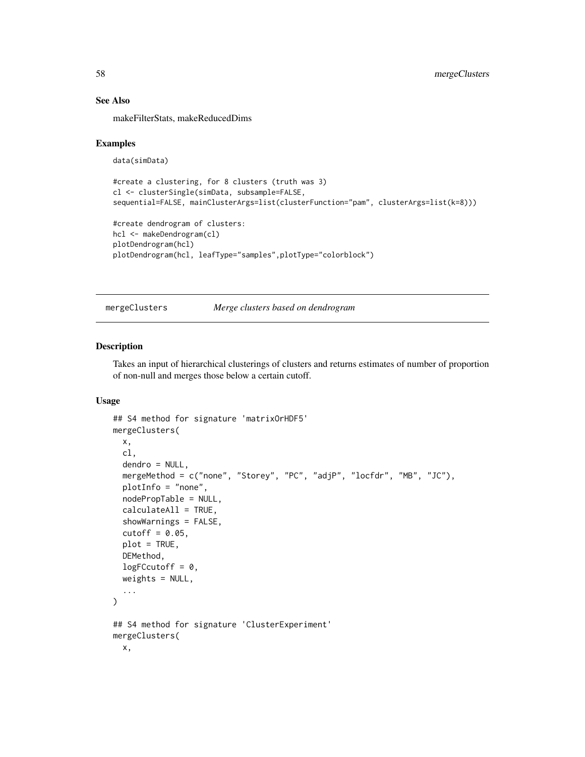# See Also

makeFilterStats, makeReducedDims

# Examples

```
data(simData)
```

```
#create a clustering, for 8 clusters (truth was 3)
cl <- clusterSingle(simData, subsample=FALSE,
sequential=FALSE, mainClusterArgs=list(clusterFunction="pam", clusterArgs=list(k=8)))
```

```
#create dendrogram of clusters:
hcl <- makeDendrogram(cl)
plotDendrogram(hcl)
plotDendrogram(hcl, leafType="samples",plotType="colorblock")
```
<span id="page-57-0"></span>mergeClusters *Merge clusters based on dendrogram*

# Description

Takes an input of hierarchical clusterings of clusters and returns estimates of number of proportion of non-null and merges those below a certain cutoff.

### Usage

```
## S4 method for signature 'matrixOrHDF5'
mergeClusters(
 x,
 cl,
  dendro = NULL,
 mergeMethod = c("none", "Storey", "PC", "adjP", "locfdr", "MB", "JC"),
 plotInfo = "none",
 nodePropTable = NULL,
  calculateAll = TRUE,
  showWarnings = FALSE,
 cutoff = 0.05,
 plot = TRUE,
 DEMethod,
  logFCcutoff = 0,
 weights = NULL,
  ...
)
## S4 method for signature 'ClusterExperiment'
mergeClusters(
 x,
```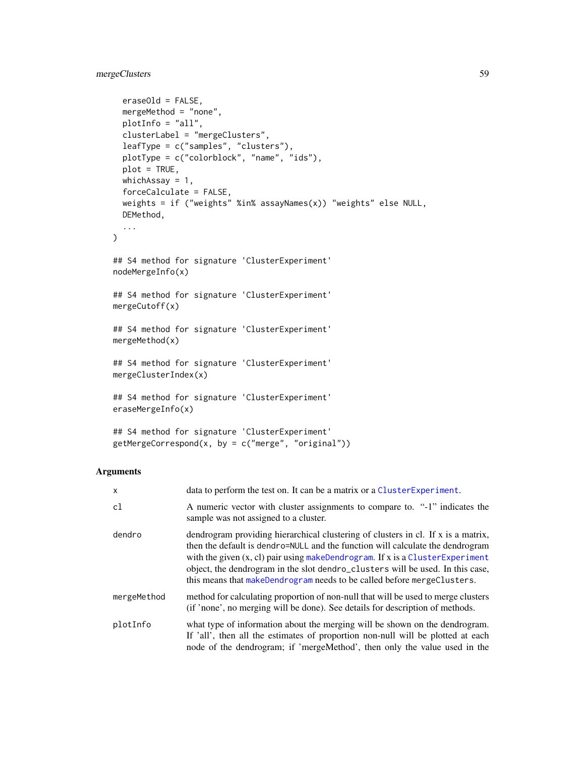# mergeClusters 59

```
eraseOld = FALSE,
 mergeMethod = "none",
 plotInfo = "all",
 clusterLabel = "mergeClusters",
  leafType = c("samples", "clusters"),
  plotType = c("colorblock", "name", "ids"),
 plot = TRUE,
 whichAssay = 1,
  forceCalculate = FALSE,
 weights = if ("weights" %in% assayNames(x)) "weights" else NULL,
 DEMethod,
  ...
\mathcal{L}## S4 method for signature 'ClusterExperiment'
nodeMergeInfo(x)
## S4 method for signature 'ClusterExperiment'
mergeCutoff(x)
## S4 method for signature 'ClusterExperiment'
mergeMethod(x)
## S4 method for signature 'ClusterExperiment'
mergeClusterIndex(x)
## S4 method for signature 'ClusterExperiment'
eraseMergeInfo(x)
## S4 method for signature 'ClusterExperiment'
```
 $getMergeCorrespond(x, by = c("merge", "original"))$ 

#### Arguments

| $\mathsf{x}$ | data to perform the test on. It can be a matrix or a ClusterExperiment.                                                                                                                                                                                                                                                                                                                                            |
|--------------|--------------------------------------------------------------------------------------------------------------------------------------------------------------------------------------------------------------------------------------------------------------------------------------------------------------------------------------------------------------------------------------------------------------------|
| cl           | A numeric vector with cluster assignments to compare to. "-1" indicates the<br>sample was not assigned to a cluster.                                                                                                                                                                                                                                                                                               |
| dendro       | dendrogram providing hierarchical clustering of clusters in cl. If x is a matrix,<br>then the default is dendro=NULL and the function will calculate the dendrogram<br>with the given $(x, c)$ pair using makeDendrogram. If x is a ClusterExperiment<br>object, the dendrogram in the slot dendro_clusters will be used. In this case,<br>this means that makeDendrogram needs to be called before mergeClusters. |
| mergeMethod  | method for calculating proportion of non-null that will be used to merge clusters<br>(if 'none', no merging will be done). See details for description of methods.                                                                                                                                                                                                                                                 |
| plotInfo     | what type of information about the merging will be shown on the dendrogram.<br>If 'all', then all the estimates of proportion non-null will be plotted at each<br>node of the dendrogram; if 'mergeMethod', then only the value used in the                                                                                                                                                                        |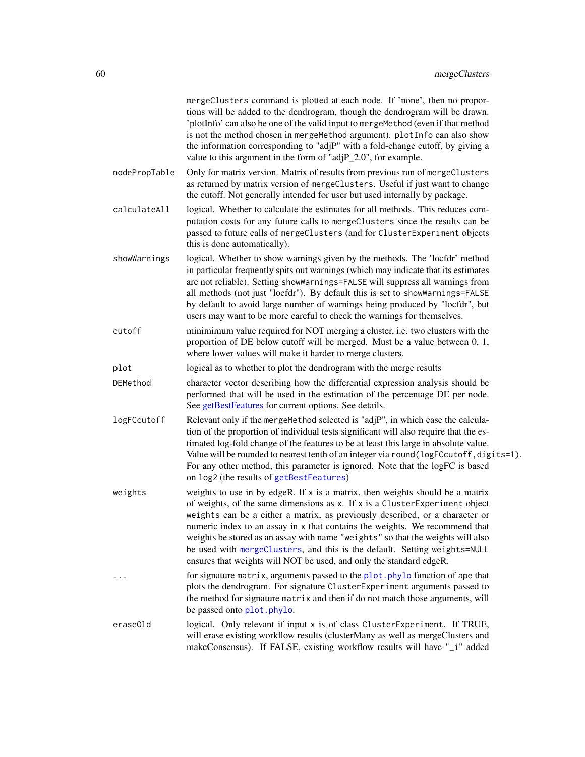|               | mergeClusters command is plotted at each node. If 'none', then no propor-<br>tions will be added to the dendrogram, though the dendrogram will be drawn.<br>'plotInfo' can also be one of the valid input to mergeMethod (even if that method<br>is not the method chosen in mergeMethod argument). plotInfo can also show<br>the information corresponding to "adjP" with a fold-change cutoff, by giving a<br>value to this argument in the form of "adjP_2.0", for example.                                                                                     |
|---------------|--------------------------------------------------------------------------------------------------------------------------------------------------------------------------------------------------------------------------------------------------------------------------------------------------------------------------------------------------------------------------------------------------------------------------------------------------------------------------------------------------------------------------------------------------------------------|
| nodePropTable | Only for matrix version. Matrix of results from previous run of mergeClusters<br>as returned by matrix version of mergeClusters. Useful if just want to change<br>the cutoff. Not generally intended for user but used internally by package.                                                                                                                                                                                                                                                                                                                      |
| calculateAll  | logical. Whether to calculate the estimates for all methods. This reduces com-<br>putation costs for any future calls to mergeClusters since the results can be<br>passed to future calls of mergeClusters (and for ClusterExperiment objects<br>this is done automatically).                                                                                                                                                                                                                                                                                      |
| showWarnings  | logical. Whether to show warnings given by the methods. The 'locfdr' method<br>in particular frequently spits out warnings (which may indicate that its estimates<br>are not reliable). Setting showWarnings=FALSE will suppress all warnings from<br>all methods (not just "locfdr"). By default this is set to showWarnings=FALSE<br>by default to avoid large number of warnings being produced by "locfdr", but<br>users may want to be more careful to check the warnings for themselves.                                                                     |
| cutoff        | minimimum value required for NOT merging a cluster, i.e. two clusters with the<br>proportion of DE below cutoff will be merged. Must be a value between 0, 1,<br>where lower values will make it harder to merge clusters.                                                                                                                                                                                                                                                                                                                                         |
| plot          | logical as to whether to plot the dendrogram with the merge results                                                                                                                                                                                                                                                                                                                                                                                                                                                                                                |
| DEMethod      | character vector describing how the differential expression analysis should be<br>performed that will be used in the estimation of the percentage DE per node.<br>See getBestFeatures for current options. See details.                                                                                                                                                                                                                                                                                                                                            |
| logFCcutoff   | Relevant only if the mergeMethod selected is "adjP", in which case the calcula-<br>tion of the proportion of individual tests significant will also require that the es-<br>timated log-fold change of the features to be at least this large in absolute value.<br>Value will be rounded to nearest tenth of an integer via round(logFCcutoff, digits=1).<br>For any other method, this parameter is ignored. Note that the logFC is based<br>on log2 (the results of getBestFeatures)                                                                            |
| weights       | weights to use in by edgeR. If x is a matrix, then weights should be a matrix<br>of weights, of the same dimensions as x. If x is a ClusterExperiment object<br>weights can be a either a matrix, as previously described, or a character or<br>numeric index to an assay in x that contains the weights. We recommend that<br>weights be stored as an assay with name "weights" so that the weights will also<br>be used with mergeClusters, and this is the default. Setting weights=NULL<br>ensures that weights will NOT be used, and only the standard edgeR. |
|               | for signature matrix, arguments passed to the plot. phylo function of ape that<br>plots the dendrogram. For signature ClusterExperiment arguments passed to<br>the method for signature matrix and then if do not match those arguments, will<br>be passed onto plot.phylo.                                                                                                                                                                                                                                                                                        |
| eraseOld      | logical. Only relevant if input x is of class ClusterExperiment. If TRUE,<br>will erase existing workflow results (clusterMany as well as mergeClusters and<br>makeConsensus). If FALSE, existing workflow results will have "_i" added                                                                                                                                                                                                                                                                                                                            |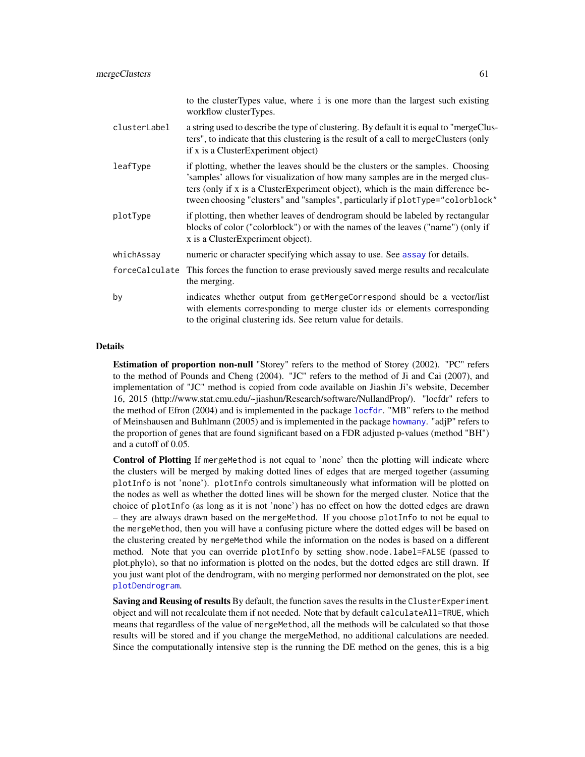|                | to the cluster Types value, where i is one more than the largest such existing<br>workflow clusterTypes.                                                                                                                                                                                                                                |
|----------------|-----------------------------------------------------------------------------------------------------------------------------------------------------------------------------------------------------------------------------------------------------------------------------------------------------------------------------------------|
| clusterLabel   | a string used to describe the type of clustering. By default it is equal to "mergeClus-<br>ters", to indicate that this clustering is the result of a call to mergeClusters (only<br>if x is a ClusterExperiment object)                                                                                                                |
| leafType       | if plotting, whether the leaves should be the clusters or the samples. Choosing<br>'samples' allows for visualization of how many samples are in the merged clus-<br>ters (only if x is a ClusterExperiment object), which is the main difference be-<br>tween choosing "clusters" and "samples", particularly if plotType="colorblock" |
| plotType       | if plotting, then whether leaves of dendrogram should be labeled by rectangular<br>blocks of color ("colorblock") or with the names of the leaves ("name") (only if<br>x is a ClusterExperiment object).                                                                                                                                |
| whichAssay     | numeric or character specifying which assay to use. See assay for details.                                                                                                                                                                                                                                                              |
| forceCalculate | This forces the function to erase previously saved merge results and recalculate<br>the merging.                                                                                                                                                                                                                                        |
| by             | indicates whether output from getMergeCorrespond should be a vector/list<br>with elements corresponding to merge cluster ids or elements corresponding<br>to the original clustering ids. See return value for details.                                                                                                                 |

Estimation of proportion non-null "Storey" refers to the method of Storey (2002). "PC" refers to the method of Pounds and Cheng (2004). "JC" refers to the method of Ji and Cai (2007), and implementation of "JC" method is copied from code available on Jiashin Ji's website, December 16, 2015 (http://www.stat.cmu.edu/~jiashun/Research/software/NullandProp/). "locfdr" refers to the method of Efron (2004) and is implemented in the package [locfdr](#page-0-0). "MB" refers to the method of Meinshausen and Buhlmann (2005) and is implemented in the package [howmany](#page-0-0). "adjP" refers to the proportion of genes that are found significant based on a FDR adjusted p-values (method "BH") and a cutoff of 0.05.

Control of Plotting If mergeMethod is not equal to 'none' then the plotting will indicate where the clusters will be merged by making dotted lines of edges that are merged together (assuming plotInfo is not 'none'). plotInfo controls simultaneously what information will be plotted on the nodes as well as whether the dotted lines will be shown for the merged cluster. Notice that the choice of plotInfo (as long as it is not 'none') has no effect on how the dotted edges are drawn – they are always drawn based on the mergeMethod. If you choose plotInfo to not be equal to the mergeMethod, then you will have a confusing picture where the dotted edges will be based on the clustering created by mergeMethod while the information on the nodes is based on a different method. Note that you can override plotInfo by setting show.node.label=FALSE (passed to plot.phylo), so that no information is plotted on the nodes, but the dotted edges are still drawn. If you just want plot of the dendrogram, with no merging performed nor demonstrated on the plot, see [plotDendrogram](#page-78-0).

Saving and Reusing of results By default, the function saves the results in the Cluster Experiment object and will not recalculate them if not needed. Note that by default calculateAll=TRUE, which means that regardless of the value of mergeMethod, all the methods will be calculated so that those results will be stored and if you change the mergeMethod, no additional calculations are needed. Since the computationally intensive step is the running the DE method on the genes, this is a big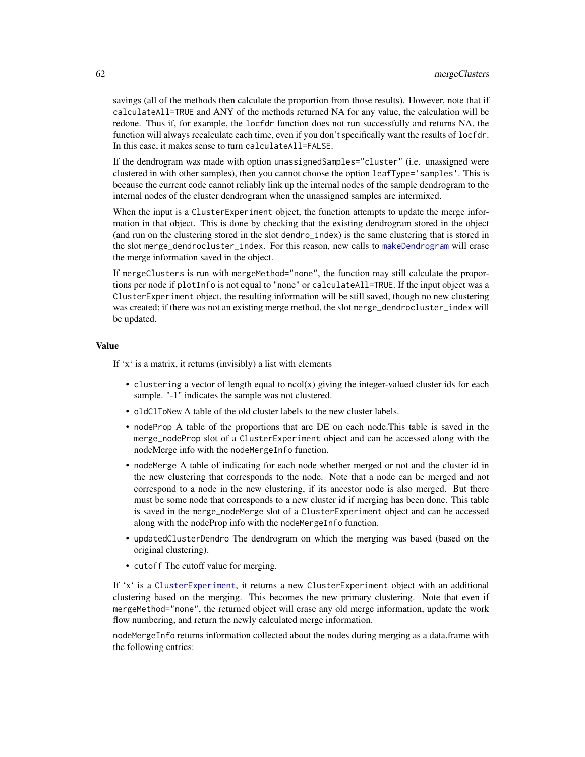savings (all of the methods then calculate the proportion from those results). However, note that if calculateAll=TRUE and ANY of the methods returned NA for any value, the calculation will be redone. Thus if, for example, the locfdr function does not run successfully and returns NA, the function will always recalculate each time, even if you don't specifically want the results of locfdr. In this case, it makes sense to turn calculateAll=FALSE.

If the dendrogram was made with option unassignedSamples="cluster" (i.e. unassigned were clustered in with other samples), then you cannot choose the option leafType='samples'. This is because the current code cannot reliably link up the internal nodes of the sample dendrogram to the internal nodes of the cluster dendrogram when the unassigned samples are intermixed.

When the input is a ClusterExperiment object, the function attempts to update the merge information in that object. This is done by checking that the existing dendrogram stored in the object (and run on the clustering stored in the slot dendro\_index) is the same clustering that is stored in the slot merge\_dendrocluster\_index. For this reason, new calls to [makeDendrogram](#page-55-0) will erase the merge information saved in the object.

If mergeClusters is run with mergeMethod="none", the function may still calculate the proportions per node if plotInfo is not equal to "none" or calculateAll=TRUE. If the input object was a ClusterExperiment object, the resulting information will be still saved, though no new clustering was created; if there was not an existing merge method, the slot merge\_dendrocluster\_index will be updated.

# Value

If  $x^{\prime}$  is a matrix, it returns (invisibly) a list with elements

- clustering a vector of length equal to ncol(x) giving the integer-valued cluster ids for each sample. "-1" indicates the sample was not clustered.
- oldClToNew A table of the old cluster labels to the new cluster labels.
- nodeProp A table of the proportions that are DE on each node.This table is saved in the merge\_nodeProp slot of a ClusterExperiment object and can be accessed along with the nodeMerge info with the nodeMergeInfo function.
- nodeMerge A table of indicating for each node whether merged or not and the cluster id in the new clustering that corresponds to the node. Note that a node can be merged and not correspond to a node in the new clustering, if its ancestor node is also merged. But there must be some node that corresponds to a new cluster id if merging has been done. This table is saved in the merge\_nodeMerge slot of a ClusterExperiment object and can be accessed along with the nodeProp info with the nodeMergeInfo function.
- updatedClusterDendro The dendrogram on which the merging was based (based on the original clustering).
- cutoff The cutoff value for merging.

If 'x' is a [ClusterExperiment](#page-10-0), it returns a new ClusterExperiment object with an additional clustering based on the merging. This becomes the new primary clustering. Note that even if mergeMethod="none", the returned object will erase any old merge information, update the work flow numbering, and return the newly calculated merge information.

nodeMergeInfo returns information collected about the nodes during merging as a data.frame with the following entries: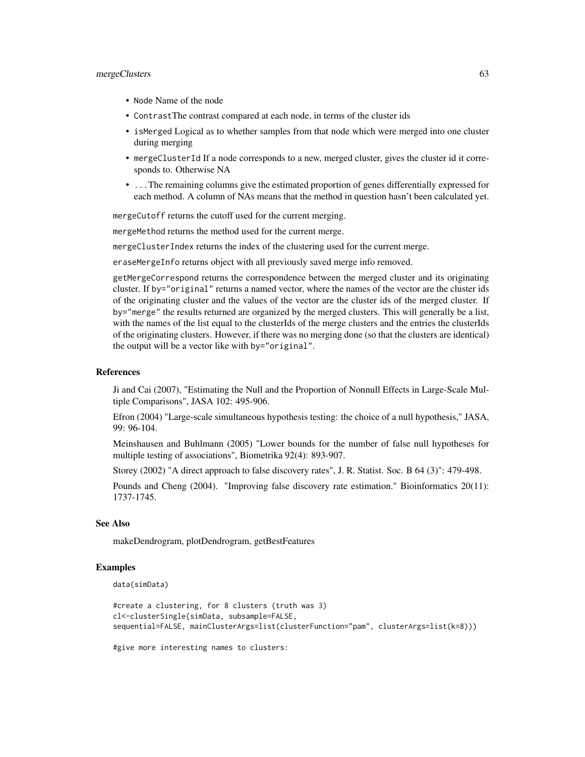#### mergeClusters 63

- Node Name of the node
- ContrastThe contrast compared at each node, in terms of the cluster ids
- isMerged Logical as to whether samples from that node which were merged into one cluster during merging
- mergeClusterId If a node corresponds to a new, merged cluster, gives the cluster id it corresponds to. Otherwise NA
- ...The remaining columns give the estimated proportion of genes differentially expressed for each method. A column of NAs means that the method in question hasn't been calculated yet.

mergeCutoff returns the cutoff used for the current merging.

mergeMethod returns the method used for the current merge.

mergeClusterIndex returns the index of the clustering used for the current merge.

eraseMergeInfo returns object with all previously saved merge info removed.

getMergeCorrespond returns the correspondence between the merged cluster and its originating cluster. If by="original" returns a named vector, where the names of the vector are the cluster ids of the originating cluster and the values of the vector are the cluster ids of the merged cluster. If by="merge" the results returned are organized by the merged clusters. This will generally be a list, with the names of the list equal to the clusterIds of the merge clusters and the entries the clusterIds of the originating clusters. However, if there was no merging done (so that the clusters are identical) the output will be a vector like with by="original".

### References

Ji and Cai (2007), "Estimating the Null and the Proportion of Nonnull Effects in Large-Scale Multiple Comparisons", JASA 102: 495-906.

Efron (2004) "Large-scale simultaneous hypothesis testing: the choice of a null hypothesis," JASA, 99: 96-104.

Meinshausen and Buhlmann (2005) "Lower bounds for the number of false null hypotheses for multiple testing of associations", Biometrika 92(4): 893-907.

Storey (2002) "A direct approach to false discovery rates", J. R. Statist. Soc. B 64 (3)": 479-498.

Pounds and Cheng (2004). "Improving false discovery rate estimation." Bioinformatics 20(11): 1737-1745.

#### See Also

makeDendrogram, plotDendrogram, getBestFeatures

# Examples

data(simData)

```
#create a clustering, for 8 clusters (truth was 3)
cl<-clusterSingle(simData, subsample=FALSE,
sequential=FALSE, mainClusterArgs=list(clusterFunction="pam", clusterArgs=list(k=8)))
```
#give more interesting names to clusters: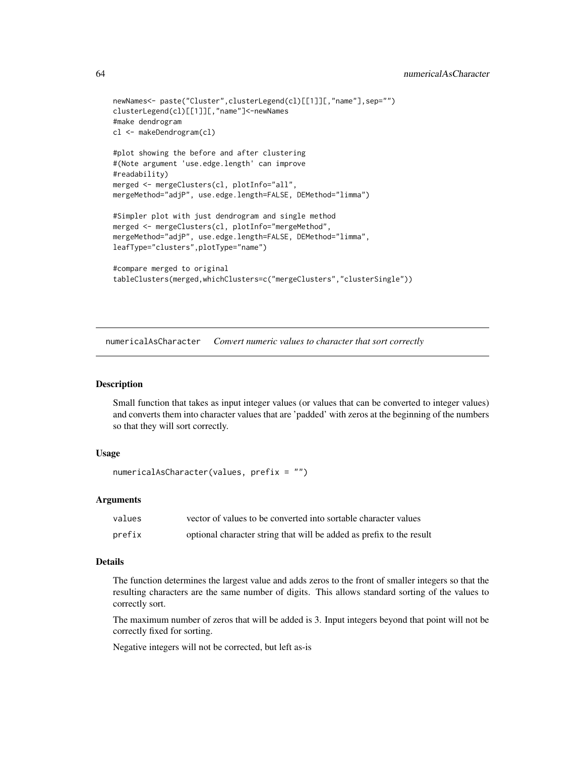```
newNames<- paste("Cluster",clusterLegend(cl)[[1]][,"name"],sep="")
clusterLegend(cl)[[1]][,"name"]<-newNames
#make dendrogram
cl <- makeDendrogram(cl)
#plot showing the before and after clustering
#(Note argument 'use.edge.length' can improve
#readability)
merged <- mergeClusters(cl, plotInfo="all",
mergeMethod="adjP", use.edge.length=FALSE, DEMethod="limma")
#Simpler plot with just dendrogram and single method
merged <- mergeClusters(cl, plotInfo="mergeMethod",
mergeMethod="adjP", use.edge.length=FALSE, DEMethod="limma",
leafType="clusters",plotType="name")
#compare merged to original
```

```
tableClusters(merged,whichClusters=c("mergeClusters","clusterSingle"))
```
numericalAsCharacter *Convert numeric values to character that sort correctly*

#### Description

Small function that takes as input integer values (or values that can be converted to integer values) and converts them into character values that are 'padded' with zeros at the beginning of the numbers so that they will sort correctly.

### Usage

```
numericalAsCharacter(values, prefix = "")
```
### Arguments

| values | vector of values to be converted into sortable character values      |
|--------|----------------------------------------------------------------------|
| prefix | optional character string that will be added as prefix to the result |

## Details

The function determines the largest value and adds zeros to the front of smaller integers so that the resulting characters are the same number of digits. This allows standard sorting of the values to correctly sort.

The maximum number of zeros that will be added is 3. Input integers beyond that point will not be correctly fixed for sorting.

Negative integers will not be corrected, but left as-is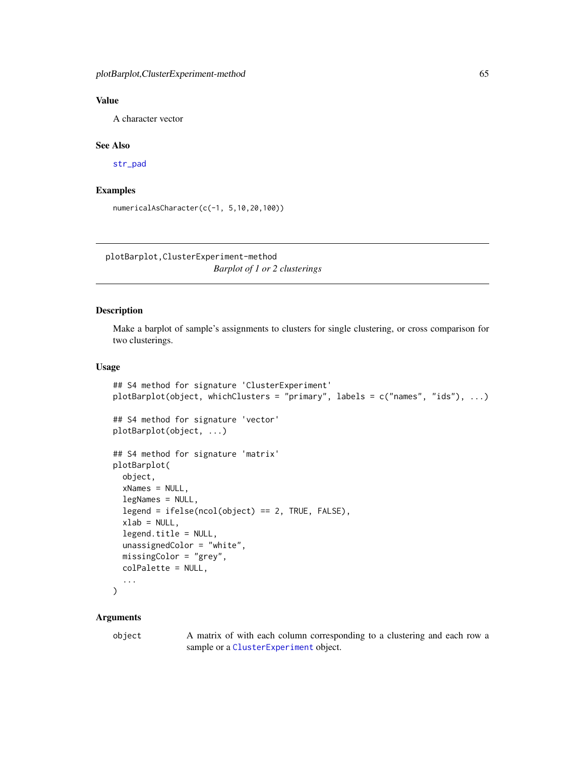# Value

A character vector

# See Also

[str\\_pad](#page-0-0)

# Examples

numericalAsCharacter(c(-1, 5,10,20,100))

plotBarplot,ClusterExperiment-method *Barplot of 1 or 2 clusterings*

# Description

Make a barplot of sample's assignments to clusters for single clustering, or cross comparison for two clusterings.

# Usage

```
## S4 method for signature 'ClusterExperiment'
plotBarplot(object, whichClusters = "primary", labels = c("names", "ids"), ...)
## S4 method for signature 'vector'
plotBarplot(object, ...)
## S4 method for signature 'matrix'
plotBarplot(
  object,
  xNames = NULL,
  legNames = NULL,
  legend = ifelse(ncol(object) == 2, TRUE, FALSE),
  xlab = NULL,
  legend.title = NULL,
  unassignedColor = "white",
 missingColor = "grey",
  colPalette = NULL,
  ...
)
```
### Arguments

object A matrix of with each column corresponding to a clustering and each row a sample or a [ClusterExperiment](#page-10-0) object.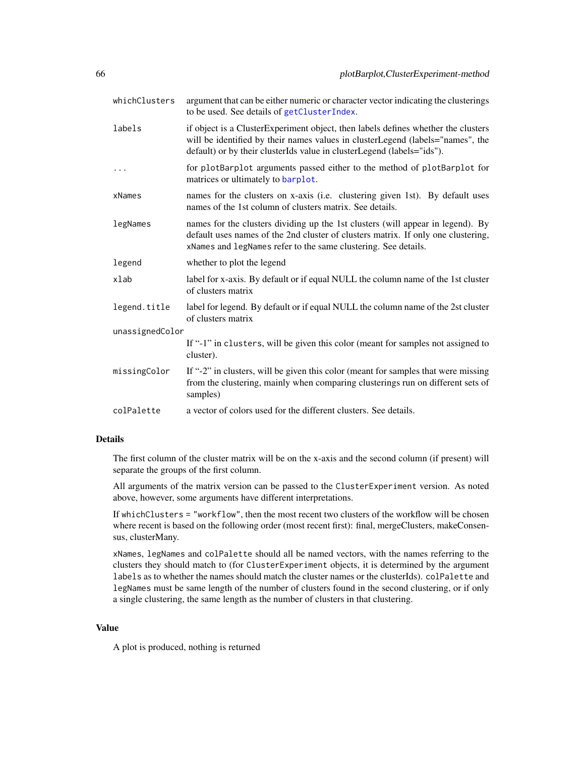| whichClusters   | argument that can be either numeric or character vector indicating the clusterings<br>to be used. See details of getClusterIndex.                                                                                                             |  |
|-----------------|-----------------------------------------------------------------------------------------------------------------------------------------------------------------------------------------------------------------------------------------------|--|
| labels          | if object is a ClusterExperiment object, then labels defines whether the clusters<br>will be identified by their names values in clusterLegend (labels="names", the<br>default) or by their clusterIds value in clusterLegend (labels="ids"). |  |
| .               | for plotBarplot arguments passed either to the method of plotBarplot for<br>matrices or ultimately to barplot.                                                                                                                                |  |
| xNames          | names for the clusters on x-axis (i.e. clustering given 1st). By default uses<br>names of the 1st column of clusters matrix. See details.                                                                                                     |  |
| legNames        | names for the clusters dividing up the 1st clusters (will appear in legend). By<br>default uses names of the 2nd cluster of clusters matrix. If only one clustering,<br>xNames and legNames refer to the same clustering. See details.        |  |
| legend          | whether to plot the legend                                                                                                                                                                                                                    |  |
| xlab            | label for x-axis. By default or if equal NULL the column name of the 1st cluster<br>of clusters matrix                                                                                                                                        |  |
| legend.title    | label for legend. By default or if equal NULL the column name of the 2st cluster<br>of clusters matrix                                                                                                                                        |  |
| unassignedColor |                                                                                                                                                                                                                                               |  |
|                 | If "-1" in clusters, will be given this color (meant for samples not assigned to<br>cluster).                                                                                                                                                 |  |
| missingColor    | If "-2" in clusters, will be given this color (meant for samples that were missing<br>from the clustering, mainly when comparing clusterings run on different sets of<br>samples)                                                             |  |
| colPalette      | a vector of colors used for the different clusters. See details.                                                                                                                                                                              |  |

The first column of the cluster matrix will be on the x-axis and the second column (if present) will separate the groups of the first column.

All arguments of the matrix version can be passed to the ClusterExperiment version. As noted above, however, some arguments have different interpretations.

If whichClusters = "workflow", then the most recent two clusters of the workflow will be chosen where recent is based on the following order (most recent first): final, mergeClusters, makeConsensus, clusterMany.

xNames, legNames and colPalette should all be named vectors, with the names referring to the clusters they should match to (for ClusterExperiment objects, it is determined by the argument labels as to whether the names should match the cluster names or the clusterIds). colPalette and legNames must be same length of the number of clusters found in the second clustering, or if only a single clustering, the same length as the number of clusters in that clustering.

#### Value

A plot is produced, nothing is returned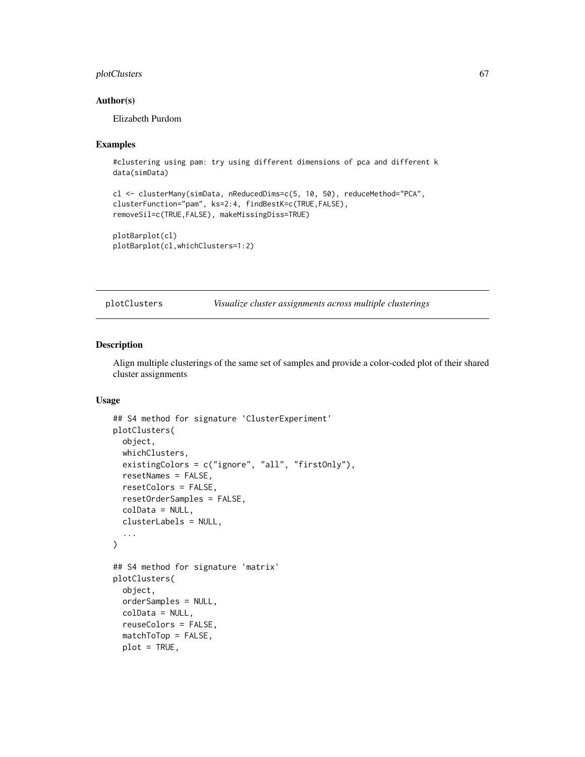# plotClusters 67

## Author(s)

Elizabeth Purdom

### Examples

```
#clustering using pam: try using different dimensions of pca and different k
data(simData)
```

```
cl <- clusterMany(simData, nReducedDims=c(5, 10, 50), reduceMethod="PCA",
clusterFunction="pam", ks=2:4, findBestK=c(TRUE,FALSE),
removeSil=c(TRUE,FALSE), makeMissingDiss=TRUE)
```
plotBarplot(cl) plotBarplot(cl,whichClusters=1:2)

plotClusters *Visualize cluster assignments across multiple clusterings*

### Description

Align multiple clusterings of the same set of samples and provide a color-coded plot of their shared cluster assignments

# Usage

```
## S4 method for signature 'ClusterExperiment'
plotClusters(
  object,
 whichClusters,
  existingColors = c("ignore", "all", "firstOnly"),
  resetNames = FALSE,
  resetColors = FALSE,
  resetOrderSamples = FALSE,
  colData = NULL,
  clusterLabels = NULL,
  ...
)
## S4 method for signature 'matrix'
plotClusters(
  object,
  orderSamples = NULL,
  colData = NULL,
  reuseColors = FALSE,
  matchToTop = FALSE,
  plot = TRUE,
```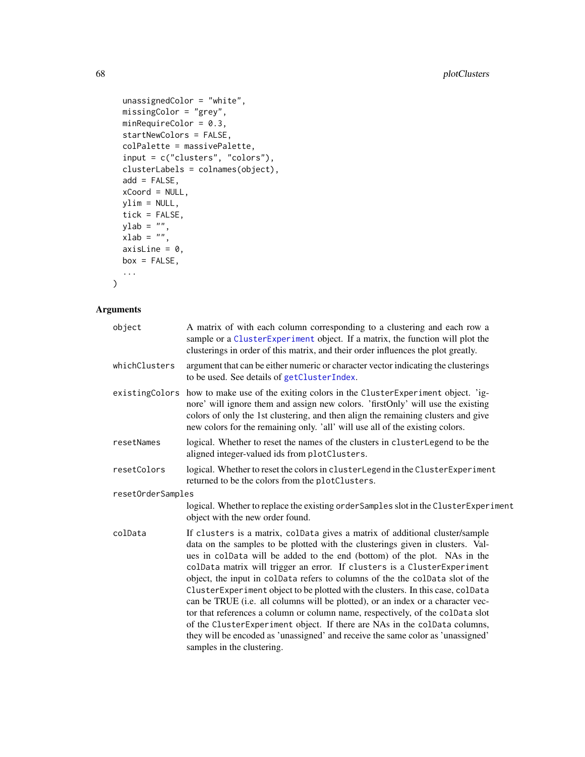```
unassignedColor = "white",
 missingColor = "grey",
 minRequireColor = 0.3,
  startNewColors = FALSE,
  colPalette = massivePalette,
  input = c("clusters", "colors"),
  clusterLabels = colnames(object),
  add = FALSE,xCoord = NULL,
 ylim = NULL,
 tick = FALSE,
 ylab = "",
 xlab = ",
 axisLine = 0,
 box = FALSE,...
\mathcal{L}
```
# Arguments

| object            | A matrix of with each column corresponding to a clustering and each row a<br>sample or a ClusterExperiment object. If a matrix, the function will plot the<br>clusterings in order of this matrix, and their order influences the plot greatly.                                                                                                                                                                                                                                                                                                                                                                                                                                                                                                                                                                                                               |  |
|-------------------|---------------------------------------------------------------------------------------------------------------------------------------------------------------------------------------------------------------------------------------------------------------------------------------------------------------------------------------------------------------------------------------------------------------------------------------------------------------------------------------------------------------------------------------------------------------------------------------------------------------------------------------------------------------------------------------------------------------------------------------------------------------------------------------------------------------------------------------------------------------|--|
| whichClusters     | argument that can be either numeric or character vector indicating the clusterings<br>to be used. See details of getClusterIndex.                                                                                                                                                                                                                                                                                                                                                                                                                                                                                                                                                                                                                                                                                                                             |  |
|                   | existingColors how to make use of the exiting colors in the ClusterExperiment object. 'ig-<br>nore' will ignore them and assign new colors. 'firstOnly' will use the existing<br>colors of only the 1st clustering, and then align the remaining clusters and give<br>new colors for the remaining only. 'all' will use all of the existing colors.                                                                                                                                                                                                                                                                                                                                                                                                                                                                                                           |  |
| resetNames        | logical. Whether to reset the names of the clusters in clusterLegend to be the<br>aligned integer-valued ids from plotClusters.                                                                                                                                                                                                                                                                                                                                                                                                                                                                                                                                                                                                                                                                                                                               |  |
| resetColors       | logical. Whether to reset the colors in clusterLegend in the ClusterExperiment<br>returned to be the colors from the plotClusters.                                                                                                                                                                                                                                                                                                                                                                                                                                                                                                                                                                                                                                                                                                                            |  |
| resetOrderSamples |                                                                                                                                                                                                                                                                                                                                                                                                                                                                                                                                                                                                                                                                                                                                                                                                                                                               |  |
|                   | logical. Whether to replace the existing order Samples slot in the Cluster Experiment<br>object with the new order found.                                                                                                                                                                                                                                                                                                                                                                                                                                                                                                                                                                                                                                                                                                                                     |  |
| colData           | If clusters is a matrix, colData gives a matrix of additional cluster/sample<br>data on the samples to be plotted with the clusterings given in clusters. Val-<br>ues in colData will be added to the end (bottom) of the plot. NAs in the<br>colData matrix will trigger an error. If clusters is a ClusterExperiment<br>object, the input in colData refers to columns of the the colData slot of the<br>ClusterExperiment object to be plotted with the clusters. In this case, colData<br>can be TRUE (i.e. all columns will be plotted), or an index or a character vec-<br>tor that references a column or column name, respectively, of the colData slot<br>of the ClusterExperiment object. If there are NAs in the colData columns,<br>they will be encoded as 'unassigned' and receive the same color as 'unassigned'<br>samples in the clustering. |  |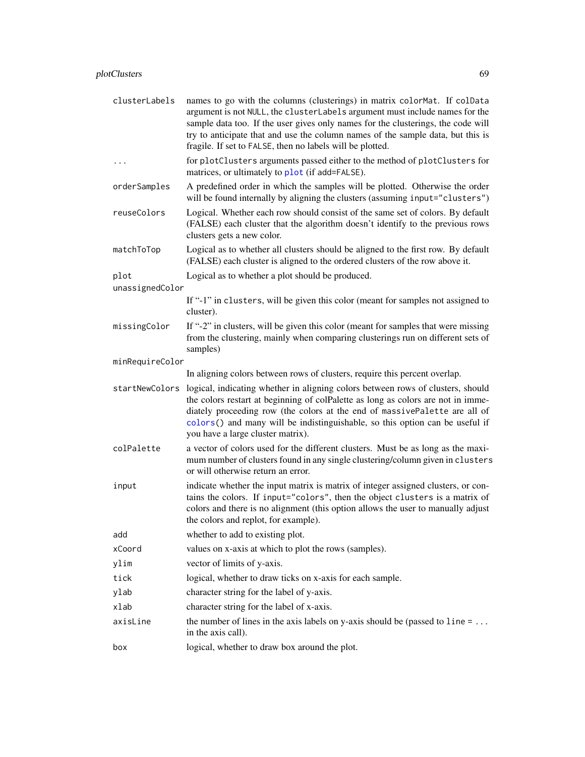| clusterLabels   | names to go with the columns (clusterings) in matrix colorMat. If colData<br>argument is not NULL, the clusterLabels argument must include names for the<br>sample data too. If the user gives only names for the clusterings, the code will<br>try to anticipate that and use the column names of the sample data, but this is<br>fragile. If set to FALSE, then no labels will be plotted. |
|-----------------|----------------------------------------------------------------------------------------------------------------------------------------------------------------------------------------------------------------------------------------------------------------------------------------------------------------------------------------------------------------------------------------------|
| $\ddots$        | for plotClusters arguments passed either to the method of plotClusters for<br>matrices, or ultimately to plot (if add=FALSE).                                                                                                                                                                                                                                                                |
| orderSamples    | A predefined order in which the samples will be plotted. Otherwise the order<br>will be found internally by aligning the clusters (assuming input="clusters")                                                                                                                                                                                                                                |
| reuseColors     | Logical. Whether each row should consist of the same set of colors. By default<br>(FALSE) each cluster that the algorithm doesn't identify to the previous rows<br>clusters gets a new color.                                                                                                                                                                                                |
| matchToTop      | Logical as to whether all clusters should be aligned to the first row. By default<br>(FALSE) each cluster is aligned to the ordered clusters of the row above it.                                                                                                                                                                                                                            |
| plot            | Logical as to whether a plot should be produced.                                                                                                                                                                                                                                                                                                                                             |
| unassignedColor |                                                                                                                                                                                                                                                                                                                                                                                              |
|                 | If "-1" in clusters, will be given this color (meant for samples not assigned to<br>cluster).                                                                                                                                                                                                                                                                                                |
| missingColor    | If "-2" in clusters, will be given this color (meant for samples that were missing<br>from the clustering, mainly when comparing clusterings run on different sets of<br>samples)                                                                                                                                                                                                            |
| minRequireColor |                                                                                                                                                                                                                                                                                                                                                                                              |
|                 | In aligning colors between rows of clusters, require this percent overlap.                                                                                                                                                                                                                                                                                                                   |
| startNewColors  | logical, indicating whether in aligning colors between rows of clusters, should<br>the colors restart at beginning of colPalette as long as colors are not in imme-<br>diately proceeding row (the colors at the end of massivePalette are all of<br>colors() and many will be indistinguishable, so this option can be useful if<br>you have a large cluster matrix).                       |
| colPalette      | a vector of colors used for the different clusters. Must be as long as the maxi-<br>mum number of clusters found in any single clustering/column given in clusters<br>or will otherwise return an error.                                                                                                                                                                                     |
| input           | indicate whether the input matrix is matrix of integer assigned clusters, or con-<br>tains the colors. If input="colors", then the object clusters is a matrix of<br>colors and there is no alignment (this option allows the user to manually adjust<br>the colors and replot, for example).                                                                                                |
| add             | whether to add to existing plot.                                                                                                                                                                                                                                                                                                                                                             |
| xCoord          | values on x-axis at which to plot the rows (samples).                                                                                                                                                                                                                                                                                                                                        |
| ylim            | vector of limits of y-axis.                                                                                                                                                                                                                                                                                                                                                                  |
| tick            | logical, whether to draw ticks on x-axis for each sample.                                                                                                                                                                                                                                                                                                                                    |
| ylab            | character string for the label of y-axis.                                                                                                                                                                                                                                                                                                                                                    |
| xlab            | character string for the label of x-axis.                                                                                                                                                                                                                                                                                                                                                    |
| axisLine        | the number of lines in the axis labels on y-axis should be (passed to $line = \dots$<br>in the axis call).                                                                                                                                                                                                                                                                                   |
| box             | logical, whether to draw box around the plot.                                                                                                                                                                                                                                                                                                                                                |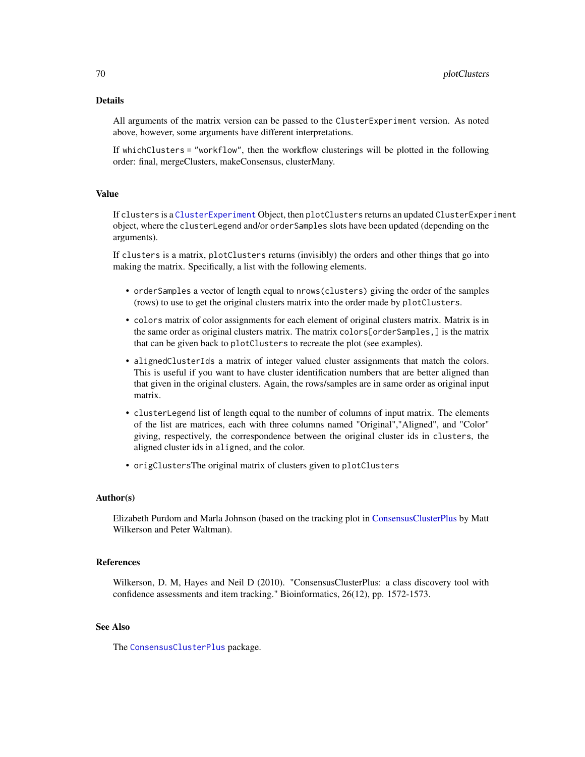All arguments of the matrix version can be passed to the ClusterExperiment version. As noted above, however, some arguments have different interpretations.

If whichClusters = "workflow", then the workflow clusterings will be plotted in the following order: final, mergeClusters, makeConsensus, clusterMany.

### Value

If clusters is a [ClusterExperiment](#page-10-0) Object, then plotClusters returns an updated ClusterExperiment object, where the clusterLegend and/or orderSamples slots have been updated (depending on the arguments).

If clusters is a matrix, plotClusters returns (invisibly) the orders and other things that go into making the matrix. Specifically, a list with the following elements.

- orderSamples a vector of length equal to nrows(clusters) giving the order of the samples (rows) to use to get the original clusters matrix into the order made by plotClusters.
- colors matrix of color assignments for each element of original clusters matrix. Matrix is in the same order as original clusters matrix. The matrix colors[orderSamples,] is the matrix that can be given back to plotClusters to recreate the plot (see examples).
- alignedClusterIds a matrix of integer valued cluster assignments that match the colors. This is useful if you want to have cluster identification numbers that are better aligned than that given in the original clusters. Again, the rows/samples are in same order as original input matrix.
- clusterLegend list of length equal to the number of columns of input matrix. The elements of the list are matrices, each with three columns named "Original","Aligned", and "Color" giving, respectively, the correspondence between the original cluster ids in clusters, the aligned cluster ids in aligned, and the color.
- origClustersThe original matrix of clusters given to plotClusters

#### Author(s)

Elizabeth Purdom and Marla Johnson (based on the tracking plot in [ConsensusClusterPlus](#page-0-0) by Matt Wilkerson and Peter Waltman).

## References

Wilkerson, D. M, Hayes and Neil D (2010). "ConsensusClusterPlus: a class discovery tool with confidence assessments and item tracking." Bioinformatics, 26(12), pp. 1572-1573.

# See Also

The [ConsensusClusterPlus](#page-0-0) package.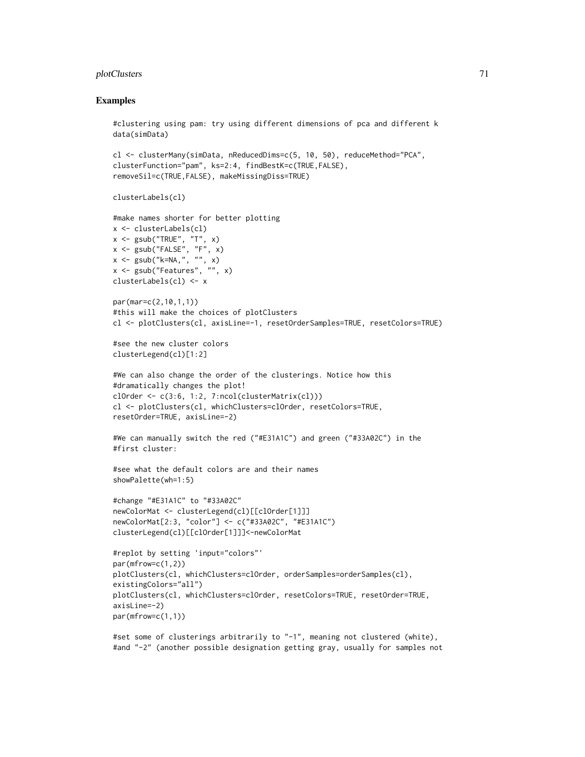# plotClusters 71

### Examples

```
#clustering using pam: try using different dimensions of pca and different k
data(simData)
cl <- clusterMany(simData, nReducedDims=c(5, 10, 50), reduceMethod="PCA",
clusterFunction="pam", ks=2:4, findBestK=c(TRUE,FALSE),
removeSil=c(TRUE,FALSE), makeMissingDiss=TRUE)
clusterLabels(cl)
#make names shorter for better plotting
x <- clusterLabels(cl)
x \leq - gsub("TRUE", "T", x)
x \leq - gsub("FALSE", "F", x)
x \leq -\text{gsub}("k=NA", " " " , x)x \leftarrow \text{gsub("Features", "", x)}clusterLabels(cl) <- x
par(mar=c(2,10,1,1))
#this will make the choices of plotClusters
cl <- plotClusters(cl, axisLine=-1, resetOrderSamples=TRUE, resetColors=TRUE)
#see the new cluster colors
clusterLegend(cl)[1:2]
#We can also change the order of the clusterings. Notice how this
#dramatically changes the plot!
clOrder \leq c(3:6, 1:2, 7:ncol(clusterMatrix(cl)))cl <- plotClusters(cl, whichClusters=clOrder, resetColors=TRUE,
resetOrder=TRUE, axisLine=-2)
#We can manually switch the red ("#E31A1C") and green ("#33A02C") in the
#first cluster:
#see what the default colors are and their names
showPalette(wh=1:5)
#change "#E31A1C" to "#33A02C"
newColorMat <- clusterLegend(cl)[[clOrder[1]]]
newColorMat[2:3, "color"] <- c("#33A02C", "#E31A1C")
clusterLegend(cl)[[clOrder[1]]]<-newColorMat
#replot by setting 'input="colors"'
par(mfrow=c(1,2))
plotClusters(cl, whichClusters=clOrder, orderSamples=orderSamples(cl),
existingColors="all")
plotClusters(cl, whichClusters=clOrder, resetColors=TRUE, resetOrder=TRUE,
axisLine=-2)
par(mfrow=c(1,1))
#set some of clusterings arbitrarily to "-1", meaning not clustered (white),
#and "-2" (another possible designation getting gray, usually for samples not
```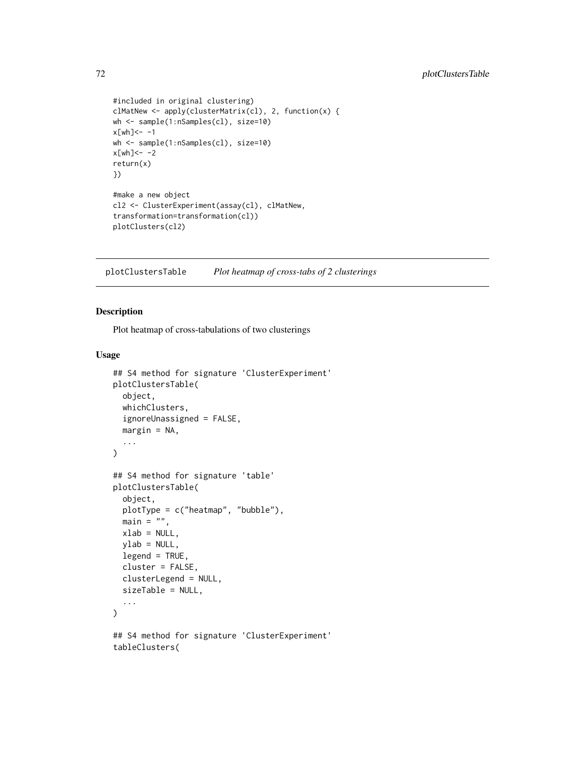```
#included in original clustering)
clMatNew <- apply(clusterMatrix(cl), 2, function(x) {
wh <- sample(1:nSamples(cl), size=10)
x[wh]<- -1wh <- sample(1:nSamples(cl), size=10)
x[wh]<- -2return(x)
})
#make a new object
cl2 <- ClusterExperiment(assay(cl), clMatNew,
transformation=transformation(cl))
plotClusters(cl2)
```
plotClustersTable *Plot heatmap of cross-tabs of 2 clusterings*

# Description

Plot heatmap of cross-tabulations of two clusterings

#### Usage

```
## S4 method for signature 'ClusterExperiment'
plotClustersTable(
  object,
 whichClusters,
  ignoreUnassigned = FALSE,
  margin = NA,
  ...
\mathcal{L}## S4 method for signature 'table'
plotClustersTable(
  object,
 plotType = c("heatmap", "bubble"),
 main = ",
 xlab = NULL,
  ylab = NULL,
  legend = TRUE,
  cluster = FALSE,
  clusterLegend = NULL,
  sizeTable = NULL,
  ...
\lambda## S4 method for signature 'ClusterExperiment'
tableClusters(
```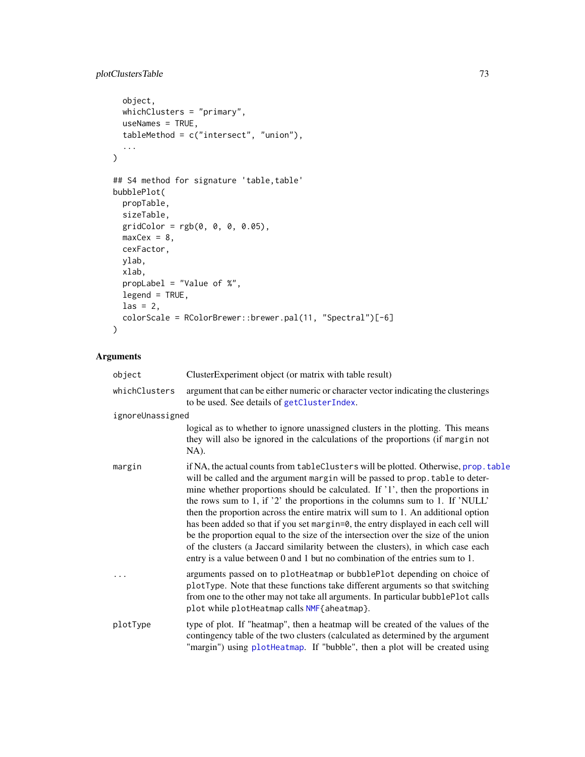# plotClustersTable 73

```
object,
 whichClusters = "primary",
 useNames = TRUE,
  tableMethod = c("intersect", "union"),
  ...
)
## S4 method for signature 'table, table'
bubblePlot(
 propTable,
 sizeTable,
 gridColor = rgb(0, 0, 0, 0.05),
 maxCex = 8,
 cexFactor,
 ylab,
 xlab,
 propLabel = "Value of %",
 legend = TRUE,
 \text{las} = 2,
 colorScale = RColorBrewer::brewer.pal(11, "Spectral")[-6]
)
```

| object           | ClusterExperiment object (or matrix with table result)                                                                                                                                                                                                                                                                                                                                                                                                                                                                                                                                                                                                                                                                                                                    |
|------------------|---------------------------------------------------------------------------------------------------------------------------------------------------------------------------------------------------------------------------------------------------------------------------------------------------------------------------------------------------------------------------------------------------------------------------------------------------------------------------------------------------------------------------------------------------------------------------------------------------------------------------------------------------------------------------------------------------------------------------------------------------------------------------|
| whichClusters    | argument that can be either numeric or character vector indicating the clusterings<br>to be used. See details of getClusterIndex.                                                                                                                                                                                                                                                                                                                                                                                                                                                                                                                                                                                                                                         |
| ignoreUnassigned |                                                                                                                                                                                                                                                                                                                                                                                                                                                                                                                                                                                                                                                                                                                                                                           |
|                  | logical as to whether to ignore unassigned clusters in the plotting. This means<br>they will also be ignored in the calculations of the proportions (if margin not<br>NA).                                                                                                                                                                                                                                                                                                                                                                                                                                                                                                                                                                                                |
| margin           | if NA, the actual counts from tableClusters will be plotted. Otherwise, prop. table<br>will be called and the argument margin will be passed to prop. table to deter-<br>mine whether proportions should be calculated. If '1', then the proportions in<br>the rows sum to 1, if '2' the proportions in the columns sum to 1. If 'NULL'<br>then the proportion across the entire matrix will sum to 1. An additional option<br>has been added so that if you set margin=0, the entry displayed in each cell will<br>be the proportion equal to the size of the intersection over the size of the union<br>of the clusters (a Jaccard similarity between the clusters), in which case each<br>entry is a value between 0 and 1 but no combination of the entries sum to 1. |
|                  | arguments passed on to plotHeatmap or bubblePlot depending on choice of<br>plotType. Note that these functions take different arguments so that switching<br>from one to the other may not take all arguments. In particular bubblePlot calls<br>plot while plotHeatmap calls NMF{aheatmap}.                                                                                                                                                                                                                                                                                                                                                                                                                                                                              |
| plotType         | type of plot. If "heatmap", then a heatmap will be created of the values of the<br>contingency table of the two clusters (calculated as determined by the argument<br>"margin") using plotHeatmap. If "bubble", then a plot will be created using                                                                                                                                                                                                                                                                                                                                                                                                                                                                                                                         |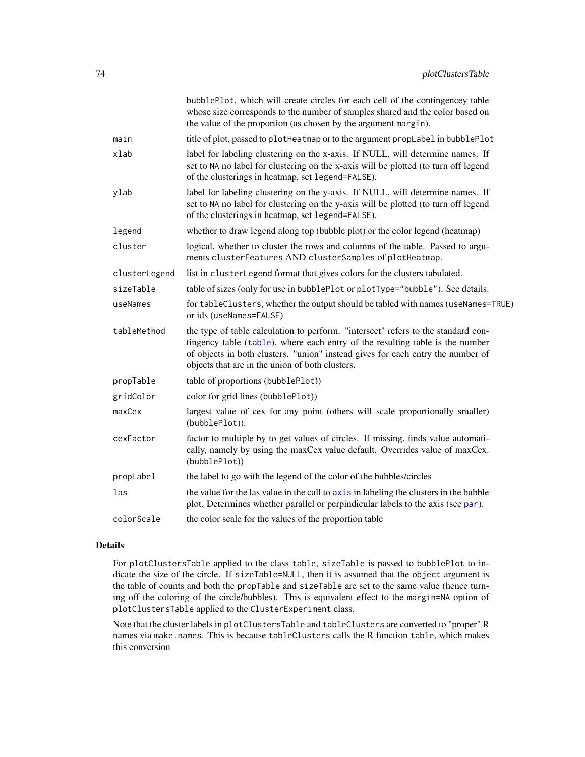|               | bubblePlot, which will create circles for each cell of the contingencey table<br>whose size corresponds to the number of samples shared and the color based on<br>the value of the proportion (as chosen by the argument margin).                                                                        |
|---------------|----------------------------------------------------------------------------------------------------------------------------------------------------------------------------------------------------------------------------------------------------------------------------------------------------------|
| main          | title of plot, passed to plotHeatmap or to the argument propLabel in bubblePlot                                                                                                                                                                                                                          |
| xlab          | label for labeling clustering on the x-axis. If NULL, will determine names. If<br>set to NA no label for clustering on the x-axis will be plotted (to turn off legend<br>of the clusterings in heatmap, set legend=FALSE).                                                                               |
| ylab          | label for labeling clustering on the y-axis. If NULL, will determine names. If<br>set to NA no label for clustering on the y-axis will be plotted (to turn off legend<br>of the clusterings in heatmap, set legend=FALSE).                                                                               |
| legend        | whether to draw legend along top (bubble plot) or the color legend (heatmap)                                                                                                                                                                                                                             |
| cluster       | logical, whether to cluster the rows and columns of the table. Passed to argu-<br>ments clusterFeatures AND clusterSamples of plotHeatmap.                                                                                                                                                               |
| clusterLegend | list in clusterLegend format that gives colors for the clusters tabulated.                                                                                                                                                                                                                               |
| sizeTable     | table of sizes (only for use in bubblePlot or plotType="bubble"). See details.                                                                                                                                                                                                                           |
| useNames      | for tableClusters, whether the output should be tabled with names (useNames=TRUE)<br>or ids (useNames=FALSE)                                                                                                                                                                                             |
| tableMethod   | the type of table calculation to perform. "intersect" refers to the standard con-<br>tingency table (table), where each entry of the resulting table is the number<br>of objects in both clusters. "union" instead gives for each entry the number of<br>objects that are in the union of both clusters. |
| propTable     | table of proportions (bubblePlot))                                                                                                                                                                                                                                                                       |
| gridColor     | color for grid lines (bubblePlot))                                                                                                                                                                                                                                                                       |
| maxCex        | largest value of cex for any point (others will scale proportionally smaller)<br>(bubblePlot)).                                                                                                                                                                                                          |
| cexFactor     | factor to multiple by to get values of circles. If missing, finds value automati-<br>cally, namely by using the maxCex value default. Overrides value of maxCex.<br>(bubblePlot))                                                                                                                        |
| propLabel     | the label to go with the legend of the color of the bubbles/circles                                                                                                                                                                                                                                      |
| las           | the value for the las value in the call to axis in labeling the clusters in the bubble<br>plot. Determines whether parallel or perpindicular labels to the axis (see par).                                                                                                                               |
| colorScale    | the color scale for the values of the proportion table                                                                                                                                                                                                                                                   |

# Details

For plotClustersTable applied to the class table, sizeTable is passed to bubblePlot to indicate the size of the circle. If sizeTable=NULL, then it is assumed that the object argument is the table of counts and both the propTable and sizeTable are set to the same value (hence turning off the coloring of the circle/bubbles). This is equivalent effect to the margin=NA option of plotClustersTable applied to the ClusterExperiment class.

Note that the cluster labels in plotClustersTable and tableClusters are converted to "proper" R names via make.names. This is because tableClusters calls the R function table, which makes this conversion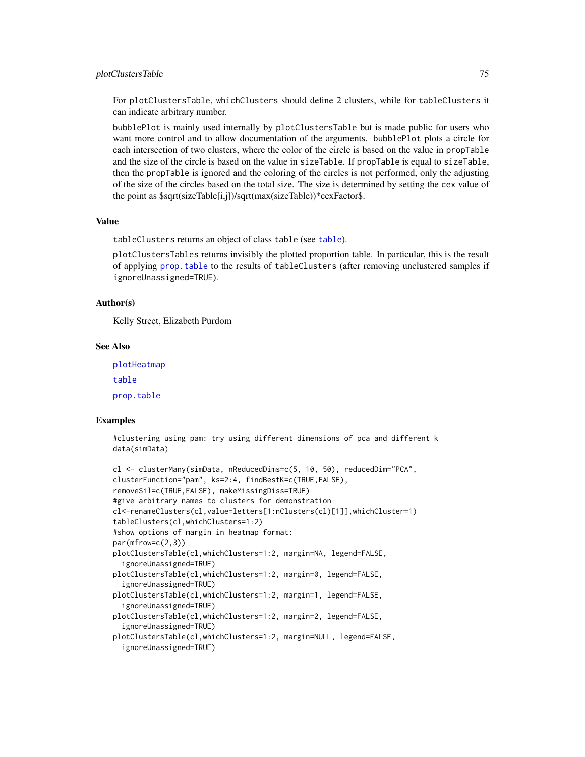#### plotClustersTable 75

For plotClustersTable, whichClusters should define 2 clusters, while for tableClusters it can indicate arbitrary number.

bubblePlot is mainly used internally by plotClustersTable but is made public for users who want more control and to allow documentation of the arguments. bubblePlot plots a circle for each intersection of two clusters, where the color of the circle is based on the value in propTable and the size of the circle is based on the value in sizeTable. If propTable is equal to sizeTable, then the propTable is ignored and the coloring of the circles is not performed, only the adjusting of the size of the circles based on the total size. The size is determined by setting the cex value of the point as \$sqrt(sizeTable[i,j])/sqrt(max(sizeTable))\*cexFactor\$.

#### Value

tableClusters returns an object of class table (see [table](#page-0-0)).

plotClustersTables returns invisibly the plotted proportion table. In particular, this is the result of applying [prop.table](#page-0-0) to the results of tableClusters (after removing unclustered samples if ignoreUnassigned=TRUE).

#### Author(s)

Kelly Street, Elizabeth Purdom

# See Also

[plotHeatmap](#page-83-0) [table](#page-0-0) [prop.table](#page-0-0)

#### Examples

```
#clustering using pam: try using different dimensions of pca and different k
data(simData)
```

```
cl <- clusterMany(simData, nReducedDims=c(5, 10, 50), reducedDim="PCA",
clusterFunction="pam", ks=2:4, findBestK=c(TRUE,FALSE),
removeSil=c(TRUE,FALSE), makeMissingDiss=TRUE)
#give arbitrary names to clusters for demonstration
cl<-renameClusters(cl,value=letters[1:nClusters(cl)[1]],whichCluster=1)
tableClusters(cl,whichClusters=1:2)
#show options of margin in heatmap format:
par(mfrow=c(2,3))plotClustersTable(cl,whichClusters=1:2, margin=NA, legend=FALSE,
 ignoreUnassigned=TRUE)
plotClustersTable(cl,whichClusters=1:2, margin=0, legend=FALSE,
  ignoreUnassigned=TRUE)
plotClustersTable(cl,whichClusters=1:2, margin=1, legend=FALSE,
  ignoreUnassigned=TRUE)
plotClustersTable(cl,whichClusters=1:2, margin=2, legend=FALSE,
 ignoreUnassigned=TRUE)
plotClustersTable(cl,whichClusters=1:2, margin=NULL, legend=FALSE,
  ignoreUnassigned=TRUE)
```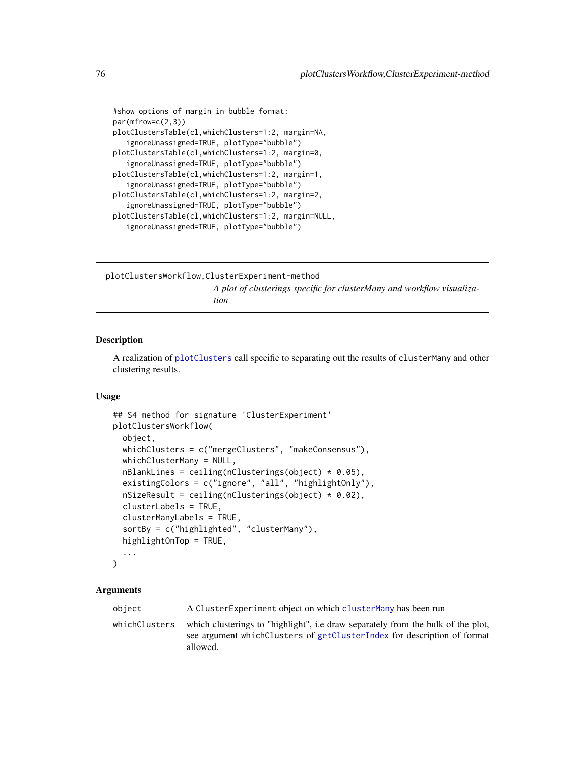```
#show options of margin in bubble format:
par(mfrow=c(2,3))
plotClustersTable(cl,whichClusters=1:2, margin=NA,
   ignoreUnassigned=TRUE, plotType="bubble")
plotClustersTable(cl,whichClusters=1:2, margin=0,
   ignoreUnassigned=TRUE, plotType="bubble")
plotClustersTable(cl,whichClusters=1:2, margin=1,
   ignoreUnassigned=TRUE, plotType="bubble")
plotClustersTable(cl,whichClusters=1:2, margin=2,
   ignoreUnassigned=TRUE, plotType="bubble")
plotClustersTable(cl,whichClusters=1:2, margin=NULL,
   ignoreUnassigned=TRUE, plotType="bubble")
```
plotClustersWorkflow,ClusterExperiment-method *A plot of clusterings specific for clusterMany and workflow visualization*

## Description

A realization of [plotClusters](#page-66-0) call specific to separating out the results of clusterMany and other clustering results.

### Usage

```
## S4 method for signature 'ClusterExperiment'
plotClustersWorkflow(
  object,
  whichClusters = c("mergeClusters", "makeConsensus"),
 whichClusterMany = NULL,
  nBlankLines = ceiling(nClusterings(object) * 0.05),
  existingColors = c("ignore", "all", "highlightOnly"),
  nisizeResult = ceiling(nClustering(object) * 0.02),
  clusterLabels = TRUE,
  clusterManyLabels = TRUE,
  sortBy = c("highlighted", "clusterMany"),
  highlightOnTop = TRUE,
  ...
)
```

| obiect        | A Cluster Experiment object on which cluster Many has been run                                                                                                           |
|---------------|--------------------------------------------------------------------------------------------------------------------------------------------------------------------------|
| whichClusters | which clusterings to "highlight", i.e draw separately from the bulk of the plot,<br>see argument which Clusters of getClusterIndex for description of format<br>allowed. |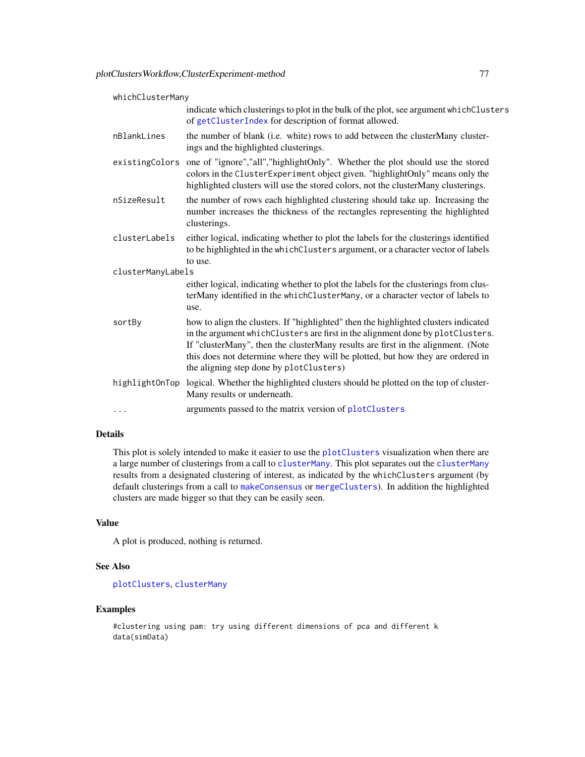| whichClusterMany  |                                                                                                                                                                                                                                                                                                                                                                                         |  |
|-------------------|-----------------------------------------------------------------------------------------------------------------------------------------------------------------------------------------------------------------------------------------------------------------------------------------------------------------------------------------------------------------------------------------|--|
|                   | indicate which clusterings to plot in the bulk of the plot, see argument which Clusters<br>of getClusterIndex for description of format allowed.                                                                                                                                                                                                                                        |  |
| nBlankLines       | the number of blank (i.e. white) rows to add between the clusterMany cluster-<br>ings and the highlighted clusterings.                                                                                                                                                                                                                                                                  |  |
| existingColors    | one of "ignore","all","highlightOnly". Whether the plot should use the stored<br>colors in the ClusterExperiment object given. "highlightOnly" means only the<br>highlighted clusters will use the stored colors, not the clusterMany clusterings.                                                                                                                                      |  |
| nSizeResult       | the number of rows each highlighted clustering should take up. Increasing the<br>number increases the thickness of the rectangles representing the highlighted<br>clusterings.                                                                                                                                                                                                          |  |
| clusterLabels     | either logical, indicating whether to plot the labels for the clusterings identified<br>to be highlighted in the whichClusters argument, or a character vector of labels<br>to use.                                                                                                                                                                                                     |  |
| clusterManyLabels |                                                                                                                                                                                                                                                                                                                                                                                         |  |
|                   | either logical, indicating whether to plot the labels for the clusterings from clus-<br>terMany identified in the whichClusterMany, or a character vector of labels to<br>use.                                                                                                                                                                                                          |  |
| sortBy            | how to align the clusters. If "highlighted" then the highlighted clusters indicated<br>in the argument whichClusters are first in the alignment done by plotClusters.<br>If "clusterMany", then the clusterMany results are first in the alignment. (Note<br>this does not determine where they will be plotted, but how they are ordered in<br>the aligning step done by plotClusters) |  |
| highlightOnTop    | logical. Whether the highlighted clusters should be plotted on the top of cluster-<br>Many results or underneath.                                                                                                                                                                                                                                                                       |  |
| .                 | arguments passed to the matrix version of plotClusters                                                                                                                                                                                                                                                                                                                                  |  |
|                   |                                                                                                                                                                                                                                                                                                                                                                                         |  |

# Details

This plot is solely intended to make it easier to use the [plotClusters](#page-66-0) visualization when there are a large number of clusterings from a call to [clusterMany](#page-21-0). This plot separates out the clusterMany results from a designated clustering of interest, as indicated by the whichClusters argument (by default clusterings from a call to [makeConsensus](#page-52-0) or [mergeClusters](#page-57-0)). In addition the highlighted clusters are made bigger so that they can be easily seen.

# Value

A plot is produced, nothing is returned.

# See Also

[plotClusters](#page-66-0), [clusterMany](#page-21-0)

# Examples

#clustering using pam: try using different dimensions of pca and different k data(simData)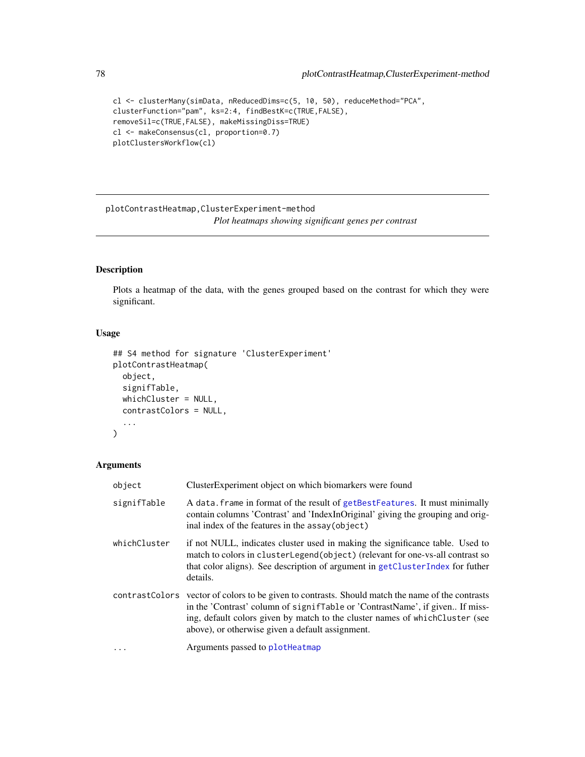```
cl <- clusterMany(simData, nReducedDims=c(5, 10, 50), reduceMethod="PCA",
clusterFunction="pam", ks=2:4, findBestK=c(TRUE,FALSE),
removeSil=c(TRUE,FALSE), makeMissingDiss=TRUE)
cl <- makeConsensus(cl, proportion=0.7)
plotClustersWorkflow(cl)
```
plotContrastHeatmap,ClusterExperiment-method *Plot heatmaps showing significant genes per contrast*

# Description

Plots a heatmap of the data, with the genes grouped based on the contrast for which they were significant.

# Usage

```
## S4 method for signature 'ClusterExperiment'
plotContrastHeatmap(
  object,
  signifTable,
 whichCluster = NULL,
  contrastColors = NULL,
  ...
)
```

| object       | ClusterExperiment object on which biomarkers were found                                                                                                                                                                                                                                                                |
|--------------|------------------------------------------------------------------------------------------------------------------------------------------------------------------------------------------------------------------------------------------------------------------------------------------------------------------------|
| signifTable  | A data. frame in format of the result of getBestFeatures. It must minimally<br>contain columns 'Contrast' and 'IndexInOriginal' giving the grouping and orig-<br>inal index of the features in the assay(object)                                                                                                       |
| whichCluster | if not NULL, indicates cluster used in making the significance table. Used to<br>match to colors in clusterLegend(object) (relevant for one-vs-all contrast so<br>that color aligns). See description of argument in getClusterIndex for futher<br>details.                                                            |
|              | contrast Colors vector of colors to be given to contrasts. Should match the name of the contrasts<br>in the 'Contrast' column of signiffable or 'ContrastName', if given If miss-<br>ing, default colors given by match to the cluster names of which Cluster (see<br>above), or otherwise given a default assignment. |
| $\ddots$     | Arguments passed to plotheatmap                                                                                                                                                                                                                                                                                        |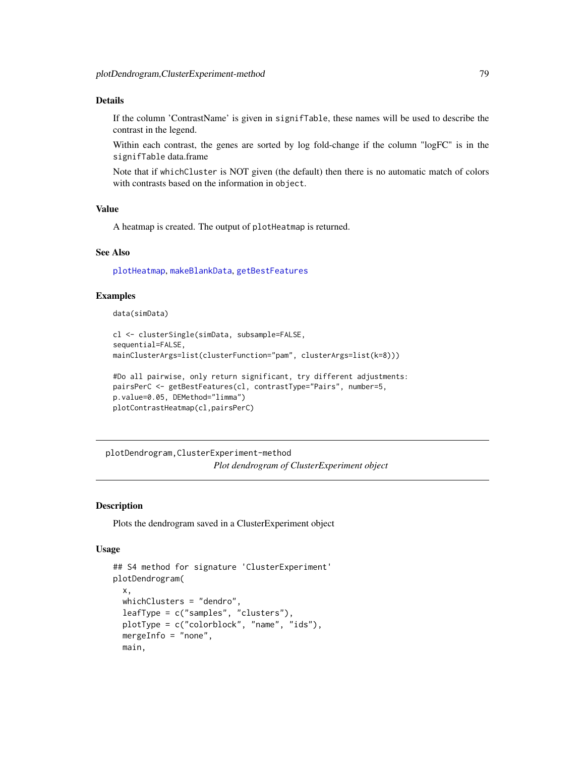# Details

If the column 'ContrastName' is given in signifTable, these names will be used to describe the contrast in the legend.

Within each contrast, the genes are sorted by log fold-change if the column "logFC" is in the signifTable data.frame

Note that if whichCluster is NOT given (the default) then there is no automatic match of colors with contrasts based on the information in object.

#### Value

A heatmap is created. The output of plotHeatmap is returned.

# See Also

[plotHeatmap](#page-83-0), [makeBlankData](#page-92-0), [getBestFeatures](#page-32-0)

### Examples

data(simData)

```
cl <- clusterSingle(simData, subsample=FALSE,
sequential=FALSE,
mainClusterArgs=list(clusterFunction="pam", clusterArgs=list(k=8)))
```

```
#Do all pairwise, only return significant, try different adjustments:
pairsPerC <- getBestFeatures(cl, contrastType="Pairs", number=5,
p.value=0.05, DEMethod="limma")
plotContrastHeatmap(cl,pairsPerC)
```
plotDendrogram,ClusterExperiment-method *Plot dendrogram of ClusterExperiment object*

## Description

Plots the dendrogram saved in a ClusterExperiment object

#### Usage

```
## S4 method for signature 'ClusterExperiment'
plotDendrogram(
  x,
 whichClusters = "dendro",
  leafType = c("samples", "clusters"),
 plotType = c("colorblock", "name", "ids"),
 mergeInfo = "none",
 main,
```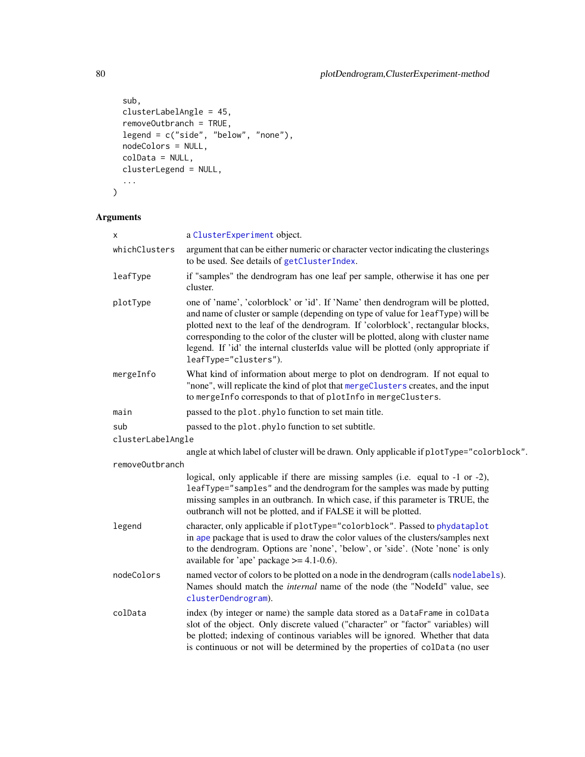```
sub,
 clusterLabelAngle = 45,
 removeOutbranch = TRUE,
 legend = c("side", "below", "none"),
 nodeColors = NULL,
 colData = NULL,
 clusterLegend = NULL,
  ...
)
```

| X                 | a ClusterExperiment object.                                                                                                                                                                                                                                                                                                                                                                                                                                 |
|-------------------|-------------------------------------------------------------------------------------------------------------------------------------------------------------------------------------------------------------------------------------------------------------------------------------------------------------------------------------------------------------------------------------------------------------------------------------------------------------|
| whichClusters     | argument that can be either numeric or character vector indicating the clusterings<br>to be used. See details of getClusterIndex.                                                                                                                                                                                                                                                                                                                           |
| leafType          | if "samples" the dendrogram has one leaf per sample, otherwise it has one per<br>cluster.                                                                                                                                                                                                                                                                                                                                                                   |
| plotType          | one of 'name', 'colorblock' or 'id'. If 'Name' then dendrogram will be plotted,<br>and name of cluster or sample (depending on type of value for leafType) will be<br>plotted next to the leaf of the dendrogram. If 'colorblock', rectangular blocks,<br>corresponding to the color of the cluster will be plotted, along with cluster name<br>legend. If 'id' the internal clusterIds value will be plotted (only appropriate if<br>leafType="clusters"). |
| mergeInfo         | What kind of information about merge to plot on dendrogram. If not equal to<br>"none", will replicate the kind of plot that mergeClusters creates, and the input<br>to mergeInfo corresponds to that of plotInfo in mergeClusters.                                                                                                                                                                                                                          |
| main              | passed to the plot. phylo function to set main title.                                                                                                                                                                                                                                                                                                                                                                                                       |
| sub               | passed to the plot. phylo function to set subtitle.                                                                                                                                                                                                                                                                                                                                                                                                         |
| clusterLabelAngle |                                                                                                                                                                                                                                                                                                                                                                                                                                                             |
|                   | angle at which label of cluster will be drawn. Only applicable if plotType="colorblock".                                                                                                                                                                                                                                                                                                                                                                    |
| removeOutbranch   |                                                                                                                                                                                                                                                                                                                                                                                                                                                             |
|                   | logical, only applicable if there are missing samples (i.e. equal to -1 or -2),<br>leafType="samples" and the dendrogram for the samples was made by putting<br>missing samples in an outbranch. In which case, if this parameter is TRUE, the<br>outbranch will not be plotted, and if FALSE it will be plotted.                                                                                                                                           |
| legend            | character, only applicable if plotType="colorblock". Passed to phydataplot<br>in ape package that is used to draw the color values of the clusters/samples next<br>to the dendrogram. Options are 'none', 'below', or 'side'. (Note 'none' is only<br>available for 'ape' package $\ge$ = 4.1-0.6).                                                                                                                                                         |
| nodeColors        | named vector of colors to be plotted on a node in the dendrogram (calls nodelabels).<br>Names should match the <i>internal</i> name of the node (the "NodeId" value, see<br>clusterDendrogram).                                                                                                                                                                                                                                                             |
| colData           | index (by integer or name) the sample data stored as a DataFrame in colData<br>slot of the object. Only discrete valued ("character" or "factor" variables) will<br>be plotted; indexing of continous variables will be ignored. Whether that data<br>is continuous or not will be determined by the properties of colData (no user                                                                                                                         |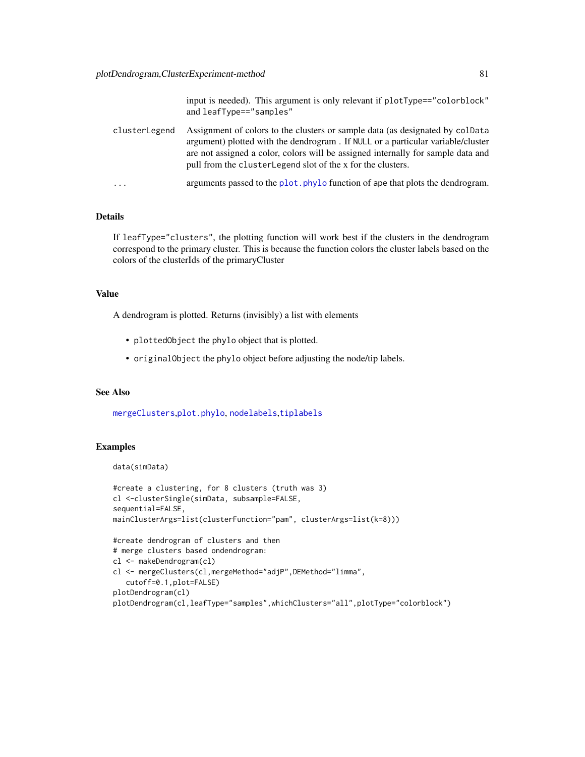input is needed). This argument is only relevant if plotType=="colorblock" and leafType=="samples"

| clusterLegend | Assignment of colors to the clusters or sample data (as designated by colData                                                                    |
|---------------|--------------------------------------------------------------------------------------------------------------------------------------------------|
|               | argument) plotted with the dendrogram. If NULL or a particular variable/cluster                                                                  |
|               | are not assigned a color, colors will be assigned internally for sample data and<br>pull from the cluster Legend slot of the x for the clusters. |
| .             | arguments passed to the plot, phylo function of ape that plots the dendrogram.                                                                   |

# Details

If leafType="clusters", the plotting function will work best if the clusters in the dendrogram correspond to the primary cluster. This is because the function colors the cluster labels based on the colors of the clusterIds of the primaryCluster

# Value

A dendrogram is plotted. Returns (invisibly) a list with elements

- plottedObject the phylo object that is plotted.
- originalObject the phylo object before adjusting the node/tip labels.

# See Also

[mergeClusters](#page-57-0),[plot.phylo](#page-0-0), [nodelabels](#page-0-0),[tiplabels](#page-0-0)

# Examples

```
data(simData)
```

```
#create a clustering, for 8 clusters (truth was 3)
cl <-clusterSingle(simData, subsample=FALSE,
sequential=FALSE,
mainClusterArgs=list(clusterFunction="pam", clusterArgs=list(k=8)))
#create dendrogram of clusters and then
# merge clusters based ondendrogram:
cl <- makeDendrogram(cl)
cl <- mergeClusters(cl,mergeMethod="adjP",DEMethod="limma",
   cutoff=0.1,plot=FALSE)
plotDendrogram(cl)
plotDendrogram(cl,leafType="samples",whichClusters="all",plotType="colorblock")
```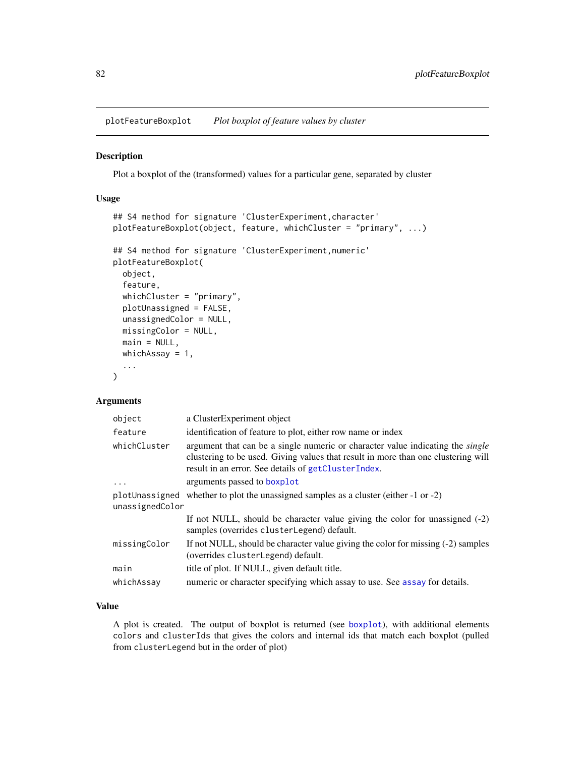plotFeatureBoxplot *Plot boxplot of feature values by cluster*

#### Description

Plot a boxplot of the (transformed) values for a particular gene, separated by cluster

## Usage

```
## S4 method for signature 'ClusterExperiment, character'
plotFeatureBoxplot(object, feature, whichCluster = "primary", ...)
## S4 method for signature 'ClusterExperiment,numeric'
plotFeatureBoxplot(
 object,
  feature,
 whichCluster = "primary",
 plotUnassigned = FALSE,
  unassignedColor = NULL,
 missingColor = NULL,
 main = NULL,
 whichAssay = 1,
  ...
\mathcal{L}
```
# Arguments

| object          | a ClusterExperiment object                                                                                                                                                                                                        |
|-----------------|-----------------------------------------------------------------------------------------------------------------------------------------------------------------------------------------------------------------------------------|
| feature         | identification of feature to plot, either row name or index                                                                                                                                                                       |
| whichCluster    | argument that can be a single numeric or character value indicating the <i>single</i><br>clustering to be used. Giving values that result in more than one clustering will<br>result in an error. See details of getClusterIndex. |
| $\ddots$ .      | arguments passed to boxplot                                                                                                                                                                                                       |
|                 | plotUnassigned whether to plot the unassigned samples as a cluster (either $-1$ or $-2$ )                                                                                                                                         |
| unassignedColor |                                                                                                                                                                                                                                   |
|                 | If not NULL, should be character value giving the color for unassigned $(-2)$<br>samples (overrides clusterLegend) default.                                                                                                       |
| missingColor    | If not NULL, should be character value giving the color for missing (-2) samples<br>(overrides clusterLegend) default.                                                                                                            |
| main            | title of plot. If NULL, given default title.                                                                                                                                                                                      |
| whichAssay      | numeric or character specifying which assay to use. See assay for details.                                                                                                                                                        |
|                 |                                                                                                                                                                                                                                   |

# Value

A plot is created. The output of boxplot is returned (see [boxplot](#page-0-0)), with additional elements colors and clusterIds that gives the colors and internal ids that match each boxplot (pulled from clusterLegend but in the order of plot)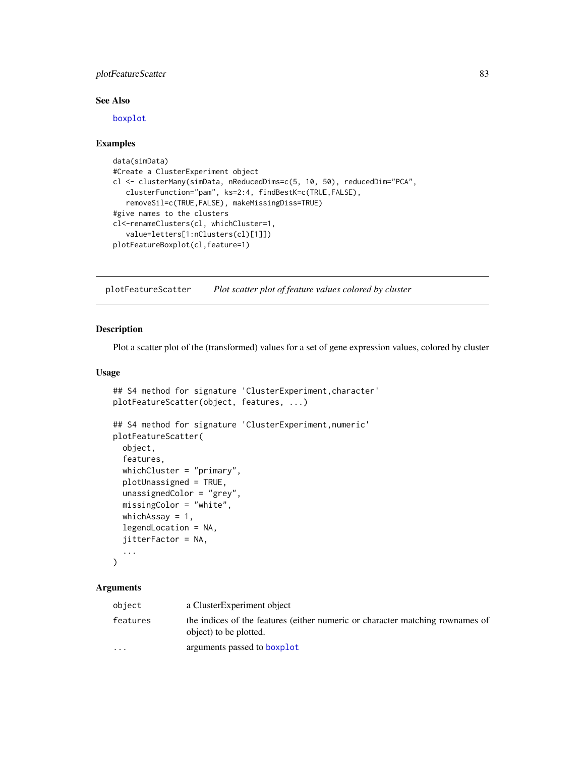# plotFeatureScatter 83

# See Also

[boxplot](#page-0-0)

#### Examples

```
data(simData)
#Create a ClusterExperiment object
cl <- clusterMany(simData, nReducedDims=c(5, 10, 50), reducedDim="PCA",
   clusterFunction="pam", ks=2:4, findBestK=c(TRUE,FALSE),
   removeSil=c(TRUE,FALSE), makeMissingDiss=TRUE)
#give names to the clusters
cl<-renameClusters(cl, whichCluster=1,
   value=letters[1:nClusters(cl)[1]])
plotFeatureBoxplot(cl,feature=1)
```
plotFeatureScatter *Plot scatter plot of feature values colored by cluster*

#### Description

Plot a scatter plot of the (transformed) values for a set of gene expression values, colored by cluster

# Usage

```
## S4 method for signature 'ClusterExperiment, character'
plotFeatureScatter(object, features, ...)
## S4 method for signature 'ClusterExperiment,numeric'
plotFeatureScatter(
 object,
  features,
 whichCluster = "primary",
 plotUnassigned = TRUE,
 unassignedColor = "grey",
 missingColor = "white",
 whichAssay = 1,
  legendLocation = NA,
  jitterFactor = NA,
  ...
\mathcal{L}
```

| a ClusterExperiment object<br>object                   |                                                                               |
|--------------------------------------------------------|-------------------------------------------------------------------------------|
| features<br>object) to be plotted.                     | the indices of the features (either numeric or character matching rownames of |
| arguments passed to boxplot<br>$\cdot$ $\cdot$ $\cdot$ |                                                                               |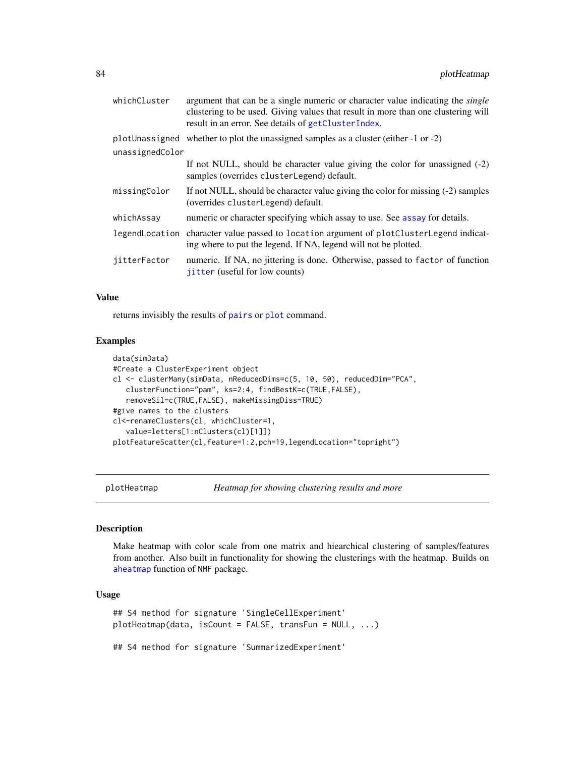| whichCluster    | argument that can be a single numeric or character value indicating the <i>single</i><br>clustering to be used. Giving values that result in more than one clustering will<br>result in an error. See details of getClusterIndex. |
|-----------------|-----------------------------------------------------------------------------------------------------------------------------------------------------------------------------------------------------------------------------------|
|                 | plotUnassigned whether to plot the unassigned samples as a cluster (either $-1$ or $-2$ )                                                                                                                                         |
| unassignedColor |                                                                                                                                                                                                                                   |
|                 | If not NULL, should be character value giving the color for unassigned $(-2)$<br>samples (overrides clusterLegend) default.                                                                                                       |
| missingColor    | If not NULL, should be character value giving the color for missing (-2) samples<br>(overrides clusterLegend) default.                                                                                                            |
| whichAssay      | numeric or character specifying which assay to use. See assay for details.                                                                                                                                                        |
|                 | legendLocation character value passed to location argument of plotClusterLegend indicat-<br>ing where to put the legend. If NA, legend will not be plotted.                                                                       |
| jitterFactor    | numeric. If NA, no jittering is done. Otherwise, passed to factor of function<br>jitter (useful for low counts)                                                                                                                   |

#### Value

returns invisibly the results of [pairs](#page-0-0) or [plot](#page-0-0) command.

## Examples

```
data(simData)
#Create a ClusterExperiment object
cl <- clusterMany(simData, nReducedDims=c(5, 10, 50), reducedDim="PCA",
   clusterFunction="pam", ks=2:4, findBestK=c(TRUE,FALSE),
   removeSil=c(TRUE,FALSE), makeMissingDiss=TRUE)
#give names to the clusters
cl<-renameClusters(cl, whichCluster=1,
   value=letters[1:nClusters(cl)[1]])
plotFeatureScatter(cl,feature=1:2,pch=19,legendLocation="topright")
```
<span id="page-83-0"></span>plotHeatmap *Heatmap for showing clustering results and more*

## Description

Make heatmap with color scale from one matrix and hiearchical clustering of samples/features from another. Also built in functionality for showing the clusterings with the heatmap. Builds on [aheatmap](#page-0-0) function of NMF package.

# Usage

```
## S4 method for signature 'SingleCellExperiment'
plotHeatmap(data, isCount = FALSE, transFun = NULL, ...)
## S4 method for signature 'SummarizedExperiment'
```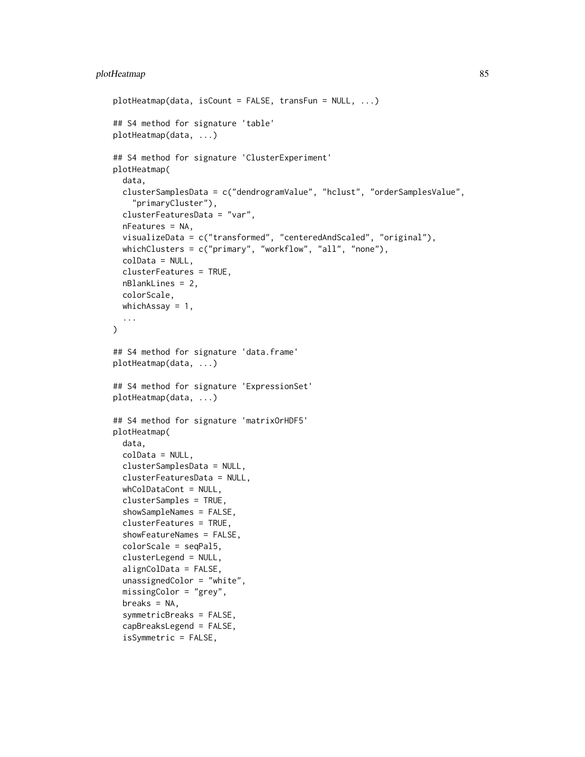```
plotHeatmap(data, isCount = FALSE, transFun = NULL, ...)
## S4 method for signature 'table'
plotHeatmap(data, ...)
## S4 method for signature 'ClusterExperiment'
plotHeatmap(
  data,
  clusterSamplesData = c("dendrogramValue", "hclust", "orderSamplesValue",
    "primaryCluster"),
  clusterFeaturesData = "var",
  nFeatures = NA,
  visualizeData = c("transformed", "centeredAndScaled", "original"),
  whichClusters = c("primary", "workflow", "all", "none"),
  colData = NULL,
  clusterFeatures = TRUE,
  nBlankLines = 2,
  colorScale,
 whichAssay = 1,
  ...
\lambda## S4 method for signature 'data.frame'
plotHeatmap(data, ...)
## S4 method for signature 'ExpressionSet'
plotHeatmap(data, ...)
## S4 method for signature 'matrixOrHDF5'
plotHeatmap(
  data,
  colData = NULL,
  clusterSamplesData = NULL,
  clusterFeaturesData = NULL,
  whColDataCont = NULL,
  clusterSamples = TRUE,
  showSampleNames = FALSE,
  clusterFeatures = TRUE,
  showFeatureNames = FALSE,
  colorScale = seqPal5,
  clusterLegend = NULL,
  alignColData = FALSE,
  unassignedColor = "white",
  missingColor = "grey",
  breaks = NA,
  symmetricBreaks = FALSE,
  capBreaksLegend = FALSE,
  isSymmetric = FALSE,
```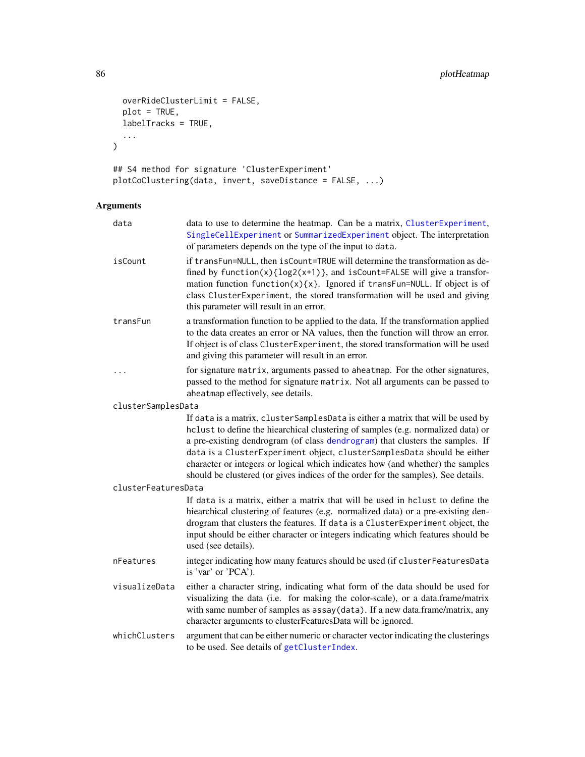```
overRideClusterLimit = FALSE,
  plot = TRUE,
  labelTracks = TRUE,
  ...
\mathcal{L}## S4 method for signature 'ClusterExperiment'
```

```
plotCoClustering(data, invert, saveDistance = FALSE, ...)
```

| data                | data to use to determine the heatmap. Can be a matrix, ClusterExperiment,<br>SingleCellExperiment or SummarizedExperiment object. The interpretation<br>of parameters depends on the type of the input to data.                                                                                                                                                                                                                                                                                         |
|---------------------|---------------------------------------------------------------------------------------------------------------------------------------------------------------------------------------------------------------------------------------------------------------------------------------------------------------------------------------------------------------------------------------------------------------------------------------------------------------------------------------------------------|
| isCount             | if transFun=NULL, then isCount=TRUE will determine the transformation as de-<br>fined by function(x){log2(x+1)}, and isCount=FALSE will give a transfor-<br>mation function function(x){x}. Ignored if transFun=NULL. If object is of<br>class ClusterExperiment, the stored transformation will be used and giving<br>this parameter will result in an error.                                                                                                                                          |
| transFun            | a transformation function to be applied to the data. If the transformation applied<br>to the data creates an error or NA values, then the function will throw an error.<br>If object is of class ClusterExperiment, the stored transformation will be used<br>and giving this parameter will result in an error.                                                                                                                                                                                        |
|                     | for signature matrix, arguments passed to aheatmap. For the other signatures,<br>passed to the method for signature matrix. Not all arguments can be passed to<br>aheatmap effectively, see details.                                                                                                                                                                                                                                                                                                    |
| clusterSamplesData  |                                                                                                                                                                                                                                                                                                                                                                                                                                                                                                         |
|                     | If data is a matrix, cluster SamplesData is either a matrix that will be used by<br>hclust to define the hiearchical clustering of samples (e.g. normalized data) or<br>a pre-existing dendrogram (of class dendrogram) that clusters the samples. If<br>data is a ClusterExperiment object, clusterSamplesData should be either<br>character or integers or logical which indicates how (and whether) the samples<br>should be clustered (or gives indices of the order for the samples). See details. |
| clusterFeaturesData |                                                                                                                                                                                                                                                                                                                                                                                                                                                                                                         |
|                     | If data is a matrix, either a matrix that will be used in holust to define the<br>hiearchical clustering of features (e.g. normalized data) or a pre-existing den-<br>drogram that clusters the features. If data is a ClusterExperiment object, the<br>input should be either character or integers indicating which features should be<br>used (see details).                                                                                                                                         |
| nFeatures           | integer indicating how many features should be used (if clusterFeaturesData<br>is 'var' or 'PCA').                                                                                                                                                                                                                                                                                                                                                                                                      |
| visualizeData       | either a character string, indicating what form of the data should be used for<br>visualizing the data (i.e. for making the color-scale), or a data.frame/matrix<br>with same number of samples as assay(data). If a new data.frame/matrix, any<br>character arguments to clusterFeaturesData will be ignored.                                                                                                                                                                                          |
| whichClusters       | argument that can be either numeric or character vector indicating the clusterings<br>to be used. See details of getClusterIndex.                                                                                                                                                                                                                                                                                                                                                                       |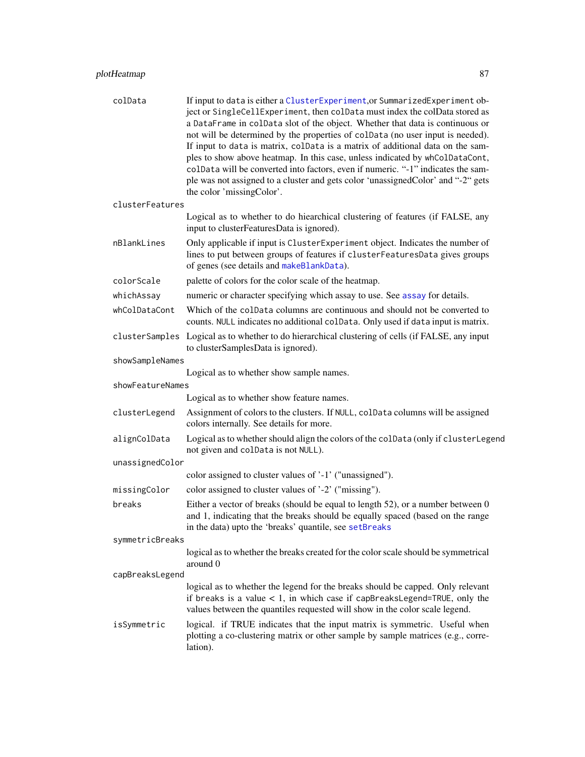| colData          | If input to data is either a ClusterExperiment, or SummarizedExperiment ob-<br>ject or SingleCellExperiment, then colData must index the colData stored as<br>a DataFrame in colData slot of the object. Whether that data is continuous or<br>not will be determined by the properties of colData (no user input is needed).<br>If input to data is matrix, colData is a matrix of additional data on the sam-<br>ples to show above heatmap. In this case, unless indicated by whColDataCont,<br>colData will be converted into factors, even if numeric. "-1" indicates the sam-<br>ple was not assigned to a cluster and gets color 'unassignedColor' and "-2" gets<br>the color 'missingColor'. |
|------------------|------------------------------------------------------------------------------------------------------------------------------------------------------------------------------------------------------------------------------------------------------------------------------------------------------------------------------------------------------------------------------------------------------------------------------------------------------------------------------------------------------------------------------------------------------------------------------------------------------------------------------------------------------------------------------------------------------|
| clusterFeatures  |                                                                                                                                                                                                                                                                                                                                                                                                                                                                                                                                                                                                                                                                                                      |
|                  | Logical as to whether to do hiearchical clustering of features (if FALSE, any<br>input to clusterFeaturesData is ignored).                                                                                                                                                                                                                                                                                                                                                                                                                                                                                                                                                                           |
| nBlankLines      | Only applicable if input is ClusterExperiment object. Indicates the number of<br>lines to put between groups of features if clusterFeaturesData gives groups<br>of genes (see details and makeBlankData).                                                                                                                                                                                                                                                                                                                                                                                                                                                                                            |
| colorScale       | palette of colors for the color scale of the heatmap.                                                                                                                                                                                                                                                                                                                                                                                                                                                                                                                                                                                                                                                |
| whichAssay       | numeric or character specifying which assay to use. See assay for details.                                                                                                                                                                                                                                                                                                                                                                                                                                                                                                                                                                                                                           |
| whColDataCont    | Which of the colData columns are continuous and should not be converted to<br>counts. NULL indicates no additional colData. Only used if data input is matrix.                                                                                                                                                                                                                                                                                                                                                                                                                                                                                                                                       |
|                  | clusterSamples Logical as to whether to do hierarchical clustering of cells (if FALSE, any input<br>to clusterSamplesData is ignored).                                                                                                                                                                                                                                                                                                                                                                                                                                                                                                                                                               |
| showSampleNames  |                                                                                                                                                                                                                                                                                                                                                                                                                                                                                                                                                                                                                                                                                                      |
|                  | Logical as to whether show sample names.                                                                                                                                                                                                                                                                                                                                                                                                                                                                                                                                                                                                                                                             |
| showFeatureNames | Logical as to whether show feature names.                                                                                                                                                                                                                                                                                                                                                                                                                                                                                                                                                                                                                                                            |
| clusterLegend    | Assignment of colors to the clusters. If NULL, colData columns will be assigned<br>colors internally. See details for more.                                                                                                                                                                                                                                                                                                                                                                                                                                                                                                                                                                          |
| alignColData     | Logical as to whether should align the colors of the colData (only if clusterLegend<br>not given and colData is not NULL).                                                                                                                                                                                                                                                                                                                                                                                                                                                                                                                                                                           |
| unassignedColor  |                                                                                                                                                                                                                                                                                                                                                                                                                                                                                                                                                                                                                                                                                                      |
|                  | color assigned to cluster values of '-1' ("unassigned").                                                                                                                                                                                                                                                                                                                                                                                                                                                                                                                                                                                                                                             |
| missingColor     | color assigned to cluster values of '-2' ("missing").                                                                                                                                                                                                                                                                                                                                                                                                                                                                                                                                                                                                                                                |
| breaks           | Either a vector of breaks (should be equal to length 52), or a number between 0<br>and 1, indicating that the breaks should be equally spaced (based on the range<br>in the data) upto the 'breaks' quantile, see setBreaks                                                                                                                                                                                                                                                                                                                                                                                                                                                                          |
| symmetricBreaks  |                                                                                                                                                                                                                                                                                                                                                                                                                                                                                                                                                                                                                                                                                                      |
|                  | logical as to whether the breaks created for the color scale should be symmetrical<br>around 0                                                                                                                                                                                                                                                                                                                                                                                                                                                                                                                                                                                                       |
| capBreaksLegend  | logical as to whether the legend for the breaks should be capped. Only relevant                                                                                                                                                                                                                                                                                                                                                                                                                                                                                                                                                                                                                      |
|                  | if breaks is a value $< 1$ , in which case if capBreaksLegend=TRUE, only the<br>values between the quantiles requested will show in the color scale legend.                                                                                                                                                                                                                                                                                                                                                                                                                                                                                                                                          |
| isSymmetric      | logical. if TRUE indicates that the input matrix is symmetric. Useful when<br>plotting a co-clustering matrix or other sample by sample matrices (e.g., corre-<br>lation).                                                                                                                                                                                                                                                                                                                                                                                                                                                                                                                           |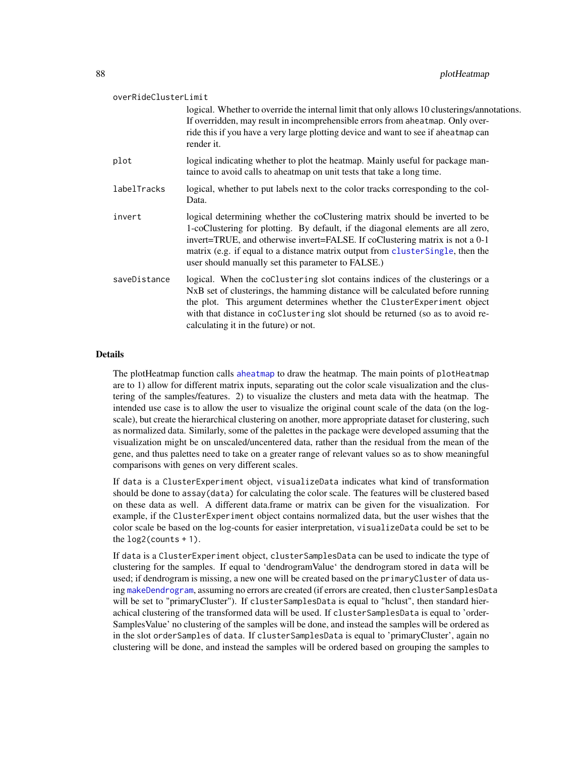| overRideClusterLimit |                                                                                                                                                                                                                                                                                                                                                                                         |  |
|----------------------|-----------------------------------------------------------------------------------------------------------------------------------------------------------------------------------------------------------------------------------------------------------------------------------------------------------------------------------------------------------------------------------------|--|
|                      | logical. Whether to override the internal limit that only allows 10 clusterings/annotations.<br>If overridden, may result in incomprehensible errors from aheatmap. Only over-<br>ride this if you have a very large plotting device and want to see if aheatmap can<br>render it.                                                                                                      |  |
| plot                 | logical indicating whether to plot the heatmap. Mainly useful for package man-<br>taince to avoid calls to aheatmap on unit tests that take a long time.                                                                                                                                                                                                                                |  |
| labelTracks          | logical, whether to put labels next to the color tracks corresponding to the col-<br>Data.                                                                                                                                                                                                                                                                                              |  |
| invert               | logical determining whether the coClustering matrix should be inverted to be<br>1-coClustering for plotting. By default, if the diagonal elements are all zero,<br>invert=TRUE, and otherwise invert=FALSE. If coClustering matrix is not a 0-1<br>matrix (e.g. if equal to a distance matrix output from clusterSingle, then the<br>user should manually set this parameter to FALSE.) |  |
| saveDistance         | logical. When the coClustering slot contains indices of the clusterings or a<br>NxB set of clusterings, the hamming distance will be calculated before running<br>the plot. This argument determines whether the ClusterExperiment object<br>with that distance in coClustering slot should be returned (so as to avoid re-<br>calculating it in the future) or not.                    |  |

#### Details

The plotHeatmap function calls [aheatmap](#page-0-0) to draw the heatmap. The main points of plotHeatmap are to 1) allow for different matrix inputs, separating out the color scale visualization and the clustering of the samples/features. 2) to visualize the clusters and meta data with the heatmap. The intended use case is to allow the user to visualize the original count scale of the data (on the logscale), but create the hierarchical clustering on another, more appropriate dataset for clustering, such as normalized data. Similarly, some of the palettes in the package were developed assuming that the visualization might be on unscaled/uncentered data, rather than the residual from the mean of the gene, and thus palettes need to take on a greater range of relevant values so as to show meaningful comparisons with genes on very different scales.

If data is a ClusterExperiment object, visualizeData indicates what kind of transformation should be done to assay(data) for calculating the color scale. The features will be clustered based on these data as well. A different data.frame or matrix can be given for the visualization. For example, if the ClusterExperiment object contains normalized data, but the user wishes that the color scale be based on the log-counts for easier interpretation, visualizeData could be set to be the  $log2$ (counts + 1).

If data is a ClusterExperiment object, clusterSamplesData can be used to indicate the type of clustering for the samples. If equal to 'dendrogramValue' the dendrogram stored in data will be used; if dendrogram is missing, a new one will be created based on the primaryCluster of data using [makeDendrogram](#page-55-0), assuming no errors are created (if errors are created, then clusterSamplesData will be set to "primaryCluster"). If clusterSamplesData is equal to "hclust", then standard hierachical clustering of the transformed data will be used. If clusterSamplesData is equal to 'order-SamplesValue' no clustering of the samples will be done, and instead the samples will be ordered as in the slot orderSamples of data. If clusterSamplesData is equal to 'primaryCluster', again no clustering will be done, and instead the samples will be ordered based on grouping the samples to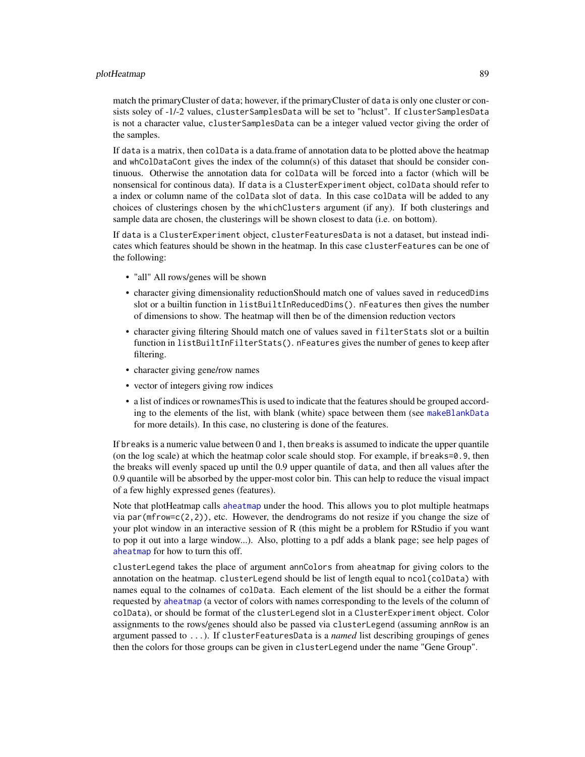#### plotHeatmap 89

match the primaryCluster of data; however, if the primaryCluster of data is only one cluster or consists soley of -1/-2 values, clusterSamplesData will be set to "hclust". If clusterSamplesData is not a character value, clusterSamplesData can be a integer valued vector giving the order of the samples.

If data is a matrix, then colData is a data.frame of annotation data to be plotted above the heatmap and whColDataCont gives the index of the column(s) of this dataset that should be consider continuous. Otherwise the annotation data for colData will be forced into a factor (which will be nonsensical for continous data). If data is a ClusterExperiment object, colData should refer to a index or column name of the colData slot of data. In this case colData will be added to any choices of clusterings chosen by the whichClusters argument (if any). If both clusterings and sample data are chosen, the clusterings will be shown closest to data (i.e. on bottom).

If data is a ClusterExperiment object, clusterFeaturesData is not a dataset, but instead indicates which features should be shown in the heatmap. In this case clusterFeatures can be one of the following:

- "all" All rows/genes will be shown
- character giving dimensionality reductionShould match one of values saved in reducedDims slot or a builtin function in listBuiltInReducedDims(). nFeatures then gives the number of dimensions to show. The heatmap will then be of the dimension reduction vectors
- character giving filtering Should match one of values saved in filterStats slot or a builtin function in listBuiltInFilterStats(). nFeatures gives the number of genes to keep after filtering.
- character giving gene/row names
- vector of integers giving row indices
- a list of indices or rownamesThis is used to indicate that the features should be grouped according to the elements of the list, with blank (white) space between them (see [makeBlankData](#page-92-0) for more details). In this case, no clustering is done of the features.

If breaks is a numeric value between 0 and 1, then breaks is assumed to indicate the upper quantile (on the log scale) at which the heatmap color scale should stop. For example, if breaks=0.9, then the breaks will evenly spaced up until the 0.9 upper quantile of data, and then all values after the 0.9 quantile will be absorbed by the upper-most color bin. This can help to reduce the visual impact of a few highly expressed genes (features).

Note that plotHeatmap calls [aheatmap](#page-0-0) under the hood. This allows you to plot multiple heatmaps via par(mfrow=c(2,2)), etc. However, the dendrograms do not resize if you change the size of your plot window in an interactive session of R (this might be a problem for RStudio if you want to pop it out into a large window...). Also, plotting to a pdf adds a blank page; see help pages of [aheatmap](#page-0-0) for how to turn this off.

clusterLegend takes the place of argument annColors from aheatmap for giving colors to the annotation on the heatmap. clusterLegend should be list of length equal to ncol(colData) with names equal to the colnames of colData. Each element of the list should be a either the format requested by [aheatmap](#page-0-0) (a vector of colors with names corresponding to the levels of the column of colData), or should be format of the clusterLegend slot in a ClusterExperiment object. Color assignments to the rows/genes should also be passed via clusterLegend (assuming annRow is an argument passed to ...). If clusterFeaturesData is a *named* list describing groupings of genes then the colors for those groups can be given in clusterLegend under the name "Gene Group".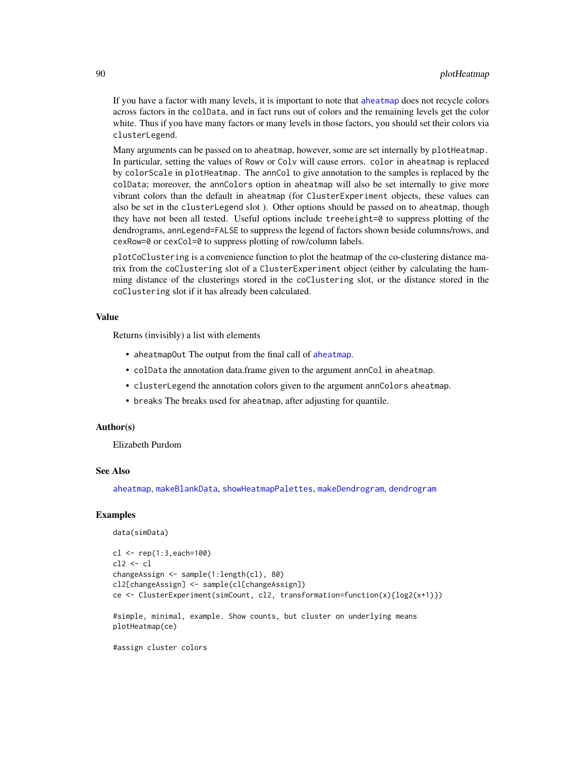If you have a factor with many levels, it is important to note that [aheatmap](#page-0-0) does not recycle colors across factors in the colData, and in fact runs out of colors and the remaining levels get the color white. Thus if you have many factors or many levels in those factors, you should set their colors via clusterLegend.

Many arguments can be passed on to aheatmap, however, some are set internally by plotHeatmap. In particular, setting the values of Rowv or Colv will cause errors. color in aheatmap is replaced by colorScale in plotHeatmap. The annCol to give annotation to the samples is replaced by the colData; moreover, the annColors option in aheatmap will also be set internally to give more vibrant colors than the default in aheatmap (for ClusterExperiment objects, these values can also be set in the clusterLegend slot ). Other options should be passed on to aheatmap, though they have not been all tested. Useful options include treeheight=0 to suppress plotting of the dendrograms, annLegend=FALSE to suppress the legend of factors shown beside columns/rows, and cexRow=0 or cexCol=0 to suppress plotting of row/column labels.

plotCoClustering is a convenience function to plot the heatmap of the co-clustering distance matrix from the coClustering slot of a ClusterExperiment object (either by calculating the hamming distance of the clusterings stored in the coClustering slot, or the distance stored in the coClustering slot if it has already been calculated.

#### Value

Returns (invisibly) a list with elements

- [aheatmap](#page-0-0)Out The output from the final call of aheatmap.
- colData the annotation data.frame given to the argument annCol in aheatmap.
- clusterLegend the annotation colors given to the argument annColors aheatmap.
- breaks The breaks used for aheatmap, after adjusting for quantile.

# Author(s)

Elizabeth Purdom

## See Also

[aheatmap](#page-0-0), [makeBlankData](#page-92-0), [showHeatmapPalettes](#page-92-0), [makeDendrogram](#page-55-0), [dendrogram](#page-0-0)

### Examples

```
data(simData)
```

```
cl <- rep(1:3,each=100)
cl2 <- cl
changeAssign <- sample(1:length(cl), 80)
cl2[changeAssign] <- sample(cl[changeAssign])
ce <- ClusterExperiment(simCount, cl2, transformation=function(x){log2(x+1)})
```
#simple, minimal, example. Show counts, but cluster on underlying means plotHeatmap(ce)

#assign cluster colors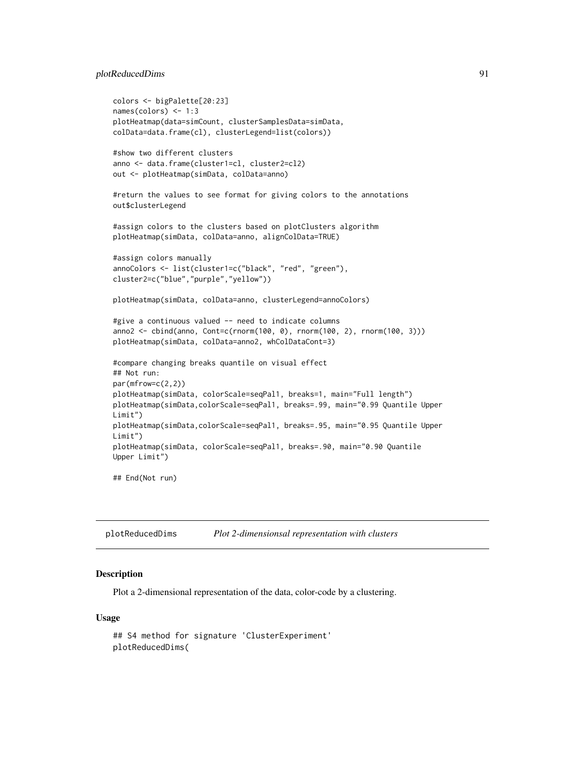# plotReducedDims 91

```
colors <- bigPalette[20:23]
names(colors) <- 1:3
plotHeatmap(data=simCount, clusterSamplesData=simData,
colData=data.frame(cl), clusterLegend=list(colors))
#show two different clusters
anno <- data.frame(cluster1=cl, cluster2=cl2)
out <- plotHeatmap(simData, colData=anno)
#return the values to see format for giving colors to the annotations
out$clusterLegend
#assign colors to the clusters based on plotClusters algorithm
plotHeatmap(simData, colData=anno, alignColData=TRUE)
#assign colors manually
annoColors <- list(cluster1=c("black", "red", "green"),
cluster2=c("blue","purple","yellow"))
plotHeatmap(simData, colData=anno, clusterLegend=annoColors)
#give a continuous valued -- need to indicate columns
anno2 <- cbind(anno, Cont=c(rnorm(100, 0), rnorm(100, 2), rnorm(100, 3)))
plotHeatmap(simData, colData=anno2, whColDataCont=3)
#compare changing breaks quantile on visual effect
## Not run:
par(mfrow=c(2,2))
plotHeatmap(simData, colorScale=seqPal1, breaks=1, main="Full length")
plotHeatmap(simData,colorScale=seqPal1, breaks=.99, main="0.99 Quantile Upper
Limit")
plotHeatmap(simData,colorScale=seqPal1, breaks=.95, main="0.95 Quantile Upper
Limit")
plotHeatmap(simData, colorScale=seqPal1, breaks=.90, main="0.90 Quantile
Upper Limit")
## End(Not run)
```

| plotReducedDims | Plot 2-dimensionsal representation with clusters |
|-----------------|--------------------------------------------------|
|-----------------|--------------------------------------------------|

### Description

Plot a 2-dimensional representation of the data, color-code by a clustering.

#### Usage

```
## S4 method for signature 'ClusterExperiment'
plotReducedDims(
```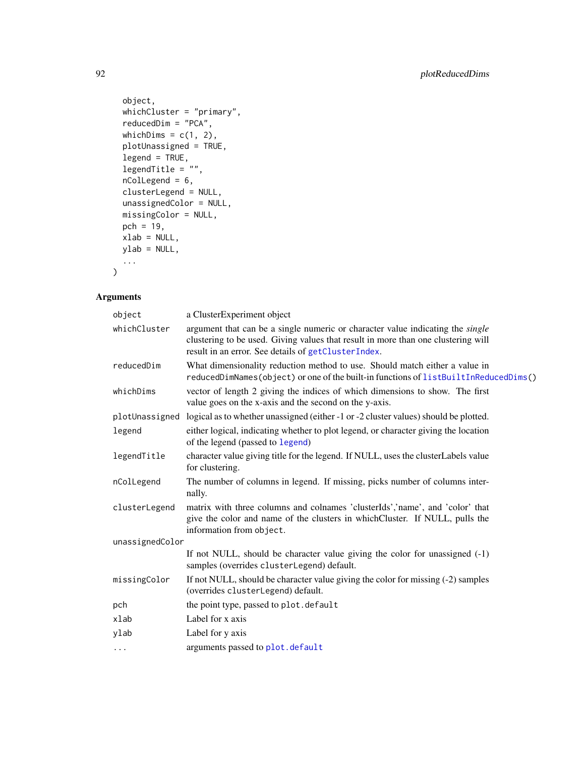```
object,
 whichCluster = "primary",
 reducedDim = "PCA",
 whichDims = c(1, 2),
 plotUnassigned = TRUE,
 legend = TRUE,
 legent\frac{1}{2}, \frac{1}{2}nColLegend = 6,
 clusterLegend = NULL,
 unassignedColor = NULL,
 missingColor = NULL,
 pch = 19,
 xlab = NULL,
 ylab = NULL,
  ...
)
```

| object          | a ClusterExperiment object                                                                                                                                                                                                        |
|-----------------|-----------------------------------------------------------------------------------------------------------------------------------------------------------------------------------------------------------------------------------|
| whichCluster    | argument that can be a single numeric or character value indicating the <i>single</i><br>clustering to be used. Giving values that result in more than one clustering will<br>result in an error. See details of getClusterIndex. |
| reducedDim      | What dimensionality reduction method to use. Should match either a value in<br>reducedDimNames(object) or one of the built-in functions of listBuiltInReducedDims()                                                               |
| whichDims       | vector of length 2 giving the indices of which dimensions to show. The first<br>value goes on the x-axis and the second on the y-axis.                                                                                            |
|                 | plotUnassigned logical as to whether unassigned (either -1 or -2 cluster values) should be plotted.                                                                                                                               |
| legend          | either logical, indicating whether to plot legend, or character giving the location<br>of the legend (passed to legend)                                                                                                           |
| legendTitle     | character value giving title for the legend. If NULL, uses the clusterLabels value<br>for clustering.                                                                                                                             |
| nColLegend      | The number of columns in legend. If missing, picks number of columns inter-<br>nally.                                                                                                                                             |
| clusterLegend   | matrix with three columns and colnames 'clusterIds','name', and 'color' that<br>give the color and name of the clusters in which Cluster. If NULL, pulls the<br>information from object.                                          |
| unassignedColor |                                                                                                                                                                                                                                   |
|                 | If not NULL, should be character value giving the color for unassigned $(-1)$<br>samples (overrides clusterLegend) default.                                                                                                       |
| missingColor    | If not NULL, should be character value giving the color for missing (-2) samples<br>(overrides clusterLegend) default.                                                                                                            |
| pch             | the point type, passed to plot. default                                                                                                                                                                                           |
| xlab            | Label for x axis                                                                                                                                                                                                                  |
| ylab            | Label for y axis                                                                                                                                                                                                                  |
| $\cdots$        | arguments passed to plot.default                                                                                                                                                                                                  |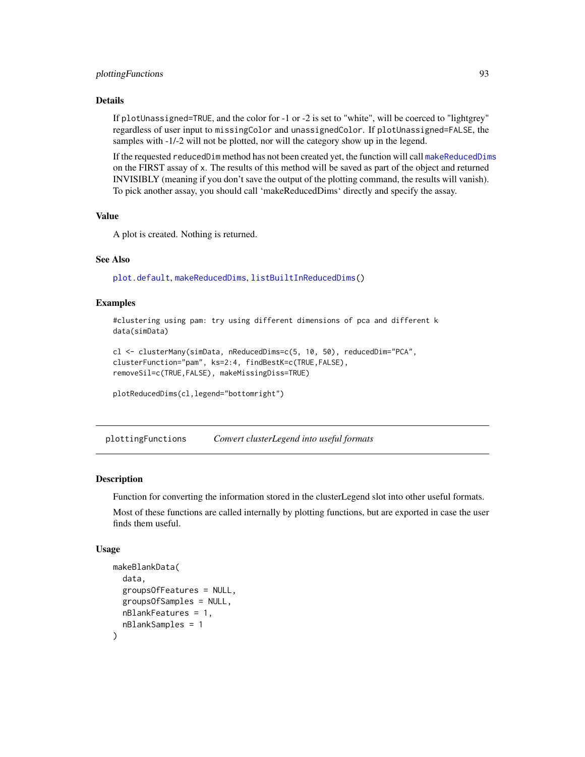# plottingFunctions 93

#### Details

If plotUnassigned=TRUE, and the color for -1 or -2 is set to "white", will be coerced to "lightgrey" regardless of user input to missingColor and unassignedColor. If plotUnassigned=FALSE, the samples with -1/-2 will not be plotted, nor will the category show up in the legend.

If the requested reducedDim method has not been created yet, the function will call [makeReducedDims](#page-39-0) on the FIRST assay of x. The results of this method will be saved as part of the object and returned INVISIBLY (meaning if you don't save the output of the plotting command, the results will vanish). To pick another assay, you should call 'makeReducedDims' directly and specify the assay.

# Value

A plot is created. Nothing is returned.

#### See Also

[plot.default](#page-0-0), [makeReducedDims](#page-39-0), [listBuiltInReducedDims\(](#page-39-0))

# Examples

#clustering using pam: try using different dimensions of pca and different k data(simData)

```
cl <- clusterMany(simData, nReducedDims=c(5, 10, 50), reducedDim="PCA",
clusterFunction="pam", ks=2:4, findBestK=c(TRUE,FALSE),
removeSil=c(TRUE,FALSE), makeMissingDiss=TRUE)
```

```
plotReducedDims(cl,legend="bottomright")
```
plottingFunctions *Convert clusterLegend into useful formats*

#### <span id="page-92-0"></span>Description

Function for converting the information stored in the clusterLegend slot into other useful formats.

Most of these functions are called internally by plotting functions, but are exported in case the user finds them useful.

#### Usage

```
makeBlankData(
  data,
  groupsOfFeatures = NULL,
  groupsOfSamples = NULL,
  nBlankFeatures = 1,
  nBlankSamples = 1
)
```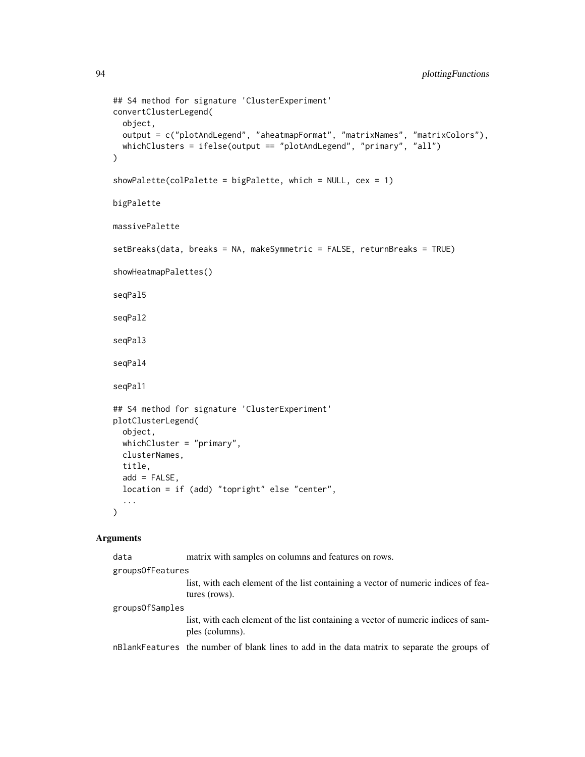```
## S4 method for signature 'ClusterExperiment'
convertClusterLegend(
 object,
 output = c("plotAndLegend", "aheatmapFormat", "matrixNames", "matrixColors"),
 whichClusters = ifelse(output == "plotAndLegend", "primary", "all")
\mathcal{L}showPalette(colPalette = bigPalette, which = NULL, cex = 1)
bigPalette
massivePalette
setBreaks(data, breaks = NA, makeSymmetric = FALSE, returnBreaks = TRUE)
showHeatmapPalettes()
seqPal5
seqPal2
seqPal3
seqPal4
seqPal1
## S4 method for signature 'ClusterExperiment'
plotClusterLegend(
 object,
 whichCluster = "primary",
 clusterNames,
 title,
  add = FALSE,location = if (add) "topright" else "center",
  ...
\lambda
```

| data             | matrix with samples on columns and features on rows.                                                  |
|------------------|-------------------------------------------------------------------------------------------------------|
| groupsOfFeatures |                                                                                                       |
|                  | list, with each element of the list containing a vector of numeric indices of fea-<br>tures (rows).   |
| groupsOfSamples  |                                                                                                       |
|                  | list, with each element of the list containing a vector of numeric indices of sam-<br>ples (columns). |
|                  | nBlankFeatures the number of blank lines to add in the data matrix to separate the groups of          |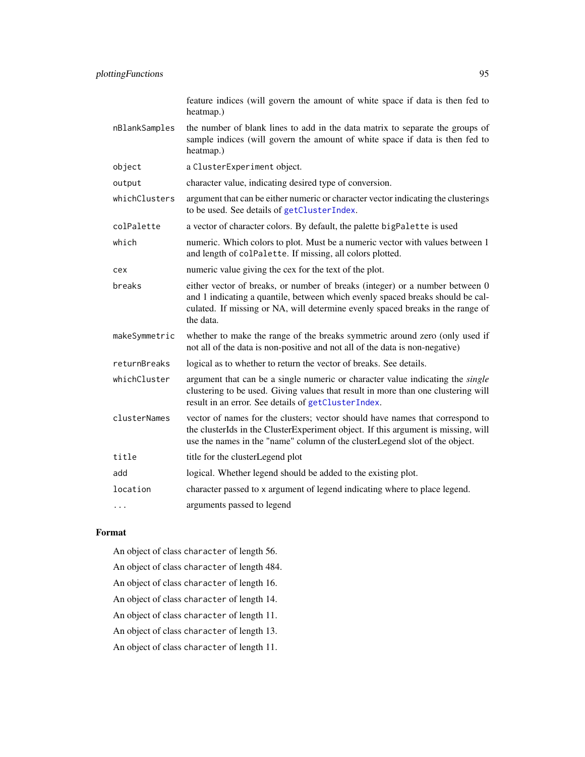feature indices (will govern the amount of white space if data is then fed to heatmap.)

- nBlankSamples the number of blank lines to add in the data matrix to separate the groups of sample indices (will govern the amount of white space if data is then fed to heatmap.)
- object a ClusterExperiment object.
- output character value, indicating desired type of conversion.
- whichClusters argument that can be either numeric or character vector indicating the clusterings to be used. See details of [getClusterIndex](#page-36-0).
- colPalette a vector of character colors. By default, the palette bigPalette is used
- which numeric. Which colors to plot. Must be a numeric vector with values between 1 and length of colPalette. If missing, all colors plotted.
- cex numeric value giving the cex for the text of the plot.
- breaks either vector of breaks, or number of breaks (integer) or a number between 0 and 1 indicating a quantile, between which evenly spaced breaks should be calculated. If missing or NA, will determine evenly spaced breaks in the range of the data.
- makeSymmetric whether to make the range of the breaks symmetric around zero (only used if not all of the data is non-positive and not all of the data is non-negative)
- returnBreaks logical as to whether to return the vector of breaks. See details.
- whichCluster argument that can be a single numeric or character value indicating the *single* clustering to be used. Giving values that result in more than one clustering will result in an error. See details of [getClusterIndex](#page-36-0).
- clusterNames vector of names for the clusters; vector should have names that correspond to the clusterIds in the ClusterExperiment object. If this argument is missing, will use the names in the "name" column of the clusterLegend slot of the object.
- title title for the clusterLegend plot
- add logical. Whether legend should be added to the existing plot.
- location character passed to x argument of legend indicating where to place legend.
- ... arguments passed to legend

#### Format

- An object of class character of length 56.
- An object of class character of length 484.
- An object of class character of length 16.
- An object of class character of length 14.
- An object of class character of length 11.
- An object of class character of length 13.
- An object of class character of length 11.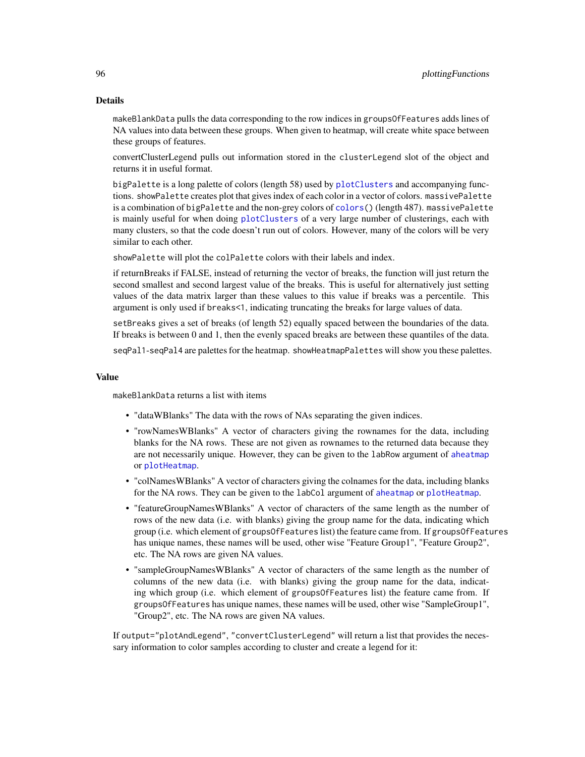#### Details

makeBlankData pulls the data corresponding to the row indices in groupsOfFeatures adds lines of NA values into data between these groups. When given to heatmap, will create white space between these groups of features.

convertClusterLegend pulls out information stored in the clusterLegend slot of the object and returns it in useful format.

bigPalette is a long palette of colors (length 58) used by [plotClusters](#page-66-0) and accompanying functions. showPalette creates plot that gives index of each color in a vector of colors. massivePalette is a combination of bigPalette and the non-grey colors of colors () (length 487). massivePalette is mainly useful for when doing [plotClusters](#page-66-0) of a very large number of clusterings, each with many clusters, so that the code doesn't run out of colors. However, many of the colors will be very similar to each other.

showPalette will plot the colPalette colors with their labels and index.

if returnBreaks if FALSE, instead of returning the vector of breaks, the function will just return the second smallest and second largest value of the breaks. This is useful for alternatively just setting values of the data matrix larger than these values to this value if breaks was a percentile. This argument is only used if breaks<1, indicating truncating the breaks for large values of data.

setBreaks gives a set of breaks (of length 52) equally spaced between the boundaries of the data. If breaks is between 0 and 1, then the evenly spaced breaks are between these quantiles of the data.

seqPal1-seqPal4 are palettes for the heatmap. showHeatmapPalettes will show you these palettes.

#### Value

makeBlankData returns a list with items

- "dataWBlanks" The data with the rows of NAs separating the given indices.
- "rowNamesWBlanks" A vector of characters giving the rownames for the data, including blanks for the NA rows. These are not given as rownames to the returned data because they are not necessarily unique. However, they can be given to the labRow argument of [aheatmap](#page-0-0) or [plotHeatmap](#page-83-0).
- "colNamesWBlanks" A vector of characters giving the colnames for the data, including blanks for the NA rows. They can be given to the labCol argument of [aheatmap](#page-0-0) or [plotHeatmap](#page-83-0).
- "featureGroupNamesWBlanks" A vector of characters of the same length as the number of rows of the new data (i.e. with blanks) giving the group name for the data, indicating which group (i.e. which element of groupsOfFeatures list) the feature came from. If groupsOfFeatures has unique names, these names will be used, other wise "Feature Group1", "Feature Group2", etc. The NA rows are given NA values.
- "sampleGroupNamesWBlanks" A vector of characters of the same length as the number of columns of the new data (i.e. with blanks) giving the group name for the data, indicating which group (i.e. which element of groupsOfFeatures list) the feature came from. If groupsOfFeatures has unique names, these names will be used, other wise "SampleGroup1", "Group2", etc. The NA rows are given NA values.

If output="plotAndLegend", "convertClusterLegend" will return a list that provides the necessary information to color samples according to cluster and create a legend for it: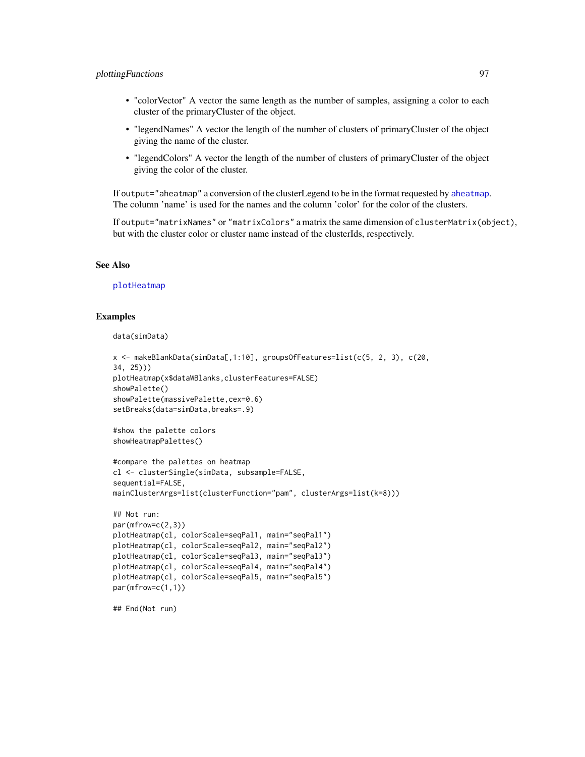# plottingFunctions 97

- "colorVector" A vector the same length as the number of samples, assigning a color to each cluster of the primaryCluster of the object.
- "legendNames" A vector the length of the number of clusters of primaryCluster of the object giving the name of the cluster.
- "legendColors" A vector the length of the number of clusters of primaryCluster of the object giving the color of the cluster.

If output="aheatmap" a conversion of the clusterLegend to be in the format requested by [aheatmap](#page-0-0). The column 'name' is used for the names and the column 'color' for the color of the clusters.

If output="matrixNames" or "matrixColors" a matrix the same dimension of clusterMatrix(object), but with the cluster color or cluster name instead of the clusterIds, respectively.

#### See Also

[plotHeatmap](#page-83-0)

#### Examples

data(simData)

```
x <- makeBlankData(simData[,1:10], groupsOfFeatures=list(c(5, 2, 3), c(20,
34, 25)))
plotHeatmap(x$dataWBlanks,clusterFeatures=FALSE)
showPalette()
showPalette(massivePalette,cex=0.6)
setBreaks(data=simData,breaks=.9)
#show the palette colors
showHeatmapPalettes()
#compare the palettes on heatmap
cl <- clusterSingle(simData, subsample=FALSE,
sequential=FALSE,
mainClusterArgs=list(clusterFunction="pam", clusterArgs=list(k=8)))
## Not run:
par(mfrow=c(2,3))plotHeatmap(cl, colorScale=seqPal1, main="seqPal1")
plotHeatmap(cl, colorScale=seqPal2, main="seqPal2")
plotHeatmap(cl, colorScale=seqPal3, main="seqPal3")
plotHeatmap(cl, colorScale=seqPal4, main="seqPal4")
plotHeatmap(cl, colorScale=seqPal5, main="seqPal5")
par(mfrow=c(1,1))
```
## End(Not run)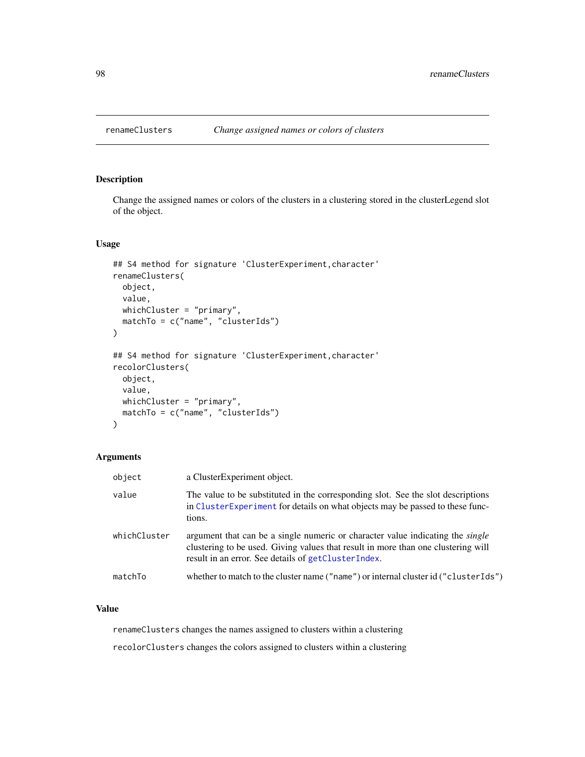# Description

Change the assigned names or colors of the clusters in a clustering stored in the clusterLegend slot of the object.

# Usage

```
## S4 method for signature 'ClusterExperiment, character'
renameClusters(
 object,
 value,
 whichCluster = "primary",
 matchTo = c("name", "clusterIds")
\lambda## S4 method for signature 'ClusterExperiment, character'
recolorClusters(
 object,
 value,
 whichCluster = "primary",
 matchTo = c("name", "clusterIds")
)
```
# Arguments

| object       | a ClusterExperiment object.                                                                                                                                                                                                       |
|--------------|-----------------------------------------------------------------------------------------------------------------------------------------------------------------------------------------------------------------------------------|
| value        | The value to be substituted in the corresponding slot. See the slot descriptions<br>in ClusterExperiment for details on what objects may be passed to these func-<br>tions.                                                       |
| whichCluster | argument that can be a single numeric or character value indicating the <i>single</i><br>clustering to be used. Giving values that result in more than one clustering will<br>result in an error. See details of getClusterIndex. |
| matchTo      | whether to match to the cluster name ("name") or internal cluster id ("cluster Ids")                                                                                                                                              |

# Value

renameClusters changes the names assigned to clusters within a clustering

recolorClusters changes the colors assigned to clusters within a clustering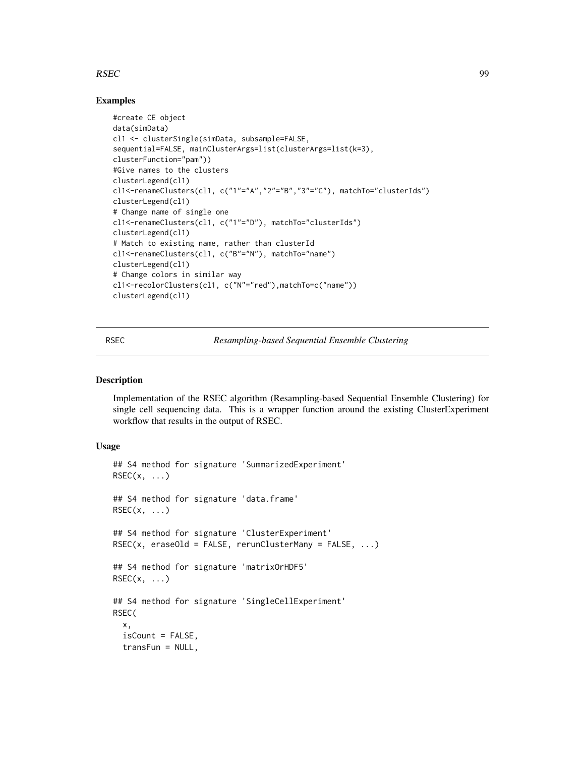#### $RSEC$  99

# Examples

```
#create CE object
data(simData)
cl1 <- clusterSingle(simData, subsample=FALSE,
sequential=FALSE, mainClusterArgs=list(clusterArgs=list(k=3),
clusterFunction="pam"))
#Give names to the clusters
clusterLegend(cl1)
cl1<-renameClusters(cl1, c("1"="A","2"="B","3"="C"), matchTo="clusterIds")
clusterLegend(cl1)
# Change name of single one
cl1<-renameClusters(cl1, c("1"="D"), matchTo="clusterIds")
clusterLegend(cl1)
# Match to existing name, rather than clusterId
cl1<-renameClusters(cl1, c("B"="N"), matchTo="name")
clusterLegend(cl1)
# Change colors in similar way
cl1<-recolorClusters(cl1, c("N"="red"),matchTo=c("name"))
clusterLegend(cl1)
```
<span id="page-98-0"></span>RSEC *Resampling-based Sequential Ensemble Clustering*

#### **Description**

Implementation of the RSEC algorithm (Resampling-based Sequential Ensemble Clustering) for single cell sequencing data. This is a wrapper function around the existing ClusterExperiment workflow that results in the output of RSEC.

## Usage

```
## S4 method for signature 'SummarizedExperiment'
RSEC(x, \ldots)## S4 method for signature 'data.frame'
RSEC(x, \ldots)## S4 method for signature 'ClusterExperiment'
RSEC(x, erasedId = FALSE, rerunClusterMany = FALSE, ...)## S4 method for signature 'matrixOrHDF5'
RSEC(x, \ldots)## S4 method for signature 'SingleCellExperiment'
RSEC(
  x,
  isCount = FALSE,
  transFun = NULL,
```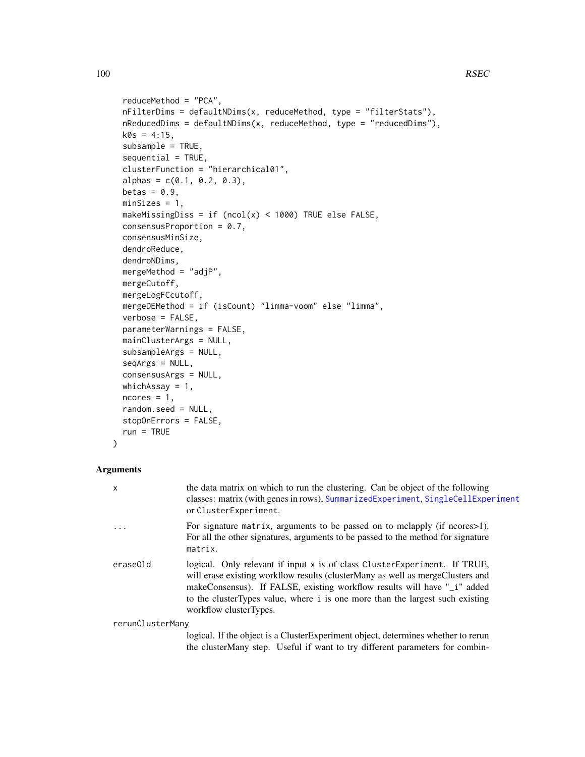```
reduceMethod = "PCA",
nFilterDims = defaultNDims(x, reduceMethod, type = "filterStats"),
nReducedDims = defaultNDims(x, reduceMethod, type = "reducedDims"),
k0s = 4:15,
subsample = TRUE,
sequential = TRUE,clusterFunction = "hierarchical01",
alphas = c(0.1, 0.2, 0.3),
betas = 0.9,
minSizes = 1,
makeMissingDiss = if (ncol(x) < 1000) TRUE else FALSE,
consensusProportion = 0.7,
consensusMinSize,
dendroReduce,
dendroNDims,
mergeMethod = "adjP",
mergeCutoff,
mergeLogFCcutoff,
mergeDEMethod = if (isCount) "limma-voom" else "limma",
verbose = FALSE,
parameterWarnings = FALSE,
mainClusterArgs = NULL,
subsampleArgs = NULL,
seqArgs = NULL,
consensusArgs = NULL,
whichAssay = 1,
ncores = 1,
random.seed = NULL,
stopOnErrors = FALSE,
run = TRUE
```
#### Arguments

)

| x                | the data matrix on which to run the clustering. Can be object of the following<br>classes: matrix (with genes in rows), SummarizedExperiment, SingleCellExperiment<br>or ClusterExperiment.                                                                                                                                                             |
|------------------|---------------------------------------------------------------------------------------------------------------------------------------------------------------------------------------------------------------------------------------------------------------------------------------------------------------------------------------------------------|
| $\cdots$         | For signature matrix, arguments to be passed on to mclapply (if ncores>1).<br>For all the other signatures, arguments to be passed to the method for signature<br>matrix.                                                                                                                                                                               |
| eraseOld         | logical. Only relevant if input $x$ is of class Cluster Experiment. If TRUE,<br>will erase existing workflow results (clusterMany as well as merge Clusters and<br>makeConsensus). If FALSE, existing workflow results will have "_i" added<br>to the cluster Types value, where i is one more than the largest such existing<br>workflow clusterTypes. |
| rerunClusterMany |                                                                                                                                                                                                                                                                                                                                                         |
|                  | logical. If the object is a ClusterExperiment object, determines whether to rerun                                                                                                                                                                                                                                                                       |

logical. If the object is a ClusterExperiment object, determines whether to rerun the clusterMany step. Useful if want to try different parameters for combin-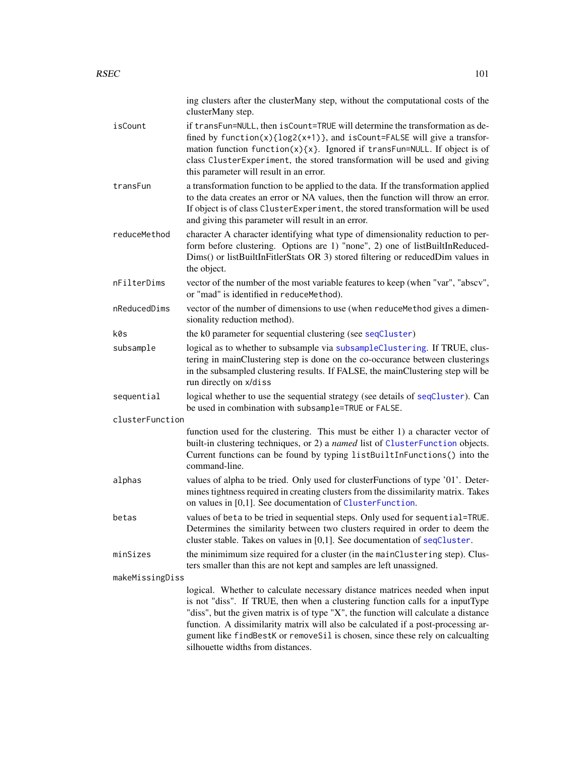|                 | ing clusters after the clusterMany step, without the computational costs of the<br>clusterMany step.                                                                                                                                                                                                                                                                                                                                                           |
|-----------------|----------------------------------------------------------------------------------------------------------------------------------------------------------------------------------------------------------------------------------------------------------------------------------------------------------------------------------------------------------------------------------------------------------------------------------------------------------------|
| isCount         | if transFun=NULL, then isCount=TRUE will determine the transformation as de-<br>fined by $function(x)\{log2(x+1)\}$ , and $isCount=False$ will give a transfor-<br>mation function function(x){x}. Ignored if transFun=NULL. If object is of<br>class ClusterExperiment, the stored transformation will be used and giving<br>this parameter will result in an error.                                                                                          |
| transFun        | a transformation function to be applied to the data. If the transformation applied<br>to the data creates an error or NA values, then the function will throw an error.<br>If object is of class ClusterExperiment, the stored transformation will be used<br>and giving this parameter will result in an error.                                                                                                                                               |
| reduceMethod    | character A character identifying what type of dimensionality reduction to per-<br>form before clustering. Options are 1) "none", 2) one of listBuiltInReduced-<br>Dims() or listBuiltInFitlerStats OR 3) stored filtering or reducedDim values in<br>the object.                                                                                                                                                                                              |
| nFilterDims     | vector of the number of the most variable features to keep (when "var", "abscv",<br>or "mad" is identified in reduceMethod).                                                                                                                                                                                                                                                                                                                                   |
| nReducedDims    | vector of the number of dimensions to use (when reduce Method gives a dimen-<br>sionality reduction method).                                                                                                                                                                                                                                                                                                                                                   |
| k0s             | the k0 parameter for sequential clustering (see seqCluster)                                                                                                                                                                                                                                                                                                                                                                                                    |
| subsample       | logical as to whether to subsample via subsampleClustering. If TRUE, clus-<br>tering in mainClustering step is done on the co-occurance between clusterings<br>in the subsampled clustering results. If FALSE, the mainClustering step will be<br>run directly on x/diss                                                                                                                                                                                       |
| sequential      | logical whether to use the sequential strategy (see details of seqCluster). Can<br>be used in combination with subsample=TRUE or FALSE.                                                                                                                                                                                                                                                                                                                        |
| clusterFunction |                                                                                                                                                                                                                                                                                                                                                                                                                                                                |
|                 | function used for the clustering. This must be either 1) a character vector of<br>built-in clustering techniques, or 2) a named list of ClusterFunction objects.<br>Current functions can be found by typing listBuiltInFunctions() into the<br>command-line.                                                                                                                                                                                                  |
| alphas          | values of alpha to be tried. Only used for clusterFunctions of type '01'. Deter-<br>mines tightness required in creating clusters from the dissimilarity matrix. Takes<br>on values in [0,1]. See documentation of ClusterFunction.                                                                                                                                                                                                                            |
| betas           | values of beta to be tried in sequential steps. Only used for sequential=TRUE.<br>Determines the similarity between two clusters required in order to deem the<br>cluster stable. Takes on values in $[0,1]$ . See documentation of seqCluster.                                                                                                                                                                                                                |
| minSizes        | the minimimum size required for a cluster (in the mainClustering step). Clus-<br>ters smaller than this are not kept and samples are left unassigned.                                                                                                                                                                                                                                                                                                          |
| makeMissingDiss |                                                                                                                                                                                                                                                                                                                                                                                                                                                                |
|                 | logical. Whether to calculate necessary distance matrices needed when input<br>is not "diss". If TRUE, then when a clustering function calls for a inputType<br>"diss", but the given matrix is of type "X", the function will calculate a distance<br>function. A dissimilarity matrix will also be calculated if a post-processing ar-<br>gument like findBestK or removeSil is chosen, since these rely on calcualting<br>silhouette widths from distances. |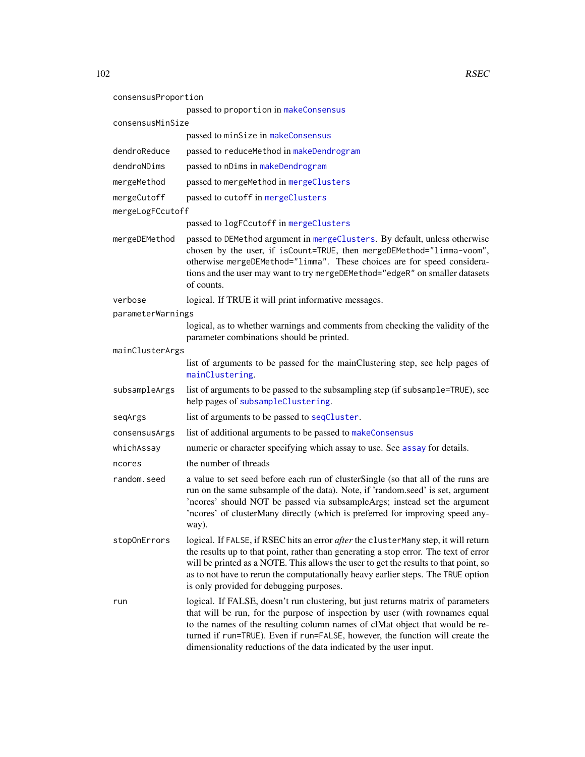102 RSEC

| consensusProportion | passed to proportion in makeConsensus                                                                                                                                                                                                                                                                                                                                                                   |
|---------------------|---------------------------------------------------------------------------------------------------------------------------------------------------------------------------------------------------------------------------------------------------------------------------------------------------------------------------------------------------------------------------------------------------------|
| consensusMinSize    |                                                                                                                                                                                                                                                                                                                                                                                                         |
|                     | passed to minSize in makeConsensus                                                                                                                                                                                                                                                                                                                                                                      |
| dendroReduce        | passed to reduceMethod in makeDendrogram                                                                                                                                                                                                                                                                                                                                                                |
| dendroNDims         | passed to nDims in makeDendrogram                                                                                                                                                                                                                                                                                                                                                                       |
| mergeMethod         | passed to mergeMethod in mergeClusters                                                                                                                                                                                                                                                                                                                                                                  |
| mergeCutoff         | passed to cutoff in mergeClusters                                                                                                                                                                                                                                                                                                                                                                       |
| mergeLogFCcutoff    |                                                                                                                                                                                                                                                                                                                                                                                                         |
|                     | passed to logFCcutoff in mergeClusters                                                                                                                                                                                                                                                                                                                                                                  |
| mergeDEMethod       | passed to DEMethod argument in mergeClusters. By default, unless otherwise<br>chosen by the user, if isCount=TRUE, then mergeDEMethod="limma-voom",<br>otherwise mergeDEMethod="limma". These choices are for speed considera-<br>tions and the user may want to try mergeDEMethod="edgeR" on smaller datasets<br>of counts.                                                                            |
| verbose             | logical. If TRUE it will print informative messages.                                                                                                                                                                                                                                                                                                                                                    |
| parameterWarnings   |                                                                                                                                                                                                                                                                                                                                                                                                         |
|                     | logical, as to whether warnings and comments from checking the validity of the<br>parameter combinations should be printed.                                                                                                                                                                                                                                                                             |
| mainClusterArgs     |                                                                                                                                                                                                                                                                                                                                                                                                         |
|                     | list of arguments to be passed for the mainClustering step, see help pages of<br>mainClustering.                                                                                                                                                                                                                                                                                                        |
| subsampleArgs       | list of arguments to be passed to the subsampling step (if subsample=TRUE), see<br>help pages of subsampleClustering.                                                                                                                                                                                                                                                                                   |
| seqArgs             | list of arguments to be passed to seqCluster.                                                                                                                                                                                                                                                                                                                                                           |
| consensusArgs       | list of additional arguments to be passed to makeConsensus                                                                                                                                                                                                                                                                                                                                              |
| whichAssay          | numeric or character specifying which assay to use. See assay for details.                                                                                                                                                                                                                                                                                                                              |
| ncores              | the number of threads                                                                                                                                                                                                                                                                                                                                                                                   |
| random.seed         | a value to set seed before each run of clusterSingle (so that all of the runs are<br>run on the same subsample of the data). Note, if 'random.seed' is set, argument<br>'ncores' should NOT be passed via subsampleArgs; instead set the argument<br>'ncores' of clusterMany directly (which is preferred for improving speed any-<br>way).                                                             |
| stop0nErrors        | logical. If FALSE, if RSEC hits an error after the clusterMany step, it will return<br>the results up to that point, rather than generating a stop error. The text of error<br>will be printed as a NOTE. This allows the user to get the results to that point, so<br>as to not have to rerun the computationally heavy earlier steps. The TRUE option<br>is only provided for debugging purposes.     |
| run                 | logical. If FALSE, doesn't run clustering, but just returns matrix of parameters<br>that will be run, for the purpose of inspection by user (with rownames equal<br>to the names of the resulting column names of clMat object that would be re-<br>turned if run=TRUE). Even if run=FALSE, however, the function will create the<br>dimensionality reductions of the data indicated by the user input. |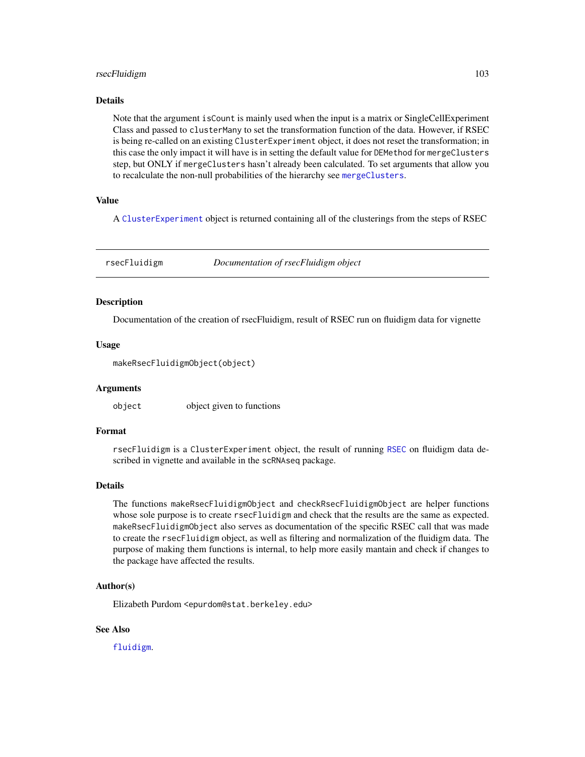# rsecFluidigm 103

#### Details

Note that the argument isCount is mainly used when the input is a matrix or SingleCellExperiment Class and passed to clusterMany to set the transformation function of the data. However, if RSEC is being re-called on an existing ClusterExperiment object, it does not reset the transformation; in this case the only impact it will have is in setting the default value for DEMethod for mergeClusters step, but ONLY if mergeClusters hasn't already been calculated. To set arguments that allow you to recalculate the non-null probabilities of the hierarchy see [mergeClusters](#page-57-0).

# Value

A [ClusterExperiment](#page-10-0) object is returned containing all of the clusterings from the steps of RSEC

rsecFluidigm *Documentation of rsecFluidigm object*

#### **Description**

Documentation of the creation of rsecFluidigm, result of RSEC run on fluidigm data for vignette

#### Usage

makeRsecFluidigmObject(object)

#### Arguments

object object given to functions

# Format

rsecFluidigm is a ClusterExperiment object, the result of running [RSEC](#page-98-0) on fluidigm data described in vignette and available in the scRNAseq package.

#### Details

The functions makeRsecFluidigmObject and checkRsecFluidigmObject are helper functions whose sole purpose is to create rsecFluidigm and check that the results are the same as expected. makeRsecFluidigmObject also serves as documentation of the specific RSEC call that was made to create the rsecFluidigm object, as well as filtering and normalization of the fluidigm data. The purpose of making them functions is internal, to help more easily mantain and check if changes to the package have affected the results.

### Author(s)

Elizabeth Purdom <epurdom@stat.berkeley.edu>

#### See Also

[fluidigm](#page-0-0).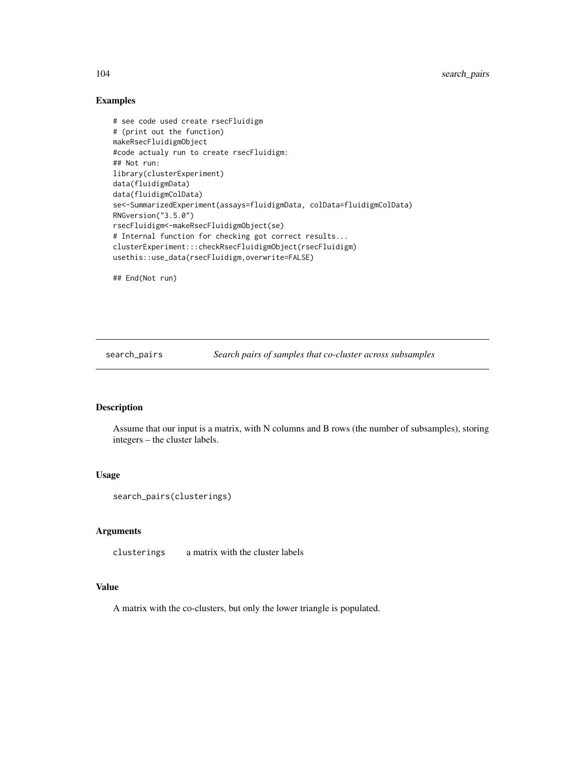# Examples

```
# see code used create rsecFluidigm
# (print out the function)
makeRsecFluidigmObject
#code actualy run to create rsecFluidigm:
## Not run:
library(clusterExperiment)
data(fluidigmData)
data(fluidigmColData)
se<-SummarizedExperiment(assays=fluidigmData, colData=fluidigmColData)
RNGversion("3.5.0")
rsecFluidigm<-makeRsecFluidigmObject(se)
# Internal function for checking got correct results...
clusterExperiment:::checkRsecFluidigmObject(rsecFluidigm)
usethis::use_data(rsecFluidigm,overwrite=FALSE)
```
## End(Not run)

search\_pairs *Search pairs of samples that co-cluster across subsamples*

# Description

Assume that our input is a matrix, with N columns and B rows (the number of subsamples), storing integers – the cluster labels.

#### Usage

```
search_pairs(clusterings)
```
# Arguments

clusterings a matrix with the cluster labels

#### Value

A matrix with the co-clusters, but only the lower triangle is populated.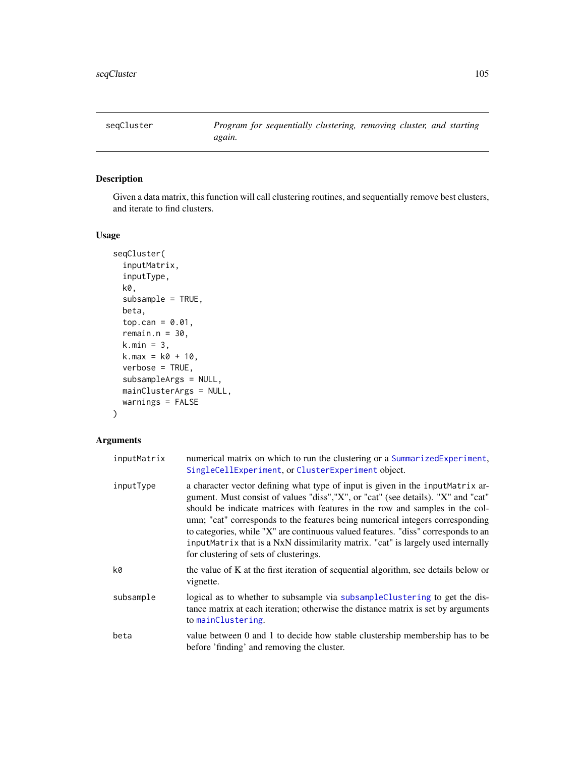<span id="page-104-0"></span>

# Description

Given a data matrix, this function will call clustering routines, and sequentially remove best clusters, and iterate to find clusters.

# Usage

```
seqCluster(
  inputMatrix,
  inputType,
 k0,
  subsample = TRUE,
 beta,
  top.can = 0.01,
  remain.n = 30,
 k.min = 3,k.max = k0 + 10,verbose = TRUE,
  subsampleArgs = NULL,
 mainClusterArgs = NULL,
 warnings = FALSE
)
```

| inputMatrix | numerical matrix on which to run the clustering or a SummarizedExperiment,<br>SingleCellExperiment, or ClusterExperiment object.                                                                                                                                                                                                                                                                                                                                                                                                                         |
|-------------|----------------------------------------------------------------------------------------------------------------------------------------------------------------------------------------------------------------------------------------------------------------------------------------------------------------------------------------------------------------------------------------------------------------------------------------------------------------------------------------------------------------------------------------------------------|
| inputType   | a character vector defining what type of input is given in the input Matrix ar-<br>gument. Must consist of values "diss", "X", or "cat" (see details). "X" and "cat"<br>should be indicate matrices with features in the row and samples in the col-<br>umn; "cat" corresponds to the features being numerical integers corresponding<br>to categories, while "X" are continuous valued features. "diss" corresponds to an<br>inputMatrix that is a NxN dissimilarity matrix. "cat" is largely used internally<br>for clustering of sets of clusterings. |
| k0          | the value of K at the first iteration of sequential algorithm, see details below or<br>vignette.                                                                                                                                                                                                                                                                                                                                                                                                                                                         |
| subsample   | logical as to whether to subsample via subsampleClustering to get the dis-<br>tance matrix at each iteration; otherwise the distance matrix is set by arguments<br>to mainClustering.                                                                                                                                                                                                                                                                                                                                                                    |
| beta        | value between 0 and 1 to decide how stable clustership membership has to be<br>before 'finding' and removing the cluster.                                                                                                                                                                                                                                                                                                                                                                                                                                |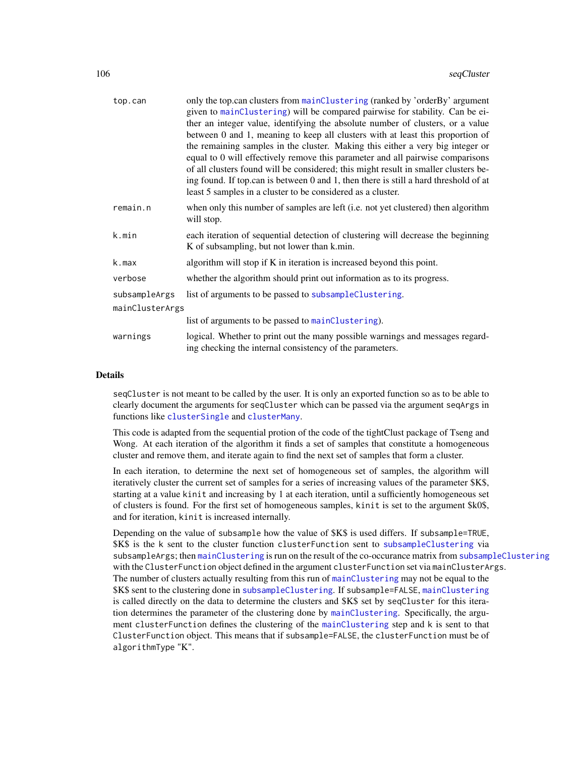| top.can         | only the top.can clusters from mainClustering (ranked by 'orderBy' argument<br>given to mainClustering) will be compared pairwise for stability. Can be ei-<br>ther an integer value, identifying the absolute number of clusters, or a value<br>between 0 and 1, meaning to keep all clusters with at least this proportion of<br>the remaining samples in the cluster. Making this either a very big integer or<br>equal to 0 will effectively remove this parameter and all pairwise comparisons<br>of all clusters found will be considered; this might result in smaller clusters be-<br>ing found. If top.can is between 0 and 1, then there is still a hard threshold of at<br>least 5 samples in a cluster to be considered as a cluster. |
|-----------------|---------------------------------------------------------------------------------------------------------------------------------------------------------------------------------------------------------------------------------------------------------------------------------------------------------------------------------------------------------------------------------------------------------------------------------------------------------------------------------------------------------------------------------------------------------------------------------------------------------------------------------------------------------------------------------------------------------------------------------------------------|
| remain.n        | when only this number of samples are left (i.e. not yet clustered) then algorithm<br>will stop.                                                                                                                                                                                                                                                                                                                                                                                                                                                                                                                                                                                                                                                   |
| k.min           | each iteration of sequential detection of clustering will decrease the beginning<br>K of subsampling, but not lower than k.min.                                                                                                                                                                                                                                                                                                                                                                                                                                                                                                                                                                                                                   |
| k.max           | algorithm will stop if K in iteration is increased beyond this point.                                                                                                                                                                                                                                                                                                                                                                                                                                                                                                                                                                                                                                                                             |
| verbose         | whether the algorithm should print out information as to its progress.                                                                                                                                                                                                                                                                                                                                                                                                                                                                                                                                                                                                                                                                            |
| subsampleArgs   | list of arguments to be passed to subsampleClustering.                                                                                                                                                                                                                                                                                                                                                                                                                                                                                                                                                                                                                                                                                            |
| mainClusterArgs |                                                                                                                                                                                                                                                                                                                                                                                                                                                                                                                                                                                                                                                                                                                                                   |
|                 | list of arguments to be passed to mainClustering).                                                                                                                                                                                                                                                                                                                                                                                                                                                                                                                                                                                                                                                                                                |
| warnings        | logical. Whether to print out the many possible warnings and messages regard-<br>ing checking the internal consistency of the parameters.                                                                                                                                                                                                                                                                                                                                                                                                                                                                                                                                                                                                         |

#### Details

seqCluster is not meant to be called by the user. It is only an exported function so as to be able to clearly document the arguments for seqCluster which can be passed via the argument seqArgs in functions like [clusterSingle](#page-26-0) and [clusterMany](#page-21-0).

This code is adapted from the sequential protion of the code of the tightClust package of Tseng and Wong. At each iteration of the algorithm it finds a set of samples that constitute a homogeneous cluster and remove them, and iterate again to find the next set of samples that form a cluster.

In each iteration, to determine the next set of homogeneous set of samples, the algorithm will iteratively cluster the current set of samples for a series of increasing values of the parameter \$K\$, starting at a value kinit and increasing by 1 at each iteration, until a sufficiently homogeneous set of clusters is found. For the first set of homogeneous samples, kinit is set to the argument \$k0\$, and for iteration, kinit is increased internally.

Depending on the value of subsample how the value of \$K\$ is used differs. If subsample=TRUE, \$K\$ is the k sent to the cluster function clusterFunction sent to [subsampleClustering](#page-108-0) via subsampleArgs; then [mainClustering](#page-49-0) is run on the result of the co-occurance matrix from [subsampleClustering](#page-108-0) with the ClusterFunction object defined in the argument clusterFunction set via mainClusterArgs. The number of clusters actually resulting from this run of [mainClustering](#page-49-0) may not be equal to the \$K\$ sent to the clustering done in [subsampleClustering](#page-108-0). If subsample=FALSE, [mainClustering](#page-49-0) is called directly on the data to determine the clusters and \$K\$ set by seqCluster for this iteration determines the parameter of the clustering done by [mainClustering](#page-49-0). Specifically, the argument clusterFunction defines the clustering of the [mainClustering](#page-49-0) step and k is sent to that ClusterFunction object. This means that if subsample=FALSE, the clusterFunction must be of algorithmType "K".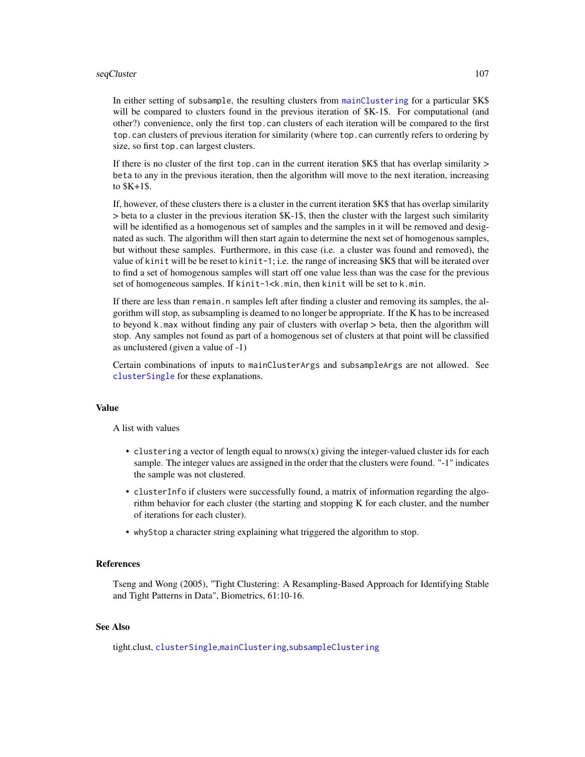#### $seqCluster$  107

In either setting of subsample, the resulting clusters from [mainClustering](#page-49-0) for a particular \$K\$ will be compared to clusters found in the previous iteration of  $K-1\$ . For computational (and other?) convenience, only the first top.can clusters of each iteration will be compared to the first top.can clusters of previous iteration for similarity (where top.can currently refers to ordering by size, so first top.can largest clusters.

If there is no cluster of the first top.can in the current iteration  $K\$  that has overlap similarity  $>$ beta to any in the previous iteration, then the algorithm will move to the next iteration, increasing to \$K+1\$.

If, however, of these clusters there is a cluster in the current iteration \$K\$ that has overlap similarity > beta to a cluster in the previous iteration \$K-1\$, then the cluster with the largest such similarity will be identified as a homogenous set of samples and the samples in it will be removed and designated as such. The algorithm will then start again to determine the next set of homogenous samples, but without these samples. Furthermore, in this case (i.e. a cluster was found and removed), the value of kinit will be be reset to kinit-1; i.e. the range of increasing \$K\$ that will be iterated over to find a set of homogenous samples will start off one value less than was the case for the previous set of homogeneous samples. If kinit-1<k.min, then kinit will be set to k.min.

If there are less than remain.n samples left after finding a cluster and removing its samples, the algorithm will stop, as subsampling is deamed to no longer be appropriate. If the K has to be increased to beyond k.max without finding any pair of clusters with overlap > beta, then the algorithm will stop. Any samples not found as part of a homogenous set of clusters at that point will be classified as unclustered (given a value of -1)

Certain combinations of inputs to mainClusterArgs and subsampleArgs are not allowed. See [clusterSingle](#page-26-0) for these explanations.

#### Value

A list with values

- clustering a vector of length equal to  $arrows(x)$  giving the integer-valued cluster ids for each sample. The integer values are assigned in the order that the clusters were found. "-1" indicates the sample was not clustered.
- clusterInfo if clusters were successfully found, a matrix of information regarding the algorithm behavior for each cluster (the starting and stopping K for each cluster, and the number of iterations for each cluster).
- whyStop a character string explaining what triggered the algorithm to stop.

#### References

Tseng and Wong (2005), "Tight Clustering: A Resampling-Based Approach for Identifying Stable and Tight Patterns in Data", Biometrics, 61:10-16.

# See Also

tight.clust, [clusterSingle](#page-26-0),[mainClustering](#page-49-0),[subsampleClustering](#page-108-0)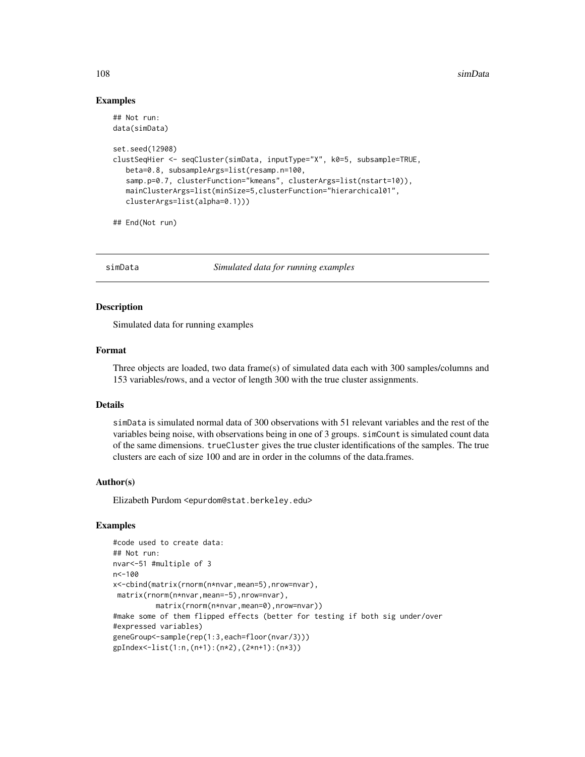#### 108 simData

#### Examples

```
## Not run:
data(simData)
set.seed(12908)
clustSeqHier <- seqCluster(simData, inputType="X", k0=5, subsample=TRUE,
  beta=0.8, subsampleArgs=list(resamp.n=100,
   samp.p=0.7, clusterFunction="kmeans", clusterArgs=list(nstart=10)),
  mainClusterArgs=list(minSize=5,clusterFunction="hierarchical01",
  clusterArgs=list(alpha=0.1)))
```
## End(Not run)

simData *Simulated data for running examples*

# Description

Simulated data for running examples

#### Format

Three objects are loaded, two data frame(s) of simulated data each with 300 samples/columns and 153 variables/rows, and a vector of length 300 with the true cluster assignments.

# Details

simData is simulated normal data of 300 observations with 51 relevant variables and the rest of the variables being noise, with observations being in one of 3 groups. simCount is simulated count data of the same dimensions. trueCluster gives the true cluster identifications of the samples. The true clusters are each of size 100 and are in order in the columns of the data.frames.

## Author(s)

Elizabeth Purdom <epurdom@stat.berkeley.edu>

# Examples

```
#code used to create data:
## Not run:
nvar<-51 #multiple of 3
n<-100
x<-cbind(matrix(rnorm(n*nvar,mean=5),nrow=nvar),
 matrix(rnorm(n*nvar,mean=-5),nrow=nvar),
          matrix(rnorm(n*nvar,mean=0),nrow=nvar))
#make some of them flipped effects (better for testing if both sig under/over
#expressed variables)
geneGroup<-sample(rep(1:3,each=floor(nvar/3)))
gpIndex<-list(1:n,(n+1):(n*2),(2*n+1):(n*3))
```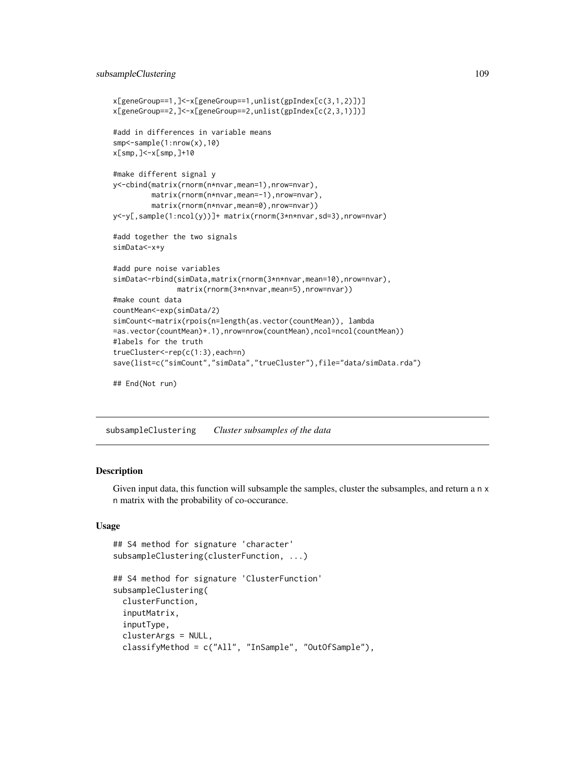```
x[geneGroup==1,]<-x[geneGroup==1,unlist(gpIndex[c(3,1,2)])]
x[geneGroup==2,]<-x[geneGroup==2,unlist(gpIndex[c(2,3,1)])]
#add in differences in variable means
smp<-sample(1:nrow(x),10)
x[smp,]<-x[smp,]+10
#make different signal y
y<-cbind(matrix(rnorm(n*nvar,mean=1),nrow=nvar),
        matrix(rnorm(n*nvar,mean=-1),nrow=nvar),
        matrix(rnorm(n*nvar,mean=0),nrow=nvar))
y<-y[,sample(1:ncol(y))]+ matrix(rnorm(3*n*nvar,sd=3),nrow=nvar)
#add together the two signals
simData<-x+y
#add pure noise variables
simData<-rbind(simData,matrix(rnorm(3*n*nvar,mean=10),nrow=nvar),
               matrix(rnorm(3*n*nvar,mean=5),nrow=nvar))
#make count data
countMean<-exp(simData/2)
simCount<-matrix(rpois(n=length(as.vector(countMean)), lambda
=as.vector(countMean)+.1),nrow=nrow(countMean),ncol=ncol(countMean))
#labels for the truth
trueCluster<-rep(c(1:3),each=n)
save(list=c("simCount","simData","trueCluster"),file="data/simData.rda")
## End(Not run)
```
subsampleClustering *Cluster subsamples of the data*

### **Description**

Given input data, this function will subsample the samples, cluster the subsamples, and return a n x n matrix with the probability of co-occurance.

# Usage

```
## S4 method for signature 'character'
subsampleClustering(clusterFunction, ...)
## S4 method for signature 'ClusterFunction'
subsampleClustering(
  clusterFunction,
  inputMatrix,
  inputType,
  clusterArgs = NULL,
  classifyMethod = c("All", "InSample", "OutOfSample"),
```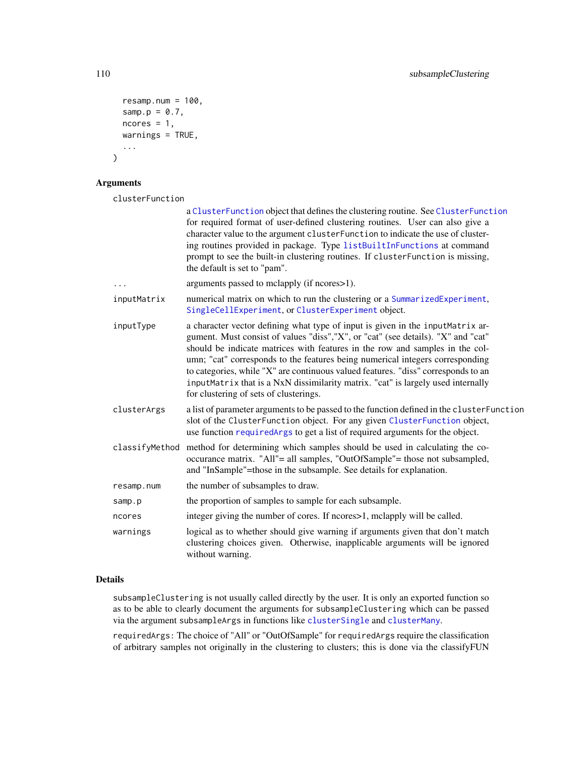```
resamp.num = 100,
 samp.p = 0.7,
 ncores = 1,
 warnings = TRUE,
  ...
)
```
# Arguments

clusterFunction

|                | a ClusterFunction object that defines the clustering routine. See ClusterFunction<br>for required format of user-defined clustering routines. User can also give a<br>character value to the argument clusterFunction to indicate the use of cluster-<br>ing routines provided in package. Type listBuiltInFunctions at command<br>prompt to see the built-in clustering routines. If clusterFunction is missing,<br>the default is set to "pam".                                                                                                        |
|----------------|----------------------------------------------------------------------------------------------------------------------------------------------------------------------------------------------------------------------------------------------------------------------------------------------------------------------------------------------------------------------------------------------------------------------------------------------------------------------------------------------------------------------------------------------------------|
|                | arguments passed to mclapply (if ncores > 1).                                                                                                                                                                                                                                                                                                                                                                                                                                                                                                            |
| inputMatrix    | numerical matrix on which to run the clustering or a SummarizedExperiment,<br>SingleCellExperiment, or ClusterExperiment object.                                                                                                                                                                                                                                                                                                                                                                                                                         |
| inputType      | a character vector defining what type of input is given in the input Matrix ar-<br>gument. Must consist of values "diss", "X", or "cat" (see details). "X" and "cat"<br>should be indicate matrices with features in the row and samples in the col-<br>umn; "cat" corresponds to the features being numerical integers corresponding<br>to categories, while "X" are continuous valued features. "diss" corresponds to an<br>inputMatrix that is a NxN dissimilarity matrix. "cat" is largely used internally<br>for clustering of sets of clusterings. |
| clusterArgs    | a list of parameter arguments to be passed to the function defined in the cluster Function<br>slot of the ClusterFunction object. For any given ClusterFunction object,<br>use function required Args to get a list of required arguments for the object.                                                                                                                                                                                                                                                                                                |
| classifyMethod | method for determining which samples should be used in calculating the co-<br>occurance matrix. "All"= all samples, "OutOfSample"= those not subsampled,<br>and "InSample"=those in the subsample. See details for explanation.                                                                                                                                                                                                                                                                                                                          |
| resamp.num     | the number of subsamples to draw.                                                                                                                                                                                                                                                                                                                                                                                                                                                                                                                        |
| samp.p         | the proportion of samples to sample for each subsample.                                                                                                                                                                                                                                                                                                                                                                                                                                                                                                  |
| ncores         | integer giving the number of cores. If ncores > 1, mclapply will be called.                                                                                                                                                                                                                                                                                                                                                                                                                                                                              |
| warnings       | logical as to whether should give warning if arguments given that don't match<br>clustering choices given. Otherwise, inapplicable arguments will be ignored<br>without warning.                                                                                                                                                                                                                                                                                                                                                                         |

# Details

subsampleClustering is not usually called directly by the user. It is only an exported function so as to be able to clearly document the arguments for subsampleClustering which can be passed via the argument subsampleArgs in functions like [clusterSingle](#page-26-0) and [clusterMany](#page-21-0).

requiredArgs: The choice of "All" or "OutOfSample" for requiredArgs require the classification of arbitrary samples not originally in the clustering to clusters; this is done via the classifyFUN

<span id="page-109-0"></span>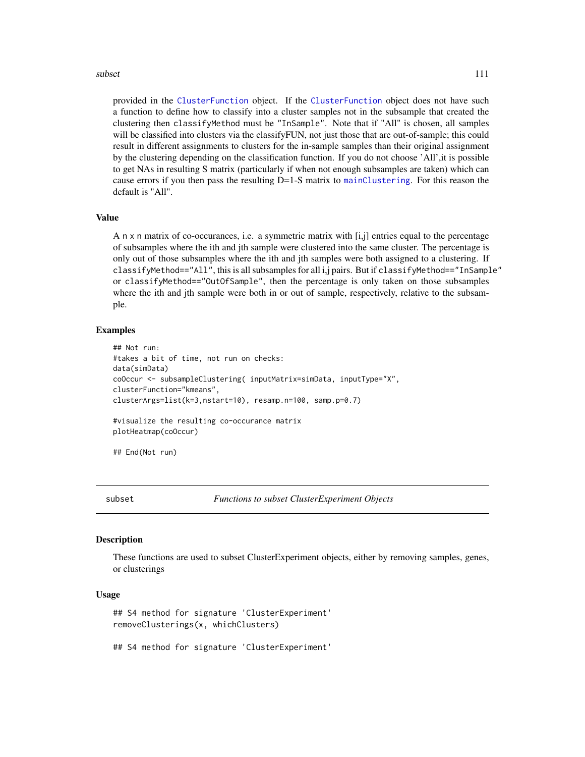<span id="page-110-0"></span>provided in the [ClusterFunction](#page-44-0) object. If the [ClusterFunction](#page-44-0) object does not have such a function to define how to classify into a cluster samples not in the subsample that created the clustering then classifyMethod must be "InSample". Note that if "All" is chosen, all samples will be classified into clusters via the classify FUN, not just those that are out-of-sample; this could result in different assignments to clusters for the in-sample samples than their original assignment by the clustering depending on the classification function. If you do not choose 'All',it is possible to get NAs in resulting S matrix (particularly if when not enough subsamples are taken) which can cause errors if you then pass the resulting  $D=1-S$  matrix to [mainClustering](#page-49-0). For this reason the default is "All".

#### Value

A  $n \times n$  matrix of co-occurances, i.e. a symmetric matrix with [i,j] entries equal to the percentage of subsamples where the ith and jth sample were clustered into the same cluster. The percentage is only out of those subsamples where the ith and jth samples were both assigned to a clustering. If classifyMethod=="All", this is all subsamples for all i,j pairs. But if classifyMethod=="InSample" or classifyMethod=="OutOfSample", then the percentage is only taken on those subsamples where the ith and jth sample were both in or out of sample, respectively, relative to the subsample.

#### Examples

```
## Not run:
#takes a bit of time, not run on checks:
data(simData)
coOccur <- subsampleClustering( inputMatrix=simData, inputType="X",
clusterFunction="kmeans",
clusterArgs=list(k=3,nstart=10), resamp.n=100, samp.p=0.7)
#visualize the resulting co-occurance matrix
plotHeatmap(coOccur)
```
## End(Not run)

subset *Functions to subset ClusterExperiment Objects*

#### **Description**

These functions are used to subset ClusterExperiment objects, either by removing samples, genes, or clusterings

#### Usage

## S4 method for signature 'ClusterExperiment' removeClusterings(x, whichClusters)

## S4 method for signature 'ClusterExperiment'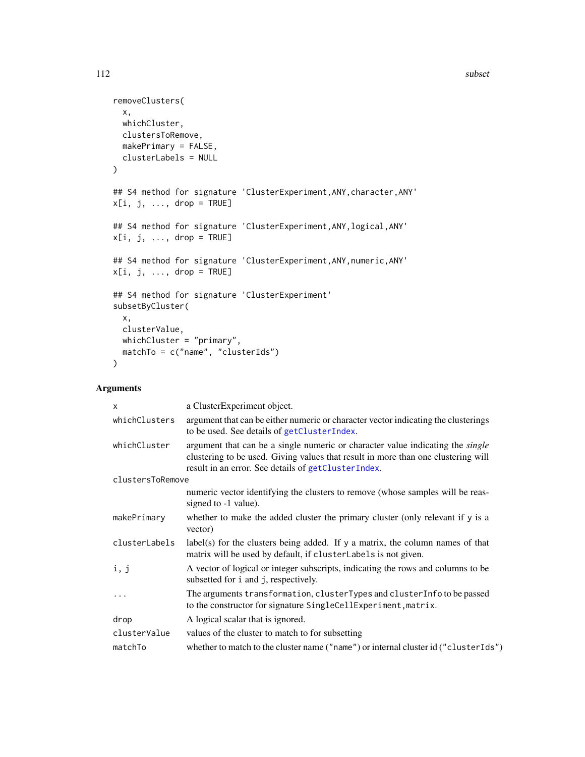```
removeClusters(
  x,
 whichCluster,
 clustersToRemove,
 makePrimary = FALSE,
 clusterLabels = NULL
)
## S4 method for signature 'ClusterExperiment,ANY,character,ANY'
x[i, j, ..., drop = TRUE]## S4 method for signature 'ClusterExperiment, ANY, logical, ANY'
x[i, j, ..., drop = TRUE]## S4 method for signature 'ClusterExperiment, ANY, numeric, ANY'
x[i, j, ..., drop = TRUE]## S4 method for signature 'ClusterExperiment'
subsetByCluster(
 x,
 clusterValue,
 whichCluster = "primary",
 matchTo = c("name", "clusterIds")
\mathcal{L}
```
# Arguments

| a ClusterExperiment object.                                                                                                                                                                                                       |
|-----------------------------------------------------------------------------------------------------------------------------------------------------------------------------------------------------------------------------------|
| argument that can be either numeric or character vector indicating the clusterings<br>to be used. See details of getClusterIndex.                                                                                                 |
| argument that can be a single numeric or character value indicating the <i>single</i><br>clustering to be used. Giving values that result in more than one clustering will<br>result in an error. See details of getClusterIndex. |
| clustersToRemove                                                                                                                                                                                                                  |
| numeric vector identifying the clusters to remove (whose samples will be reas-<br>signed to -1 value).                                                                                                                            |
| whether to make the added cluster the primary cluster (only relevant if y is a<br>vector)                                                                                                                                         |
| label(s) for the clusters being added. If y a matrix, the column names of that<br>matrix will be used by default, if clusterLabels is not given.                                                                                  |
| A vector of logical or integer subscripts, indicating the rows and columns to be<br>subsetted for i and j, respectively.                                                                                                          |
| The arguments transformation, clusterTypes and clusterInfo to be passed<br>to the constructor for signature SingleCellExperiment, matrix.                                                                                         |
| A logical scalar that is ignored.                                                                                                                                                                                                 |
| values of the cluster to match to for subsetting                                                                                                                                                                                  |
| whether to match to the cluster name ("name") or internal cluster id ("cluster Ids")                                                                                                                                              |
|                                                                                                                                                                                                                                   |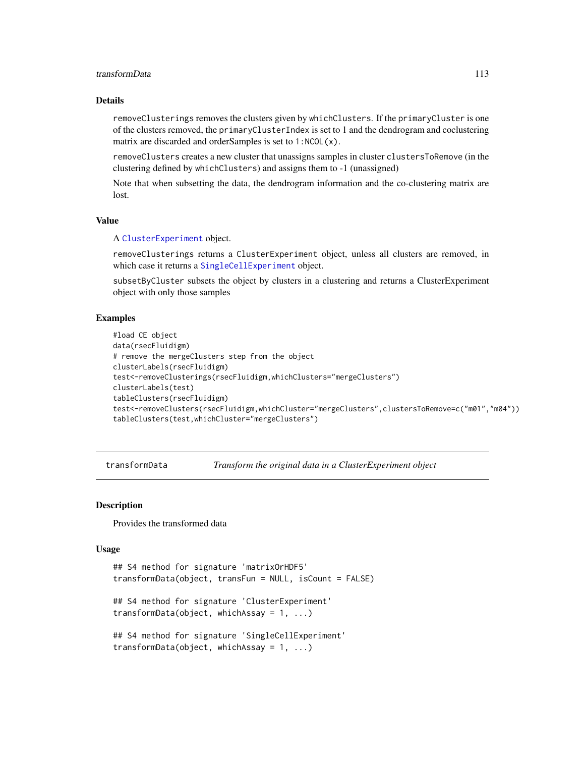# <span id="page-112-0"></span>transformData 113

### Details

removeClusterings removes the clusters given by whichClusters. If the primaryCluster is one of the clusters removed, the primaryClusterIndex is set to 1 and the dendrogram and coclustering matrix are discarded and orderSamples is set to 1:NCOL(x).

removeClusters creates a new cluster that unassigns samples in cluster clustersToRemove (in the clustering defined by whichClusters) and assigns them to -1 (unassigned)

Note that when subsetting the data, the dendrogram information and the co-clustering matrix are lost.

# Value

A [ClusterExperiment](#page-10-0) object.

removeClusterings returns a ClusterExperiment object, unless all clusters are removed, in which case it returns a [SingleCellExperiment](#page-0-0) object.

subsetByCluster subsets the object by clusters in a clustering and returns a ClusterExperiment object with only those samples

### Examples

```
#load CE object
data(rsecFluidigm)
# remove the mergeClusters step from the object
clusterLabels(rsecFluidigm)
test<-removeClusterings(rsecFluidigm,whichClusters="mergeClusters")
clusterLabels(test)
tableClusters(rsecFluidigm)
test<-removeClusters(rsecFluidigm,whichCluster="mergeClusters",clustersToRemove=c("m01","m04"))
tableClusters(test,whichCluster="mergeClusters")
```
transformData *Transform the original data in a ClusterExperiment object*

# Description

Provides the transformed data

#### Usage

```
## S4 method for signature 'matrixOrHDF5'
transformData(object, transFun = NULL, isCount = FALSE)
## S4 method for signature 'ClusterExperiment'
transformData(object, whichAssay = 1, ...)
## S4 method for signature 'SingleCellExperiment'
transformData(object, whichAssay = 1, ...)
```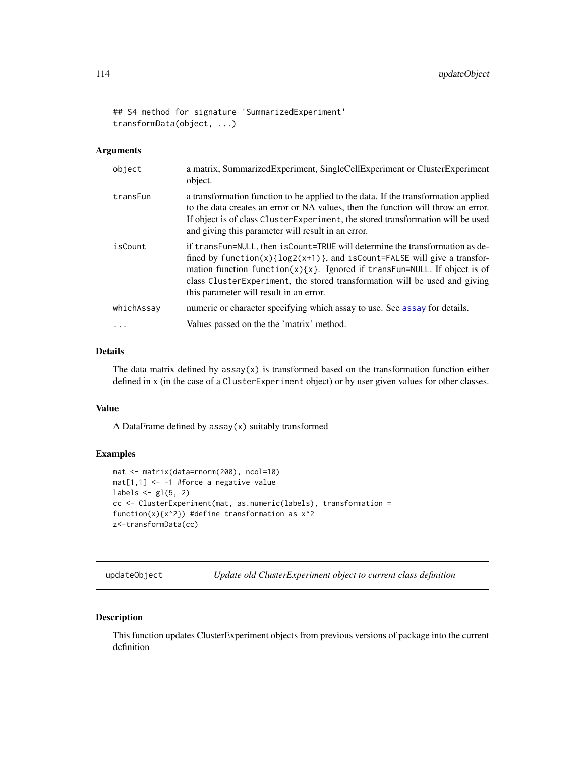```
## S4 method for signature 'SummarizedExperiment'
transformData(object, ...)
```
#### Arguments

| object     | a matrix, SummarizedExperiment, SingleCellExperiment or ClusterExperiment<br>object.                                                                                                                                                                                                                                                                            |
|------------|-----------------------------------------------------------------------------------------------------------------------------------------------------------------------------------------------------------------------------------------------------------------------------------------------------------------------------------------------------------------|
| transFun   | a transformation function to be applied to the data. If the transformation applied<br>to the data creates an error or NA values, then the function will throw an error.<br>If object is of class Cluster Experiment, the stored transformation will be used<br>and giving this parameter will result in an error.                                               |
| isCount    | if transFun=NULL, then isCount=TRUE will determine the transformation as de-<br>fined by $function(x){log2(x+1)}$ , and $isCount=False$ will give a transfor-<br>mation function $f(x)$ {x}. Ignored if transFun=NULL. If object is of<br>class ClusterExperiment, the stored transformation will be used and giving<br>this parameter will result in an error. |
| whichAssay | numeric or character specifying which assay to use. See assay for details.                                                                                                                                                                                                                                                                                      |
|            | Values passed on the the 'matrix' method.                                                                                                                                                                                                                                                                                                                       |

# Details

The data matrix defined by  $assay(x)$  is transformed based on the transformation function either defined in x (in the case of a ClusterExperiment object) or by user given values for other classes.

#### Value

A DataFrame defined by assay(x) suitably transformed

# Examples

```
mat <- matrix(data=rnorm(200), ncol=10)
mat[1,1] <- -1 #force a negative value
labels \leftarrow gl(5, 2)
cc <- ClusterExperiment(mat, as.numeric(labels), transformation =
function(x)\{x^2\}) #define transformation as x^2z<-transformData(cc)
```
updateObject *Update old ClusterExperiment object to current class definition*

# Description

This function updates ClusterExperiment objects from previous versions of package into the current definition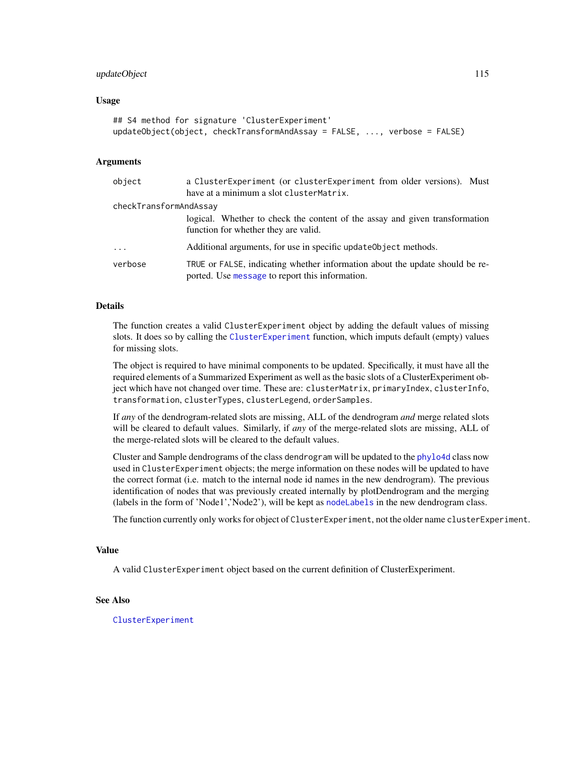# <span id="page-114-0"></span>updateObject 115

#### Usage

```
## S4 method for signature 'ClusterExperiment'
updateObject(object, checkTransformAndAssay = FALSE, ..., verbose = FALSE)
```
#### Arguments

| object                 | a ClusterExperiment (or clusterExperiment from older versions). Must<br>have at a minimum a slot clusterMatrix.                 |
|------------------------|---------------------------------------------------------------------------------------------------------------------------------|
| checkTransformAndAssay |                                                                                                                                 |
|                        | logical. Whether to check the content of the assay and given transformation<br>function for whether they are valid.             |
| $\cdots$               | Additional arguments, for use in specific update Object methods.                                                                |
| verbose                | TRUE or FALSE, indicating whether information about the update should be re-<br>ported. Use message to report this information. |

# Details

The function creates a valid ClusterExperiment object by adding the default values of missing slots. It does so by calling the [ClusterExperiment](#page-10-0) function, which imputs default (empty) values for missing slots.

The object is required to have minimal components to be updated. Specifically, it must have all the required elements of a Summarized Experiment as well as the basic slots of a ClusterExperiment object which have not changed over time. These are: clusterMatrix, primaryIndex, clusterInfo, transformation, clusterTypes, clusterLegend, orderSamples.

If *any* of the dendrogram-related slots are missing, ALL of the dendrogram *and* merge related slots will be cleared to default values. Similarly, if *any* of the merge-related slots are missing, ALL of the merge-related slots will be cleared to the default values.

Cluster and Sample dendrograms of the class dendrogram will be updated to the [phylo4d](#page-0-0) class now used in ClusterExperiment objects; the merge information on these nodes will be updated to have the correct format (i.e. match to the internal node id names in the new dendrogram). The previous identification of nodes that was previously created internally by plotDendrogram and the merging (labels in the form of 'Node1','Node2'), will be kept as [nodeLabels](#page-7-0) in the new dendrogram class.

The function currently only works for object of ClusterExperiment, not the older name clusterExperiment.

#### Value

A valid ClusterExperiment object based on the current definition of ClusterExperiment.

# See Also

[ClusterExperiment](#page-10-0)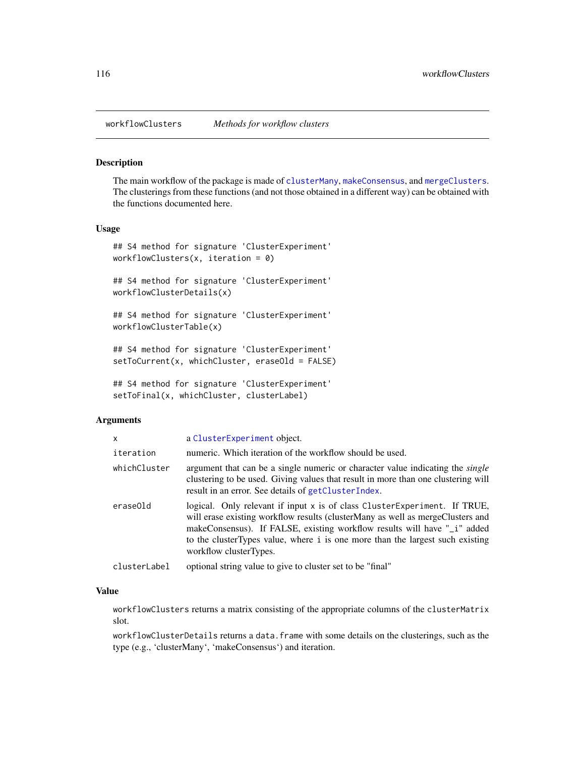<span id="page-115-0"></span>

# Description

The main workflow of the package is made of [clusterMany](#page-21-0), [makeConsensus](#page-52-0), and [mergeClusters](#page-57-0). The clusterings from these functions (and not those obtained in a different way) can be obtained with the functions documented here.

#### Usage

```
## S4 method for signature 'ClusterExperiment'
workflowClusters(x, iteration = 0)
```

```
## S4 method for signature 'ClusterExperiment'
workflowClusterDetails(x)
```

```
## S4 method for signature 'ClusterExperiment'
workflowClusterTable(x)
```

```
## S4 method for signature 'ClusterExperiment'
setToCurrent(x, whichCluster, eraseOld = FALSE)
```

```
## S4 method for signature 'ClusterExperiment'
setToFinal(x, whichCluster, clusterLabel)
```
#### Arguments

| X            | a ClusterExperiment object.                                                                                                                                                                                                                                                                                                                            |
|--------------|--------------------------------------------------------------------------------------------------------------------------------------------------------------------------------------------------------------------------------------------------------------------------------------------------------------------------------------------------------|
| iteration    | numeric. Which iteration of the workflow should be used.                                                                                                                                                                                                                                                                                               |
| whichCluster | argument that can be a single numeric or character value indicating the <i>single</i><br>clustering to be used. Giving values that result in more than one clustering will<br>result in an error. See details of getClusterIndex.                                                                                                                      |
| eraseOld     | logical. Only relevant if input $x$ is of class Cluster Experiment. If TRUE,<br>will erase existing workflow results (clusterMany as well as mergeClusters and<br>makeConsensus). If FALSE, existing workflow results will have "_i" added<br>to the cluster Types value, where i is one more than the largest such existing<br>workflow clusterTypes. |
| clusterLabel | optional string value to give to cluster set to be "final"                                                                                                                                                                                                                                                                                             |

# Value

workflowClusters returns a matrix consisting of the appropriate columns of the clusterMatrix slot.

workflowClusterDetails returns a data.frame with some details on the clusterings, such as the type (e.g., 'clusterMany', 'makeConsensus') and iteration.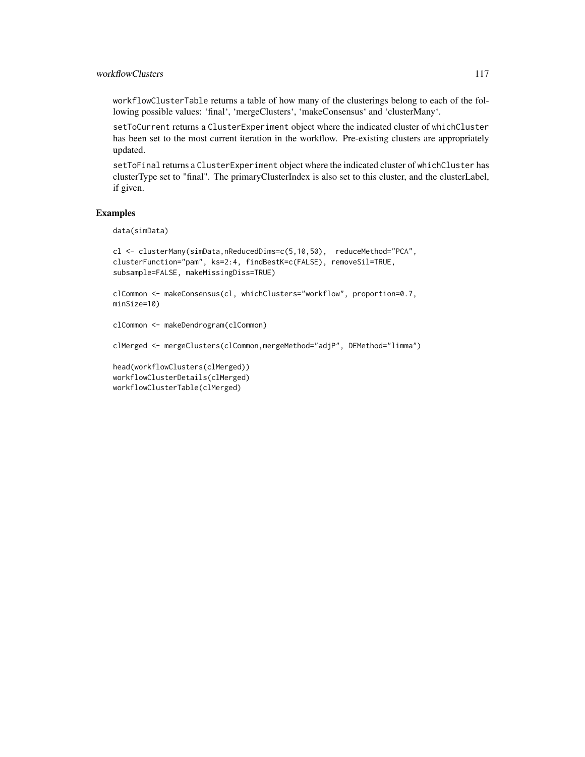# workflowClusters 117

workflowClusterTable returns a table of how many of the clusterings belong to each of the following possible values: 'final', 'mergeClusters', 'makeConsensus' and 'clusterMany'.

setToCurrent returns a ClusterExperiment object where the indicated cluster of whichCluster has been set to the most current iteration in the workflow. Pre-existing clusters are appropriately updated.

setToFinal returns a ClusterExperiment object where the indicated cluster of whichCluster has clusterType set to "final". The primaryClusterIndex is also set to this cluster, and the clusterLabel, if given.

#### Examples

data(simData)

```
cl <- clusterMany(simData,nReducedDims=c(5,10,50), reduceMethod="PCA",
clusterFunction="pam", ks=2:4, findBestK=c(FALSE), removeSil=TRUE,
subsample=FALSE, makeMissingDiss=TRUE)
```

```
clCommon <- makeConsensus(cl, whichClusters="workflow", proportion=0.7,
minSize=10)
```

```
clCommon <- makeDendrogram(clCommon)
```
clMerged <- mergeClusters(clCommon,mergeMethod="adjP", DEMethod="limma")

```
head(workflowClusters(clMerged))
workflowClusterDetails(clMerged)
workflowClusterTable(clMerged)
```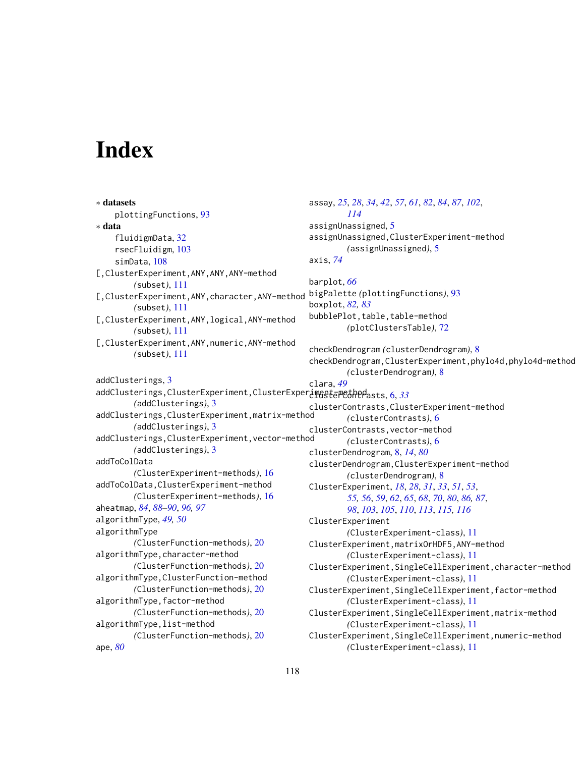# **Index**

∗ datasets plottingFunctions, [93](#page-92-0) ∗ data fluidigmData, [32](#page-31-0) rsecFluidigm, [103](#page-102-0) simData, [108](#page-107-0) [,ClusterExperiment,ANY,ANY,ANY-method *(*subset*)*, [111](#page-110-0) [,ClusterExperiment,ANY,character,ANY-method *(*subset*)*, [111](#page-110-0) [,ClusterExperiment,ANY,logical,ANY-method *(*subset*)*, [111](#page-110-0) [,ClusterExperiment,ANY,numeric,ANY-method *(*subset*)*, [111](#page-110-0) addClusterings, [3](#page-2-0) addClusterings,ClusterExperiment,ClusterExperinggtemetherasts, [6,](#page-5-0) [33](#page-32-0) *(*addClusterings*)*, [3](#page-2-0) addClusterings,ClusterExperiment,matrix-method *(*addClusterings*)*, [3](#page-2-0) addClusterings,ClusterExperiment,vector-method *(*addClusterings*)*, [3](#page-2-0) addToColData *(*ClusterExperiment-methods*)*, [16](#page-15-0) addToColData,ClusterExperiment-method *(*ClusterExperiment-methods*)*, [16](#page-15-0) aheatmap, *[84](#page-83-0)*, *[88](#page-87-0)[–90](#page-89-0)*, *[96,](#page-95-0) [97](#page-96-0)* algorithmType, *[49,](#page-48-0) [50](#page-49-1)* algorithmType *(*ClusterFunction-methods*)*, [20](#page-19-1) algorithmType,character-method *(*ClusterFunction-methods*)*, [20](#page-19-1) algorithmType,ClusterFunction-method *(*ClusterFunction-methods*)*, [20](#page-19-1) algorithmType,factor-method *(*ClusterFunction-methods*)*, [20](#page-19-1) algorithmType,list-method *(*ClusterFunction-methods*)*, [20](#page-19-1) ape, *[80](#page-79-0)* assay, *[25](#page-24-0)*, *[28](#page-27-0)*, *[34](#page-33-0)*, *[42](#page-41-0)*, *[57](#page-56-0)*, *[61](#page-60-0)*, *[82](#page-81-0)*, *[84](#page-83-0)*, *[87](#page-86-0)*, *[102](#page-101-0)*, *[114](#page-113-0)* assignUnassigned, [5](#page-4-0) assignUnassigned,ClusterExperiment-method *(*assignUnassigned*)*, [5](#page-4-0) axis, *[74](#page-73-0)* barplot, *[66](#page-65-0)* bigPalette *(*plottingFunctions*)*, [93](#page-92-0) boxplot, *[82,](#page-81-0) [83](#page-82-0)* bubblePlot, table, table-method *(*plotClustersTable*)*, [72](#page-71-0) checkDendrogram *(*clusterDendrogram*)*, [8](#page-7-1) checkDendrogram,ClusterExperiment,phylo4d,phylo4d-method *(*clusterDendrogram*)*, [8](#page-7-1) clara, *[49](#page-48-0)* clusterContrasts,ClusterExperiment-method *(*clusterContrasts*)*, [6](#page-5-0) clusterContrasts,vector-method *(*clusterContrasts*)*, [6](#page-5-0) clusterDendrogram, [8,](#page-7-1) *[14](#page-13-0)*, *[80](#page-79-0)* clusterDendrogram,ClusterExperiment-method *(*clusterDendrogram*)*, [8](#page-7-1) ClusterExperiment, *[18](#page-17-0)*, *[28](#page-27-0)*, *[31](#page-30-0)*, *[33](#page-32-0)*, *[51](#page-50-0)*, *[53](#page-52-1)*, *[55,](#page-54-0) [56](#page-55-0)*, *[59](#page-58-0)*, *[62](#page-61-0)*, *[65](#page-64-0)*, *[68](#page-67-0)*, *[70](#page-69-0)*, *[80](#page-79-0)*, *[86,](#page-85-0) [87](#page-86-0)*, *[98](#page-97-0)*, *[103](#page-102-0)*, *[105](#page-104-0)*, *[110](#page-109-0)*, *[113](#page-112-0)*, *[115,](#page-114-0) [116](#page-115-0)* ClusterExperiment *(*ClusterExperiment-class*)*, [11](#page-10-1) ClusterExperiment,matrixOrHDF5,ANY-method *(*ClusterExperiment-class*)*, [11](#page-10-1) ClusterExperiment,SingleCellExperiment,character-method *(*ClusterExperiment-class*)*, [11](#page-10-1) ClusterExperiment,SingleCellExperiment,factor-method *(*ClusterExperiment-class*)*, [11](#page-10-1) ClusterExperiment,SingleCellExperiment,matrix-method *(*ClusterExperiment-class*)*, [11](#page-10-1) ClusterExperiment,SingleCellExperiment,numeric-method *(*ClusterExperiment-class*)*, [11](#page-10-1)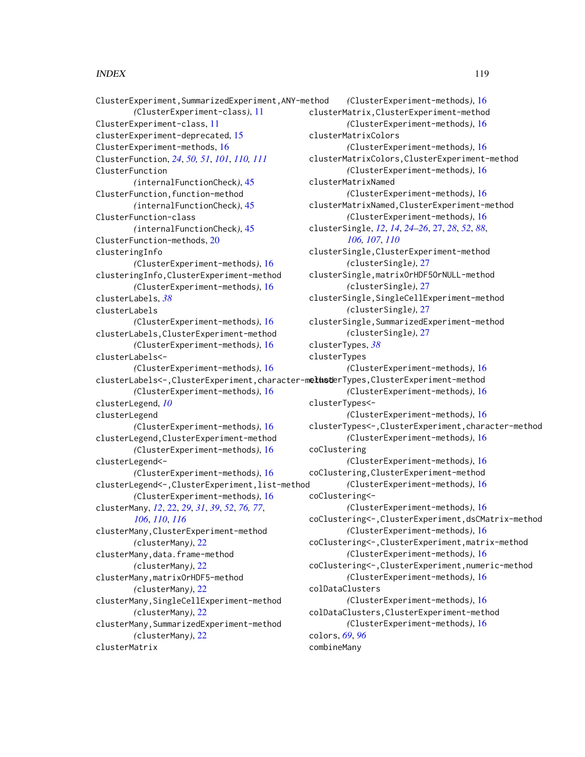### INDEX 119

ClusterExperiment,SummarizedExperiment,ANY-method *(*ClusterExperiment-class*)*, [11](#page-10-1) ClusterExperiment-class, [11](#page-10-1) clusterExperiment-deprecated, [15](#page-14-0) ClusterExperiment-methods, [16](#page-15-0) ClusterFunction, *[24](#page-23-0)*, *[50,](#page-49-1) [51](#page-50-0)*, *[101](#page-100-0)*, *[110,](#page-109-0) [111](#page-110-0)* ClusterFunction *(*internalFunctionCheck*)*, [45](#page-44-1) ClusterFunction,function-method *(*internalFunctionCheck*)*, [45](#page-44-1) ClusterFunction-class *(*internalFunctionCheck*)*, [45](#page-44-1) ClusterFunction-methods, [20](#page-19-1) clusteringInfo *(*ClusterExperiment-methods*)*, [16](#page-15-0) clusteringInfo,ClusterExperiment-method *(*ClusterExperiment-methods*)*, [16](#page-15-0) clusterLabels, *[38](#page-37-0)* clusterLabels *(*ClusterExperiment-methods*)*, [16](#page-15-0) clusterLabels,ClusterExperiment-method *(*ClusterExperiment-methods*)*, [16](#page-15-0) clusterLabels<- *(*ClusterExperiment-methods*)*, [16](#page-15-0) clusterLabels<-,ClusterExperiment,character-methoterTypes,ClusterExperiment-method *(*ClusterExperiment-methods*)*, [16](#page-15-0) clusterLegend, *[10](#page-9-0)* clusterLegend *(*ClusterExperiment-methods*)*, [16](#page-15-0) clusterLegend,ClusterExperiment-method *(*ClusterExperiment-methods*)*, [16](#page-15-0) clusterLegend<- *(*ClusterExperiment-methods*)*, [16](#page-15-0) clusterLegend<-,ClusterExperiment,list-method *(*ClusterExperiment-methods*)*, [16](#page-15-0) clusterMany, *[12](#page-11-0)*, [22,](#page-21-1) *[29](#page-28-0)*, *[31](#page-30-0)*, *[39](#page-38-0)*, *[52](#page-51-0)*, *[76,](#page-75-0) [77](#page-76-0)*, *[106](#page-105-0)*, *[110](#page-109-0)*, *[116](#page-115-0)* clusterMany,ClusterExperiment-method *(*clusterMany*)*, [22](#page-21-1) clusterMany,data.frame-method *(*clusterMany*)*, [22](#page-21-1) clusterMany,matrixOrHDF5-method *(*clusterMany*)*, [22](#page-21-1) clusterMany,SingleCellExperiment-method *(*clusterMany*)*, [22](#page-21-1) clusterMany,SummarizedExperiment-method *(*clusterMany*)*, [22](#page-21-1)

clusterMatrix

*(*ClusterExperiment-methods*)*, [16](#page-15-0) clusterMatrix,ClusterExperiment-method *(*ClusterExperiment-methods*)*, [16](#page-15-0) clusterMatrixColors *(*ClusterExperiment-methods*)*, [16](#page-15-0) clusterMatrixColors,ClusterExperiment-method *(*ClusterExperiment-methods*)*, [16](#page-15-0) clusterMatrixNamed *(*ClusterExperiment-methods*)*, [16](#page-15-0) clusterMatrixNamed,ClusterExperiment-method *(*ClusterExperiment-methods*)*, [16](#page-15-0) clusterSingle, *[12](#page-11-0)*, *[14](#page-13-0)*, *[24](#page-23-0)[–26](#page-25-0)*, [27,](#page-26-1) *[28](#page-27-0)*, *[52](#page-51-0)*, *[88](#page-87-0)*, *[106,](#page-105-0) [107](#page-106-0)*, *[110](#page-109-0)* clusterSingle,ClusterExperiment-method *(*clusterSingle*)*, [27](#page-26-1) clusterSingle,matrixOrHDF5OrNULL-method *(*clusterSingle*)*, [27](#page-26-1) clusterSingle,SingleCellExperiment-method *(*clusterSingle*)*, [27](#page-26-1) clusterSingle,SummarizedExperiment-method *(*clusterSingle*)*, [27](#page-26-1) clusterTypes, *[38](#page-37-0)* clusterTypes *(*ClusterExperiment-methods*)*, [16](#page-15-0) *(*ClusterExperiment-methods*)*, [16](#page-15-0) clusterTypes<- *(*ClusterExperiment-methods*)*, [16](#page-15-0) clusterTypes<-,ClusterExperiment,character-method *(*ClusterExperiment-methods*)*, [16](#page-15-0) coClustering *(*ClusterExperiment-methods*)*, [16](#page-15-0) coClustering,ClusterExperiment-method *(*ClusterExperiment-methods*)*, [16](#page-15-0) coClustering<- *(*ClusterExperiment-methods*)*, [16](#page-15-0) coClustering<-,ClusterExperiment,dsCMatrix-method *(*ClusterExperiment-methods*)*, [16](#page-15-0) coClustering<-,ClusterExperiment,matrix-method *(*ClusterExperiment-methods*)*, [16](#page-15-0) coClustering<-,ClusterExperiment,numeric-method *(*ClusterExperiment-methods*)*, [16](#page-15-0) colDataClusters *(*ClusterExperiment-methods*)*, [16](#page-15-0) colDataClusters,ClusterExperiment-method *(*ClusterExperiment-methods*)*, [16](#page-15-0) colors, *[69](#page-68-0)*, *[96](#page-95-0)* combineMany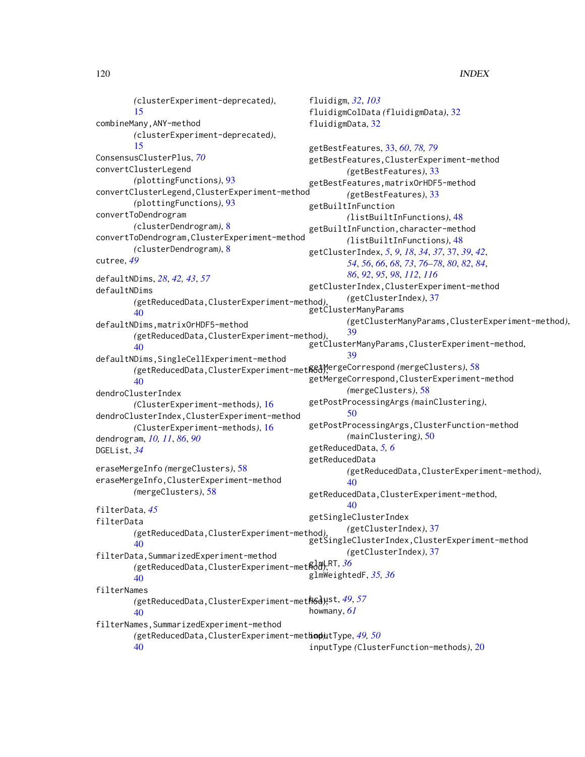*(*clusterExperiment-deprecated*)*, [15](#page-14-0) combineMany,ANY-method *(*clusterExperiment-deprecated*)*, [15](#page-14-0) ConsensusClusterPlus, *[70](#page-69-0)* convertClusterLegend *(*plottingFunctions*)*, [93](#page-92-0) convertClusterLegend,ClusterExperiment-method *(*plottingFunctions*)*, [93](#page-92-0) convertToDendrogram *(*clusterDendrogram*)*, [8](#page-7-1) convertToDendrogram,ClusterExperiment-method *(*clusterDendrogram*)*, [8](#page-7-1) cutree, *[49](#page-48-0)* defaultNDims, *[28](#page-27-0)*, *[42,](#page-41-0) [43](#page-42-0)*, *[57](#page-56-0)* defaultNDims *(*getReducedData,ClusterExperiment-method*)*, [40](#page-39-0) defaultNDims,matrixOrHDF5-method *(*getReducedData,ClusterExperiment-method*)*, [40](#page-39-0) defaultNDims,SingleCellExperiment-method *(*getReducedData,ClusterExperiment-method*)*, getMergeCorrespond *(*mergeClusters*)*, [58](#page-57-1) [40](#page-39-0) dendroClusterIndex *(*ClusterExperiment-methods*)*, [16](#page-15-0) dendroClusterIndex,ClusterExperiment-method *(*ClusterExperiment-methods*)*, [16](#page-15-0) dendrogram, *[10,](#page-9-0) [11](#page-10-1)*, *[86](#page-85-0)*, *[90](#page-89-0)* DGEList, *[34](#page-33-0)* eraseMergeInfo *(*mergeClusters*)*, [58](#page-57-1) eraseMergeInfo,ClusterExperiment-method *(*mergeClusters*)*, [58](#page-57-1) filterData, *[45](#page-44-1)* filterData *(*getReducedData,ClusterExperiment-method*)*, getSingleClusterIndex,ClusterExperiment-method [40](#page-39-0) filterData,SummarizedExperiment-method *(*getReducedData,ClusterExperiment-method*)*, glmLRT, *[36](#page-35-0)*  $40$ filterNames *(*getReducedData,ClusterExperiment-method*)*, hclust, *[49](#page-48-0)*, *[57](#page-56-0)* [40](#page-39-0) filterNames, SummarizedExperiment-method *(*getReducedData,ClusterExperiment-method*)*, inputType, *[49,](#page-48-0) [50](#page-49-1)* [40](#page-39-0) fluidigm, *[32](#page-31-0)*, *[103](#page-102-0)* fluidigmColData *(*fluidigmData*)*, [32](#page-31-0) fluidigmData, [32](#page-31-0) getBestFeatures, [33,](#page-32-0) *[60](#page-59-0)*, *[78,](#page-77-0) [79](#page-78-0)* getBestFeatures,ClusterExperiment-method *(*getBestFeatures*)*, [33](#page-32-0) getBestFeatures,matrixOrHDF5-method *(*getBestFeatures*)*, [33](#page-32-0) getBuiltInFunction *(*listBuiltInFunctions*)*, [48](#page-47-1) getBuiltInFunction,character-method *(*listBuiltInFunctions*)*, [48](#page-47-1) getClusterIndex, *[5](#page-4-0)*, *[9](#page-8-0)*, *[18](#page-17-0)*, *[34](#page-33-0)*, *[37](#page-36-1)*, [37,](#page-36-1) *[39](#page-38-0)*, *[42](#page-41-0)*, *[54](#page-53-0)*, *[56](#page-55-0)*, *[66](#page-65-0)*, *[68](#page-67-0)*, *[73](#page-72-0)*, *[76](#page-75-0)[–78](#page-77-0)*, *[80](#page-79-0)*, *[82](#page-81-0)*, *[84](#page-83-0)*, *[86](#page-85-0)*, *[92](#page-91-0)*, *[95](#page-94-0)*, *[98](#page-97-0)*, *[112](#page-111-0)*, *[116](#page-115-0)* getClusterIndex,ClusterExperiment-method *(*getClusterIndex*)*, [37](#page-36-1) getClusterManyParams *(*getClusterManyParams,ClusterExperiment-method*)*, [39](#page-38-0) getClusterManyParams, ClusterExperiment-method, [39](#page-38-0) getMergeCorrespond,ClusterExperiment-method *(*mergeClusters*)*, [58](#page-57-1) getPostProcessingArgs *(*mainClustering*)*, [50](#page-49-1) getPostProcessingArgs,ClusterFunction-method *(*mainClustering*)*, [50](#page-49-1) getReducedData, *[5,](#page-4-0) [6](#page-5-0)* getReducedData *(*getReducedData,ClusterExperiment-method*)*,  $40$ getReducedData,ClusterExperiment-method,  $40$ getSingleClusterIndex *(*getClusterIndex*)*, [37](#page-36-1) *(*getClusterIndex*)*, [37](#page-36-1) glmWeightedF, *[35,](#page-34-0) [36](#page-35-0)* howmany, *[61](#page-60-0)* inputType *(*ClusterFunction-methods*)*, [20](#page-19-1)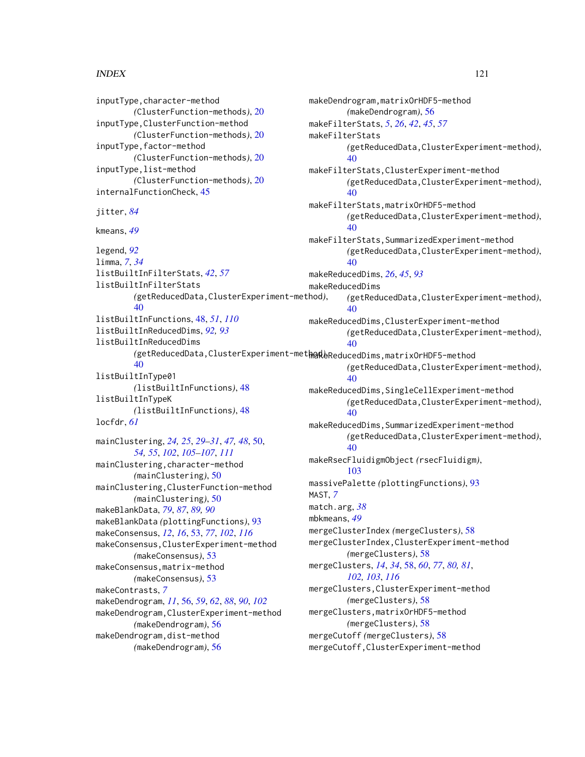### $INDEX$  and  $I21$

inputType,character-method *(*ClusterFunction-methods*)*, [20](#page-19-1) inputType,ClusterFunction-method *(*ClusterFunction-methods*)*, [20](#page-19-1) inputType,factor-method *(*ClusterFunction-methods*)*, [20](#page-19-1) inputType,list-method *(*ClusterFunction-methods*)*, [20](#page-19-1) internalFunctionCheck, [45](#page-44-1) jitter, *[84](#page-83-0)* kmeans, *[49](#page-48-0)* legend, *[92](#page-91-0)* limma, *[7](#page-6-0)*, *[34](#page-33-0)* listBuiltInFilterStats, *[42](#page-41-0)*, *[57](#page-56-0)* listBuiltInFilterStats *(*getReducedData,ClusterExperiment-method*)*, [40](#page-39-0) listBuiltInFunctions, [48,](#page-47-1) *[51](#page-50-0)*, *[110](#page-109-0)* listBuiltInReducedDims, *[92,](#page-91-0) [93](#page-92-0)* listBuiltInReducedDims *(*getReducedData,ClusterExperiment-method*)*, makeReducedDims,matrixOrHDF5-method [40](#page-39-0) listBuiltInType01 *(*listBuiltInFunctions*)*, [48](#page-47-1) listBuiltInTypeK *(*listBuiltInFunctions*)*, [48](#page-47-1) locfdr, *[61](#page-60-0)* mainClustering, *[24,](#page-23-0) [25](#page-24-0)*, *[29–](#page-28-0)[31](#page-30-0)*, *[47,](#page-46-0) [48](#page-47-1)*, [50,](#page-49-1) *[54,](#page-53-0) [55](#page-54-0)*, *[102](#page-101-0)*, *[105–](#page-104-0)[107](#page-106-0)*, *[111](#page-110-0)* mainClustering,character-method *(*mainClustering*)*, [50](#page-49-1) mainClustering,ClusterFunction-method *(*mainClustering*)*, [50](#page-49-1) makeBlankData, *[79](#page-78-0)*, *[87](#page-86-0)*, *[89,](#page-88-0) [90](#page-89-0)* makeBlankData *(*plottingFunctions*)*, [93](#page-92-0) makeConsensus, *[12](#page-11-0)*, *[16](#page-15-0)*, [53,](#page-52-1) *[77](#page-76-0)*, *[102](#page-101-0)*, *[116](#page-115-0)* makeConsensus,ClusterExperiment-method *(*makeConsensus*)*, [53](#page-52-1) makeConsensus,matrix-method *(*makeConsensus*)*, [53](#page-52-1) makeContrasts, *[7](#page-6-0)* makeDendrogram, *[11](#page-10-1)*, [56,](#page-55-0) *[59](#page-58-0)*, *[62](#page-61-0)*, *[88](#page-87-0)*, *[90](#page-89-0)*, *[102](#page-101-0)* makeDendrogram,ClusterExperiment-method *(*makeDendrogram*)*, [56](#page-55-0) makeDendrogram,dist-method *(*makeDendrogram*)*, [56](#page-55-0)

makeDendrogram,matrixOrHDF5-method *(*makeDendrogram*)*, [56](#page-55-0) makeFilterStats, *[5](#page-4-0)*, *[26](#page-25-0)*, *[42](#page-41-0)*, *[45](#page-44-1)*, *[57](#page-56-0)* makeFilterStats *(*getReducedData,ClusterExperiment-method*)*, [40](#page-39-0) makeFilterStats,ClusterExperiment-method *(*getReducedData,ClusterExperiment-method*)*, [40](#page-39-0) makeFilterStats,matrixOrHDF5-method *(*getReducedData,ClusterExperiment-method*)*, [40](#page-39-0) makeFilterStats,SummarizedExperiment-method *(*getReducedData,ClusterExperiment-method*)*, [40](#page-39-0) makeReducedDims, *[26](#page-25-0)*, *[45](#page-44-1)*, *[93](#page-92-0)* makeReducedDims *(*getReducedData,ClusterExperiment-method*)*,  $40$ makeReducedDims,ClusterExperiment-method *(*getReducedData,ClusterExperiment-method*)*, [40](#page-39-0) *(*getReducedData,ClusterExperiment-method*)*, [40](#page-39-0) makeReducedDims,SingleCellExperiment-method *(*getReducedData,ClusterExperiment-method*)*, [40](#page-39-0) makeReducedDims,SummarizedExperiment-method *(*getReducedData,ClusterExperiment-method*)*, [40](#page-39-0) makeRsecFluidigmObject *(*rsecFluidigm*)*, [103](#page-102-0) massivePalette *(*plottingFunctions*)*, [93](#page-92-0) MAST, *[7](#page-6-0)* match.arg, *[38](#page-37-0)* mbkmeans, *[49](#page-48-0)* mergeClusterIndex *(*mergeClusters*)*, [58](#page-57-1) mergeClusterIndex,ClusterExperiment-method *(*mergeClusters*)*, [58](#page-57-1) mergeClusters, *[14](#page-13-0)*, *[34](#page-33-0)*, [58,](#page-57-1) *[60](#page-59-0)*, *[77](#page-76-0)*, *[80,](#page-79-0) [81](#page-80-0)*, *[102,](#page-101-0) [103](#page-102-0)*, *[116](#page-115-0)* mergeClusters,ClusterExperiment-method *(*mergeClusters*)*, [58](#page-57-1) mergeClusters,matrixOrHDF5-method *(*mergeClusters*)*, [58](#page-57-1) mergeCutoff *(*mergeClusters*)*, [58](#page-57-1) mergeCutoff,ClusterExperiment-method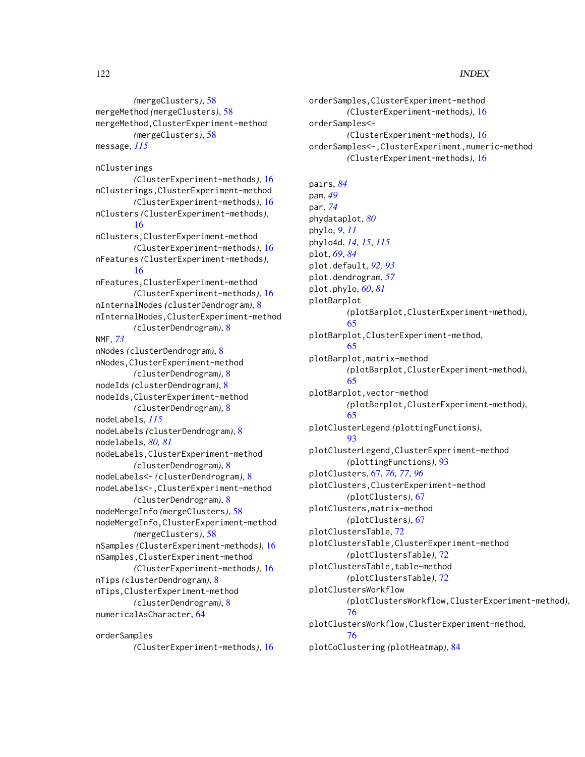*(*mergeClusters*)*, [58](#page-57-1) mergeMethod *(*mergeClusters*)*, [58](#page-57-1) mergeMethod,ClusterExperiment-method *(*mergeClusters*)*, [58](#page-57-1) message, *[115](#page-114-0)*

nClusterings *(*ClusterExperiment-methods*)*, [16](#page-15-0) nClusterings,ClusterExperiment-method *(*ClusterExperiment-methods*)*, [16](#page-15-0) nClusters *(*ClusterExperiment-methods*)*, [16](#page-15-0) nClusters,ClusterExperiment-method *(*ClusterExperiment-methods*)*, [16](#page-15-0) nFeatures *(*ClusterExperiment-methods*)*, [16](#page-15-0) nFeatures,ClusterExperiment-method *(*ClusterExperiment-methods*)*, [16](#page-15-0) nInternalNodes *(*clusterDendrogram*)*, [8](#page-7-1) nInternalNodes,ClusterExperiment-method *(*clusterDendrogram*)*, [8](#page-7-1) NMF, *[73](#page-72-0)* nNodes *(*clusterDendrogram*)*, [8](#page-7-1) nNodes,ClusterExperiment-method *(*clusterDendrogram*)*, [8](#page-7-1) nodeIds *(*clusterDendrogram*)*, [8](#page-7-1) nodeIds,ClusterExperiment-method *(*clusterDendrogram*)*, [8](#page-7-1) nodeLabels, *[115](#page-114-0)* nodeLabels *(*clusterDendrogram*)*, [8](#page-7-1) nodelabels, *[80,](#page-79-0) [81](#page-80-0)* nodeLabels,ClusterExperiment-method *(*clusterDendrogram*)*, [8](#page-7-1) nodeLabels<- *(*clusterDendrogram*)*, [8](#page-7-1) nodeLabels<-,ClusterExperiment-method *(*clusterDendrogram*)*, [8](#page-7-1) nodeMergeInfo *(*mergeClusters*)*, [58](#page-57-1) nodeMergeInfo,ClusterExperiment-method *(*mergeClusters*)*, [58](#page-57-1) nSamples *(*ClusterExperiment-methods*)*, [16](#page-15-0) nSamples,ClusterExperiment-method *(*ClusterExperiment-methods*)*, [16](#page-15-0) nTips *(*clusterDendrogram*)*, [8](#page-7-1) nTips,ClusterExperiment-method *(*clusterDendrogram*)*, [8](#page-7-1) numericalAsCharacter, [64](#page-63-0)

orderSamples *(*ClusterExperiment-methods*)*, [16](#page-15-0) orderSamples,ClusterExperiment-method *(*ClusterExperiment-methods*)*, [16](#page-15-0) orderSamples<- *(*ClusterExperiment-methods*)*, [16](#page-15-0) orderSamples<-,ClusterExperiment,numeric-method *(*ClusterExperiment-methods*)*, [16](#page-15-0) pairs, *[84](#page-83-0)* pam, *[49](#page-48-0)* par, *[74](#page-73-0)* phydataplot, *[80](#page-79-0)* phylo, *[9](#page-8-0)*, *[11](#page-10-1)* phylo4d, *[14,](#page-13-0) [15](#page-14-0)*, *[115](#page-114-0)* plot, *[69](#page-68-0)*, *[84](#page-83-0)* plot.default, *[92,](#page-91-0) [93](#page-92-0)* plot.dendrogram, *[57](#page-56-0)* plot.phylo, *[60](#page-59-0)*, *[81](#page-80-0)* plotBarplot *(*plotBarplot,ClusterExperiment-method*)*, [65](#page-64-0) plotBarplot,ClusterExperiment-method, [65](#page-64-0) plotBarplot,matrix-method *(*plotBarplot,ClusterExperiment-method*)*, [65](#page-64-0) plotBarplot,vector-method *(*plotBarplot,ClusterExperiment-method*)*, [65](#page-64-0) plotClusterLegend *(*plottingFunctions*)*, [93](#page-92-0) plotClusterLegend,ClusterExperiment-method *(*plottingFunctions*)*, [93](#page-92-0) plotClusters, [67,](#page-66-0) *[76,](#page-75-0) [77](#page-76-0)*, *[96](#page-95-0)* plotClusters,ClusterExperiment-method *(*plotClusters*)*, [67](#page-66-0) plotClusters,matrix-method *(*plotClusters*)*, [67](#page-66-0) plotClustersTable, [72](#page-71-0) plotClustersTable,ClusterExperiment-method *(*plotClustersTable*)*, [72](#page-71-0) plotClustersTable, table-method *(*plotClustersTable*)*, [72](#page-71-0) plotClustersWorkflow *(*plotClustersWorkflow,ClusterExperiment-method*)*, [76](#page-75-0) plotClustersWorkflow,ClusterExperiment-method, [76](#page-75-0) plotCoClustering *(*plotHeatmap*)*, [84](#page-83-0)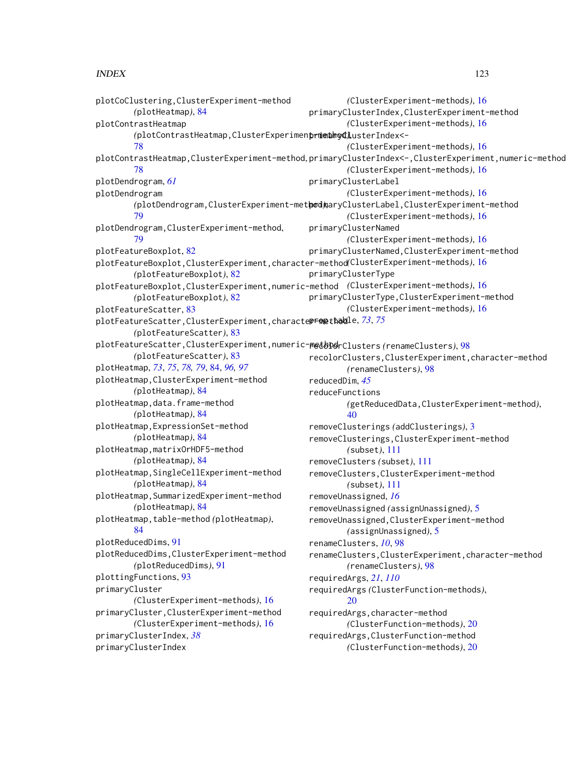INDEX 123 *(*ClusterExperiment-methods*)*, [16](#page-15-0)

plotCoClustering,ClusterExperiment-method *(*plotHeatmap*)*, [84](#page-83-0) plotContrastHeatmap *(*plotContrastHeatmap,ClusterExperiment-method*)*, primaryClusterIndex<- [78](#page-77-0) plotContrastHeatmap,ClusterExperiment-method, primaryClusterIndex<-,ClusterExperiment,numeric-method [78](#page-77-0) plotDendrogram, *[61](#page-60-0)* plotDendrogram *(*plotDendrogram,ClusterExperiment-method*)*, primaryClusterLabel,ClusterExperiment-method [79](#page-78-0) plotDendrogram,ClusterExperiment-method, [79](#page-78-0) plotFeatureBoxplot, [82](#page-81-0) plotFeatureBoxplot,ClusterExperiment,character-method *(*ClusterExperiment-methods*)*, [16](#page-15-0) *(*plotFeatureBoxplot*)*, [82](#page-81-0) plotFeatureBoxplot,ClusterExperiment,numeric-method *(*ClusterExperiment-methods*)*, [16](#page-15-0) *(*plotFeatureBoxplot*)*, [82](#page-81-0) plotFeatureScatter, [83](#page-82-0) plotFeatureScatter,ClusterExperiment,characte**propthodl**e,*[73](#page-72-0),[75](#page-74-0) (*plotFeatureScatter*)*, [83](#page-82-0) plotFeatureScatter,ClusterExperiment,numeric-method recolorClusters *(*renameClusters*)*, [98](#page-97-0) *(*plotFeatureScatter*)*, [83](#page-82-0) plotHeatmap, *[73](#page-72-0)*, *[75](#page-74-0)*, *[78,](#page-77-0) [79](#page-78-0)*, [84,](#page-83-0) *[96,](#page-95-0) [97](#page-96-0)* plotHeatmap,ClusterExperiment-method *(*plotHeatmap*)*, [84](#page-83-0) plotHeatmap,data.frame-method *(*plotHeatmap*)*, [84](#page-83-0) plotHeatmap,ExpressionSet-method *(*plotHeatmap*)*, [84](#page-83-0) plotHeatmap,matrixOrHDF5-method *(*plotHeatmap*)*, [84](#page-83-0) plotHeatmap,SingleCellExperiment-method *(*plotHeatmap*)*, [84](#page-83-0) plotHeatmap,SummarizedExperiment-method *(*plotHeatmap*)*, [84](#page-83-0) plotHeatmap,table-method *(*plotHeatmap*)*, [84](#page-83-0) plotReducedDims, [91](#page-90-0) plotReducedDims,ClusterExperiment-method *(*plotReducedDims*)*, [91](#page-90-0) plottingFunctions, [93](#page-92-0) primaryCluster *(*ClusterExperiment-methods*)*, [16](#page-15-0) primaryCluster,ClusterExperiment-method *(*ClusterExperiment-methods*)*, [16](#page-15-0) primaryClusterIndex, *[38](#page-37-0)* primaryClusterIndex primaryClusterIndex,ClusterExperiment-method *(*ClusterExperiment-methods*)*, [16](#page-15-0) *(*ClusterExperiment-methods*)*, [16](#page-15-0) *(*ClusterExperiment-methods*)*, [16](#page-15-0) primaryClusterLabel *(*ClusterExperiment-methods*)*, [16](#page-15-0) *(*ClusterExperiment-methods*)*, [16](#page-15-0) primaryClusterNamed *(*ClusterExperiment-methods*)*, [16](#page-15-0) primaryClusterNamed,ClusterExperiment-method primaryClusterType primaryClusterType,ClusterExperiment-method *(*ClusterExperiment-methods*)*, [16](#page-15-0) recolorClusters,ClusterExperiment,character-method *(*renameClusters*)*, [98](#page-97-0) reducedDim, *[45](#page-44-1)* reduceFunctions *(*getReducedData,ClusterExperiment-method*)*, [40](#page-39-0) removeClusterings *(*addClusterings*)*, [3](#page-2-0) removeClusterings,ClusterExperiment-method *(*subset*)*, [111](#page-110-0) removeClusters *(*subset*)*, [111](#page-110-0) removeClusters,ClusterExperiment-method *(*subset*)*, [111](#page-110-0) removeUnassigned, *[16](#page-15-0)* removeUnassigned *(*assignUnassigned*)*, [5](#page-4-0) removeUnassigned,ClusterExperiment-method *(*assignUnassigned*)*, [5](#page-4-0) renameClusters, *[10](#page-9-0)*, [98](#page-97-0) renameClusters,ClusterExperiment,character-method *(*renameClusters*)*, [98](#page-97-0) requiredArgs, *[21](#page-20-0)*, *[110](#page-109-0)* requiredArgs *(*ClusterFunction-methods*)*, [20](#page-19-1) requiredArgs,character-method *(*ClusterFunction-methods*)*, [20](#page-19-1) requiredArgs,ClusterFunction-method *(*ClusterFunction-methods*)*, [20](#page-19-1)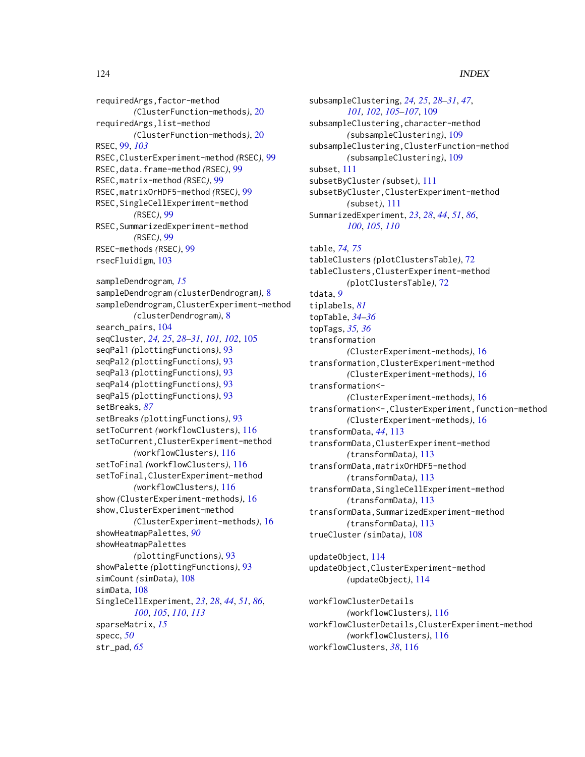# 124 INDEX

requiredArgs,factor-method *(*ClusterFunction-methods*)*, [20](#page-19-1) requiredArgs,list-method *(*ClusterFunction-methods*)*, [20](#page-19-1) RSEC, [99,](#page-98-0) *[103](#page-102-0)* RSEC,ClusterExperiment-method *(*RSEC*)*, [99](#page-98-0) RSEC,data.frame-method *(*RSEC*)*, [99](#page-98-0) RSEC,matrix-method *(*RSEC*)*, [99](#page-98-0) RSEC,matrixOrHDF5-method *(*RSEC*)*, [99](#page-98-0) RSEC,SingleCellExperiment-method *(*RSEC*)*, [99](#page-98-0) RSEC,SummarizedExperiment-method *(*RSEC*)*, [99](#page-98-0) RSEC-methods *(*RSEC*)*, [99](#page-98-0) rsecFluidigm, [103](#page-102-0) sampleDendrogram, *[15](#page-14-0)* sampleDendrogram *(*clusterDendrogram*)*, [8](#page-7-1) sampleDendrogram,ClusterExperiment-method *(*clusterDendrogram*)*, [8](#page-7-1) search\_pairs, [104](#page-103-0) seqCluster, *[24,](#page-23-0) [25](#page-24-0)*, *[28–](#page-27-0)[31](#page-30-0)*, *[101,](#page-100-0) [102](#page-101-0)*, [105](#page-104-0) seqPal1 *(*plottingFunctions*)*, [93](#page-92-0) seqPal2 *(*plottingFunctions*)*, [93](#page-92-0) seqPal3 *(*plottingFunctions*)*, [93](#page-92-0) seqPal4 *(*plottingFunctions*)*, [93](#page-92-0) seqPal5 *(*plottingFunctions*)*, [93](#page-92-0) setBreaks, *[87](#page-86-0)* setBreaks *(*plottingFunctions*)*, [93](#page-92-0) setToCurrent *(*workflowClusters*)*, [116](#page-115-0) setToCurrent,ClusterExperiment-method *(*workflowClusters*)*, [116](#page-115-0) setToFinal *(*workflowClusters*)*, [116](#page-115-0) setToFinal,ClusterExperiment-method *(*workflowClusters*)*, [116](#page-115-0) show *(*ClusterExperiment-methods*)*, [16](#page-15-0) show,ClusterExperiment-method *(*ClusterExperiment-methods*)*, [16](#page-15-0) showHeatmapPalettes, *[90](#page-89-0)* showHeatmapPalettes *(*plottingFunctions*)*, [93](#page-92-0) showPalette *(*plottingFunctions*)*, [93](#page-92-0) simCount *(*simData*)*, [108](#page-107-0) simData, [108](#page-107-0) SingleCellExperiment, *[23](#page-22-0)*, *[28](#page-27-0)*, *[44](#page-43-0)*, *[51](#page-50-0)*, *[86](#page-85-0)*, *[100](#page-99-0)*, *[105](#page-104-0)*, *[110](#page-109-0)*, *[113](#page-112-0)* sparseMatrix, *[15](#page-14-0)* specc, *[50](#page-49-1)* str\_pad, *[65](#page-64-0)*

subsampleClustering, *[24,](#page-23-0) [25](#page-24-0)*, *[28](#page-27-0)[–31](#page-30-0)*, *[47](#page-46-0)*, *[101,](#page-100-0) [102](#page-101-0)*, *[105](#page-104-0)[–107](#page-106-0)*, [109](#page-108-0) subsampleClustering,character-method *(*subsampleClustering*)*, [109](#page-108-0) subsampleClustering,ClusterFunction-method *(*subsampleClustering*)*, [109](#page-108-0) subset, [111](#page-110-0) subsetByCluster *(*subset*)*, [111](#page-110-0) subsetByCluster,ClusterExperiment-method *(*subset*)*, [111](#page-110-0) SummarizedExperiment, *[23](#page-22-0)*, *[28](#page-27-0)*, *[44](#page-43-0)*, *[51](#page-50-0)*, *[86](#page-85-0)*, *[100](#page-99-0)*, *[105](#page-104-0)*, *[110](#page-109-0)*

table, *[74,](#page-73-0) [75](#page-74-0)* tableClusters *(*plotClustersTable*)*, [72](#page-71-0) tableClusters,ClusterExperiment-method *(*plotClustersTable*)*, [72](#page-71-0) tdata, *[9](#page-8-0)* tiplabels, *[81](#page-80-0)* topTable, *[34](#page-33-0)[–36](#page-35-0)* topTags, *[35,](#page-34-0) [36](#page-35-0)* transformation *(*ClusterExperiment-methods*)*, [16](#page-15-0) transformation,ClusterExperiment-method *(*ClusterExperiment-methods*)*, [16](#page-15-0) transformation<- *(*ClusterExperiment-methods*)*, [16](#page-15-0) transformation<-,ClusterExperiment,function-method *(*ClusterExperiment-methods*)*, [16](#page-15-0) transformData, *[44](#page-43-0)*, [113](#page-112-0) transformData,ClusterExperiment-method *(*transformData*)*, [113](#page-112-0) transformData,matrixOrHDF5-method *(*transformData*)*, [113](#page-112-0) transformData,SingleCellExperiment-method *(*transformData*)*, [113](#page-112-0) transformData,SummarizedExperiment-method *(*transformData*)*, [113](#page-112-0) trueCluster *(*simData*)*, [108](#page-107-0)

updateObject, [114](#page-113-0) updateObject,ClusterExperiment-method *(*updateObject*)*, [114](#page-113-0)

workflowClusterDetails *(*workflowClusters*)*, [116](#page-115-0) workflowClusterDetails,ClusterExperiment-method *(*workflowClusters*)*, [116](#page-115-0) workflowClusters, *[38](#page-37-0)*, [116](#page-115-0)